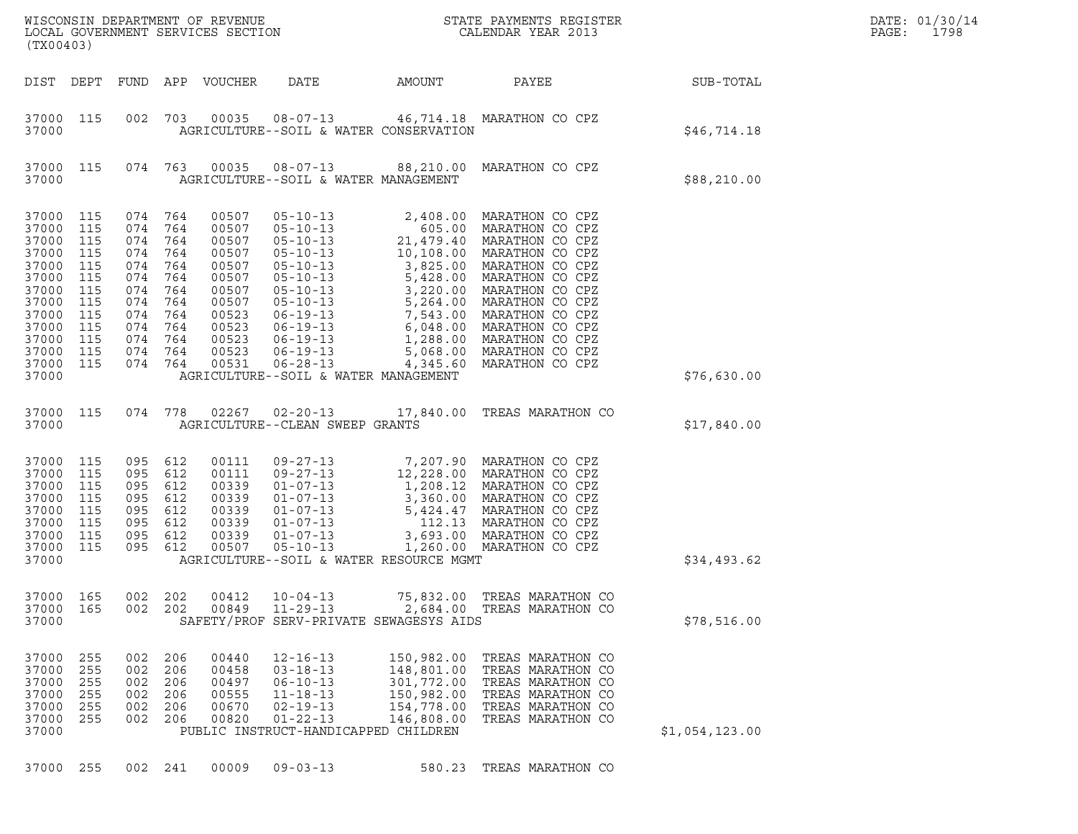| (TX00403)                                                                                                                  |                                                                                         |                                                                                         |                                                                                         |                                                                                                                   |                                                                                                                                                                                                                                                                                |                                                                                  |                                                                                                                                                                                                                                                                                                                                                                                              |                | DATE: 01/30/14<br>PAGE:<br>1798 |
|----------------------------------------------------------------------------------------------------------------------------|-----------------------------------------------------------------------------------------|-----------------------------------------------------------------------------------------|-----------------------------------------------------------------------------------------|-------------------------------------------------------------------------------------------------------------------|--------------------------------------------------------------------------------------------------------------------------------------------------------------------------------------------------------------------------------------------------------------------------------|----------------------------------------------------------------------------------|----------------------------------------------------------------------------------------------------------------------------------------------------------------------------------------------------------------------------------------------------------------------------------------------------------------------------------------------------------------------------------------------|----------------|---------------------------------|
| DIST DEPT                                                                                                                  |                                                                                         |                                                                                         |                                                                                         | FUND APP VOUCHER                                                                                                  | DATE                                                                                                                                                                                                                                                                           | AMOUNT                                                                           | PAYEE                                                                                                                                                                                                                                                                                                                                                                                        | SUB-TOTAL      |                                 |
| 37000 115<br>37000                                                                                                         |                                                                                         | 002                                                                                     |                                                                                         |                                                                                                                   | AGRICULTURE--SOIL & WATER CONSERVATION                                                                                                                                                                                                                                         |                                                                                  | 703  00035  08-07-13  46,714.18  MARATHON CO CPZ                                                                                                                                                                                                                                                                                                                                             | \$46,714.18    |                                 |
| 37000 115<br>37000                                                                                                         |                                                                                         | 074                                                                                     |                                                                                         |                                                                                                                   | AGRICULTURE--SOIL & WATER MANAGEMENT                                                                                                                                                                                                                                           |                                                                                  | 763  00035  08-07-13  88,210.00  MARATHON CO  CPZ                                                                                                                                                                                                                                                                                                                                            | \$88,210.00    |                                 |
| 37000<br>37000<br>37000<br>37000<br>37000<br>37000<br>37000<br>37000<br>37000<br>37000<br>37000<br>37000<br>37000<br>37000 | 115<br>115<br>115<br>115<br>115<br>115<br>115<br>115<br>115<br>115<br>115<br>115<br>115 | 074<br>074<br>074<br>074<br>074<br>074<br>074<br>074<br>074<br>074<br>074<br>074<br>074 | 764<br>764<br>764<br>764<br>764<br>764<br>764<br>764<br>764<br>764<br>764<br>764<br>764 | 00507<br>00507<br>00507<br>00507<br>00507<br>00507<br>00507<br>00507<br>00523<br>00523<br>00523<br>00523<br>00531 | $05 - 10 - 13$<br>$05 - 10 - 13$<br>$05 - 10 - 13$<br>$05 - 10 - 13$<br>$05 - 10 - 13$<br>$05 - 10 - 13$<br>$05 - 10 - 13$<br>$05 - 10 - 13$<br>$06 - 19 - 13$<br>$06 - 19 - 13$<br>$06 - 19 - 13$<br>$06 - 19 - 13$<br>$06 - 28 - 13$<br>AGRICULTURE--SOIL & WATER MANAGEMENT |                                                                                  | 2,408.00 MARATHON CO CPZ<br>605.00 MARATHON CO CPZ<br>21,479.40 MARATHON CO CPZ<br>21,479.40 MARATHON CO CPZ<br>10,108.00 MARATHON CO CPZ<br>3,825.00 MARATHON CO CPZ<br>5,428.00 MARATHON CO CPZ<br>3, 220.00<br>5, 264.00 MARATHON CO CPZ<br>3 7, 543.00 MARATHON CO CPZ<br>6, 048.00 MARATHON CO CPZ<br>1, 288.00 MARATHON CO CPZ<br>- 069.00 MARATHON CO CPZ<br>4,345.60 MARATHON CO CPZ | \$76,630.00    |                                 |
| 37000 115<br>37000                                                                                                         |                                                                                         | 074                                                                                     | 778                                                                                     |                                                                                                                   | $02267$ $02-20-13$<br>AGRICULTURE--CLEAN SWEEP GRANTS                                                                                                                                                                                                                          |                                                                                  | 17,840.00 TREAS MARATHON CO                                                                                                                                                                                                                                                                                                                                                                  | \$17,840.00    |                                 |
| 37000<br>37000<br>37000<br>37000<br>37000<br>37000<br>37000<br>37000<br>37000                                              | 115<br>115<br>115<br>115<br>115<br>115<br>115<br>115                                    | 095<br>095<br>095<br>095<br>095<br>095<br>095<br>095                                    | 612<br>612<br>612<br>612<br>612<br>612<br>612<br>612                                    | 00111<br>00111<br>00339<br>00339<br>00339<br>00339<br>00339<br>00507                                              | $09 - 27 - 13$<br>$09 - 27 - 13$<br>$01 - 07 - 13$<br>$01 - 07 - 13$<br>$01 - 07 - 13$<br>$01 - 07 - 13$<br>$01 - 07 - 13$<br>$05 - 10 - 13$<br>AGRICULTURE--SOIL & WATER RESOURCE MGMT                                                                                        |                                                                                  | 7,207.90 MARATHON CO CPZ<br>12,228.00 MARATHON CO CPZ<br>1,208.12 MARATHON CO CPZ<br>3,360.00 MARATHON CO CPZ<br>5,424.47 MARATHON CO CPZ<br>112.13 MARATHON CO CPZ<br>3,693.00 MARATHON CO CPZ<br>1,260.00 MARATHON CO CPZ                                                                                                                                                                  | \$34,493.62    |                                 |
| 37000<br>37000<br>37000                                                                                                    | 165<br>165                                                                              | 002<br>002                                                                              | 202<br>202                                                                              | 00412<br>00849                                                                                                    | $10 - 04 - 13$<br>$11 - 29 - 13$<br>SAFETY/PROF SERV-PRIVATE SEWAGESYS AIDS                                                                                                                                                                                                    |                                                                                  | 75,832.00 TREAS MARATHON CO<br>2,684.00 TREAS MARATHON CO                                                                                                                                                                                                                                                                                                                                    | \$78,516.00    |                                 |
| 37000<br>37000<br>37000<br>37000<br>37000<br>37000<br>37000                                                                | 255<br>255<br>255<br>255<br>255<br>255                                                  | 002<br>002<br>002<br>002<br>002<br>002                                                  | 206<br>206<br>206<br>206<br>206<br>206                                                  | 00440<br>00458<br>00497<br>00555<br>00670<br>00820                                                                | $12 - 16 - 13$<br>$03 - 18 - 13$<br>$06 - 10 - 13$<br>$11 - 18 - 13$<br>$02 - 19 - 13$<br>$01 - 22 - 13$<br>PUBLIC INSTRUCT-HANDICAPPED CHILDREN                                                                                                                               | 150,982.00<br>148,801.00<br>301,772.00<br>150,982.00<br>154,778.00<br>146,808.00 | TREAS MARATHON CO<br>TREAS MARATHON CO<br>TREAS MARATHON CO<br>TREAS MARATHON CO<br>TREAS MARATHON CO<br>TREAS MARATHON CO                                                                                                                                                                                                                                                                   | \$1,054,123.00 |                                 |
| 37000                                                                                                                      | 255                                                                                     | 002 241                                                                                 |                                                                                         | 00009                                                                                                             | $09 - 03 - 13$                                                                                                                                                                                                                                                                 | 580.23                                                                           | TREAS MARATHON CO                                                                                                                                                                                                                                                                                                                                                                            |                |                                 |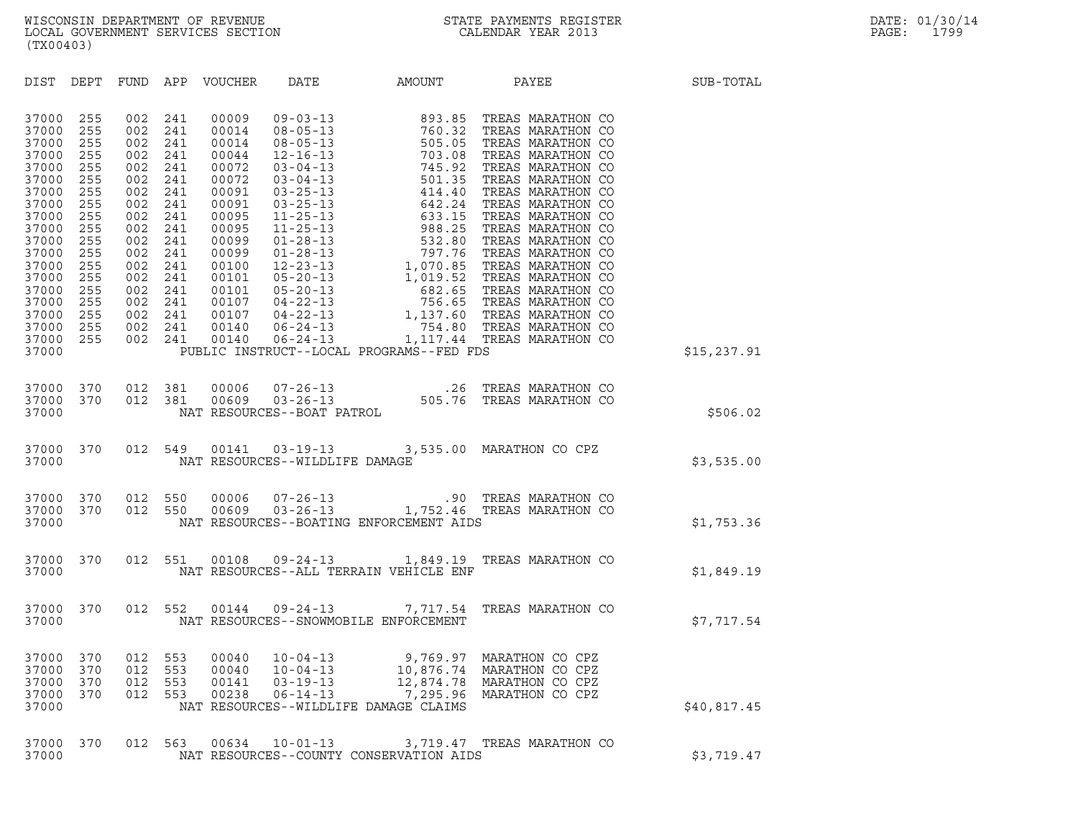| (TX00403)                                                                                                                                                                                                                                                                                                                                                                                                                                           |                                                                                                                                                                                                                                                                                                                  |                                                                                               |                                                                          |              |
|-----------------------------------------------------------------------------------------------------------------------------------------------------------------------------------------------------------------------------------------------------------------------------------------------------------------------------------------------------------------------------------------------------------------------------------------------------|------------------------------------------------------------------------------------------------------------------------------------------------------------------------------------------------------------------------------------------------------------------------------------------------------------------|-----------------------------------------------------------------------------------------------|--------------------------------------------------------------------------|--------------|
| DIST DEPT<br>FUND                                                                                                                                                                                                                                                                                                                                                                                                                                   |                                                                                                                                                                                                                                                                                                                  |                                                                                               | APP VOUCHER DATE AMOUNT PAYEE                                            | SUB-TOTAL    |
| 37000<br>255<br>002<br>255<br>002<br>37000<br>255<br>002<br>37000<br>002<br>37000<br>255<br>255<br>002<br>37000<br>255<br>002<br>37000<br>255<br>002<br>37000<br>002<br>37000<br>255<br>255<br>002<br>37000<br>255<br>002<br>37000<br>255<br>002<br>37000<br>002<br>37000<br>255<br>255<br>002<br>37000<br>255<br>002<br>37000<br>255<br>002<br>37000<br>37000<br>255<br>002<br>255<br>002<br>37000<br>002<br>37000<br>255<br>255<br>37000<br>37000 | 241<br>00009<br>00014<br>241<br>241<br>00014<br>241<br>00044<br>241<br>00072<br>00072<br>241<br>241<br>00091<br>241<br>00091<br>241<br>00095<br>00095<br>241<br>241<br>00099<br>241<br>00099<br>241<br>00100<br>241<br>00101<br>241<br>00101<br>241<br>00107<br>241<br>00107<br>241<br>00140<br>002 241<br>00140 | PUBLIC INSTRUCT--LOCAL PROGRAMS--FED FDS                                                      |                                                                          | \$15, 237.91 |
|                                                                                                                                                                                                                                                                                                                                                                                                                                                     |                                                                                                                                                                                                                                                                                                                  |                                                                                               |                                                                          |              |
| 37000<br>370<br>012<br>370<br>37000<br>37000                                                                                                                                                                                                                                                                                                                                                                                                        | 00006<br>381<br>012 381<br>00609<br>NAT RESOURCES--BOAT PATROL                                                                                                                                                                                                                                                   | 07-26-13<br>03-26-13 03-26-13<br>3S--BOAT PATROL 505.76 TREAS MARATHON CO                     |                                                                          | \$506.02     |
| 370<br>37000<br>37000                                                                                                                                                                                                                                                                                                                                                                                                                               | 012 549<br>NAT RESOURCES--WILDLIFE DAMAGE                                                                                                                                                                                                                                                                        | 00141  03-19-13  3,535.00 MARATHON CO CPZ                                                     |                                                                          | \$3,535.00   |
| 37000<br>370<br>012<br>370<br>37000<br>37000                                                                                                                                                                                                                                                                                                                                                                                                        | 012 550<br>00006<br>550<br>00609                                                                                                                                                                                                                                                                                 | $07-26-13$ $03-26-13$ $1,752.46$ TREAS MARATHON CO<br>NAT RESOURCES--BOATING ENFORCEMENT AIDS |                                                                          | \$1,753.36   |
| 012<br>37000<br>370<br>37000                                                                                                                                                                                                                                                                                                                                                                                                                        | 551<br>00108                                                                                                                                                                                                                                                                                                     | 09-24-13 1,849.19 TREAS MARATHON CO<br>NAT RESOURCES--ALL TERRAIN VEHICLE ENF                 |                                                                          | \$1,849.19   |
| 012<br>37000<br>370<br>37000                                                                                                                                                                                                                                                                                                                                                                                                                        | 552                                                                                                                                                                                                                                                                                                              | 00144  09-24-13  7,717.54  TREAS MARATHON CO<br>NAT RESOURCES--SNOWMOBILE ENFORCEMENT         |                                                                          | \$7,717.54   |
| 37000<br>370<br>012<br>37000<br>370<br>012<br>37000<br>370<br>012<br>37000<br>370<br>012<br>37000                                                                                                                                                                                                                                                                                                                                                   | 553<br>00040<br>$10 - 04 - 13$<br>553<br>00040<br>$10 - 04 - 13$<br>553<br>00141<br>$03 - 19 - 13$<br>553<br>00238<br>$06 - 14 - 13$                                                                                                                                                                             | 9,769.97<br>10,876.74<br>12,874.78<br>7,295.96<br>NAT RESOURCES--WILDLIFE DAMAGE CLAIMS       | MARATHON CO CPZ<br>MARATHON CO CPZ<br>MARATHON CO CPZ<br>MARATHON CO CPZ | \$40,817.45  |
| 37000<br>370<br>012<br>37000                                                                                                                                                                                                                                                                                                                                                                                                                        | 563<br>00634<br>$10 - 01 - 13$                                                                                                                                                                                                                                                                                   | NAT RESOURCES--COUNTY CONSERVATION AIDS                                                       | 3,719.47 TREAS MARATHON CO                                               | \$3,719.47   |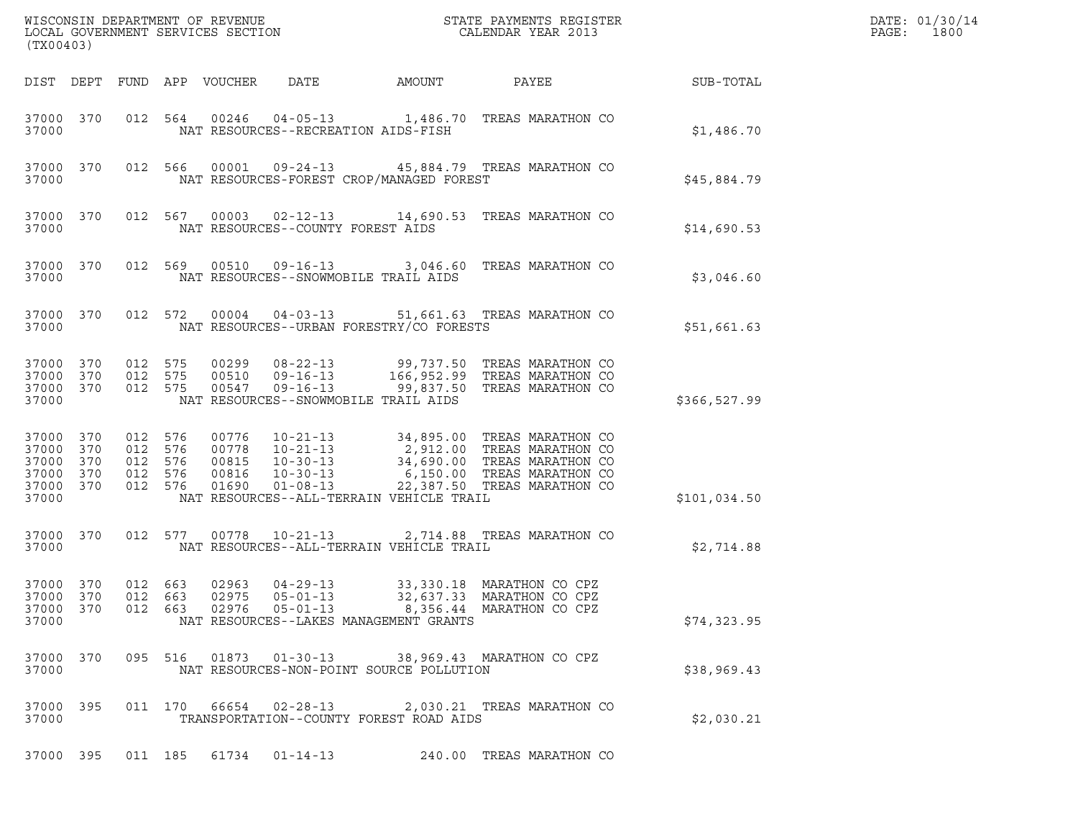| (TX00403)                                                  |                   |                                             |            |                                           | WISCONSIN DEPARTMENT OF REVENUE<br>LOCAL GOVERNMENT SERVICES SECTION                   |                                          | STATE PAYMENTS REGISTER<br>CALENDAR YEAR 2013                                                                                                           |              | DATE: 01/30/14<br>PAGE:<br>1800 |
|------------------------------------------------------------|-------------------|---------------------------------------------|------------|-------------------------------------------|----------------------------------------------------------------------------------------|------------------------------------------|---------------------------------------------------------------------------------------------------------------------------------------------------------|--------------|---------------------------------|
|                                                            |                   |                                             |            | DIST DEPT FUND APP VOUCHER                | DATE                                                                                   | AMOUNT                                   | PAYEE                                                                                                                                                   | SUB-TOTAL    |                                 |
| 37000 370<br>37000                                         |                   |                                             | 012 564    |                                           |                                                                                        | NAT RESOURCES--RECREATION AIDS-FISH      | 00246  04-05-13  1,486.70  TREAS MARATHON CO                                                                                                            | \$1,486.70   |                                 |
| 37000 370<br>37000                                         |                   |                                             | 012 566    |                                           |                                                                                        | NAT RESOURCES-FOREST CROP/MANAGED FOREST | 00001  09-24-13  45,884.79  TREAS MARATHON CO                                                                                                           | \$45,884.79  |                                 |
| 37000 370<br>37000                                         |                   |                                             | 012 567    |                                           | NAT RESOURCES--COUNTY FOREST AIDS                                                      |                                          | 00003  02-12-13  14,690.53  TREAS MARATHON CO                                                                                                           | \$14,690.53  |                                 |
| 37000 370<br>37000                                         |                   |                                             | 012 569    |                                           |                                                                                        | NAT RESOURCES--SNOWMOBILE TRAIL AIDS     | 00510  09-16-13  3,046.60  TREAS MARATHON CO                                                                                                            | \$3,046.60   |                                 |
| 37000 370<br>37000                                         |                   |                                             | 012 572    |                                           |                                                                                        | NAT RESOURCES--URBAN FORESTRY/CO FORESTS | 00004  04-03-13  51,661.63  TREAS MARATHON CO                                                                                                           | \$51,661.63  |                                 |
| 37000 370<br>37000<br>37000 370<br>37000                   | 370               | 012 575<br>012<br>012 575                   | 575        | 00299<br>00510<br>00547                   | $08 - 22 - 13$<br>$09 - 16 - 13$<br>$09 - 16 - 13$                                     | NAT RESOURCES--SNOWMOBILE TRAIL AIDS     | 99,737.50 TREAS MARATHON CO<br>166,952.99 TREAS MARATHON CO<br>99,837.50 TREAS MARATHON CO                                                              | \$366,527.99 |                                 |
| 37000 370<br>37000<br>37000<br>37000<br>37000 370<br>37000 | 370<br>370<br>370 | 012 576<br>012<br>012 576<br>012<br>012 576 | 576<br>576 | 00776<br>00778<br>00815<br>00816<br>01690 | $10 - 21 - 13$<br>$10 - 21 - 13$<br>$10 - 30 - 13$<br>$10 - 30 - 13$<br>$01 - 08 - 13$ | NAT RESOURCES--ALL-TERRAIN VEHICLE TRAIL | 34,895.00 TREAS MARATHON CO<br>$2,912.00$ TREAS MARATHON CO<br>34,690.00 TREAS MARATHON CO<br>6,150.00 TREAS MARATHON CO<br>22,387.50 TREAS MARATHON CO | \$101,034.50 |                                 |
| 37000 370<br>37000                                         |                   |                                             | 012 577    |                                           | 00778  10-21-13                                                                        | NAT RESOURCES--ALL-TERRAIN VEHICLE TRAIL | 2,714.88 TREAS MARATHON CO                                                                                                                              | \$2,714.88   |                                 |
| 37000 370<br>37000 370<br>37000 370<br>37000               |                   | 012 663<br>012 663                          | 012 663    | 02963<br>02975<br>02976                   | $04 - 29 - 13$<br>$05 - 01 - 13$<br>$05 - 01 - 13$                                     | NAT RESOURCES--LAKES MANAGEMENT GRANTS   | 33,330.18 MARATHON CO CPZ<br>32,637.33 MARATHON CO CPZ<br>8,356.44 MARATHON CO CPZ                                                                      | \$74,323.95  |                                 |
| 37000 370<br>37000                                         |                   |                                             |            |                                           |                                                                                        | NAT RESOURCES-NON-POINT SOURCE POLLUTION | 095 516 01873 01-30-13 38,969.43 MARATHON CO CPZ                                                                                                        | \$38,969.43  |                                 |
| 37000 395<br>37000                                         |                   |                                             |            |                                           | 011 170 66654 02-28-13                                                                 | TRANSPORTATION--COUNTY FOREST ROAD AIDS  | 2,030.21 TREAS MARATHON CO                                                                                                                              | \$2,030.21   |                                 |
| 37000 395                                                  |                   |                                             |            |                                           | 011 185 61734 01-14-13                                                                 |                                          | 240.00 TREAS MARATHON CO                                                                                                                                |              |                                 |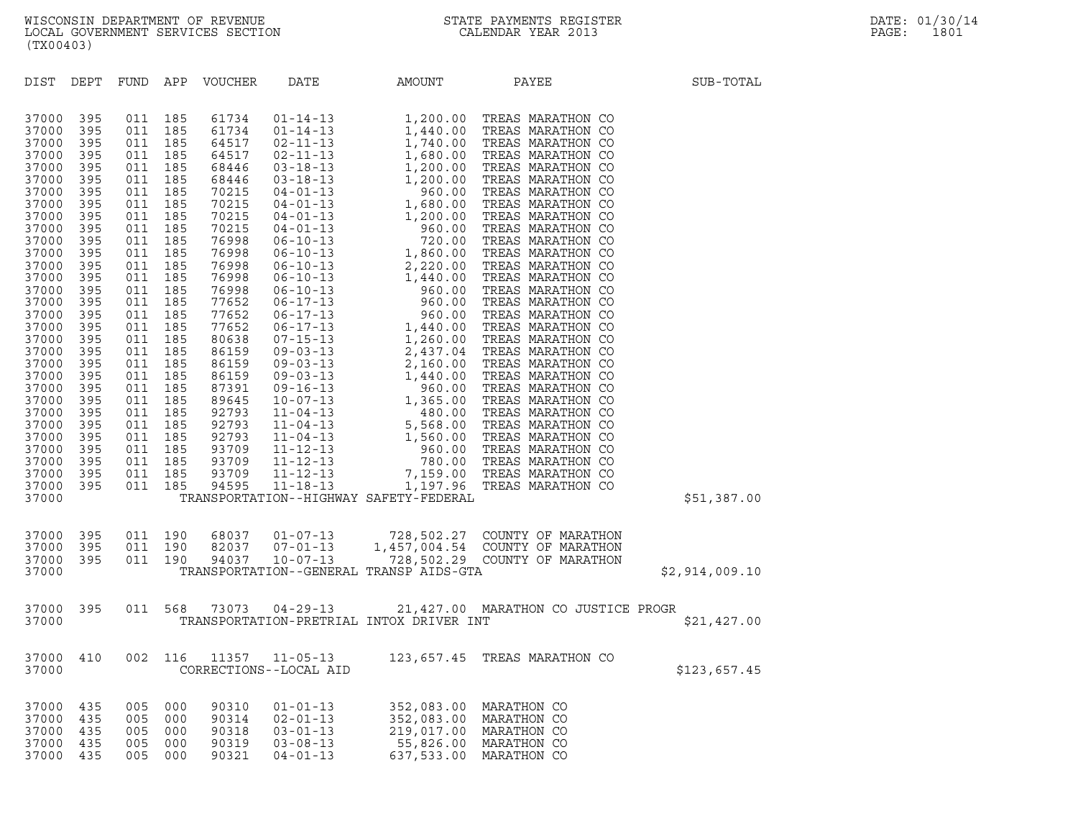| DIST                                                                                                                                                                                                                                                                                         | DEPT                                                                                                                                                                                                                  |             |  | FUND APP VOUCHER DATE  | AMOUNT                                 | PAYEE                                                                                                                                                                                                                                  | SUB-TOTAL      |  |
|----------------------------------------------------------------------------------------------------------------------------------------------------------------------------------------------------------------------------------------------------------------------------------------------|-----------------------------------------------------------------------------------------------------------------------------------------------------------------------------------------------------------------------|-------------|--|------------------------|----------------------------------------|----------------------------------------------------------------------------------------------------------------------------------------------------------------------------------------------------------------------------------------|----------------|--|
| 37000<br>37000<br>37000<br>37000<br>37000<br>37000<br>37000<br>37000<br>37000<br>37000<br>37000<br>37000<br>37000<br>37000<br>37000<br>37000<br>37000<br>37000<br>37000<br>37000<br>37000<br>37000<br>37000<br>37000<br>37000<br>37000<br>37000<br>37000<br>37000<br>37000<br>37000<br>37000 | 395<br>395<br>395<br>395<br>395<br>395<br>395<br>395<br>395<br>395<br>395<br>395<br>395<br>395<br>395<br>395<br>395<br>395<br>395<br>395<br>395<br>395<br>395<br>395<br>395<br>395<br>395<br>395<br>395<br>395<br>395 |             |  |                        | TRANSPORTATION--HIGHWAY SAFETY-FEDERAL |                                                                                                                                                                                                                                        | \$51,387.00    |  |
| 37000<br>37000<br>37000<br>37000                                                                                                                                                                                                                                                             |                                                                                                                                                                                                                       |             |  |                        |                                        | 395  011  190  68037  01-07-13  728,502.27  COUNTY OF MARATHON<br>395  011  190  82037  07-01-13  1,457,004.54  COUNTY OF MARATHON<br>395  011  190  94037  10-07-13  728,502.29  COUNTY OF MARATHON<br>TRANSPORTATION--GENERAL TRANSP | \$2,914,009.10 |  |
|                                                                                                                                                                                                                                                                                              |                                                                                                                                                                                                                       |             |  |                        |                                        |                                                                                                                                                                                                                                        | \$21,427.00    |  |
| 37000<br>37000                                                                                                                                                                                                                                                                               |                                                                                                                                                                                                                       | 410 002 116 |  | CORRECTIONS--LOCAL AID |                                        | 11357   11-05-13   123,657.45   TREAS MARATHON CO                                                                                                                                                                                      | \$123,657.45   |  |
| 37000<br>37000<br>37000<br>37000                                                                                                                                                                                                                                                             | 37000 435<br>435<br>435<br>435<br>435                                                                                                                                                                                 |             |  |                        |                                        |                                                                                                                                                                                                                                        |                |  |
|                                                                                                                                                                                                                                                                                              |                                                                                                                                                                                                                       |             |  |                        |                                        |                                                                                                                                                                                                                                        |                |  |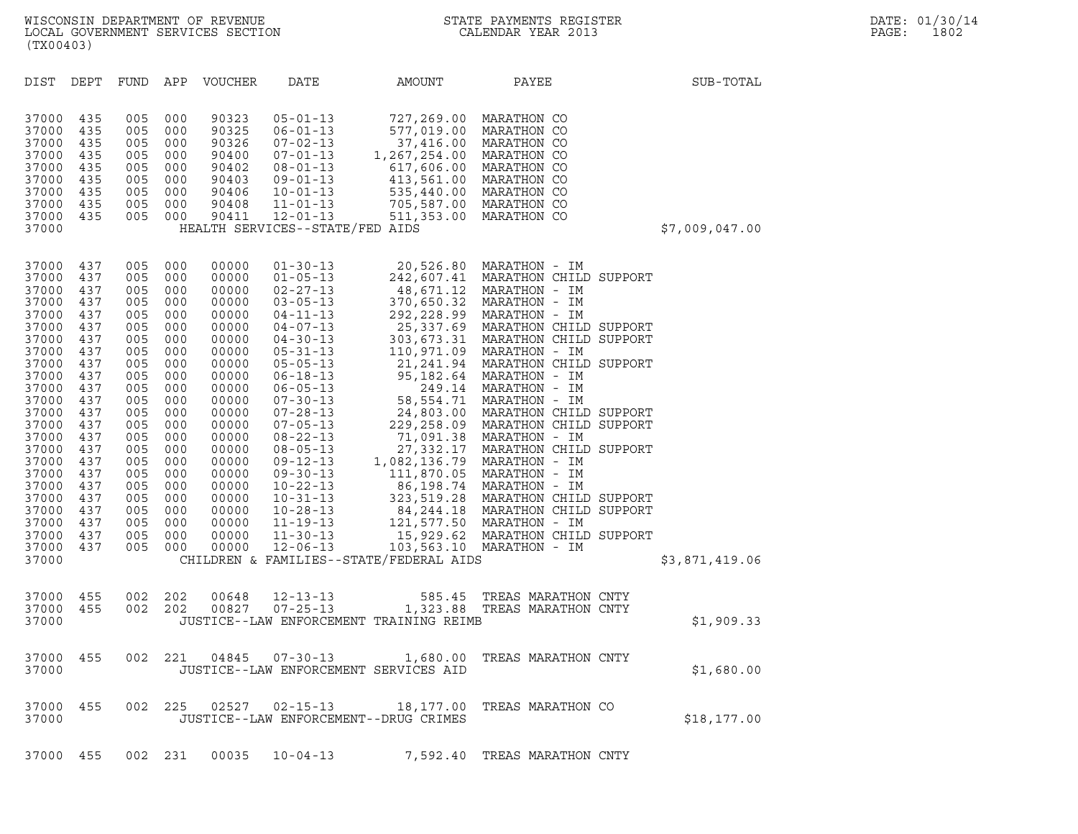| DIST                                                                                                                                                                                                                 | DEPT                                                                                                                                                                 | FUND                                                                                                                                                                 | APP                                                                                                                                                                  | VOUCHER                                                                                                                                                                                                              | DATE                                                                                                                                                                                                                                                                                                                                                                                                                                         | AMOUNT                                                                          | PAYEE                                                                                                                                                                                                                                                                                                                                                                                                                                                                                                                                                                                                                                                                                                                                                     | SUB-TOTAL      |  |
|----------------------------------------------------------------------------------------------------------------------------------------------------------------------------------------------------------------------|----------------------------------------------------------------------------------------------------------------------------------------------------------------------|----------------------------------------------------------------------------------------------------------------------------------------------------------------------|----------------------------------------------------------------------------------------------------------------------------------------------------------------------|----------------------------------------------------------------------------------------------------------------------------------------------------------------------------------------------------------------------|----------------------------------------------------------------------------------------------------------------------------------------------------------------------------------------------------------------------------------------------------------------------------------------------------------------------------------------------------------------------------------------------------------------------------------------------|---------------------------------------------------------------------------------|-----------------------------------------------------------------------------------------------------------------------------------------------------------------------------------------------------------------------------------------------------------------------------------------------------------------------------------------------------------------------------------------------------------------------------------------------------------------------------------------------------------------------------------------------------------------------------------------------------------------------------------------------------------------------------------------------------------------------------------------------------------|----------------|--|
| 37000<br>37000<br>37000<br>37000<br>37000<br>37000<br>37000<br>37000<br>37000<br>37000                                                                                                                               | 435<br>435<br>435<br>435<br>435<br>435<br>435<br>435<br>435                                                                                                          | 005<br>005<br>005<br>005<br>005<br>005<br>005<br>005<br>005                                                                                                          | 000<br>000<br>000<br>000<br>000<br>000<br>000<br>000<br>000                                                                                                          | 90323<br>90325<br>90326<br>90400<br>90402<br>90403<br>90406<br>90408<br>90411                                                                                                                                        | $05 - 01 - 13$<br>$06 - 01 - 13$<br>$07 - 02 - 13$<br>$07 - 01 - 13$<br>$08 - 01 - 13$<br>$09 - 01 - 13$<br>$10 - 01 - 13$<br>$11 - 01 - 13$<br>$12 - 01 - 13$<br>HEALTH SERVICES--STATE/FED AIDS                                                                                                                                                                                                                                            | 727,269.00<br>577,019.00<br>37,416.00<br>1,267,254.00 MARATHON CO<br>617,606.00 | MARATHON CO<br>MARATHON CO<br>MARATHON CO<br>MARATHON CO<br>413,561.00 MARATHON CO<br>535,440.00 MARATHON CO<br>705,587.00 MARATHON CO<br>511,353.00 MARATHON CO                                                                                                                                                                                                                                                                                                                                                                                                                                                                                                                                                                                          | \$7,009,047.00 |  |
| 37000<br>37000<br>37000<br>37000<br>37000<br>37000<br>37000<br>37000<br>37000<br>37000<br>37000<br>37000<br>37000<br>37000<br>37000<br>37000<br>37000<br>37000<br>37000<br>37000<br>37000<br>37000<br>37000<br>37000 | 437<br>437<br>437<br>437<br>437<br>437<br>437<br>437<br>437<br>437<br>437<br>437<br>437<br>437<br>437<br>437<br>437<br>437<br>437<br>437<br>437<br>437<br>437<br>437 | 005<br>005<br>005<br>005<br>005<br>005<br>005<br>005<br>005<br>005<br>005<br>005<br>005<br>005<br>005<br>005<br>005<br>005<br>005<br>005<br>005<br>005<br>005<br>005 | 000<br>000<br>000<br>000<br>000<br>000<br>000<br>000<br>000<br>000<br>000<br>000<br>000<br>000<br>000<br>000<br>000<br>000<br>000<br>000<br>000<br>000<br>000<br>000 | 00000<br>00000<br>00000<br>00000<br>00000<br>00000<br>00000<br>00000<br>00000<br>00000<br>00000<br>00000<br>00000<br>00000<br>00000<br>00000<br>00000<br>00000<br>00000<br>00000<br>00000<br>00000<br>00000<br>00000 | $01 - 30 - 13$<br>$01 - 05 - 13$<br>$02 - 27 - 13$<br>$03 - 05 - 13$<br>$04 - 11 - 13$<br>$04 - 07 - 13$<br>$04 - 30 - 13$<br>$05 - 31 - 13$<br>$05 - 05 - 13$<br>$06 - 18 - 13$<br>$06 - 05 - 13$<br>$07 - 30 - 13$<br>$07 - 28 - 13$<br>$07 - 05 - 13$<br>$08 - 22 - 13$<br>$08 - 05 - 13$<br>$09 - 12 - 13$<br>$09 - 30 - 13$<br>$10 - 22 - 13$<br>$10 - 31 - 13$<br>$10 - 28 - 13$<br>$11 - 19 - 13$<br>$11 - 30 - 13$<br>$12 - 06 - 13$ | 48,671.12<br>370,650.32                                                         | 20,526.80 MARATHON - IM<br>242,607.41 MARATHON CHILD SUPPORT<br>MARATHON - IM<br>MARATHON - IM<br>292, 228.99 MARATHON - IM<br>25,337.69 MARATHON CHILD SUPPORT<br>303, 673.31 MARATHON CHILD SUPPORT<br>110,971.09 MARATHON - IM<br>21, 241.94 MARATHON CHILD SUPPORT<br>95,182.64 MARATHON - IM<br>249.14 MARATHON - IM<br>58,554.71 MARATHON - IM<br>24,803.00 MARATHON CHILD SUPPORT<br>229, 258.09 MARATHON CHILD SUPPORT<br>71,091.38 MARATHON - IM<br>27,332.17 MARATHON CHILD SUPPORT<br>1,082,136.79 MARATHON - IM<br>111,870.05 MARATHON - IM<br>86,198.74 MARATHON - IM<br>323, 519.28 MARATHON CHILD SUPPORT<br>84, 244.18 MARATHON CHILD SUPPORT<br>121,577.50 MARATHON - IM<br>15,929.62 MARATHON CHILD SUPPORT<br>103,563.10 MARATHON - IM |                |  |
| 37000                                                                                                                                                                                                                |                                                                                                                                                                      |                                                                                                                                                                      |                                                                                                                                                                      |                                                                                                                                                                                                                      |                                                                                                                                                                                                                                                                                                                                                                                                                                              | CHILDREN & FAMILIES--STATE/FEDERAL AIDS                                         |                                                                                                                                                                                                                                                                                                                                                                                                                                                                                                                                                                                                                                                                                                                                                           | \$3,871,419.06 |  |
| 37000<br>37000<br>37000                                                                                                                                                                                              | 455<br>455                                                                                                                                                           | 002<br>002                                                                                                                                                           | 202<br>202                                                                                                                                                           | 00648<br>00827                                                                                                                                                                                                       | $12 - 13 - 13$<br>$07 - 25 - 13$                                                                                                                                                                                                                                                                                                                                                                                                             | JUSTICE--LAW ENFORCEMENT TRAINING REIMB                                         | 585.45 TREAS MARATHON CNTY<br>1,323.88 TREAS MARATHON CNTY                                                                                                                                                                                                                                                                                                                                                                                                                                                                                                                                                                                                                                                                                                | \$1,909.33     |  |
| 37000<br>37000                                                                                                                                                                                                       | 455                                                                                                                                                                  | 002                                                                                                                                                                  | 221                                                                                                                                                                  | 04845                                                                                                                                                                                                                | $07 - 30 - 13$                                                                                                                                                                                                                                                                                                                                                                                                                               | 1,680.00<br>JUSTICE--LAW ENFORCEMENT SERVICES AID                               | TREAS MARATHON CNTY                                                                                                                                                                                                                                                                                                                                                                                                                                                                                                                                                                                                                                                                                                                                       | \$1,680.00     |  |
| 37000<br>37000                                                                                                                                                                                                       | 455                                                                                                                                                                  | 002                                                                                                                                                                  | 225                                                                                                                                                                  | 02527                                                                                                                                                                                                                | $02 - 15 - 13$                                                                                                                                                                                                                                                                                                                                                                                                                               | 18,177.00<br>JUSTICE--LAW ENFORCEMENT--DRUG CRIMES                              | TREAS MARATHON CO                                                                                                                                                                                                                                                                                                                                                                                                                                                                                                                                                                                                                                                                                                                                         | \$18, 177.00   |  |
|                                                                                                                                                                                                                      |                                                                                                                                                                      |                                                                                                                                                                      |                                                                                                                                                                      |                                                                                                                                                                                                                      |                                                                                                                                                                                                                                                                                                                                                                                                                                              |                                                                                 |                                                                                                                                                                                                                                                                                                                                                                                                                                                                                                                                                                                                                                                                                                                                                           |                |  |

37000 455 002 231 00035 10-04-13 7,592.40 TREAS MARATHON CNTY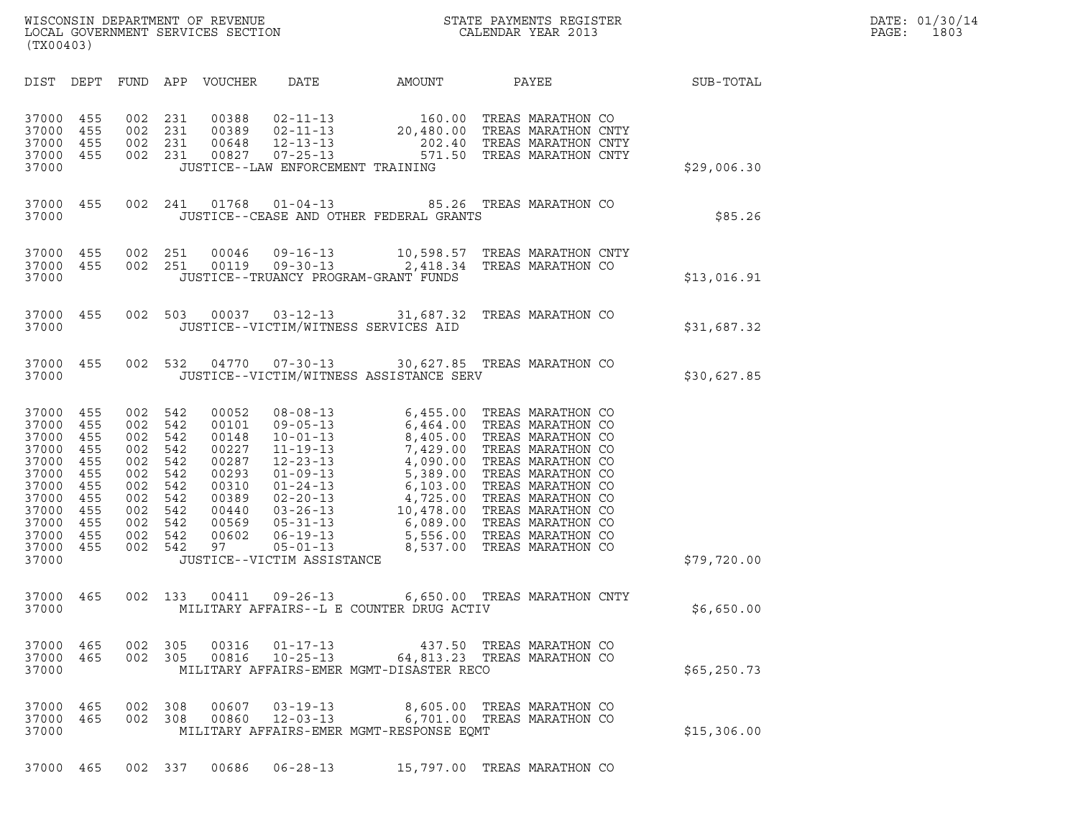| WISCONSIN DEPARTMENT OF REVENUE<br>LOCAL GOVERNMENT SERVICES SECTION<br>(TX00403) | STATE PAYMENTS REGISTER<br>CALENDAR YEAR 2013 | DATE: 01/30/14<br>PAGE:<br>1803 |
|-----------------------------------------------------------------------------------|-----------------------------------------------|---------------------------------|

| (TX00403)                                                                                                         |                                                                                  |                                                                                  |                                                                                  |                                                                                                       |                                                                                                                                                                                                                                                    |                                                                                                                                               |                                                                                                                                                                                                                                                          |              |
|-------------------------------------------------------------------------------------------------------------------|----------------------------------------------------------------------------------|----------------------------------------------------------------------------------|----------------------------------------------------------------------------------|-------------------------------------------------------------------------------------------------------|----------------------------------------------------------------------------------------------------------------------------------------------------------------------------------------------------------------------------------------------------|-----------------------------------------------------------------------------------------------------------------------------------------------|----------------------------------------------------------------------------------------------------------------------------------------------------------------------------------------------------------------------------------------------------------|--------------|
| DIST                                                                                                              | DEPT                                                                             | FUND                                                                             | APP                                                                              | VOUCHER                                                                                               | DATE                                                                                                                                                                                                                                               | AMOUNT                                                                                                                                        | PAYEE                                                                                                                                                                                                                                                    | SUB-TOTAL    |
| 37000<br>37000<br>37000<br>37000<br>37000                                                                         | 455<br>455<br>455<br>455                                                         | 002<br>002<br>002<br>002                                                         | 231<br>231<br>231<br>231                                                         | 00388<br>00389<br>00648<br>00827                                                                      | $02 - 11 - 13$<br>$02 - 11 - 13$<br>$12 - 13 - 13$<br>$07 - 25 - 13$<br>JUSTICE--LAW ENFORCEMENT TRAINING                                                                                                                                          | 160.00<br>20,480.00<br>202.40<br>571.50                                                                                                       | TREAS MARATHON CO<br>TREAS MARATHON CNTY<br>TREAS MARATHON CNTY<br>TREAS MARATHON CNTY                                                                                                                                                                   | \$29,006.30  |
| 37000<br>37000                                                                                                    | 455                                                                              | 002                                                                              | 241                                                                              | 01768                                                                                                 | $01 - 04 - 13$                                                                                                                                                                                                                                     | JUSTICE--CEASE AND OTHER FEDERAL GRANTS                                                                                                       | 85.26 TREAS MARATHON CO                                                                                                                                                                                                                                  | \$85.26      |
| 37000<br>37000<br>37000                                                                                           | 455<br>455                                                                       | 002<br>002                                                                       | 251<br>251                                                                       | 00046<br>00119                                                                                        | $09 - 16 - 13$<br>$09 - 30 - 13$                                                                                                                                                                                                                   | 10,598.57<br>2,418.34<br>JUSTICE--TRUANCY PROGRAM-GRANT FUNDS                                                                                 | TREAS MARATHON CNTY<br>TREAS MARATHON CO                                                                                                                                                                                                                 | \$13,016.91  |
| 37000<br>37000                                                                                                    | 455                                                                              | 002                                                                              | 503                                                                              | 00037                                                                                                 | $03 - 12 - 13$                                                                                                                                                                                                                                     | 31,687.32<br>JUSTICE--VICTIM/WITNESS SERVICES AID                                                                                             | TREAS MARATHON CO                                                                                                                                                                                                                                        | \$31,687.32  |
| 37000<br>37000                                                                                                    | 455                                                                              | 002                                                                              | 532                                                                              | 04770                                                                                                 | $07 - 30 - 13$                                                                                                                                                                                                                                     | JUSTICE--VICTIM/WITNESS ASSISTANCE SERV                                                                                                       | 30,627.85 TREAS MARATHON CO                                                                                                                                                                                                                              | \$30,627.85  |
| 37000<br>37000<br>37000<br>37000<br>37000<br>37000<br>37000<br>37000<br>37000<br>37000<br>37000<br>37000<br>37000 | 455<br>455<br>455<br>455<br>455<br>455<br>455<br>455<br>455<br>455<br>455<br>455 | 002<br>002<br>002<br>002<br>002<br>002<br>002<br>002<br>002<br>002<br>002<br>002 | 542<br>542<br>542<br>542<br>542<br>542<br>542<br>542<br>542<br>542<br>542<br>542 | 00052<br>00101<br>00148<br>00227<br>00287<br>00293<br>00310<br>00389<br>00440<br>00569<br>00602<br>97 | $08 - 08 - 13$<br>$09 - 05 - 13$<br>$10 - 01 - 13$<br>$11 - 19 - 13$<br>$12 - 23 - 13$<br>$01 - 09 - 13$<br>$01 - 24 - 13$<br>$02 - 20 - 13$<br>$03 - 26 - 13$<br>$05 - 31 - 13$<br>$06 - 19 - 13$<br>$05 - 01 - 13$<br>JUSTICE--VICTIM ASSISTANCE | 6,455.00<br>6,464.00<br>8,405.00<br>7,429.00<br>4,090.00<br>5,389.00<br>6,103.00<br>4,725.00<br>10,478.00<br>6,089.00<br>5,556.00<br>8,537.00 | TREAS MARATHON CO<br>TREAS MARATHON CO<br>TREAS MARATHON CO<br>TREAS MARATHON CO<br>TREAS MARATHON CO<br>TREAS MARATHON CO<br>TREAS MARATHON CO<br>TREAS MARATHON CO<br>TREAS MARATHON CO<br>TREAS MARATHON CO<br>TREAS MARATHON CO<br>TREAS MARATHON CO | \$79,720.00  |
| 37000<br>37000                                                                                                    | 465                                                                              | 002                                                                              | 133                                                                              | 00411                                                                                                 |                                                                                                                                                                                                                                                    | MILITARY AFFAIRS--L E COUNTER DRUG ACTIV                                                                                                      | 09-26-13 6,650.00 TREAS MARATHON CNTY                                                                                                                                                                                                                    | \$6,650.00   |
| 37000<br>37000<br>37000                                                                                           | 465<br>465                                                                       | 002<br>002 305                                                                   | 305                                                                              | 00316<br>00816                                                                                        | $01 - 17 - 13$<br>$10 - 25 - 13$                                                                                                                                                                                                                   | 437.50<br>MILITARY AFFAIRS-EMER MGMT-DISASTER RECO                                                                                            | TREAS MARATHON CO<br>64,813.23 TREAS MARATHON CO                                                                                                                                                                                                         | \$65, 250.73 |
| 37000<br>37000<br>37000                                                                                           | 465<br>465                                                                       | 002<br>002                                                                       | 308<br>308                                                                       | 00607<br>00860                                                                                        | $03 - 19 - 13$<br>$12 - 03 - 13$                                                                                                                                                                                                                   | MILITARY AFFAIRS-EMER MGMT-RESPONSE EOMT                                                                                                      | 8,605.00 TREAS MARATHON CO<br>6,701.00 TREAS MARATHON CO                                                                                                                                                                                                 | \$15,306.00  |
| 37000 465                                                                                                         |                                                                                  |                                                                                  | 002 337                                                                          | 00686                                                                                                 | $06 - 28 - 13$                                                                                                                                                                                                                                     |                                                                                                                                               | 15,797.00 TREAS MARATHON CO                                                                                                                                                                                                                              |              |

(TX00403)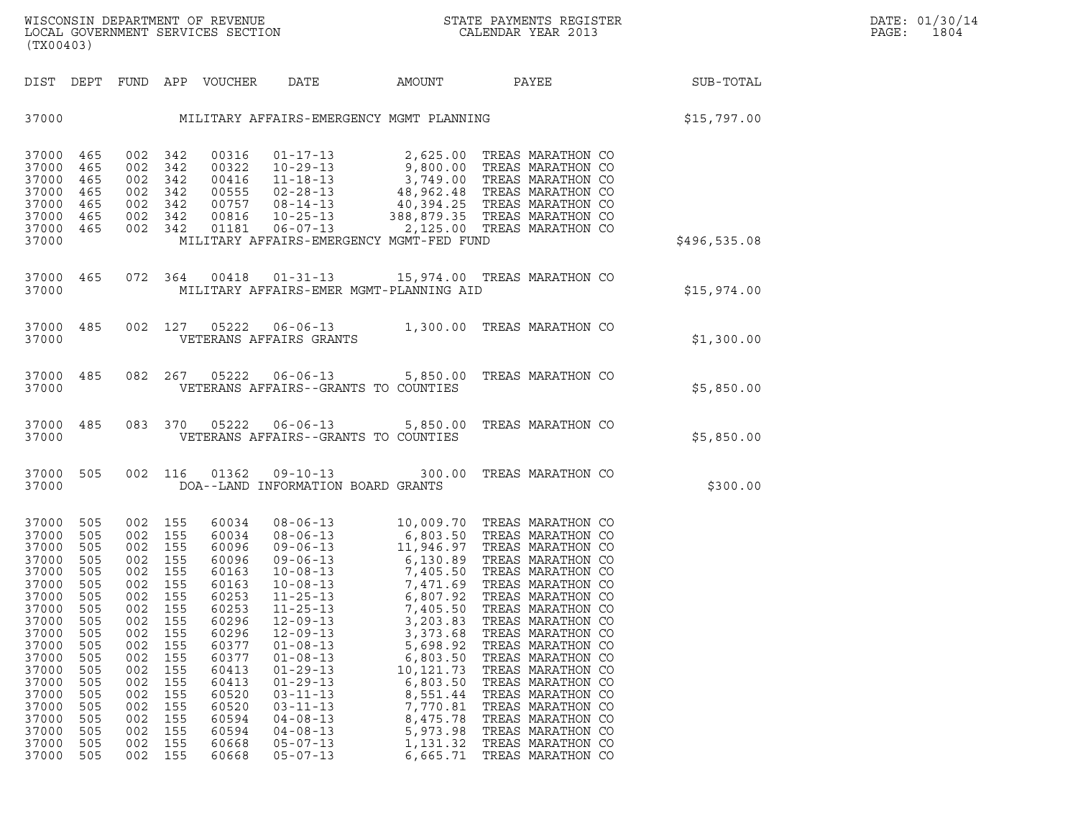| (TX00403)                                                                                                                                                                            |                                                                                                                                   |                                                                                  |                                                                                                                                                                          |                                                                                                                                                                                  |                                                                                                                                                                                                                                                          | WISCONSIN DEPARTMENT OF REVENUE ${\small \begin{array}{ll} \text{MISCONS} \\\text{LOCAL GOVERNMENT} \\\text{SERMENT} \\\text{SERVICES} \\\text{SECTION} \\\end{array} \end{array}}$                                                                                                                                                                                                                                                      |                                                                                                                                                                                                                                                                                                    |                                                                    | DATE: 01/30/14<br>$\mathtt{PAGE:}$<br>1804 |  |
|--------------------------------------------------------------------------------------------------------------------------------------------------------------------------------------|-----------------------------------------------------------------------------------------------------------------------------------|----------------------------------------------------------------------------------|--------------------------------------------------------------------------------------------------------------------------------------------------------------------------|----------------------------------------------------------------------------------------------------------------------------------------------------------------------------------|----------------------------------------------------------------------------------------------------------------------------------------------------------------------------------------------------------------------------------------------------------|------------------------------------------------------------------------------------------------------------------------------------------------------------------------------------------------------------------------------------------------------------------------------------------------------------------------------------------------------------------------------------------------------------------------------------------|----------------------------------------------------------------------------------------------------------------------------------------------------------------------------------------------------------------------------------------------------------------------------------------------------|--------------------------------------------------------------------|--------------------------------------------|--|
|                                                                                                                                                                                      |                                                                                                                                   |                                                                                  |                                                                                                                                                                          |                                                                                                                                                                                  |                                                                                                                                                                                                                                                          |                                                                                                                                                                                                                                                                                                                                                                                                                                          |                                                                                                                                                                                                                                                                                                    |                                                                    |                                            |  |
|                                                                                                                                                                                      |                                                                                                                                   |                                                                                  |                                                                                                                                                                          |                                                                                                                                                                                  |                                                                                                                                                                                                                                                          |                                                                                                                                                                                                                                                                                                                                                                                                                                          |                                                                                                                                                                                                                                                                                                    | 37000 MILITARY AFFAIRS-EMERGENCY MGMT PLANNING STORES (\$15,797.00 |                                            |  |
| 37000 465<br>37000 465<br>37000 465<br>37000 465<br>37000 465<br>37000 465<br>37000 465<br>37000                                                                                     |                                                                                                                                   |                                                                                  |                                                                                                                                                                          |                                                                                                                                                                                  |                                                                                                                                                                                                                                                          | $\begin{tabular}{cccc} 002 & 342 & 00316 & 01-17-13 & 2,625.00 & TREAS MARATHON CO \\ 002 & 342 & 00322 & 10-29-13 & 9,800.00 & TREAS MARATHON CO \\ 002 & 342 & 00416 & 11-18-13 & 3,749.00 & TREAS MARATHON CO \\ 002 & 342 & 00555 & 02-28-13 & 48,962.48 & TREAS MARATHON CO \\ 002 & 342 & 00757 & 08-14-13 &$<br>MILITARY AFFAIRS-EMERGENCY MGMT-FED FUND                                                                          |                                                                                                                                                                                                                                                                                                    |                                                                    | \$496,535.08                               |  |
| 37000                                                                                                                                                                                |                                                                                                                                   |                                                                                  |                                                                                                                                                                          |                                                                                                                                                                                  |                                                                                                                                                                                                                                                          | 37000 465 072 364 00418 01-31-13 15,974.00 TREAS MARATHON CO<br>MILITARY AFFAIRS-EMER MGMT-PLANNING AID                                                                                                                                                                                                                                                                                                                                  |                                                                                                                                                                                                                                                                                                    |                                                                    | \$15,974.00                                |  |
| 37000                                                                                                                                                                                |                                                                                                                                   |                                                                                  |                                                                                                                                                                          |                                                                                                                                                                                  | VETERANS AFFAIRS GRANTS                                                                                                                                                                                                                                  | 37000 485 002 127 05222 06-06-13 1,300.00 TREAS MARATHON CO                                                                                                                                                                                                                                                                                                                                                                              |                                                                                                                                                                                                                                                                                                    |                                                                    | \$1,300.00                                 |  |
| 37000                                                                                                                                                                                |                                                                                                                                   |                                                                                  |                                                                                                                                                                          |                                                                                                                                                                                  |                                                                                                                                                                                                                                                          | 37000 485 082 267 05222 06-06-13 5,850.00 TREAS MARATHON CO<br>VETERANS AFFAIRS--GRANTS TO COUNTIES                                                                                                                                                                                                                                                                                                                                      |                                                                                                                                                                                                                                                                                                    |                                                                    | \$5,850.00                                 |  |
| 37000                                                                                                                                                                                |                                                                                                                                   |                                                                                  |                                                                                                                                                                          |                                                                                                                                                                                  |                                                                                                                                                                                                                                                          | 37000 485 083 370 05222 06-06-13 5,850.00 TREAS MARATHON CO<br>VETERANS AFFAIRS--GRANTS TO COUNTIES                                                                                                                                                                                                                                                                                                                                      |                                                                                                                                                                                                                                                                                                    |                                                                    | \$5,850.00                                 |  |
| 37000 505<br>37000                                                                                                                                                                   |                                                                                                                                   |                                                                                  |                                                                                                                                                                          |                                                                                                                                                                                  | DOA--LAND INFORMATION BOARD GRANTS                                                                                                                                                                                                                       | 002 116 01362 09-10-13 300.00 TREAS MARATHON CO                                                                                                                                                                                                                                                                                                                                                                                          |                                                                                                                                                                                                                                                                                                    |                                                                    | \$300.00                                   |  |
| 37000 505<br>37000<br>37000<br>37000<br>37000<br>37000<br>37000<br>37000<br>37000<br>37000<br>37000<br>37000<br>37000<br>37000<br>37000<br>37000<br>37000<br>37000<br>37000<br>37000 | 505<br>505<br>505<br>505<br>505<br>505<br>505<br>505<br>505<br>505<br>505<br>505<br>505<br>505<br>505<br>505<br>505<br>505<br>505 | 002<br>002<br>002<br>002<br>002<br>002<br>002<br>002<br>002<br>002<br>002<br>002 | 002 155<br>002 155<br>002 155<br>002 155<br>002 155<br>002 155<br>155<br>155<br>155<br>155<br>155<br>155<br>155<br>155<br>155<br>155<br>155<br>155<br>002 155<br>002 155 | 60034<br>60034<br>60096<br>60096<br>60163<br>60163<br>60253<br>60253<br>60296<br>60296<br>60377<br>60377<br>60413<br>60413<br>60520<br>60520<br>60594<br>60594<br>60668<br>60668 | $11 - 25 - 13$<br>$11 - 25 - 13$<br>$12 - 09 - 13$<br>$12 - 09 - 13$<br>$01 - 08 - 13$<br>$01 - 08 - 13$<br>$01 - 29 - 13$<br>$01 - 29 - 13$<br>$03 - 11 - 13$<br>$03 - 11 - 13$<br>$04 - 08 - 13$<br>$04 - 08 - 13$<br>$05 - 07 - 13$<br>$05 - 07 - 13$ | 08-06-13<br>08-06-13<br>08-06-13<br>6,803.50<br>6,803.50<br>TREAS MARATHON CO<br>09-06-13<br>11,946.97<br>TREAS MARATHON CO<br>09-06-13<br>7,405.50<br>TREAS MARATHON CO<br>10-08-13<br>7,471.69<br>TREAS MARATHON CO<br>10-08-13<br>7,471.69<br>TREAS MARATHON<br>6,807.92<br>7,405.50<br>3,203.83<br>3,373.68<br>5,698.92<br>6,803.50<br>10,121.73<br>6,803.50<br>8,551.44<br>7,770.81<br>8,475.78<br>5,973.98<br>1,131.32<br>6.665.71 | TREAS MARATHON CO<br>TREAS MARATHON CO<br>TREAS MARATHON CO<br>TREAS MARATHON CO<br>TREAS MARATHON CO<br>TREAS MARATHON CO<br>TREAS MARATHON CO<br>TREAS MARATHON CO<br>TREAS MARATHON CO<br>TREAS MARATHON CO<br>TREAS MARATHON CO<br>TREAS MARATHON CO<br>TREAS MARATHON CO<br>TREAS MARATHON CO |                                                                    |                                            |  |

37000 505 002 155 60594 04-08-13 8,475.78 TREASWARATHON CO<br>37000 505 002 155 60594 04-08-13 5,973.98 TREASWARATHON CO<br>37000 505 002 155 60668 05-07-13 1,131.32 TREASWARATHON CO<br>37000 505 002 155 60668 05-07-13 6,665.71 TRE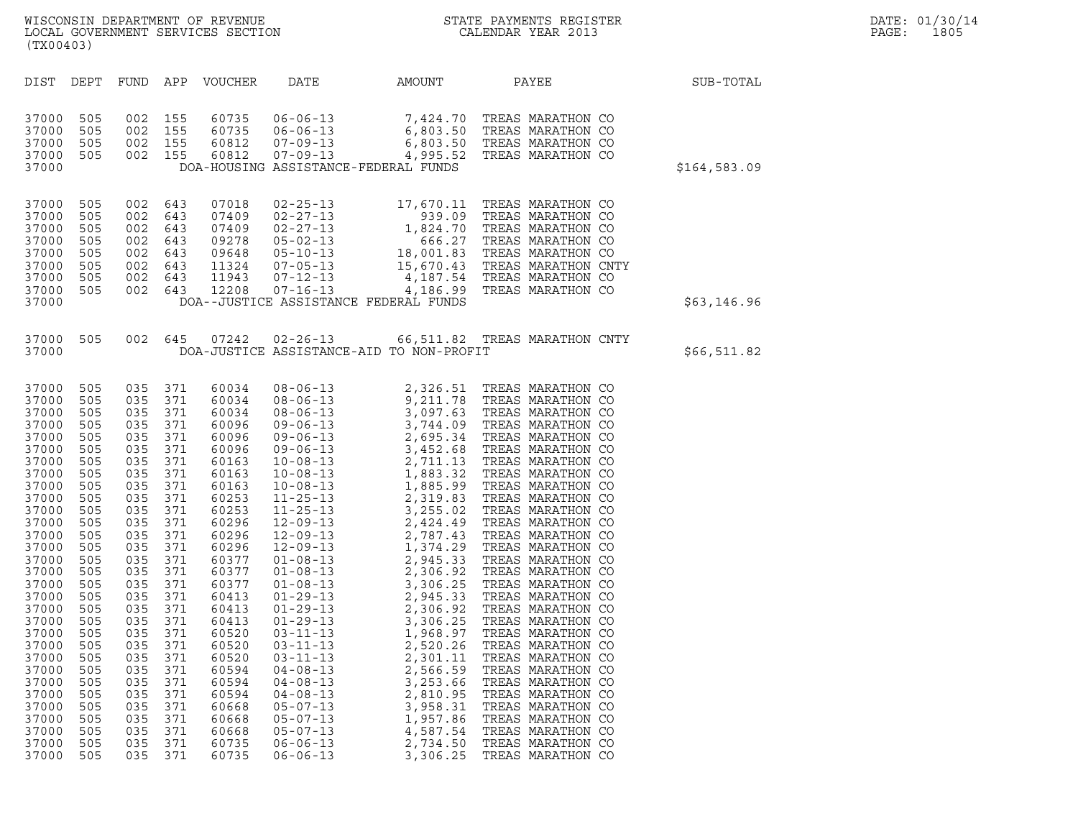| (TX00403)                                                                                                                                                                                                                                                                           |                                                                                                                                                                                                                       |                                                                                                                                                                                                                       |                                                                                                                                                                                                                       |                                                                                                                                                                                                                                                                                     |                                                                                                                                                                                                                                                                                                                                                                                                                                                                                                                                                                      |                                                                                                                      |                                                                                                                                                                                                                                                                                                                                                                                                                                                |              |
|-------------------------------------------------------------------------------------------------------------------------------------------------------------------------------------------------------------------------------------------------------------------------------------|-----------------------------------------------------------------------------------------------------------------------------------------------------------------------------------------------------------------------|-----------------------------------------------------------------------------------------------------------------------------------------------------------------------------------------------------------------------|-----------------------------------------------------------------------------------------------------------------------------------------------------------------------------------------------------------------------|-------------------------------------------------------------------------------------------------------------------------------------------------------------------------------------------------------------------------------------------------------------------------------------|----------------------------------------------------------------------------------------------------------------------------------------------------------------------------------------------------------------------------------------------------------------------------------------------------------------------------------------------------------------------------------------------------------------------------------------------------------------------------------------------------------------------------------------------------------------------|----------------------------------------------------------------------------------------------------------------------|------------------------------------------------------------------------------------------------------------------------------------------------------------------------------------------------------------------------------------------------------------------------------------------------------------------------------------------------------------------------------------------------------------------------------------------------|--------------|
| DIST                                                                                                                                                                                                                                                                                | DEPT                                                                                                                                                                                                                  | <b>FUND</b>                                                                                                                                                                                                           | APP                                                                                                                                                                                                                   | <b>VOUCHER</b>                                                                                                                                                                                                                                                                      | DATE                                                                                                                                                                                                                                                                                                                                                                                                                                                                                                                                                                 | AMOUNT                                                                                                               | PAYEE                                                                                                                                                                                                                                                                                                                                                                                                                                          | SUB-TOTAL    |
| 37000<br>37000<br>37000<br>37000<br>37000                                                                                                                                                                                                                                           | 505<br>505<br>505<br>505                                                                                                                                                                                              | 002<br>002<br>002<br>002                                                                                                                                                                                              | 155<br>155<br>155<br>155                                                                                                                                                                                              | 60735<br>60735<br>60812<br>60812                                                                                                                                                                                                                                                    | $06 - 06 - 13$<br>$06 - 06 - 13$<br>$07 - 09 - 13$<br>$07 - 09 - 13$                                                                                                                                                                                                                                                                                                                                                                                                                                                                                                 | DOA-HOUSING ASSISTANCE-FEDERAL FUNDS                                                                                 | 7,424.70 TREAS MARATHON CO<br>6,803.50 TREAS MARATHON CO<br>6,803.50 TREAS MARATHON CO<br>4,995.52 TREAS MARATHON CO                                                                                                                                                                                                                                                                                                                           | \$164,583.09 |
| 37000<br>37000<br>37000<br>37000<br>37000<br>37000<br>37000<br>37000<br>37000                                                                                                                                                                                                       | 505<br>505<br>505<br>505<br>505<br>505<br>505<br>505                                                                                                                                                                  | 002<br>002<br>002<br>002<br>002<br>002<br>002<br>002                                                                                                                                                                  | 643<br>643<br>643<br>643<br>643<br>643<br>643<br>643                                                                                                                                                                  | 07018<br>07409<br>07409<br>09278<br>09648<br>11324<br>11943<br>12208                                                                                                                                                                                                                | $02 - 25 - 13$                                                                                                                                                                                                                                                                                                                                                                                                                                                                                                                                                       | 17,670.11<br>DOA--JUSTICE ASSISTANCE FEDERAL FUNDS                                                                   | TREAS MARATHON CO<br>02-27-13<br>02-27-13<br>0399.09 TREAS MARATHON CO<br>05-02-13<br>1,824.70 TREAS MARATHON CO<br>05-02-13<br>18,001.83 TREAS MARATHON CO<br>07-16-13<br>15,670.43 TREAS MARATHON CO<br>07-16-13<br>4,187.54 TREAS MARATHON CO<br>07-16-13<br>4,187.54 TR                                                                                                                                                                    | \$63,146.96  |
| 37000<br>37000                                                                                                                                                                                                                                                                      | 505                                                                                                                                                                                                                   | 002                                                                                                                                                                                                                   | 645                                                                                                                                                                                                                   | 07242                                                                                                                                                                                                                                                                               | $02 - 26 - 13$                                                                                                                                                                                                                                                                                                                                                                                                                                                                                                                                                       | DOA-JUSTICE ASSISTANCE-AID TO NON-PROFIT                                                                             | 66,511.82 TREAS MARATHON CNTY                                                                                                                                                                                                                                                                                                                                                                                                                  | \$66,511.82  |
| 37000<br>37000<br>37000<br>37000<br>37000<br>37000<br>37000<br>37000<br>37000<br>37000<br>37000<br>37000<br>37000<br>37000<br>37000<br>37000<br>37000<br>37000<br>37000<br>37000<br>37000<br>37000<br>37000<br>37000<br>37000<br>37000<br>37000<br>37000<br>37000<br>37000<br>37000 | 505<br>505<br>505<br>505<br>505<br>505<br>505<br>505<br>505<br>505<br>505<br>505<br>505<br>505<br>505<br>505<br>505<br>505<br>505<br>505<br>505<br>505<br>505<br>505<br>505<br>505<br>505<br>505<br>505<br>505<br>505 | 035<br>035<br>035<br>035<br>035<br>035<br>035<br>035<br>035<br>035<br>035<br>035<br>035<br>035<br>035<br>035<br>035<br>035<br>035<br>035<br>035<br>035<br>035<br>035<br>035<br>035<br>035<br>035<br>035<br>035<br>035 | 371<br>371<br>371<br>371<br>371<br>371<br>371<br>371<br>371<br>371<br>371<br>371<br>371<br>371<br>371<br>371<br>371<br>371<br>371<br>371<br>371<br>371<br>371<br>371<br>371<br>371<br>371<br>371<br>371<br>371<br>371 | 60034<br>60034<br>60034<br>60096<br>60096<br>60096<br>60163<br>60163<br>60163<br>60253<br>60253<br>60296<br>60296<br>60296<br>60377<br>60377<br>60377<br>60413<br>60413<br>60413<br>60520<br>60520<br>60520<br>60594<br>60594<br>60594<br>60668<br>60668<br>60668<br>60735<br>60735 | $08 - 06 - 13$<br>$08 - 06 - 13$<br>$08 - 06 - 13$<br>$09 - 06 - 13$<br>$09 - 06 - 13$<br>$09 - 06 - 13$<br>$10 - 08 - 13$<br>$10 - 08 - 13$<br>$10 - 08 - 13$<br>$11 - 25 - 13$<br>$11 - 25 - 13$<br>$12 - 09 - 13$<br>$12 - 09 - 13$<br>$12 - 09 - 13$<br>$01 - 08 - 13$<br>$01 - 08 - 13$<br>$01 - 08 - 13$<br>$01 - 29 - 13$<br>$01 - 29 - 13$<br>$01 - 29 - 13$<br>$03 - 11 - 13$<br>$03 - 11 - 13$<br>03-11-13<br>$04 - 08 - 13$<br>$04 - 08 - 13$<br>$04 - 08 - 13$<br>$05 - 07 - 13$<br>$05 - 07 - 13$<br>$05 - 07 - 13$<br>$06 - 06 - 13$<br>$06 - 06 - 13$ | 2,520.26<br>2,301.11<br>2,566.59<br>3,253.66<br>2,810.95<br>3,958.31<br>1,957.86<br>4,587.54<br>2,734.50<br>3,306.25 | 2, 326.51 TREAS MARATHON CO 9, 211.78 TREAS MARATHON CO 3, 097.63 TREAS MARATHON CO 2, 695.34 TREAS MARATHON CO 3, 452.68 TREAS MARATHON CO 3, 452.68 TREAS MARATHON CO 2, 711.13 TREAS MARATHON CO 1, 883.32 TREAS MARATHON<br>TREAS MARATHON CO<br>TREAS MARATHON CO<br>TREAS MARATHON CO<br>TREAS MARATHON CO<br>TREAS MARATHON CO<br>TREAS MARATHON CO<br>TREAS MARATHON CO<br>TREAS MARATHON CO<br>TREAS MARATHON CO<br>TREAS MARATHON CO |              |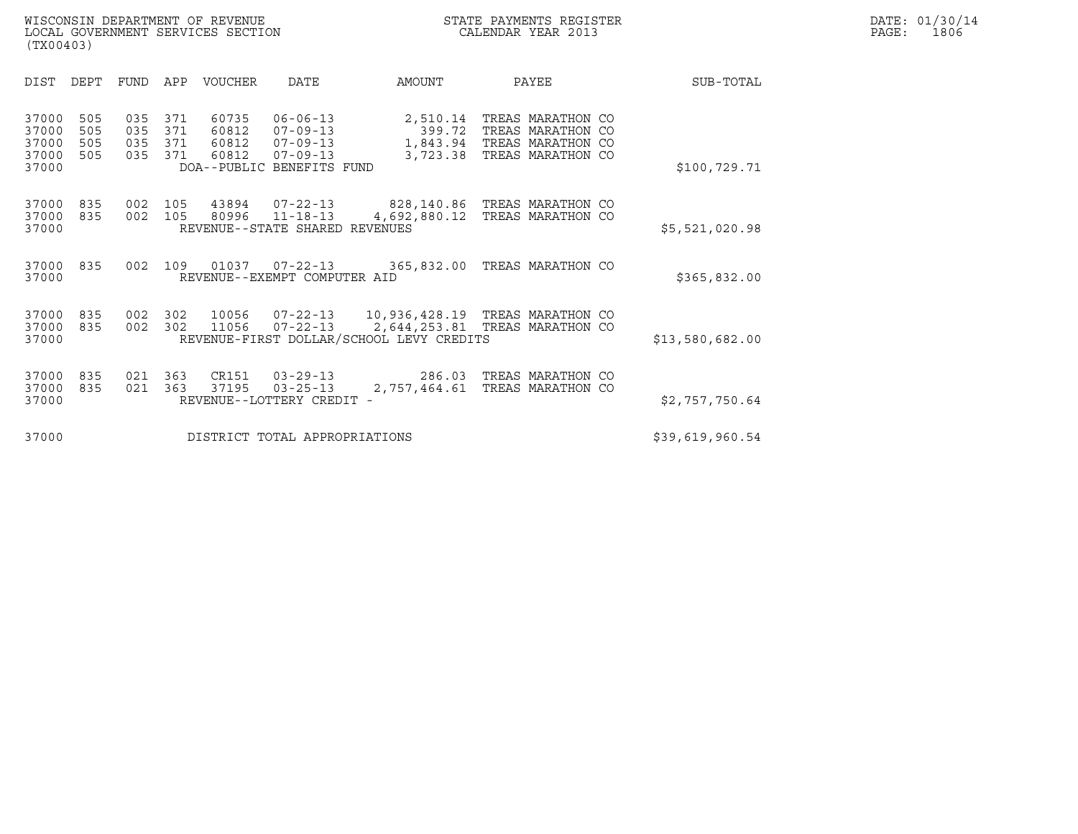|                                           | (TX00403)                |                          |                          |                                  |                                                                                                   |                                                                                                                 |                                                                                  |  |                 |  |  |
|-------------------------------------------|--------------------------|--------------------------|--------------------------|----------------------------------|---------------------------------------------------------------------------------------------------|-----------------------------------------------------------------------------------------------------------------|----------------------------------------------------------------------------------|--|-----------------|--|--|
| <b>DIST</b>                               | DEPT                     | <b>FUND</b>              | APP                      | <b>VOUCHER</b>                   | DATE                                                                                              | AMOUNT                                                                                                          | PAYEE                                                                            |  | SUB-TOTAL       |  |  |
| 37000<br>37000<br>37000<br>37000<br>37000 | 505<br>505<br>505<br>505 | 035<br>035<br>035<br>035 | 371<br>371<br>371<br>371 | 60735<br>60812<br>60812<br>60812 | $06 - 06 - 13$<br>$07 - 09 - 13$<br>$07 - 09 - 13$<br>$07 - 09 - 13$<br>DOA--PUBLIC BENEFITS FUND | 2,510.14<br>399.72<br>1,843.94<br>3,723.38                                                                      | TREAS MARATHON CO<br>TREAS MARATHON CO<br>TREAS MARATHON CO<br>TREAS MARATHON CO |  | \$100,729.71    |  |  |
| 37000<br>37000<br>37000                   | 835<br>835               | 002<br>002               | 105<br>105               | 43894<br>80996                   | 07-22-13<br>$11 - 18 - 13$<br>REVENUE--STATE SHARED REVENUES                                      | 828,140.86   TREAS MARATHON CO<br>4,692,880.12                                                                  | TREAS MARATHON CO                                                                |  | \$5,521,020.98  |  |  |
| 37000<br>37000                            | 835                      | 002                      | 109                      | 01037                            | $07 - 22 - 13$<br>REVENUE--EXEMPT COMPUTER AID                                                    | 365,832.00                                                                                                      | TREAS MARATHON CO                                                                |  | \$365,832.00    |  |  |
| 37000<br>37000<br>37000                   | 835<br>835               | 002<br>002               | 302<br>302               | 10056<br>11056                   | 07-22-13<br>$07 - 22 - 13$                                                                        | 10,936,428.19   TREAS MARATHON CO<br>2,644,253.81 TREAS MARATHON CO<br>REVENUE-FIRST DOLLAR/SCHOOL LEVY CREDITS |                                                                                  |  | \$13,580,682.00 |  |  |
| 37000<br>37000<br>37000                   | 835<br>835               | 021<br>021               | 363<br>363               | CR151<br>37195                   | $03 - 29 - 13$<br>$03 - 25 - 13$<br>REVENUE--LOTTERY CREDIT                                       | 286.03<br>2,757,464.61                                                                                          | TREAS MARATHON CO<br>TREAS MARATHON CO                                           |  | \$2,757,750.64  |  |  |
| 37000                                     |                          |                          |                          |                                  | DISTRICT TOTAL APPROPRIATIONS                                                                     |                                                                                                                 |                                                                                  |  | \$39,619,960.54 |  |  |
|                                           |                          |                          |                          |                                  |                                                                                                   |                                                                                                                 |                                                                                  |  |                 |  |  |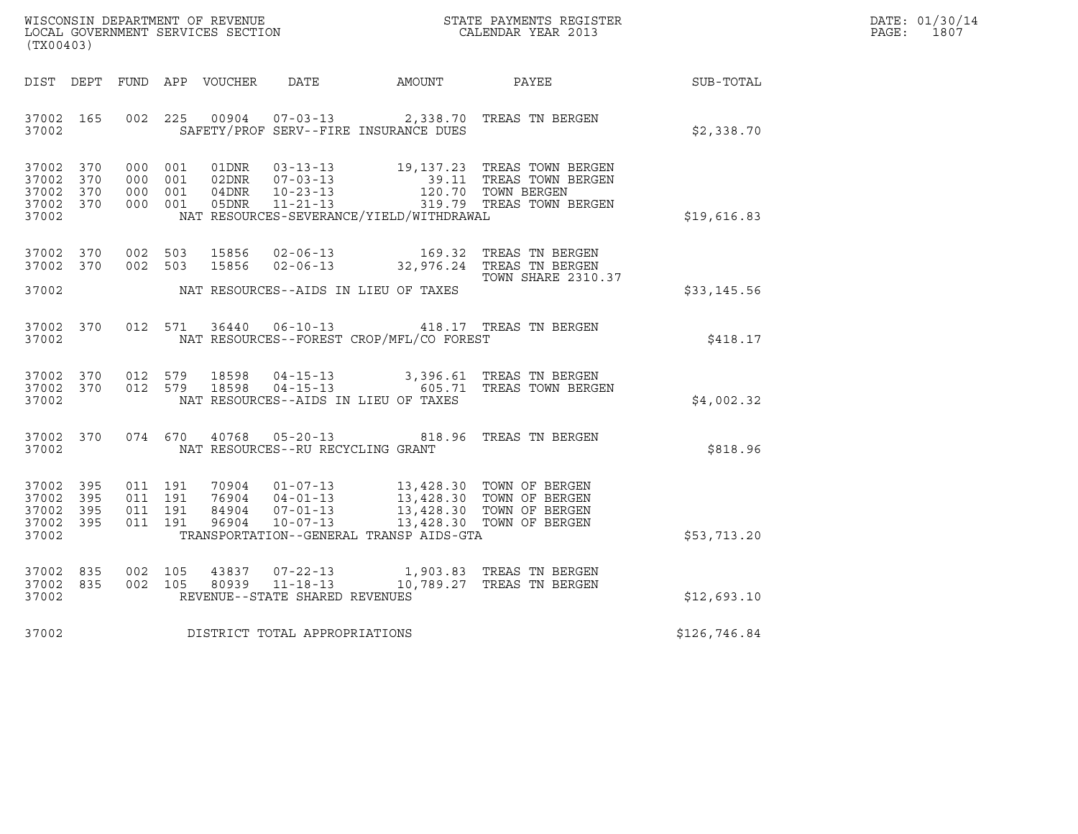| WISCONSIN DEPARTMENT OF REVENUE   | STATE PAYMENTS REGISTER | DATE: 01/30/14 |
|-----------------------------------|-------------------------|----------------|
| LOCAL GOVERNMENT SERVICES SECTION | CALENDAR YEAR 2013      | 1807<br>PAGE : |

| (TX00403)                                 |                          |                          |                              |       |                                                             |                                                                                                                                                                                   |                                                                                                          |              |  |
|-------------------------------------------|--------------------------|--------------------------|------------------------------|-------|-------------------------------------------------------------|-----------------------------------------------------------------------------------------------------------------------------------------------------------------------------------|----------------------------------------------------------------------------------------------------------|--------------|--|
| DIST                                      | DEPT                     |                          |                              |       |                                                             | FUND APP VOUCHER DATE AMOUNT                                                                                                                                                      | PAYEE                                                                                                    | SUB-TOTAL    |  |
| 37002<br>37002                            | 165                      | 002                      | 225                          | 00904 |                                                             | SAFETY/PROF SERV--FIRE INSURANCE DUES                                                                                                                                             | 07-03-13 2,338.70 TREAS TN BERGEN                                                                        | \$2,338.70   |  |
| 37002<br>37002<br>37002<br>37002<br>37002 | 370<br>370<br>370<br>370 | 000<br>000<br>000<br>000 | 001<br>001<br>001<br>001     | 01DNR | $03 - 13 - 13$<br>04DNR<br>04DNR 10-23-13<br>05DNR 11-21-13 | NAT RESOURCES-SEVERANCE/YIELD/WITHDRAWAL                                                                                                                                          | 19,137.23 TREAS TOWN BERGEN<br>39.11 TREAS TOWN BERGEN<br>120.70 TOWN BERGEN<br>319.79 TREAS TOWN BERGEN | \$19,616.83  |  |
| 37002<br>37002                            | 370<br>370               | 002 503<br>002 503       |                              | 15856 | 15856 02-06-13<br>$02 - 06 - 13$                            |                                                                                                                                                                                   | TREAS TN BERGEN<br>169.32 TREAS TN BERGEN<br>32,976.24 TREAS TN BERGEN<br><b>TOWN SHARE 2310.37</b>      |              |  |
| 37002                                     |                          |                          |                              |       |                                                             | NAT RESOURCES--AIDS IN LIEU OF TAXES                                                                                                                                              |                                                                                                          | \$33,145.56  |  |
| 37002<br>37002                            | 370                      | 012                      | 571                          |       | 36440 06-10-13                                              | NAT RESOURCES--FOREST CROP/MFL/CO FOREST                                                                                                                                          | 418.17 TREAS TN BERGEN                                                                                   | \$418.17     |  |
| 37002<br>37002<br>37002                   | 370<br>370               | 012                      | 012 579                      |       |                                                             | NAT RESOURCES--AIDS IN LIEU OF TAXES                                                                                                                                              | 579 18598  04-15-13  3,396.61 TREAS TN BERGEN<br>579  18598  04-15-13  605.71 TREAS TOWN BERGEN          | \$4,002.32   |  |
| 37002<br>37002                            | 370                      |                          | 074 670                      |       | NAT RESOURCES--RU RECYCLING GRANT                           |                                                                                                                                                                                   | 40768  05-20-13  818.96  TREAS TN BERGEN                                                                 | \$818.96     |  |
| 37002<br>37002<br>37002<br>37002<br>37002 | 395<br>395<br>395<br>395 | 011<br>011<br>011        | 011 191<br>191<br>191<br>191 |       | 96904 10-07-13                                              | 70904  01-07-13  13,428.30  TOWN OF BERGEN<br>76904  04-01-13  13,428.30  TOWN OF BERGEN<br>84904  07-01-13  13,428.30  TOWN OF BERGEN<br>TRANSPORTATION--GENERAL TRANSP AIDS-GTA | 13,428.30 TOWN OF BERGEN                                                                                 | \$53,713.20  |  |
| 37002<br>37002<br>37002                   | 835<br>835               | 002<br>002               | 105<br>105                   |       | REVENUE--STATE SHARED REVENUES                              |                                                                                                                                                                                   | 43837 07-22-13 1,903.83 TREAS TN BERGEN<br>80939  11-18-13  10,789.27  TREAS TN BERGEN                   | \$12,693.10  |  |
| 37002                                     |                          |                          |                              |       | DISTRICT TOTAL APPROPRIATIONS                               |                                                                                                                                                                                   |                                                                                                          | \$126,746.84 |  |
|                                           |                          |                          |                              |       |                                                             |                                                                                                                                                                                   |                                                                                                          |              |  |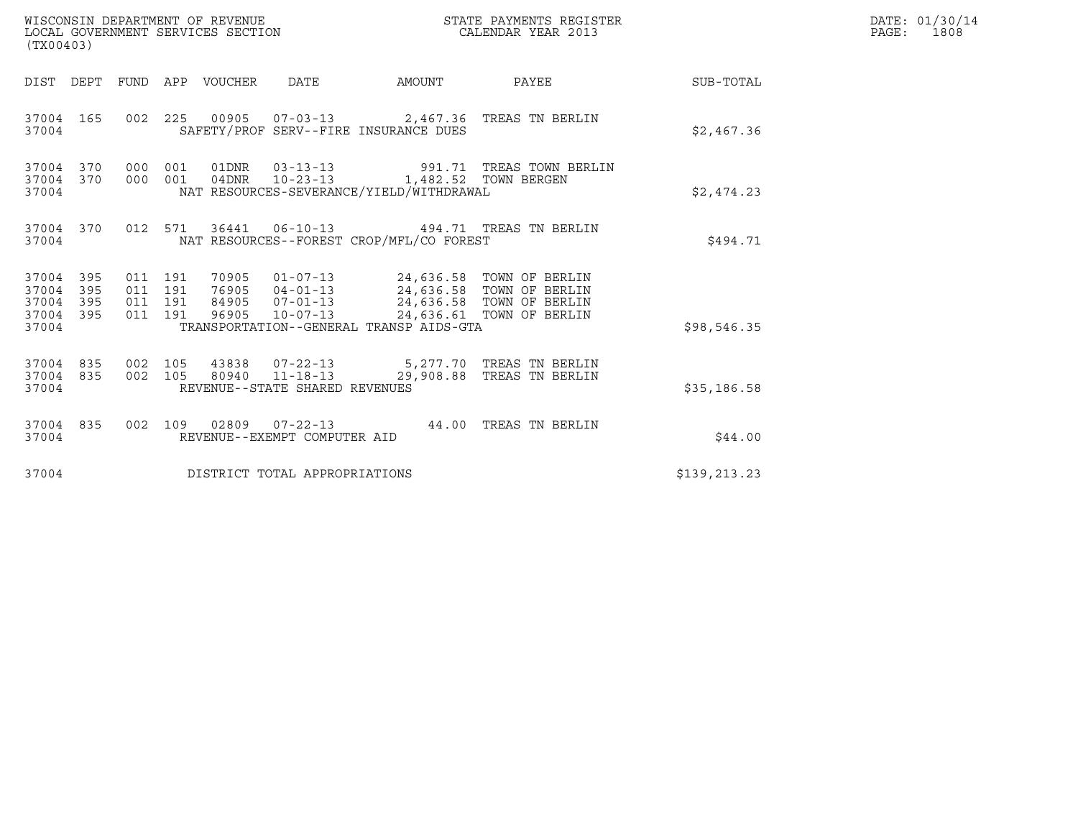| WISCONSIN DEPARTMENT OF REVENUE<br>LOCAL GOVERNMENT SERVICES SECTION<br>(TX00403) |            |                                      |     |                                  |                                  |                                                                                                                                               | STATE PAYMENTS REGISTER<br>CALENDAR YEAR 2013                                             |              | DATE: 01/30/14<br>PAGE: 1808 |
|-----------------------------------------------------------------------------------|------------|--------------------------------------|-----|----------------------------------|----------------------------------|-----------------------------------------------------------------------------------------------------------------------------------------------|-------------------------------------------------------------------------------------------|--------------|------------------------------|
| DIST DEPT                                                                         |            |                                      |     | FUND APP VOUCHER                 | DATE                             | AMOUNT                                                                                                                                        | PAYEE                                                                                     | SUB-TOTAL    |                              |
| 37004 165<br>37004                                                                |            | 002 225                              |     |                                  |                                  | SAFETY/PROF SERV--FIRE INSURANCE DUES                                                                                                         | 00905  07-03-13  2,467.36  TREAS TN BERLIN                                                | \$2,467.36   |                              |
| 37004 370<br>37004<br>37004                                                       | 370        | 000 001<br>000 001                   |     | 04DNR                            |                                  | 10-23-13 1,482.52 TOWN BERGEN<br>NAT RESOURCES-SEVERANCE/YIELD/WITHDRAWAL                                                                     | 01DNR  03-13-13  991.71 TREAS TOWN BERLIN                                                 | \$2,474.23   |                              |
| 37004 370<br>37004                                                                |            | 012 571                              |     |                                  |                                  | NAT RESOURCES--FOREST CROP/MFL/CO FOREST                                                                                                      | 36441    06-10-13    494.71    TREAS TN BERLIN                                            | \$494.71     |                              |
| 37004 395<br>37004<br>37004<br>395<br>37004<br>37004                              | 395<br>395 | 011 191<br>011 191<br>011<br>011 191 | 191 | 70905<br>76905<br>84905<br>96905 | $07 - 01 - 13$<br>$10 - 07 - 13$ | 01-07-13 24,636.58 TOWN OF BERLIN<br>04-01-13 24,636.58 TOWN OF BERLIN<br>24,636.58 TOWN OF BERLIN<br>TRANSPORTATION--GENERAL TRANSP AIDS-GTA | 24,636.61 TOWN OF BERLIN                                                                  | \$98,546.35  |                              |
| 37004 835<br>37004 835<br>37004                                                   |            | 002 105<br>002 105                   |     |                                  | REVENUE--STATE SHARED REVENUES   |                                                                                                                                               | 43838  07-22-13  5,277.70  TREAS TN BERLIN<br>80940  11-18-13  29,908.88  TREAS TN BERLIN | \$35,186.58  |                              |
| 37004 835<br>37004                                                                |            | 002 109                              |     |                                  | REVENUE--EXEMPT COMPUTER AID     |                                                                                                                                               |                                                                                           | \$44.00      |                              |
| 37004                                                                             |            |                                      |     |                                  | DISTRICT TOTAL APPROPRIATIONS    |                                                                                                                                               |                                                                                           | \$139,213.23 |                              |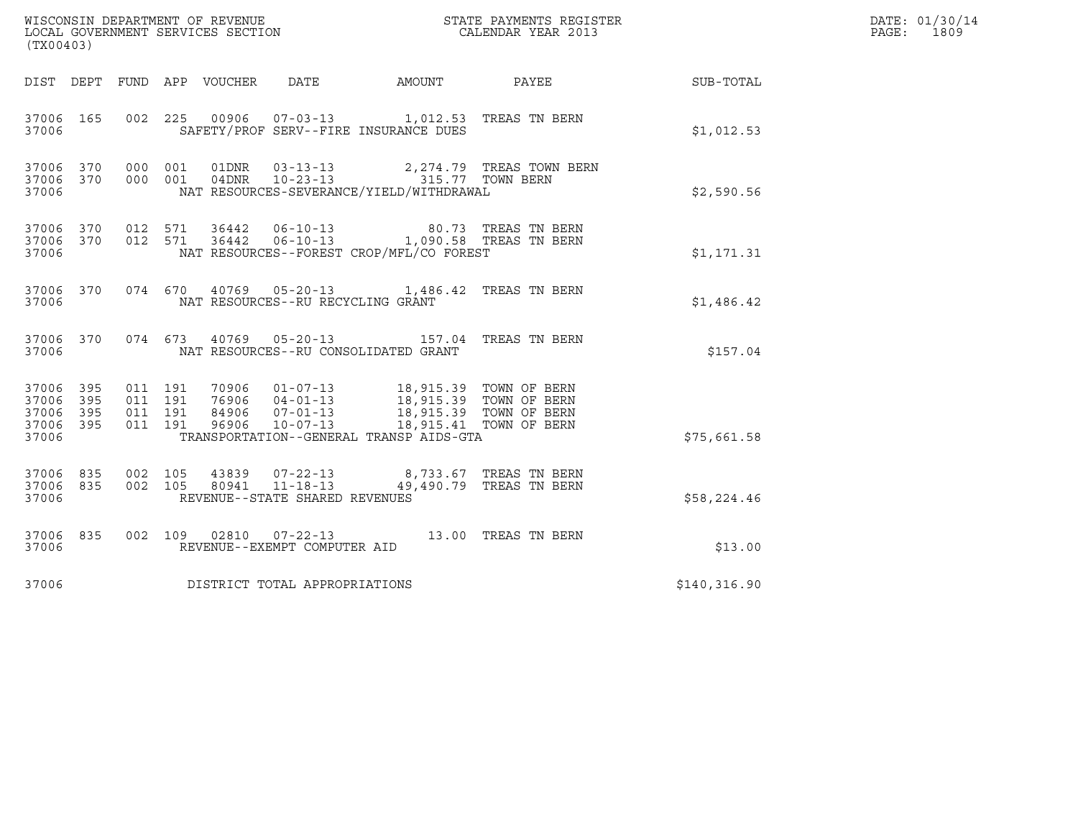| (TX00403)                                     |                   |                                          |                            | WISCONSIN DEPARTMENT OF REVENUE<br>LOCAL GOVERNMENT SERVICES SECTION |                                                                                                                                 | STATE PAYMENTS REGISTER<br>CALENDAR YEAR 2013         |              | DATE: 01/30/14<br>PAGE:<br>1809 |
|-----------------------------------------------|-------------------|------------------------------------------|----------------------------|----------------------------------------------------------------------|---------------------------------------------------------------------------------------------------------------------------------|-------------------------------------------------------|--------------|---------------------------------|
|                                               |                   |                                          | DIST DEPT FUND APP VOUCHER | DATE                                                                 | AMOUNT                                                                                                                          | PAYEE                                                 | SUB-TOTAL    |                                 |
| 37006 165<br>37006                            |                   | 002 225                                  |                            |                                                                      | 00906  07-03-13  1,012.53  TREAS TN BERN<br>SAFETY/PROF SERV--FIRE INSURANCE DUES                                               |                                                       | \$1,012.53   |                                 |
| 37006 370<br>37006<br>37006                   | 370               | 000 001<br>000 001                       | 01DNR<br>04DNR             | $03 - 13 - 13$<br>$10 - 23 - 13$                                     | NAT RESOURCES-SEVERANCE/YIELD/WITHDRAWAL                                                                                        | 2,274.79 TREAS TOWN BERN<br>315.77 TOWN BERN          | \$2,590.56   |                                 |
| 37006<br>37006                                | 37006 370<br>370  | 012 571<br>012 571                       | 36442                      | 36442 06-10-13<br>$06 - 10 - 13$                                     | NAT RESOURCES--FOREST CROP/MFL/CO FOREST                                                                                        | 80.73 TREAS TN BERN<br>1,090.58 TREAS TN BERN         | \$1,171.31   |                                 |
| 37006 370<br>37006                            |                   | 074 670                                  |                            | NAT RESOURCES--RU RECYCLING GRANT                                    | 40769  05-20-13  1,486.42  TREAS TN BERN                                                                                        |                                                       | \$1,486.42   |                                 |
| 37006 370<br>37006                            |                   | 074 673                                  |                            |                                                                      | 40769  05-20-13  157.04  TREAS TN BERN<br>NAT RESOURCES--RU CONSOLIDATED GRANT                                                  |                                                       | \$157.04     |                                 |
| 37006 395<br>37006<br>37006<br>37006<br>37006 | 395<br>395<br>395 | 011 191<br>011 191<br>011 191<br>011 191 | 84906<br>96906             | $07 - 01 - 13$<br>$07 - 01 - 13$<br>10-07-13                         | 70906  01-07-13  18,915.39  TOWN OF BERN<br>76906  04-01-13  18,915.39  TOWN OF BERN<br>TRANSPORTATION--GENERAL TRANSP AIDS-GTA | 18,915.39 TOWN OF BERN<br>18,915.41 TOWN OF BERN      | \$75,661.58  |                                 |
| 37006 835<br>37006<br>37006                   | 835               | 002 105<br>002 105                       | 43839<br>80941             | $07 - 22 - 13$<br>$11 - 18 - 13$<br>REVENUE--STATE SHARED REVENUES   |                                                                                                                                 | 8,733.67   TREAS  TN  BERN<br>49,490.79 TREAS TN BERN | \$58,224.46  |                                 |
| 37006 835<br>37006                            |                   |                                          |                            | 002 109 02810 07-22-13<br>REVENUE--EXEMPT COMPUTER AID               |                                                                                                                                 | 13.00 TREAS TN BERN                                   | \$13.00      |                                 |
| 37006                                         |                   |                                          |                            | DISTRICT TOTAL APPROPRIATIONS                                        |                                                                                                                                 |                                                       | \$140,316.90 |                                 |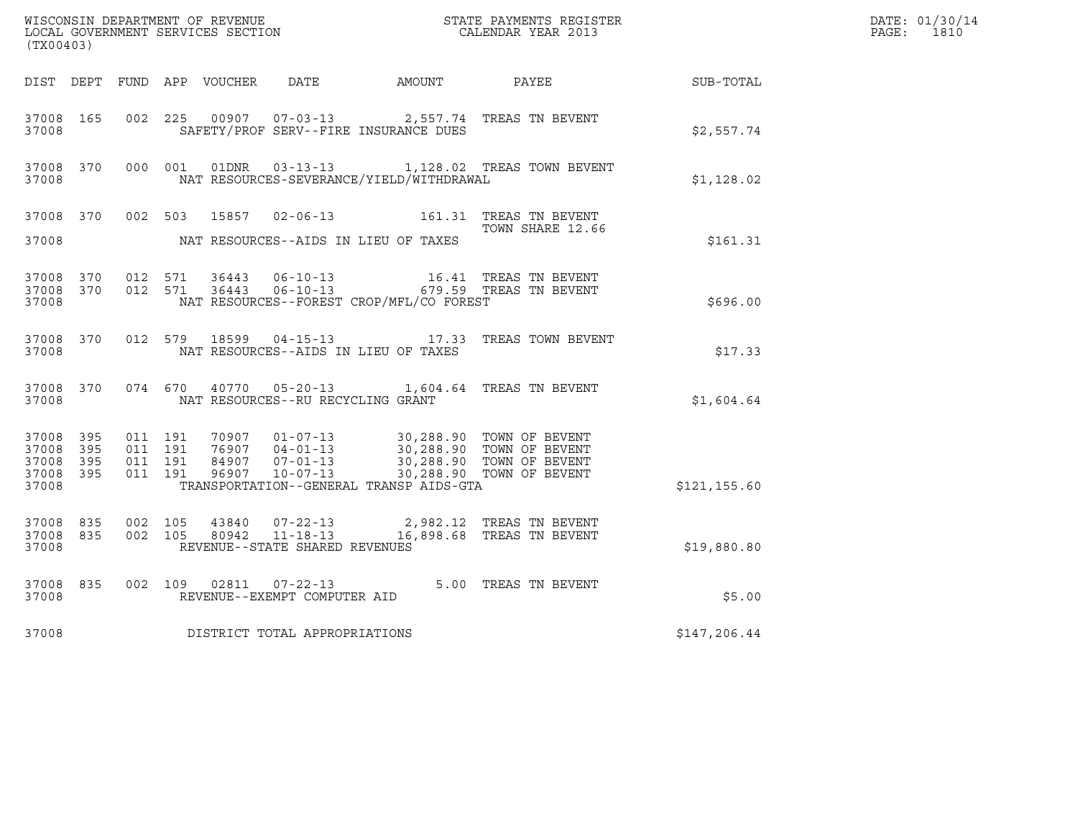| (TX00403)                                             |                        |                               |         |               |                                                  |                                                                                                                                                                                   | WISCONSIN DEPARTMENT OF REVENUE<br>LOCAL GOVERNMENT SERVICES SECTION<br>CALENDAR YEAR 2013 |                  | DATE: 01/30/14<br>PAGE: 1810 |
|-------------------------------------------------------|------------------------|-------------------------------|---------|---------------|--------------------------------------------------|-----------------------------------------------------------------------------------------------------------------------------------------------------------------------------------|--------------------------------------------------------------------------------------------|------------------|------------------------------|
|                                                       |                        |                               |         |               |                                                  | DIST DEPT FUND APP VOUCHER DATE AMOUNT PAYEE                                                                                                                                      |                                                                                            | <b>SUB-TOTAL</b> |                              |
| 37008 165<br>37008                                    |                        | 002 225                       |         |               | 00907 07-03-13                                   | SAFETY/PROF SERV--FIRE INSURANCE DUES                                                                                                                                             | 2,557.74 TREAS TN BEVENT                                                                   | \$2,557.74       |                              |
| 37008                                                 | 37008 370              |                               | 000 001 |               |                                                  | NAT RESOURCES-SEVERANCE/YIELD/WITHDRAWAL                                                                                                                                          | 01DNR  03-13-13  1,128.02 TREAS TOWN BEVENT                                                | \$1,128.02       |                              |
| 37008 370<br>37008                                    |                        | 002 503                       |         | 15857         |                                                  | NAT RESOURCES--AIDS IN LIEU OF TAXES                                                                                                                                              | 02-06-13    161.31    TREAS TN BEVENT<br>TOWN SHARE 12.66                                  | \$161.31         |                              |
| 37008                                                 | 37008 370<br>37008 370 | 012 571                       | 012 571 |               |                                                  | NAT RESOURCES--FOREST CROP/MFL/CO FOREST                                                                                                                                          |                                                                                            | \$696.00         |                              |
| 37008                                                 | 37008 370              |                               |         |               |                                                  | NAT RESOURCES--AIDS IN LIEU OF TAXES                                                                                                                                              | 012 579 18599 04-15-13 17.33 TREAS TOWN BEVENT                                             | \$17.33          |                              |
| 37008 370<br>37008                                    |                        |                               |         | 074 670 40770 | NAT RESOURCES--RU RECYCLING GRANT                |                                                                                                                                                                                   | 05-20-13 1,604.64 TREAS TN BEVENT                                                          | \$1,604.64       |                              |
| 37008 395<br>37008<br>37008 395<br>37008 395<br>37008 | 395                    | 011 191<br>011 191<br>011 191 | 011 191 |               |                                                  | 70907  01-07-13  30,288.90  TOWN OF BEVENT<br>76907  04-01-13  30,288.90  TOWN OF BEVENT<br>84907  07-01-13  30,288.90  TOWN OF BEVENT<br>TRANSPORTATION--GENERAL TRANSP AIDS-GTA | 30,288.90 TOWN OF BEVENT                                                                   | \$121, 155.60    |                              |
| 37008 835<br>37008 835<br>37008                       |                        | 002 105<br>002 105            |         | 80942         | $11 - 18 - 13$<br>REVENUE--STATE SHARED REVENUES |                                                                                                                                                                                   | 43840  07-22-13  2,982.12  TREAS TN BEVENT<br>16,898.68 TREAS TN BEVENT                    | \$19,880.80      |                              |
| 37008 835<br>37008                                    |                        | 002 109                       |         | 02811         | REVENUE--EXEMPT COMPUTER AID                     |                                                                                                                                                                                   | 07-22-13 5.00 TREAS TN BEVENT                                                              | \$5.00           |                              |
| 37008                                                 |                        |                               |         |               | DISTRICT TOTAL APPROPRIATIONS                    |                                                                                                                                                                                   |                                                                                            | \$147,206.44     |                              |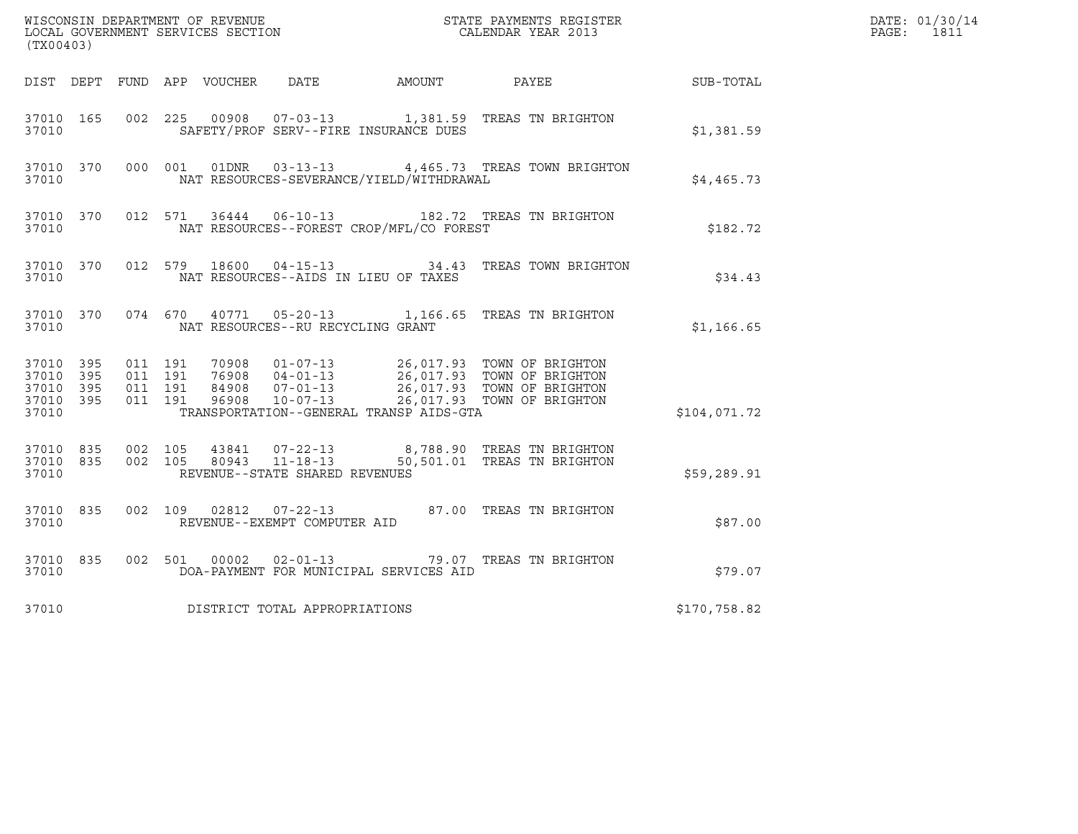| (TX00403)                                                 |           |                                          |         |               |                                                  |                                              | $\tt WISCONSIM DEPARTMENT OF REVENUE$ $\tt WISCONSIMENTS REGISTER$<br>LOCAL GOVERNMENT SERVICES SECTION $\tt CALENDAR YEAR$ 2013                                                                                                    |              | DATE: 01/30/14<br>$\mathtt{PAGE}$ :<br>1811 |
|-----------------------------------------------------------|-----------|------------------------------------------|---------|---------------|--------------------------------------------------|----------------------------------------------|-------------------------------------------------------------------------------------------------------------------------------------------------------------------------------------------------------------------------------------|--------------|---------------------------------------------|
|                                                           |           |                                          |         |               |                                                  | DIST DEPT FUND APP VOUCHER DATE AMOUNT PAYEE |                                                                                                                                                                                                                                     | SUB-TOTAL    |                                             |
| 37010 165<br>37010                                        |           |                                          |         |               |                                                  | SAFETY/PROF SERV--FIRE INSURANCE DUES        | 002 225 00908 07-03-13 1,381.59 TREAS TN BRIGHTON                                                                                                                                                                                   | \$1,381.59   |                                             |
| 37010 370<br>37010                                        |           |                                          |         |               |                                                  | NAT RESOURCES-SEVERANCE/YIELD/WITHDRAWAL     | 000 001 01DNR 03-13-13 4,465.73 TREAS TOWN BRIGHTON                                                                                                                                                                                 | \$4,465.73   |                                             |
| 37010 370<br>37010                                        |           |                                          |         |               |                                                  | NAT RESOURCES--FOREST CROP/MFL/CO FOREST     | 012 571 36444 06-10-13 182.72 TREAS TN BRIGHTON                                                                                                                                                                                     | \$182.72     |                                             |
| 37010 370<br>37010                                        |           |                                          |         |               |                                                  | NAT RESOURCES--AIDS IN LIEU OF TAXES         | 012 579 18600 04-15-13 34.43 TREAS TOWN BRIGHTON                                                                                                                                                                                    | \$34.43      |                                             |
| 37010                                                     | 37010 370 |                                          |         |               | NAT RESOURCES--RU RECYCLING GRANT                |                                              | 074 670 40771 05-20-13 1,166.65 TREAS TN BRIGHTON                                                                                                                                                                                   | \$1,166.65   |                                             |
| 37010 395<br>37010 395<br>37010 395<br>37010 395<br>37010 |           | 011 191<br>011 191<br>011 191<br>011 191 |         |               |                                                  | TRANSPORTATION--GENERAL TRANSP AIDS-GTA      | 70908  01-07-13  26,017.93  TOWN OF BRIGHTON<br>76908  04-01-13  26,017.93  TOWN OF BRIGHTON<br>76908 04-01-13 26,017.93 TOWN OF BRIGHTON<br>84908 07-01-13 26,017.93 TOWN OF BRIGHTON<br>96908 10-07-13 26,017.93 TOWN OF BRIGHTON | \$104,071.72 |                                             |
| 37010 835<br>37010 835<br>37010                           |           | 002 105                                  | 002 105 |               | 80943 11-18-13<br>REVENUE--STATE SHARED REVENUES |                                              | 43841  07-22-13  8,788.90  TREAS TN BRIGHTON<br>50,501.01 TREAS TN BRIGHTON                                                                                                                                                         | \$59,289.91  |                                             |
| 37010 835<br>37010                                        |           | 002 109                                  |         | 02812         | $07 - 22 - 13$<br>REVENUE--EXEMPT COMPUTER AID   |                                              | 87.00 TREAS TN BRIGHTON                                                                                                                                                                                                             | \$87.00      |                                             |
| 37010 835<br>37010                                        |           |                                          |         | 002 501 00002 | $02 - 01 - 13$                                   | DOA-PAYMENT FOR MUNICIPAL SERVICES AID       | 79.07 TREAS TN BRIGHTON                                                                                                                                                                                                             | \$79.07      |                                             |
| 37010                                                     |           |                                          |         |               | DISTRICT TOTAL APPROPRIATIONS                    |                                              |                                                                                                                                                                                                                                     | \$170,758.82 |                                             |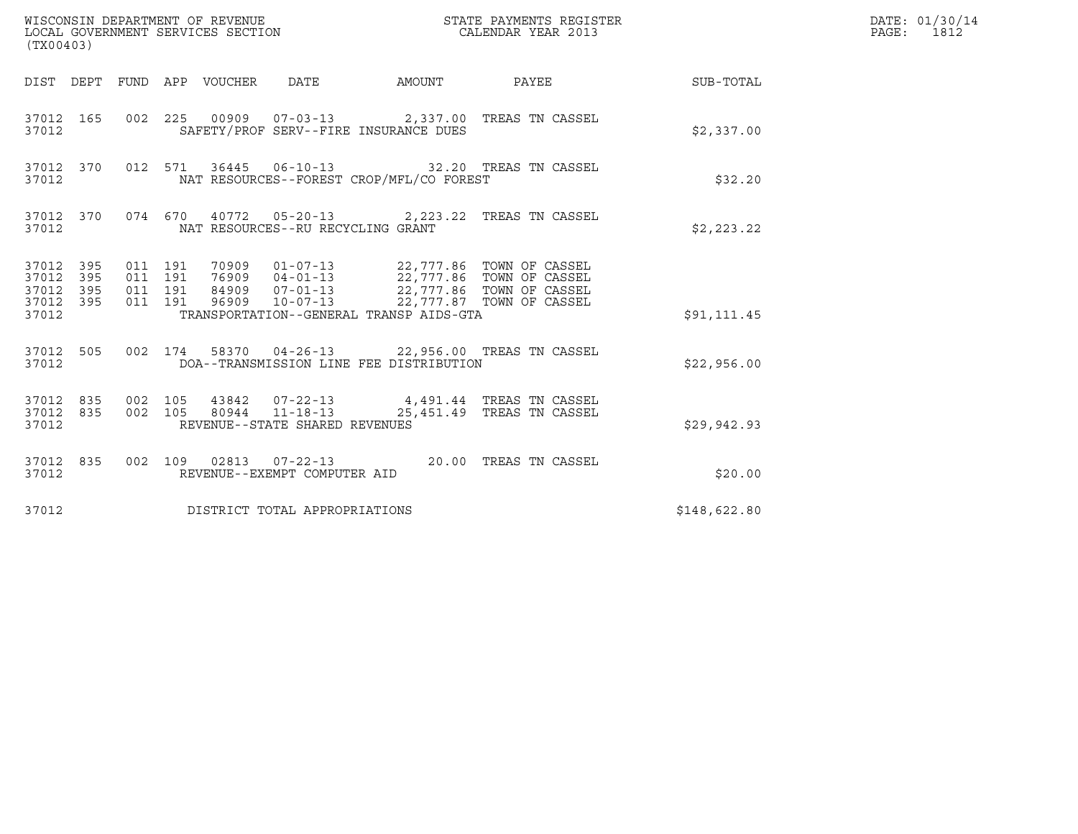| (TX00403)                                |                        |         |                               |                                                   |                                          |                                                                                                                                                                                      |                                                            | DATE: 01/30/14<br>PAGE: 1812 |
|------------------------------------------|------------------------|---------|-------------------------------|---------------------------------------------------|------------------------------------------|--------------------------------------------------------------------------------------------------------------------------------------------------------------------------------------|------------------------------------------------------------|------------------------------|
|                                          |                        |         |                               |                                                   |                                          |                                                                                                                                                                                      | DIST DEPT FUND APP VOUCHER DATE AMOUNT PAYEE THE SUB-TOTAL |                              |
| 37012                                    |                        |         |                               |                                                   | SAFETY/PROF SERV--FIRE INSURANCE DUES    | 37012 165 002 225 00909 07-03-13 2,337.00 TREAS TN CASSEL                                                                                                                            | \$2,337.00                                                 |                              |
| 37012                                    |                        |         |                               |                                                   | NAT RESOURCES--FOREST CROP/MFL/CO FOREST | 37012 370 012 571 36445 06-10-13 32.20 TREAS TN CASSEL                                                                                                                               | \$32.20                                                    |                              |
| 37012                                    |                        |         |                               | NAT RESOURCES--RU RECYCLING GRANT                 |                                          | 37012 370 074 670 40772 05-20-13 2,223.22 TREAS TN CASSEL                                                                                                                            | \$2,223.22                                                 |                              |
| 37012 395<br>37012 395<br>37012<br>37012 | 395<br>37012 395       | 011 191 | 011 191<br>011 191<br>011 191 |                                                   | TRANSPORTATION--GENERAL TRANSP AIDS-GTA  | 70909  01-07-13  22,777.86  TOWN OF CASSEL<br>76909  04-01-13  22,777.86  TOWN OF CASSEL<br>84909  07-01-13  22,777.86  TOWN OF CASSEL<br>96909  10-07-13  22,777.87  TOWN OF CASSEL | \$91,111.45                                                |                              |
| 37012                                    |                        |         |                               |                                                   | DOA--TRANSMISSION LINE FEE DISTRIBUTION  | 37012 505 002 174 58370 04-26-13 22,956.00 TREAS TN CASSEL                                                                                                                           | \$22,956.00                                                |                              |
| 37012                                    | 37012 835<br>37012 835 |         | 002 105<br>002 105            | 80944  11-18-13<br>REVENUE--STATE SHARED REVENUES |                                          | 43842  07-22-13  4,491.44 TREAS TN CASSEL<br>25,451.49 TREAS TN CASSEL                                                                                                               | \$29,942.93                                                |                              |
| 37012                                    | 37012 835              |         |                               | REVENUE--EXEMPT COMPUTER AID                      |                                          | 002 109 02813 07-22-13 20.00 TREAS TN CASSEL                                                                                                                                         | \$20.00                                                    |                              |
| 37012                                    |                        |         |                               | DISTRICT TOTAL APPROPRIATIONS                     |                                          |                                                                                                                                                                                      | \$148,622.80                                               |                              |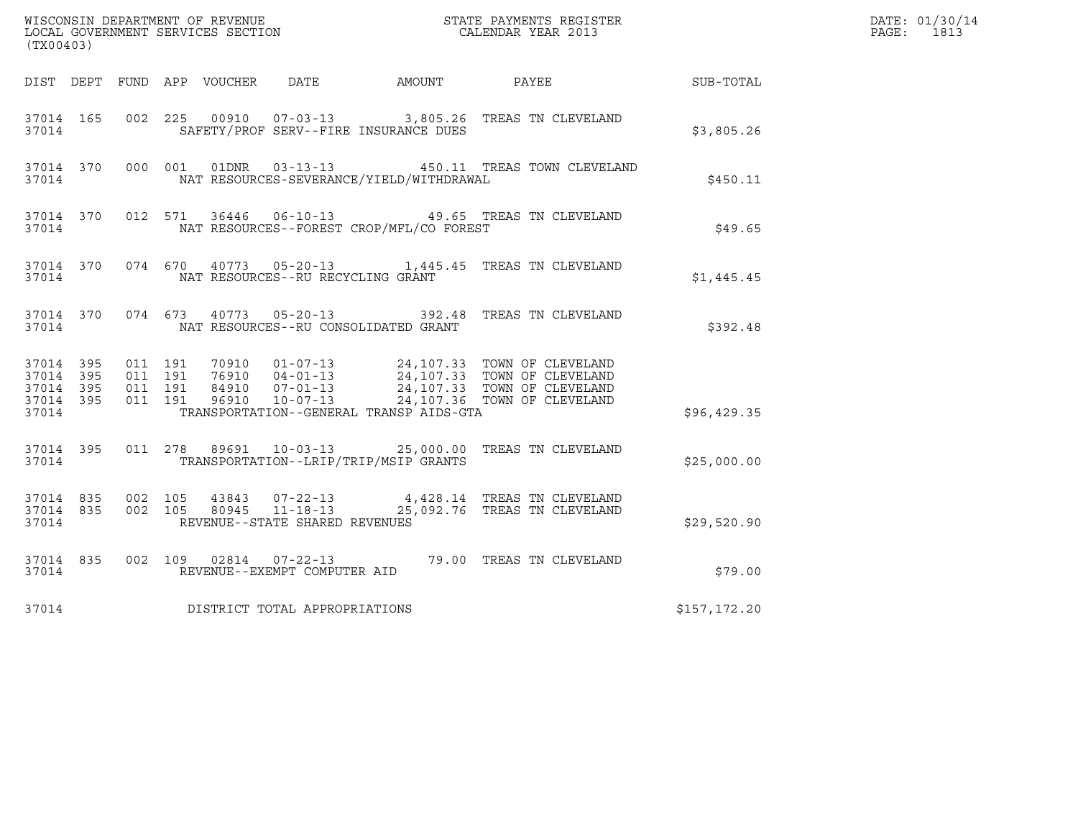| (TX00403)                       |                        |                    |                    |       |                                                  |                                              |                                                                                                                                                                                                  |              | DATE: 01/30/14<br>PAGE: 1813 |
|---------------------------------|------------------------|--------------------|--------------------|-------|--------------------------------------------------|----------------------------------------------|--------------------------------------------------------------------------------------------------------------------------------------------------------------------------------------------------|--------------|------------------------------|
|                                 |                        |                    |                    |       |                                                  | DIST DEPT FUND APP VOUCHER DATE AMOUNT PAYEE |                                                                                                                                                                                                  | SUB-TOTAL    |                              |
| 37014 165<br>37014              |                        |                    |                    |       |                                                  | SAFETY/PROF SERV--FIRE INSURANCE DUES        | 002 225 00910 07-03-13 3,805.26 TREAS TN CLEVELAND                                                                                                                                               | \$3,805.26   |                              |
| 37014                           | 37014 370              |                    |                    |       | 000 001 01DNR 03-13-13                           | NAT RESOURCES-SEVERANCE/YIELD/WITHDRAWAL     | 450.11 TREAS TOWN CLEVELAND                                                                                                                                                                      | \$450.11     |                              |
| 37014                           | 37014 370              |                    |                    |       |                                                  | NAT RESOURCES--FOREST CROP/MFL/CO FOREST     | 012 571 36446 06-10-13 49.65 TREAS TN CLEVELAND                                                                                                                                                  | \$49.65      |                              |
| 37014                           | 37014 370              |                    |                    |       | NAT RESOURCES--RU RECYCLING GRANT                |                                              | 074 670 40773 05-20-13 1,445.45 TREAS TN CLEVELAND                                                                                                                                               | \$1,445.45   |                              |
| 37014                           | 37014 370              |                    |                    |       |                                                  | NAT RESOURCES--RU CONSOLIDATED GRANT         | 074 673 40773 05-20-13 392.48 TREAS TN CLEVELAND                                                                                                                                                 | \$392.48     |                              |
| 37014 395<br>37014 395<br>37014 | 37014 395<br>37014 395 | 011 191<br>011 191 | 011 191<br>011 191 |       |                                                  | TRANSPORTATION--GENERAL TRANSP AIDS-GTA      | 70910  01-07-13  24,107.33  TOWN OF CLEVELAND<br>76910  04-01-13  24,107.33  TOWN OF CLEVELAND<br>84910  07-01-13  24,107.33  TOWN OF CLEVELAND<br>96910  10-07-13  24,107.36  TOWN OF CLEVELAND | \$96,429.35  |                              |
| 37014                           | 37014 395              |                    |                    |       |                                                  | TRANSPORTATION--LRIP/TRIP/MSIP GRANTS        | 011  278  89691  10-03-13  25,000.00  TREAS TN CLEVELAND                                                                                                                                         | \$25,000.00  |                              |
| 37014 835<br>37014              | 37014 835              | 002 105            | 002 105            | 80945 | 43843 07-22-13<br>REVENUE--STATE SHARED REVENUES |                                              | $0.7 - 22 - 13$<br>11 - 18 - 13<br>25.092.76 TREAS TN CLEVELAND                                                                                                                                  | \$29,520.90  |                              |
| 37014                           | 37014 835              |                    |                    |       | REVENUE--EXEMPT COMPUTER AID                     |                                              | 002 109 02814 07-22-13 79.00 TREAS TN CLEVELAND                                                                                                                                                  | \$79.00      |                              |
| 37014                           |                        |                    |                    |       | DISTRICT TOTAL APPROPRIATIONS                    |                                              |                                                                                                                                                                                                  | \$157,172.20 |                              |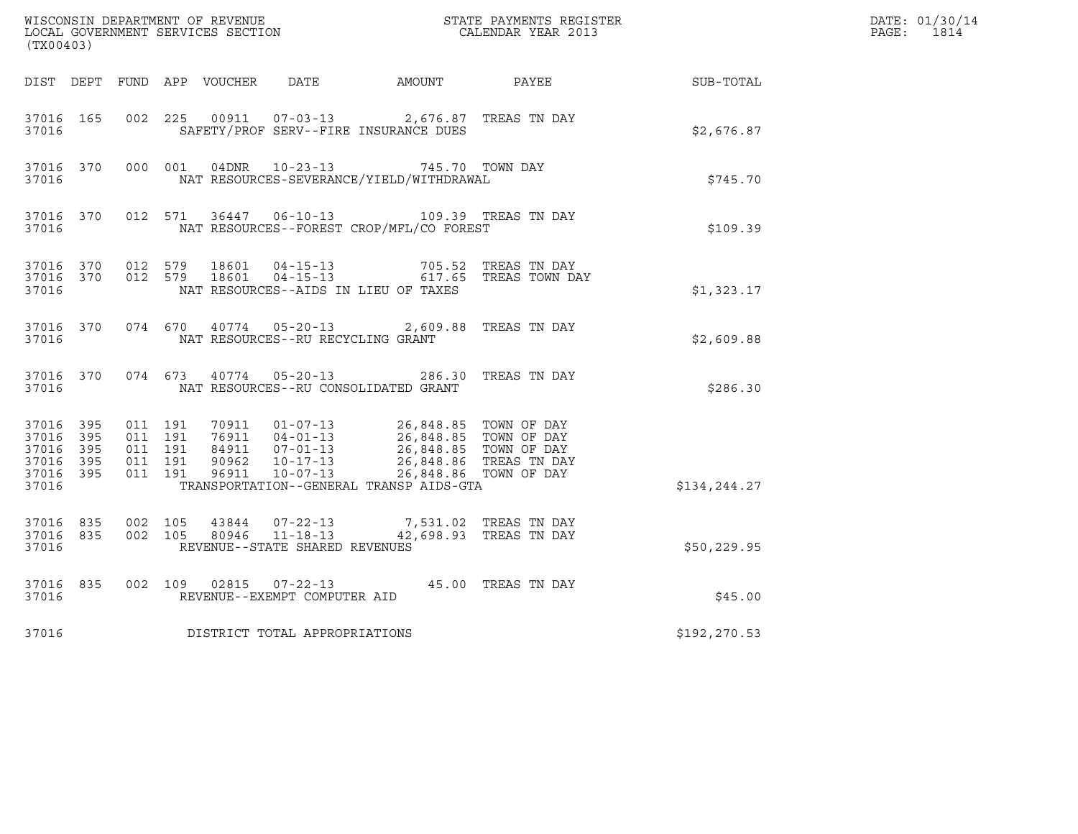| (TX00403)                                                              |           |                                                     |         |                                   |                                                                                                                                                                                                                       | WISCONSIN DEPARTMENT OF REVENUE<br>LOCAL GOVERNMENT SERVICES SECTION CALENDAR YEAR 2013 |               | DATE: 01/30/14<br>PAGE: 1814 |
|------------------------------------------------------------------------|-----------|-----------------------------------------------------|---------|-----------------------------------|-----------------------------------------------------------------------------------------------------------------------------------------------------------------------------------------------------------------------|-----------------------------------------------------------------------------------------|---------------|------------------------------|
|                                                                        |           |                                                     |         |                                   |                                                                                                                                                                                                                       | DIST DEPT FUND APP VOUCHER DATE AMOUNT PAYEE SUB-TOTAL                                  |               |                              |
| 37016 165<br>37016                                                     |           | 002 225                                             |         |                                   | 00911  07-03-13  2,676.87 TREAS TN DAY<br>SAFETY/PROF SERV--FIRE INSURANCE DUES                                                                                                                                       |                                                                                         | \$2,676.87    |                              |
| 37016                                                                  |           |                                                     |         |                                   | 37016 370 000 001 04DNR 10-23-13 745.70 TOWN DAY<br>NAT RESOURCES-SEVERANCE/YIELD/WITHDRAWAL                                                                                                                          |                                                                                         | \$745.70      |                              |
| 37016                                                                  | 37016 370 |                                                     |         |                                   | 012 571 36447 06-10-13 109.39 TREAS TN DAY<br>NAT RESOURCES--FOREST CROP/MFL/CO FOREST                                                                                                                                |                                                                                         | \$109.39      |                              |
| 37016 370<br>37016                                                     |           | 37016 370 012 579                                   |         |                                   | 012 579 18601 04-15-13 705.52 TREAS TN DAY<br>012 579 18601 04-15-13 617.65 TREAS TOWN DAY<br>NAT RESOURCES--AIDS IN LIEU OF TAXES                                                                                    |                                                                                         | \$1,323.17    |                              |
| 37016                                                                  |           |                                                     |         | NAT RESOURCES--RU RECYCLING GRANT | 37016 370 074 670 40774 05-20-13 2,609.88 TREAS TN DAY                                                                                                                                                                |                                                                                         | \$2,609.88    |                              |
| 37016                                                                  |           |                                                     |         |                                   | 37016 370 074 673 40774 05-20-13 286.30 TREAS TN DAY<br>NAT RESOURCES--RU CONSOLIDATED GRANT                                                                                                                          |                                                                                         | \$286.30      |                              |
| 37016 395<br>37016 395<br>37016 395<br>37016 395<br>37016 395<br>37016 |           | 011 191<br>011 191<br>011 191<br>011 191<br>011 191 |         | 90962 10-17-13<br>96911 10-07-13  | 70911  01-07-13  26,848.85  TOWN OF DAY<br>76911  04-01-13  26,848.85  TOWN OF DAY<br>84911  07-01-13  26,848.85  TOWN OF DAY<br>90962  10-17-13  26,848.86  TREAS  TN DAY<br>TRANSPORTATION--GENERAL TRANSP AIDS-GTA | 26,848.86 TOWN OF DAY                                                                   | \$134, 244.27 |                              |
| 37016 835<br>37016 835<br>37016                                        |           | 002 105<br>002 105                                  |         | REVENUE--STATE SHARED REVENUES    | 43844 07-22-13 7,531.02 TREAS TN DAY<br>80946  11-18-13  42,698.93  TREAS TN DAY                                                                                                                                      |                                                                                         | \$50,229.95   |                              |
| 37016 835<br>37016                                                     |           |                                                     | 002 109 | REVENUE--EXEMPT COMPUTER AID      | 02815  07-22-13  45.00 TREAS TN DAY                                                                                                                                                                                   |                                                                                         | \$45.00       |                              |
| 37016                                                                  |           |                                                     |         | DISTRICT TOTAL APPROPRIATIONS     |                                                                                                                                                                                                                       |                                                                                         | \$192, 270.53 |                              |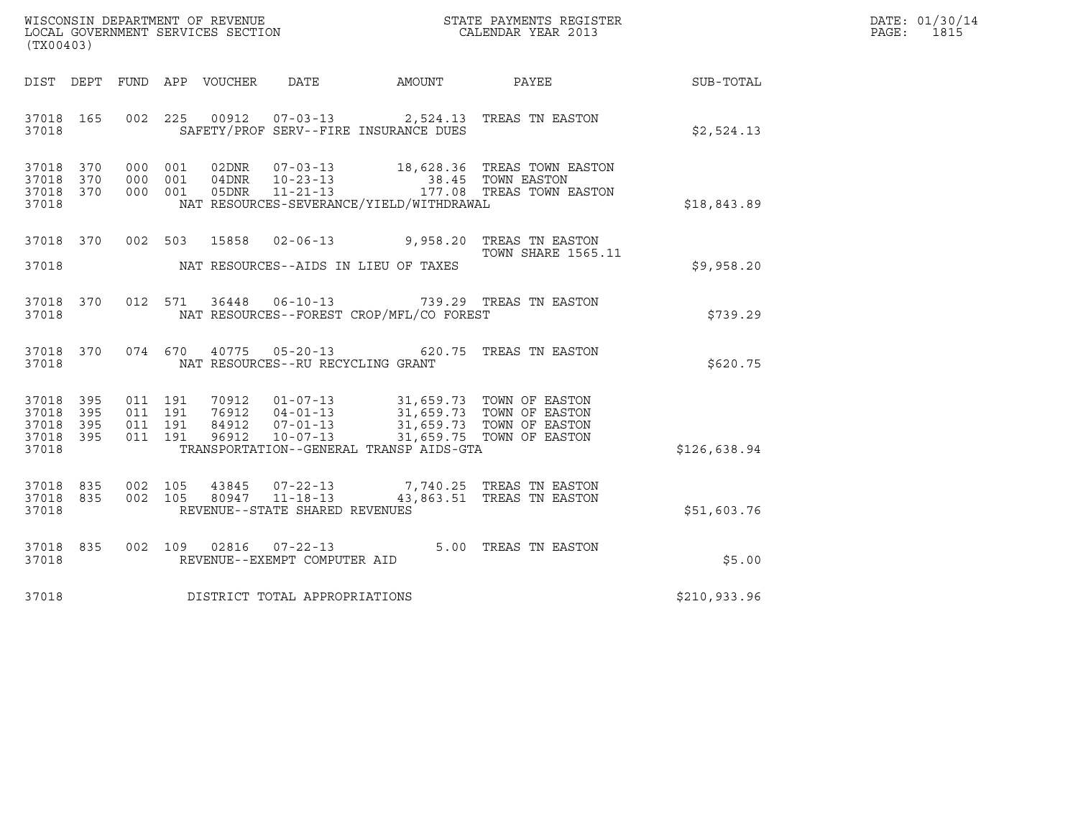| WISCONSIN DEPARTMENT OF REVENUE   | STATE PAYMENTS REGISTER | DATE: 01/30/14 |
|-----------------------------------|-------------------------|----------------|
| LOCAL GOVERNMENT SERVICES SECTION | CALENDAR YEAR 2013      | 1815<br>PAGE : |

| (TX00403)                                                 |  |                                |                                     |                                          | WISCONSIN DEPARTMENT OF REVENUE<br>LOCAL GOVERNMENT SERVICES SECTION THE STATE PAYMENTS REGISTER<br>(TWAR 1931)                                                                                          |              | DATE: 01/30/14<br>PAGE: 1815 |
|-----------------------------------------------------------|--|--------------------------------|-------------------------------------|------------------------------------------|----------------------------------------------------------------------------------------------------------------------------------------------------------------------------------------------------------|--------------|------------------------------|
|                                                           |  |                                |                                     |                                          | DIST DEPT FUND APP VOUCHER DATE AMOUNT PAYEE                                                                                                                                                             | SUB-TOTAL    |                              |
| 37018 165<br>37018                                        |  |                                |                                     | SAFETY/PROF SERV--FIRE INSURANCE DUES    | 002 225 00912 07-03-13 2,524.13 TREAS TN EASTON                                                                                                                                                          | \$2,524.13   |                              |
| 37018 370<br>37018 370<br>37018 370<br>37018              |  |                                |                                     | NAT RESOURCES-SEVERANCE/YIELD/WITHDRAWAL | 000 001 02DNR 07-03-13 18,628.36 TREAS TOWN EASTON<br>000 001 04DNR 10-23-13 38.45 TOWN EASTON<br>000 001 05DNR 11-21-13 177.08 TREAS TOWN EASTON                                                        | \$18,843.89  |                              |
|                                                           |  |                                |                                     |                                          | 37018 370 002 503 15858 02-06-13 9,958.20 TREAS TN EASTON<br><b>TOWN SHARE 1565.11</b>                                                                                                                   | \$9,958.20   |                              |
| 37018 370<br>37018                                        |  |                                |                                     | NAT RESOURCES--FOREST CROP/MFL/CO FOREST | 012 571 36448 06-10-13 739.29 TREAS TN EASTON                                                                                                                                                            | \$739.29     |                              |
| 37018 370<br>37018                                        |  |                                | NAT RESOURCES--RU RECYCLING GRANT   |                                          | 074 670 40775 05-20-13 620.75 TREAS TN EASTON                                                                                                                                                            | \$620.75     |                              |
| 37018 395<br>37018 395<br>37018 395<br>37018 395<br>37018 |  |                                |                                     | TRANSPORTATION--GENERAL TRANSP AIDS-GTA  | 011 191 70912 01-07-13 31,659.73 TOWN OF EASTON<br>011 191 76912 04-01-13 31,659.73 TOWN OF EASTON<br>011 191 84912 07-01-13 31,659.73 TOWN OF EASTON<br>011 191 96912 10-07-13 31,659.75 TOWN OF EASTON | \$126,638.94 |                              |
| 37018 835<br>37018 835<br>37018                           |  | 002 105 43845<br>002 105 80947 | REVENUE--STATE SHARED REVENUES      |                                          | 07-22-13 7,740.25 TREAS TN EASTON<br>11-18-13 43,863.51 TREAS TN EASTON                                                                                                                                  | \$51,603.76  |                              |
| 37018 835<br>37018                                        |  |                                | REVENUE--EXEMPT COMPUTER AID        |                                          | 002 109 02816 07-22-13 5.00 TREAS TN EASTON                                                                                                                                                              | \$5.00       |                              |
|                                                           |  |                                | 37018 DISTRICT TOTAL APPROPRIATIONS |                                          |                                                                                                                                                                                                          | \$210,933.96 |                              |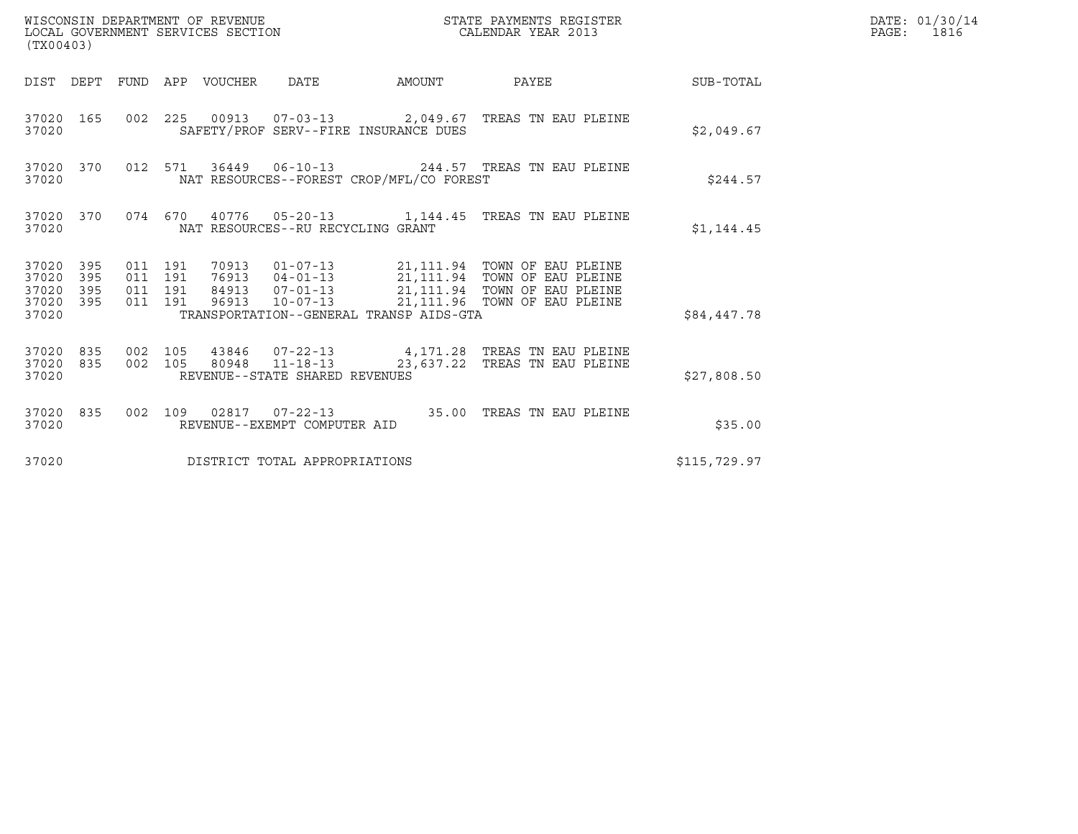| (TX00403)                                                    | WISCONSIN DEPARTMENT OF REVENUE<br>LOCAL GOVERNMENT SERVICES SECTION                                                                                                                                                                                                                         | STATE PAYMENTS REGISTER<br>CALENDAR YEAR 2013 |              | DATE: 01/30/14<br>PAGE: 1816 |
|--------------------------------------------------------------|----------------------------------------------------------------------------------------------------------------------------------------------------------------------------------------------------------------------------------------------------------------------------------------------|-----------------------------------------------|--------------|------------------------------|
|                                                              | DIST DEPT FUND APP VOUCHER DATE                                                                                                                                                                                                                                                              | AMOUNT PAYEE SUB-TOTAL                        |              |                              |
| 37020 165<br>37020                                           | 002 225 00913 07-03-13 2,049.67 TREAS TN EAU PLEINE<br>SAFETY/PROF SERV--FIRE INSURANCE DUES                                                                                                                                                                                                 |                                               | \$2,049.67   |                              |
| 37020 370<br>37020                                           | 012 571 36449 06-10-13 244.57 TREAS TN EAU PLEINE<br>NAT RESOURCES--FOREST CROP/MFL/CO FOREST                                                                                                                                                                                                |                                               | \$244.57     |                              |
| 37020 370<br>37020                                           | 074 670 40776 05-20-13 1,144.45 TREAS TN EAU PLEINE<br>NAT RESOURCES--RU RECYCLING GRANT                                                                                                                                                                                                     |                                               | \$1,144.45   |                              |
| 37020 395<br>37020<br>395<br>37020 395<br>37020 395<br>37020 | 70913   01-07-13   21,111.94 TOWN OF EAU PLEINE<br>76913   04-01-13   21,111.94 TOWN OF EAU PLEINE<br>84913   07-01-13   21,111.94 TOWN OF EAU PLEINE<br>011 191<br>011 191<br>011 191<br>96913 10-07-13 21, 111.96 TOWN OF EAU PLEINE<br>011 191<br>TRANSPORTATION--GENERAL TRANSP AIDS-GTA |                                               | \$84,447.78  |                              |
| 37020 835<br>37020 835<br>37020                              | 43846  07-22-13  4,171.28  TREAS TN EAU PLEINE<br>002 105<br>002 105 80948 11-18-13 23,637.22 TREAS TN EAU PLEINE<br>REVENUE--STATE SHARED REVENUES                                                                                                                                          |                                               | \$27,808.50  |                              |
| 37020 835<br>37020                                           | 002 109 02817 07-22-13 35.00 TREAS TN EAU PLEINE<br>REVENUE--EXEMPT COMPUTER AID                                                                                                                                                                                                             |                                               | \$35.00      |                              |
| 37020                                                        | DISTRICT TOTAL APPROPRIATIONS                                                                                                                                                                                                                                                                |                                               | \$115,729.97 |                              |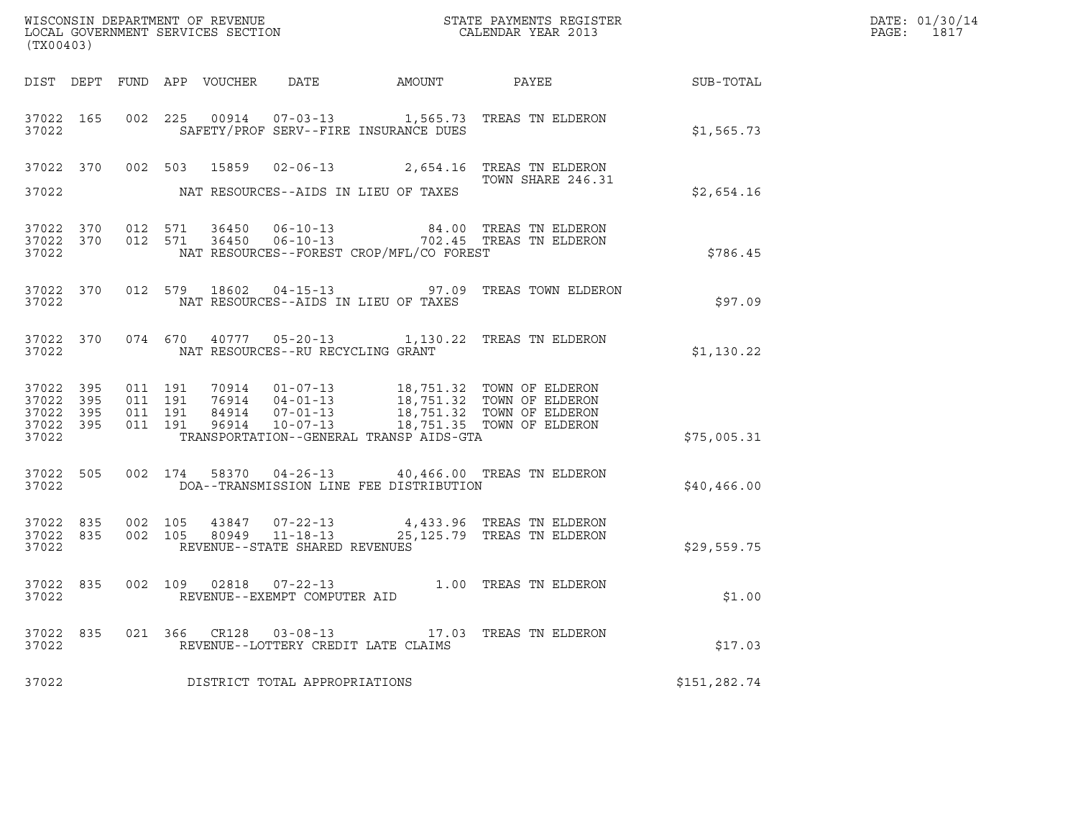| (TX00403)                                                 |                               |         |                                   | ${\tt WISCONSIN} \begin{tabular}{l} DEPARTMENT OF REVIEW \\ LOCAL BONERNMENT SERVICES SECTION \\ \end{tabular}$ |                                                                                                                                                                                                           | DATE: 01/30/14<br>PAGE: 1817 |  |
|-----------------------------------------------------------|-------------------------------|---------|-----------------------------------|-----------------------------------------------------------------------------------------------------------------|-----------------------------------------------------------------------------------------------------------------------------------------------------------------------------------------------------------|------------------------------|--|
|                                                           |                               |         |                                   |                                                                                                                 | DIST DEPT FUND APP VOUCHER DATE AMOUNT PAYEE TO SUB-TOTAL                                                                                                                                                 |                              |  |
| 37022                                                     |                               |         |                                   | SAFETY/PROF SERV--FIRE INSURANCE DUES                                                                           | 37022 165 002 225 00914 07-03-13 1,565.73 TREAS TN ELDERON                                                                                                                                                | \$1,565.73                   |  |
| 37022                                                     |                               |         |                                   | NAT RESOURCES--AIDS IN LIEU OF TAXES                                                                            | 37022 370 002 503 15859 02-06-13 2,654.16 TREAS TN ELDERON<br>TOWN SHARE 246.31                                                                                                                           | \$2,654.16                   |  |
| 37022                                                     |                               |         |                                   | NAT RESOURCES--FOREST CROP/MFL/CO FOREST                                                                        | $\begin{array}{cccccc} 37022 & 370 & 012 & 571 & 36450 & 06-10-13 & & & 84.00 & \text{TREAS TN ELDERON} \\ 37022 & 370 & 012 & 571 & 36450 & 06-10-13 & & & 702.45 & \text{TREAS TN ELDERON} \end{array}$ | \$786.45                     |  |
| 37022                                                     |                               |         |                                   | NAT RESOURCES--AIDS IN LIEU OF TAXES                                                                            | 37022 370 012 579 18602 04-15-13 97.09 TREAS TOWN ELDERON                                                                                                                                                 | \$97.09                      |  |
| 37022                                                     |                               |         | NAT RESOURCES--RU RECYCLING GRANT |                                                                                                                 | 37022 370 074 670 40777 05-20-13 1,130.22 TREAS TN ELDERON                                                                                                                                                | \$1,130.22                   |  |
| 37022 395<br>37022 395<br>37022 395<br>37022 395<br>37022 | 011 191<br>011 191<br>011 191 | 011 191 |                                   | TRANSPORTATION--GENERAL TRANSP AIDS-GTA                                                                         | 70914  01-07-13  18,751.32  TOWN OF ELDERON<br>76914  04-01-13  18,751.32  TOWN OF ELDERON<br>84914  07-01-13  18,751.32  TOWN OF ELDERON<br>96914  10-07-13  18,751.35  TOWN OF ELDERON                  | \$75,005.31                  |  |
| 37022                                                     |                               |         |                                   | DOA--TRANSMISSION LINE FEE DISTRIBUTION                                                                         | 37022 505 002 174 58370 04-26-13 40,466.00 TREAS TN ELDERON                                                                                                                                               | \$40,466.00                  |  |
| 37022 835<br>37022                                        | 002 105                       |         | REVENUE--STATE SHARED REVENUES    |                                                                                                                 | 43847 07-22-13 4,433.96 TREAS TN ELDERON<br>37022 835 002 105 80949 11-18-13 25,125.79 TREAS TN ELDERON                                                                                                   | \$29,559.75                  |  |
| 37022                                                     |                               |         | REVENUE--EXEMPT COMPUTER AID      |                                                                                                                 | 37022 835 002 109 02818 07-22-13 1.00 TREAS TN ELDERON                                                                                                                                                    | \$1.00                       |  |
| 37022 835<br>37022                                        |                               |         | 021 366 CR128 03-08-13            | REVENUE--LOTTERY CREDIT LATE CLAIMS                                                                             | 17.03 TREAS TN ELDERON                                                                                                                                                                                    | \$17.03                      |  |
| 37022                                                     |                               |         | DISTRICT TOTAL APPROPRIATIONS     |                                                                                                                 |                                                                                                                                                                                                           | \$151,282.74                 |  |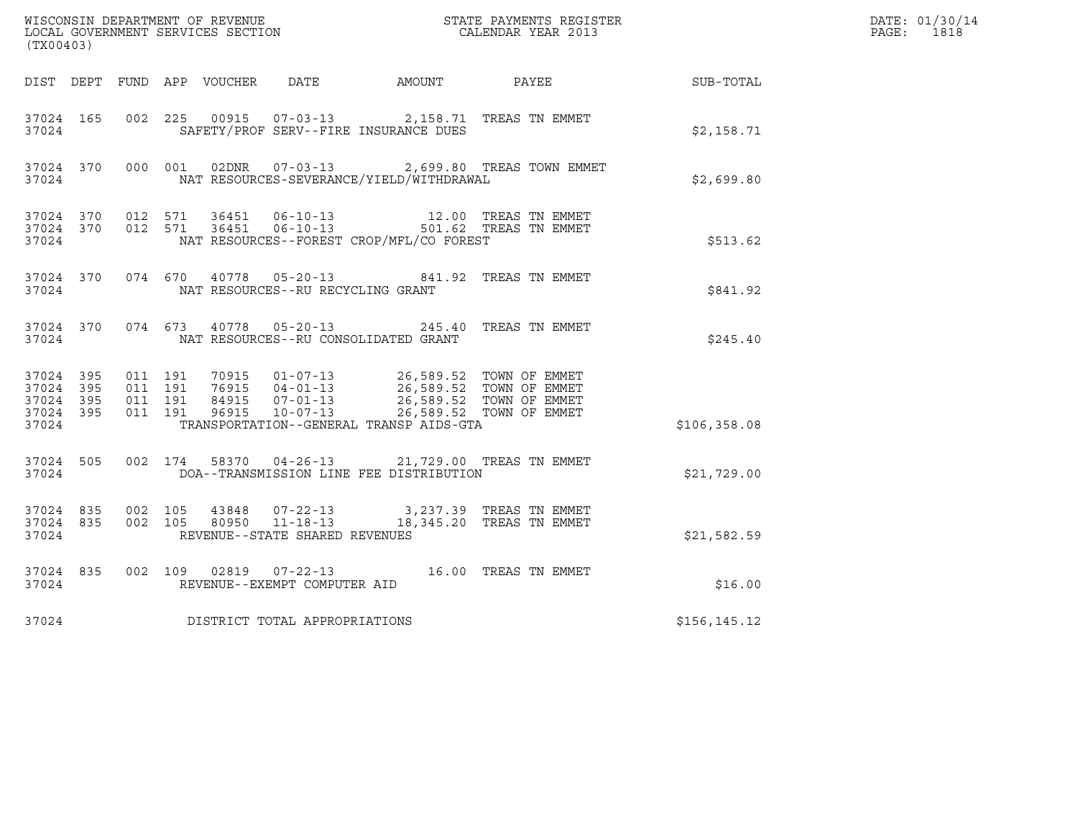| (TX00403)                                        |           |                               |         |                                                  |                                                                                                                                              |                                                    |               | DATE: 01/30/14<br>PAGE: 1818 |
|--------------------------------------------------|-----------|-------------------------------|---------|--------------------------------------------------|----------------------------------------------------------------------------------------------------------------------------------------------|----------------------------------------------------|---------------|------------------------------|
|                                                  |           |                               |         |                                                  | DIST DEPT FUND APP VOUCHER DATE AMOUNT                                                                                                       | PAYEE                                              | SUB-TOTAL     |                              |
| 37024 165<br>37024                               |           | 002 225                       |         | 00915 07-03-13                                   | SAFETY/PROF SERV--FIRE INSURANCE DUES                                                                                                        | 2,158.71 TREAS TN EMMET                            | \$2,158.71    |                              |
| 37024                                            | 37024 370 |                               | 000 001 |                                                  | NAT RESOURCES-SEVERANCE/YIELD/WITHDRAWAL                                                                                                     | 02DNR  07-03-13  2,699.80 TREAS TOWN EMMET         | \$2,699.80    |                              |
| 37024                                            | 37024 370 | 37024 370 012 571             | 012 571 |                                                  | NAT RESOURCES--FOREST CROP/MFL/CO FOREST                                                                                                     |                                                    | \$513.62      |                              |
| 37024                                            | 37024 370 |                               |         | NAT RESOURCES--RU RECYCLING GRANT                | 074 670 40778 05-20-13 841.92 TREAS TN EMMET                                                                                                 |                                                    | \$841.92      |                              |
| 37024                                            | 37024 370 |                               |         | 074 673 40778 05-20-13                           | NAT RESOURCES--RU CONSOLIDATED GRANT                                                                                                         | 245.40 TREAS TN EMMET                              | \$245.40      |                              |
| 37024 395<br>37024 395<br>37024 395<br>37024 395 |           | 011 191<br>011 191<br>011 191 | 011 191 |                                                  | 70915   01-07-13   26,589.52   TOWN OF EMMET<br>76915   04-01-13   26,589.52   TOWN OF EMMET<br>84915   07-01-13   26,589.52   TOWN OF EMMET | 26,589.52 TOWN OF EMMET<br>26,589.52 TOWN OF EMMET |               |                              |
| 37024                                            |           |                               |         |                                                  | TRANSPORTATION--GENERAL TRANSP AIDS-GTA                                                                                                      |                                                    | \$106,358.08  |                              |
| 37024                                            | 37024 505 |                               |         |                                                  | 002 174 58370 04-26-13 21,729.00 TREAS TN EMMET<br>DOA--TRANSMISSION LINE FEE DISTRIBUTION                                                   |                                                    | \$21,729.00   |                              |
| 37024 835<br>37024 835<br>37024                  |           | 002 105<br>002 105            |         | 80950 11-18-13<br>REVENUE--STATE SHARED REVENUES | 43848 07-22-13 3,237.39 TREAS TN EMMET                                                                                                       | 18,345.20 TREAS TN EMMET                           | \$21,582.59   |                              |
| 37024 835<br>37024                               |           |                               |         | REVENUE--EXEMPT COMPUTER AID                     | 002 109 02819 07-22-13 16.00 TREAS TN EMMET                                                                                                  |                                                    | \$16.00       |                              |
| 37024                                            |           |                               |         | DISTRICT TOTAL APPROPRIATIONS                    |                                                                                                                                              |                                                    | \$156, 145.12 |                              |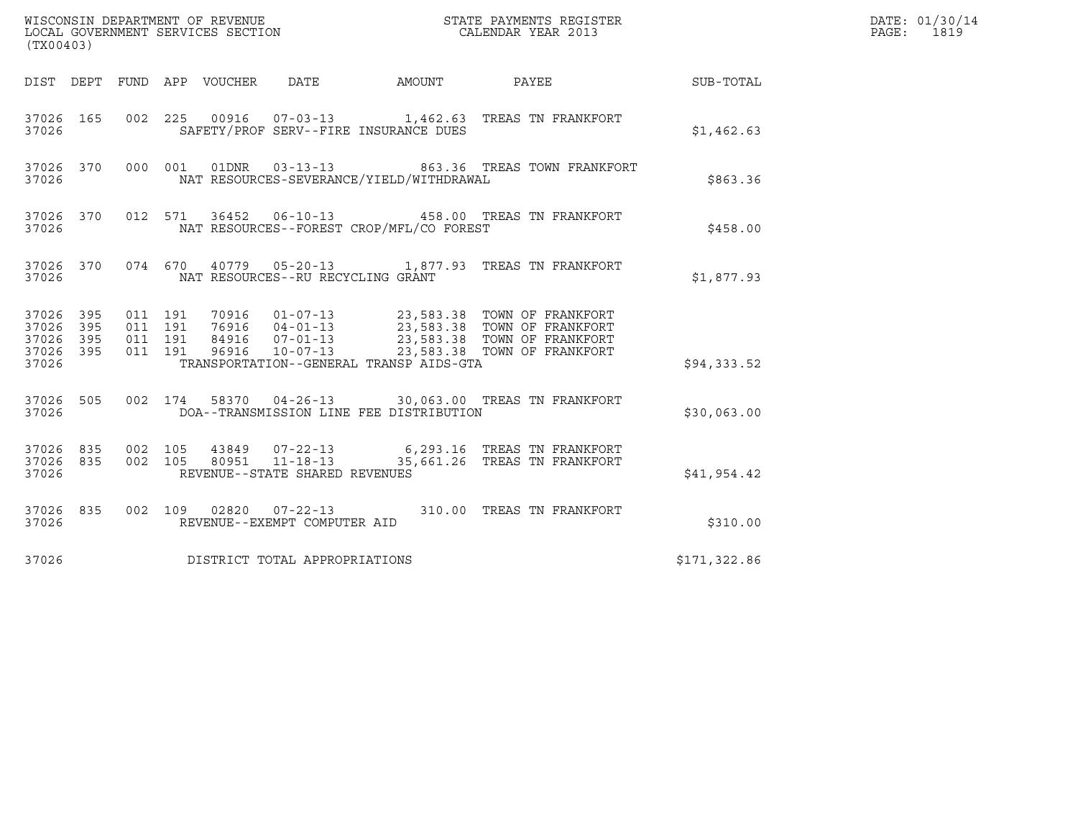| WISCONSIN DEPARTMENT OF REVENUE<br>LOCAL GOVERNMENT SERVICES SECTION<br>(TX00403) |            |                                          |                                 |                                   |                                          | STATE PAYMENTS REGISTER<br>CALENDAR YEAR 2013                                                                                                                                                    |                 | DATE: 01/30/14<br>PAGE: 1819 |
|-----------------------------------------------------------------------------------|------------|------------------------------------------|---------------------------------|-----------------------------------|------------------------------------------|--------------------------------------------------------------------------------------------------------------------------------------------------------------------------------------------------|-----------------|------------------------------|
|                                                                                   |            |                                          | DIST DEPT FUND APP VOUCHER DATE |                                   | AMOUNT                                   |                                                                                                                                                                                                  | PAYEE SUB-TOTAL |                              |
| 37026 165<br>37026                                                                |            | 002 225                                  |                                 |                                   | SAFETY/PROF SERV--FIRE INSURANCE DUES    | 00916  07-03-13  1,462.63  TREAS TN FRANKFORT                                                                                                                                                    | \$1,462.63      |                              |
| 37026 370<br>37026                                                                |            |                                          | 000 001<br>01DNR                | $03 - 13 - 13$                    | NAT RESOURCES-SEVERANCE/YIELD/WITHDRAWAL | 863.36 TREAS TOWN FRANKFORT                                                                                                                                                                      | \$863.36        |                              |
| 37026 370<br>37026                                                                |            |                                          |                                 |                                   | NAT RESOURCES--FOREST CROP/MFL/CO FOREST | 012 571 36452 06-10-13 458.00 TREAS TN FRANKFORT                                                                                                                                                 | \$458.00        |                              |
| 37026                                                                             |            |                                          |                                 | NAT RESOURCES--RU RECYCLING GRANT |                                          | 37026 370 074 670 40779 05-20-13 1,877.93 TREAS TN FRANKFORT                                                                                                                                     | \$1,877.93      |                              |
| 37026 395<br>37026<br>37026<br>37026 395<br>37026                                 | 395<br>395 | 011 191<br>011 191<br>011 191<br>011 191 |                                 |                                   | TRANSPORTATION--GENERAL TRANSP AIDS-GTA  | 70916  01-07-13  23,583.38  TOWN OF FRANKFORT<br>76916  04-01-13  23,583.38  TOWN OF FRANKFORT<br>84916  07-01-13  23,583.38  TOWN OF FRANKFORT<br>96916  10-07-13  23,583.38  TOWN OF FRANKFORT | \$94,333.52     |                              |
| 37026 505<br>37026                                                                |            |                                          | 002 174                         |                                   | DOA--TRANSMISSION LINE FEE DISTRIBUTION  | 58370  04-26-13  30,063.00  TREAS TN FRANKFORT                                                                                                                                                   | \$30,063.00     |                              |
| 37026 835<br>37026 835<br>37026                                                   |            | 002 105<br>002 105                       |                                 | REVENUE--STATE SHARED REVENUES    |                                          | 43849  07-22-13  6,293.16  TREAS TN FRANKFORT<br>80951  11-18-13  35,661.26 TREAS TN FRANKFORT                                                                                                   | \$41,954.42     |                              |
| 37026 835<br>37026                                                                |            |                                          |                                 | REVENUE--EXEMPT COMPUTER AID      |                                          | 002 109 02820 07-22-13 310.00 TREAS TN FRANKFORT                                                                                                                                                 | \$310.00        |                              |
| 37026                                                                             |            |                                          |                                 | DISTRICT TOTAL APPROPRIATIONS     |                                          |                                                                                                                                                                                                  | \$171,322.86    |                              |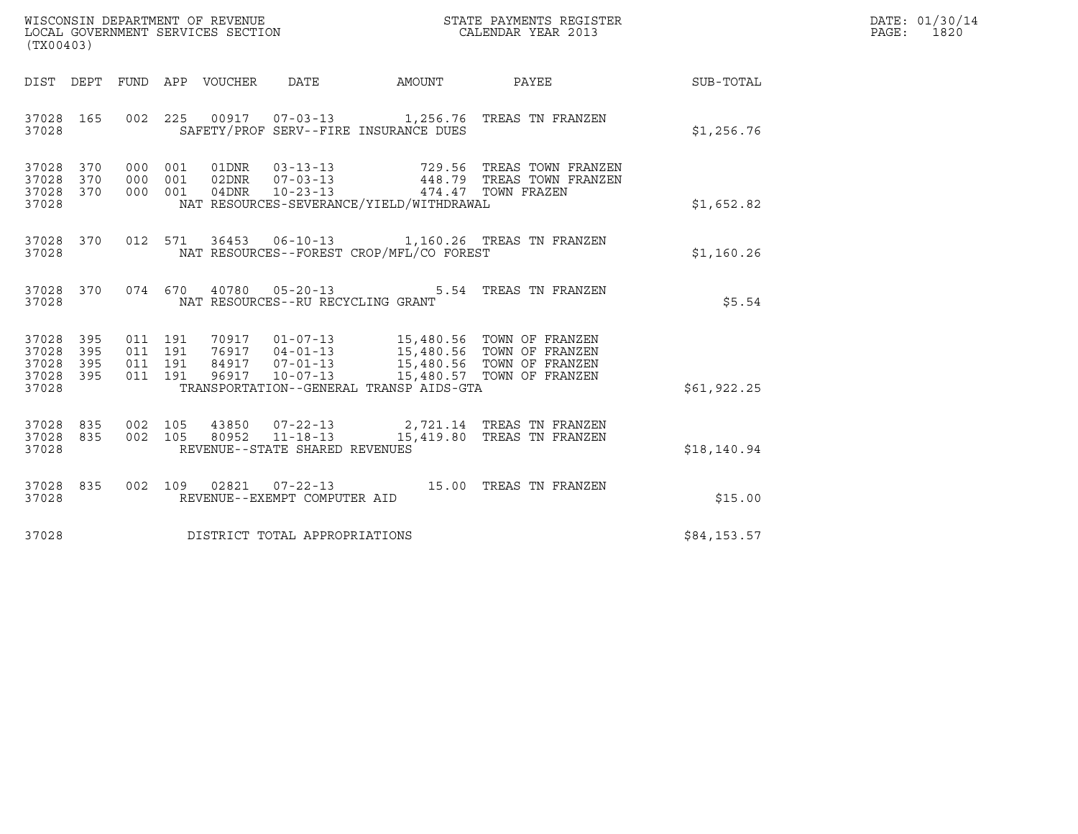| WISCONSIN DEPARTMENT OF REVENUE   | STATE PAYMENTS REGISTER | DATE: 01/30/14 |
|-----------------------------------|-------------------------|----------------|
| LOCAL GOVERNMENT SERVICES SECTION | CALENDAR YEAR 2013      | 1820<br>PAGE : |

| (TX00403)                                                 |                                                                                                                                                                                                                                                         |  |  |              | DATE: 01/30/14<br>$\mathtt{PAGE}$ :<br>1820 |
|-----------------------------------------------------------|---------------------------------------------------------------------------------------------------------------------------------------------------------------------------------------------------------------------------------------------------------|--|--|--------------|---------------------------------------------|
|                                                           | DIST DEPT FUND APP VOUCHER DATE AMOUNT PAYEE                                                                                                                                                                                                            |  |  | SUB-TOTAL    |                                             |
| 37028                                                     | 37028 165 002 225 00917 07-03-13 1,256.76 TREAS TN FRANZEN<br>SAFETY/PROF SERV--FIRE INSURANCE DUES                                                                                                                                                     |  |  | \$1,256.76   |                                             |
| 37028 370<br>37028 370<br>37028 370<br>37028              | NAT RESOURCES-SEVERANCE/YIELD/WITHDRAWAL                                                                                                                                                                                                                |  |  | \$1,652.82   |                                             |
| 37028                                                     | 37028 370 012 571 36453 06-10-13 1,160.26 TREAS TN FRANZEN<br>NAT RESOURCES--FOREST CROP/MFL/CO FOREST                                                                                                                                                  |  |  | \$1,160.26   |                                             |
| 37028                                                     | 37028 370 074 670 40780 05-20-13 5.54 TREAS TN FRANZEN<br>NAT RESOURCES--RU RECYCLING GRANT                                                                                                                                                             |  |  | \$5.54       |                                             |
| 37028 395<br>37028 395<br>37028 395<br>37028 395<br>37028 | 011 191 70917 01-07-13 15,480.56 TOWN OF FRANZEN<br>011 191 76917 04-01-13 15,480.56 TOWN OF FRANZEN<br>011 191 84917 07-01-13 15,480.56 TOWN OF FRANZEN<br>011 191 96917 10-07-13 15,480.57 TOWN OF FRANZEN<br>TRANSPORTATION--GENERAL TRANSP AIDS-GTA |  |  | \$61,922.25  |                                             |
| 37028 835<br>37028 835<br>37028                           | 002 105 43850 07-22-13 2,721.14 TREAS TN FRANZEN<br>002 105 80952 11-18-13 15,419.80 TREAS TN FRANZEN<br>REVENUE--STATE SHARED REVENUES                                                                                                                 |  |  | \$18, 140.94 |                                             |
| 37028                                                     | 37028 835 002 109 02821 07-22-13 15.00 TREAS TN FRANZEN<br>REVENUE--EXEMPT COMPUTER AID                                                                                                                                                                 |  |  | \$15.00      |                                             |
|                                                           | 37028 DISTRICT TOTAL APPROPRIATIONS                                                                                                                                                                                                                     |  |  | \$84,153.57  |                                             |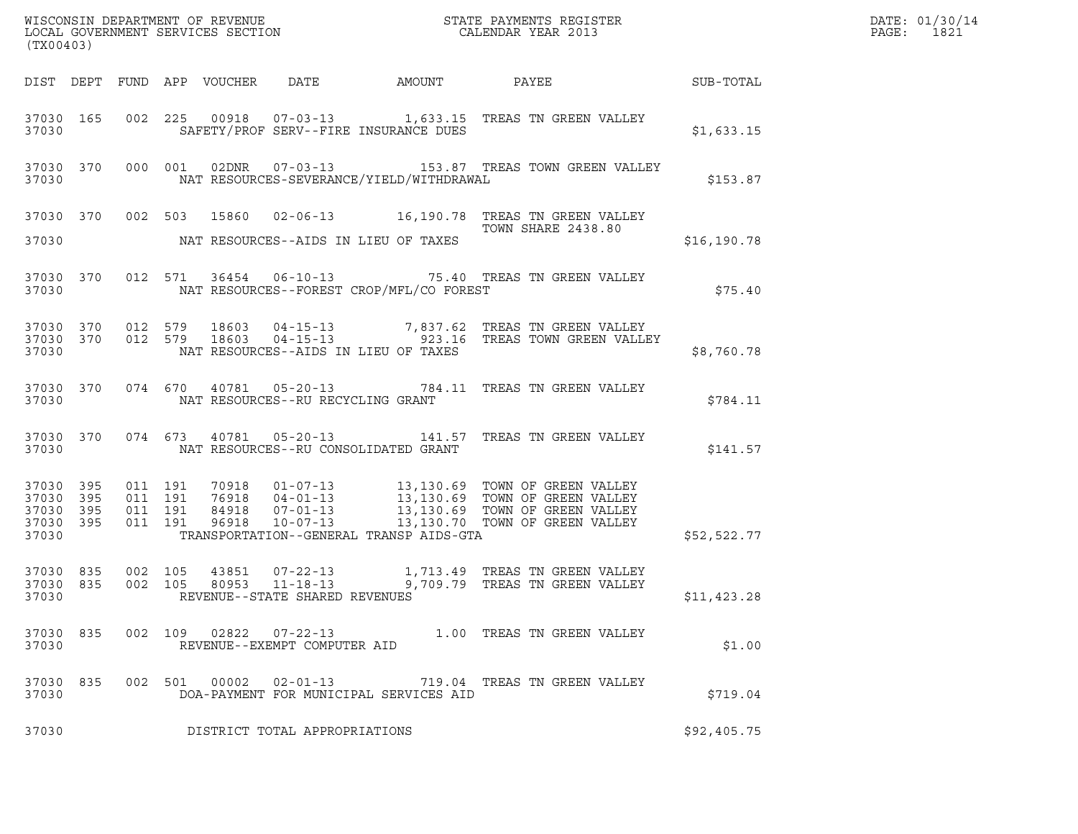| WISCONSIN DEPARTMENT OF REVENUE ${\small \begin{array}{ll} \text{MISCONS} \text{IN} \text{DEPATH} \\ \text{LOCAL} \text{ GOVERNMENT} \text{ SERVICES} \text{SECTION} \\ \end{array} }$<br>(TX00403) |                        |                    |                                          |                                            |                                                |                                                                                                                                                                                                                                                     |              | DATE: 01/30/14<br>PAGE: 1821 |
|-----------------------------------------------------------------------------------------------------------------------------------------------------------------------------------------------------|------------------------|--------------------|------------------------------------------|--------------------------------------------|------------------------------------------------|-----------------------------------------------------------------------------------------------------------------------------------------------------------------------------------------------------------------------------------------------------|--------------|------------------------------|
|                                                                                                                                                                                                     |                        |                    |                                          |                                            |                                                | DIST DEPT FUND APP VOUCHER DATE AMOUNT PAYEE PATE SUB-TOTAL                                                                                                                                                                                         |              |                              |
|                                                                                                                                                                                                     |                        | 37030              |                                          |                                            | SAFETY/PROF SERV--FIRE INSURANCE DUES          | 37030 165 002 225 00918 07-03-13 1,633.15 TREAS TN GREEN VALLEY<br>TREAS IN GREEN VALLEY<br>\$1,633.15                                                                                                                                              |              |                              |
|                                                                                                                                                                                                     |                        |                    |                                          |                                            |                                                | 37030 370 000 001 02DNR 07-03-13 153.87 TREAS TOWN GREEN VALLEY<br>37030 NAT RESOURCES-SEVERANCE/YIELD/WITHDRAWAL \$153.87                                                                                                                          |              |                              |
|                                                                                                                                                                                                     |                        |                    |                                          |                                            | 37030 MAT RESOURCES--AIDS IN LIEU OF TAXES     | 37030 370 002 503 15860 02-06-13 16,190.78 TREAS TN GREEN VALLEY<br>TOWN SHARE 2438.80                                                                                                                                                              | \$16, 190.78 |                              |
|                                                                                                                                                                                                     |                        |                    |                                          |                                            | 37030 NAT RESOURCES--FOREST CROP/MFL/CO FOREST | 37030 370 012 571 36454 06-10-13 75.40 TREAS TN GREEN VALLEY                                                                                                                                                                                        | \$75.40      |                              |
| 37030                                                                                                                                                                                               |                        |                    |                                          |                                            | NAT RESOURCES--AIDS IN LIEU OF TAXES           | $\begin{array}{cccccc} 37030 & 370 & 012 & 579 & 18603 & 04-15-13 & & & 7,837.62 & \text{TREAS TN GREEN VALLEY} \\ 37030 & 370 & 012 & 579 & 18603 & 04-15-13 & & & 923.16 & \text{TREAS TOWN GREEN VALLEY} \end{array}$                            | \$8,760.78   |                              |
|                                                                                                                                                                                                     |                        |                    |                                          | 37030 NAT RESOURCES--RU RECYCLING GRANT    |                                                | 37030 370 074 670 40781 05-20-13 784.11 TREAS TN GREEN VALLEY                                                                                                                                                                                       | \$784.11     |                              |
|                                                                                                                                                                                                     |                        |                    |                                          | 37030 NAT RESOURCES--RU CONSOLIDATED GRANT |                                                | 37030 370 074 673 40781 05-20-13 141.57 TREAS TN GREEN VALLEY                                                                                                                                                                                       | \$141.57     |                              |
| 37030 395<br>37030 395<br>37030                                                                                                                                                                     | 37030 395<br>37030 395 |                    | 011 191<br>011 191<br>011 191<br>011 191 |                                            |                                                | 70918  01-07-13  13,130.69 TOWN OF GREEN VALLEY<br>76918  04-01-13  13,130.69 TOWN OF GREEN VALLEY<br>84918  07-01-13  13,130.69 TOWN OF GREEN VALLEY<br>96918  10-07-13  13,130.70 TOWN OF GREEN VALLEY<br>TRANSPORTATION--GENERAL TRANSP AIDS-GTA | \$52,522.77  |                              |
| 37030 835<br>37030 835<br>37030                                                                                                                                                                     |                        | 002 105<br>002 105 |                                          | REVENUE--STATE SHARED REVENUES             |                                                |                                                                                                                                                                                                                                                     | \$11,423.28  |                              |
| 37030 835<br>37030                                                                                                                                                                                  |                        |                    |                                          | REVENUE--EXEMPT COMPUTER AID               |                                                | 002 109 02822 07-22-13 1.00 TREAS TN GREEN VALLEY                                                                                                                                                                                                   | \$1.00       |                              |
| 37030 835<br>37030                                                                                                                                                                                  |                        |                    |                                          | 002 501 00002 02-01-13                     | DOA-PAYMENT FOR MUNICIPAL SERVICES AID         | 719.04 TREAS TN GREEN VALLEY                                                                                                                                                                                                                        | \$719.04     |                              |
| 37030                                                                                                                                                                                               |                        |                    |                                          | DISTRICT TOTAL APPROPRIATIONS              |                                                |                                                                                                                                                                                                                                                     | \$92,405.75  |                              |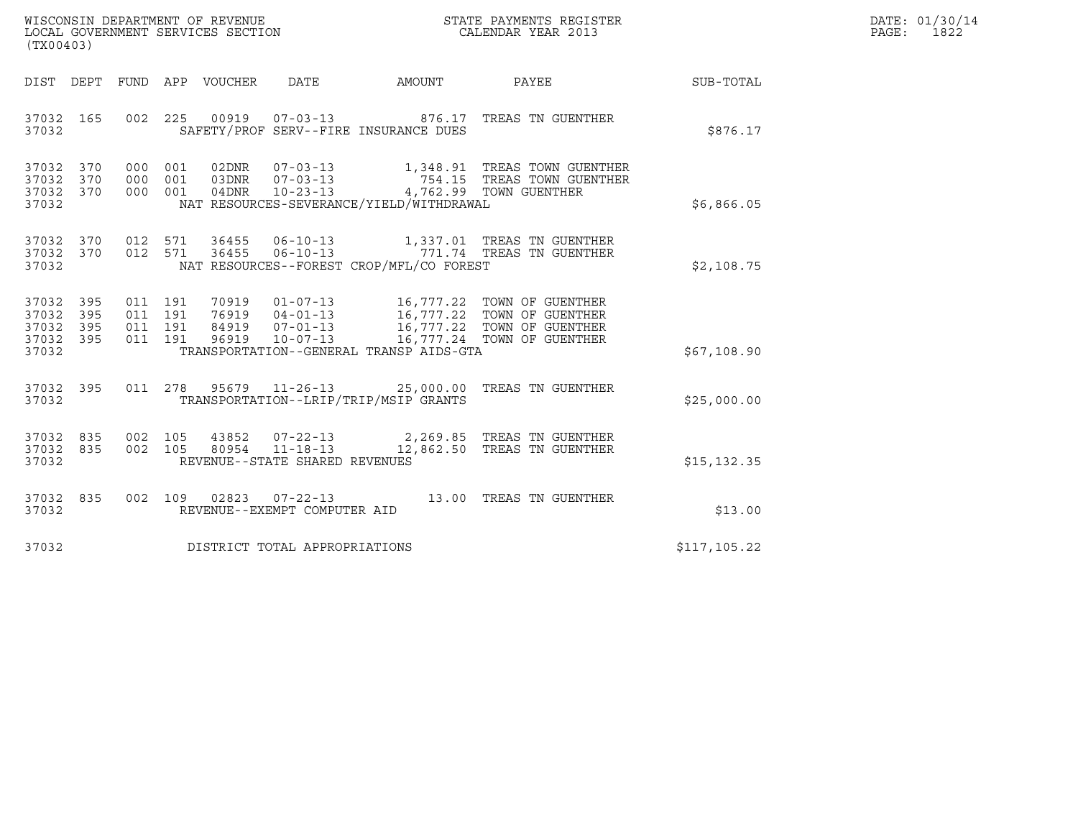| WISCONSIN DEPARTMENT OF REVENUE   | STATE PAYMENTS REGISTER | DATE: 01/30/14 |
|-----------------------------------|-------------------------|----------------|
| LOCAL GOVERNMENT SERVICES SECTION | CALENDAR YEAR 2013      | 1822<br>PAGE : |

| WISCONSIN DEPARTMENT OF REVENUE<br>LOCAL GOVERNMENT SERVICES SECTION<br>CALENDAR YEAR 2013<br>(TX00403)                                                                                                                                                                                                                     |              | DATE: 01/30/14<br>PAGE:<br>1822 |
|-----------------------------------------------------------------------------------------------------------------------------------------------------------------------------------------------------------------------------------------------------------------------------------------------------------------------------|--------------|---------------------------------|
| DIST DEPT FUND APP VOUCHER DATE AMOUNT PAYEE                                                                                                                                                                                                                                                                                | SUB-TOTAL    |                                 |
| 002 225 00919 07-03-13 876.17 TREAS TN GUENTHER<br>37032 165<br>SAFETY/PROF SERV--FIRE INSURANCE DUES<br>37032                                                                                                                                                                                                              | \$876.17     |                                 |
| 000 001 02DNR 07-03-13 1,348.91 TREAS TOWN GUENTHER<br>000 001 03DNR 07-03-13 754.15 TREAS TOWN GUENTHER<br>000 001 04DNR 10-23-13 4,762.99 TOWN GUENTHER<br>37032 370<br>37032 370<br>37032 370<br>NAT RESOURCES-SEVERANCE/YIELD/WITHDRAWAL<br>37032                                                                       | \$6,866.05   |                                 |
| 012 571 36455 06-10-13 1,337.01 TREAS TN GUENTHER<br>012 571 36455 06-10-13 771.74 TREAS TN GUENTHER<br>37032 370<br>37032 370<br>37032<br>NAT RESOURCES--FOREST CROP/MFL/CO FOREST                                                                                                                                         | \$2,108.75   |                                 |
| 011 191 70919 01-07-13 16,777.22 TOWN OF GUENTHER<br>011 191 76919 04-01-13 16,777.22 TOWN OF GUENTHER<br>011 191 84919 07-01-13 16,777.22 TOWN OF GUENTHER<br>011 191 96919 10-07-13 16,777.24 TOWN OF GUENTHER<br>37032 395<br>37032 395<br>37032<br>395<br>37032 395<br>TRANSPORTATION--GENERAL TRANSP AIDS-GTA<br>37032 | \$67,108.90  |                                 |
| 011  278  95679  11-26-13  25,000.00 TREAS TN GUENTHER<br>37032 395<br>TRANSPORTATION--LRIP/TRIP/MSIP GRANTS<br>37032                                                                                                                                                                                                       | \$25,000.00  |                                 |
| 37032 835 002 105 43852 07-22-13 2,269.85 TREAS TN GUENTHER<br>37032 835 002 105 80954 11-18-13 12,862.50 TREAS TN GUENTHER<br>REVENUE--STATE SHARED REVENUES<br>37032                                                                                                                                                      | \$15, 132.35 |                                 |
| 37032 835 002 109 02823 07-22-13 13.00 TREAS TN GUENTHER<br>37032<br>REVENUE--EXEMPT COMPUTER AID                                                                                                                                                                                                                           | \$13.00      |                                 |
| 37032<br>DISTRICT TOTAL APPROPRIATIONS                                                                                                                                                                                                                                                                                      | \$117,105.22 |                                 |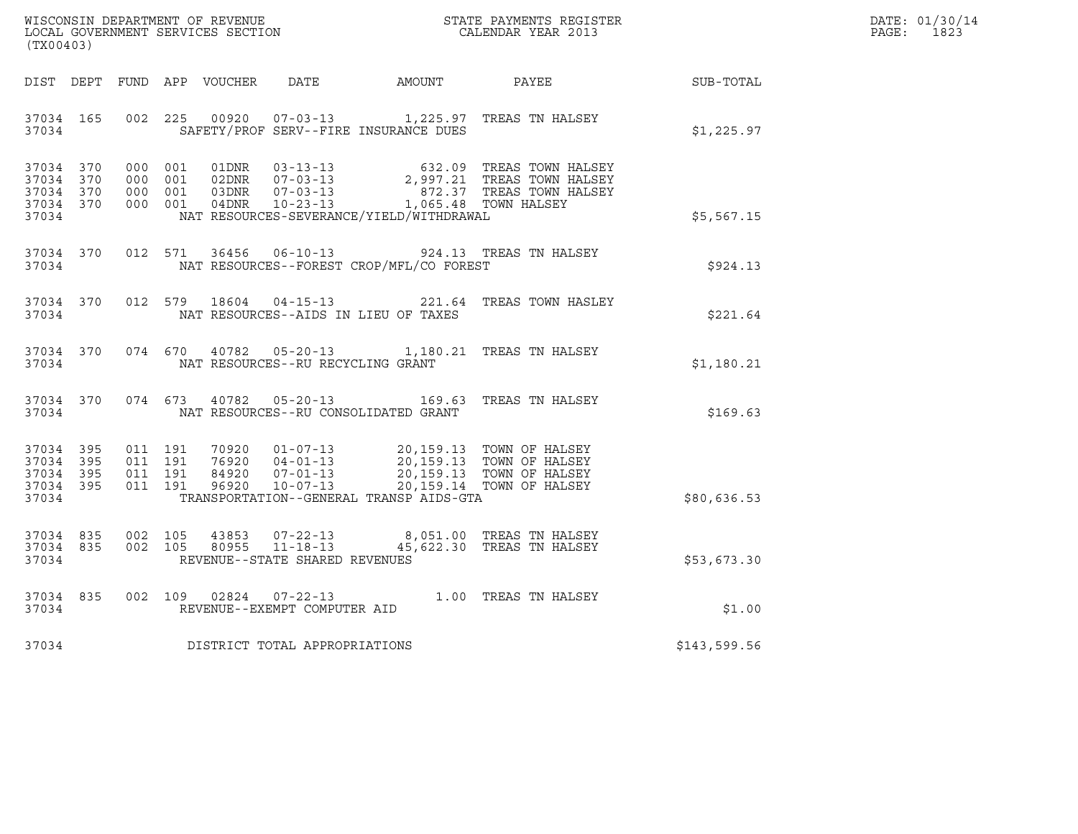| DATE: | 01/30/14 |
|-------|----------|
| PAGE: | 1823     |

| WISCONSIN DEPARTMENT OF REVENUE<br>LOCAL GOVERNMENT SERVICES SECTION<br>CALENDAR YEAR 2013<br>(TX00403) |  |  |  |                                     | R                                          |                                                                                                                                                                                                          |                                                             | DATE: 01/30/14<br>PAGE: 1823 |
|---------------------------------------------------------------------------------------------------------|--|--|--|-------------------------------------|--------------------------------------------|----------------------------------------------------------------------------------------------------------------------------------------------------------------------------------------------------------|-------------------------------------------------------------|------------------------------|
|                                                                                                         |  |  |  |                                     |                                            |                                                                                                                                                                                                          | DIST DEPT FUND APP VOUCHER DATE AMOUNT PAYEE PATE SUB-TOTAL |                              |
| 37034                                                                                                   |  |  |  |                                     | SAFETY/PROF SERV--FIRE INSURANCE DUES      | 37034 165 002 225 00920 07-03-13 1,225.97 TREAS TN HALSEY                                                                                                                                                | \$1,225.97                                                  |                              |
| 37034 370<br>37034 370<br>37034 370<br>37034 370<br>37034                                               |  |  |  |                                     | NAT RESOURCES-SEVERANCE/YIELD/WITHDRAWAL   | 000 001 01DNR 03-13-13 632.09 TREAS TOWN HALSEY<br>000 001 02DNR 07-03-13 2,997.21 TREAS TOWN HALSEY<br>000 001 03DNR 07-03-13 872.37 TREAS TOWN HALSEY<br>000 001 04DNR 10-23-13 1,065.48 TOWN HALSEY   | \$5,567.15                                                  |                              |
| 37034                                                                                                   |  |  |  |                                     | NAT RESOURCES--FOREST CROP/MFL/CO FOREST   | 37034 370 012 571 36456 06-10-13 924.13 TREAS TN HALSEY                                                                                                                                                  | \$924.13                                                    |                              |
| 37034                                                                                                   |  |  |  |                                     | NAT RESOURCES--AIDS IN LIEU OF TAXES       | 37034 370 012 579 18604 04-15-13 221.64 TREAS TOWN HASLEY                                                                                                                                                | \$221.64                                                    |                              |
| 37034                                                                                                   |  |  |  |                                     | NAT RESOURCES--RU RECYCLING GRANT          | 37034 370 074 670 40782 05-20-13 1,180.21 TREAS TN HALSEY                                                                                                                                                | \$1,180.21                                                  |                              |
|                                                                                                         |  |  |  |                                     | 37034 NAT RESOURCES--RU CONSOLIDATED GRANT | 37034 370 074 673 40782 05-20-13 169.63 TREAS TN HALSEY                                                                                                                                                  | \$169.63                                                    |                              |
| 37034 395<br>37034 395<br>37034 395<br>37034 395<br>37034                                               |  |  |  |                                     | TRANSPORTATION--GENERAL TRANSP AIDS-GTA    | 011 191 70920 01-07-13 20,159.13 TOWN OF HALSEY<br>011 191 76920 04-01-13 20,159.13 TOWN OF HALSEY<br>011 191 84920 07-01-13 20,159.13 TOWN OF HALSEY<br>011 191 96920 10-07-13 20,159.14 TOWN OF HALSEY | \$80,636.53                                                 |                              |
| 37034                                                                                                   |  |  |  | REVENUE--STATE SHARED REVENUES      |                                            | 37034 835 002 105 43853 07-22-13 8,051.00 TREAS TN HALSEY<br>37034 835 002 105 80955 11-18-13 45,622.30 TREAS TN HALSEY                                                                                  | \$53,673.30                                                 |                              |
|                                                                                                         |  |  |  |                                     |                                            | $\begin{tabular}{lllllll} 37034 & 835 & 002 & 109 & 02824 & 07-22-13 & & 1.00 \end{tabular} \begin{tabular}{lllll} 1.00 TREAS TN HALSEY \\ \hline \end{tabular} \end{tabular}$                           | \$1.00                                                      |                              |
|                                                                                                         |  |  |  | 37034 DISTRICT TOTAL APPROPRIATIONS |                                            |                                                                                                                                                                                                          | \$143,599.56                                                |                              |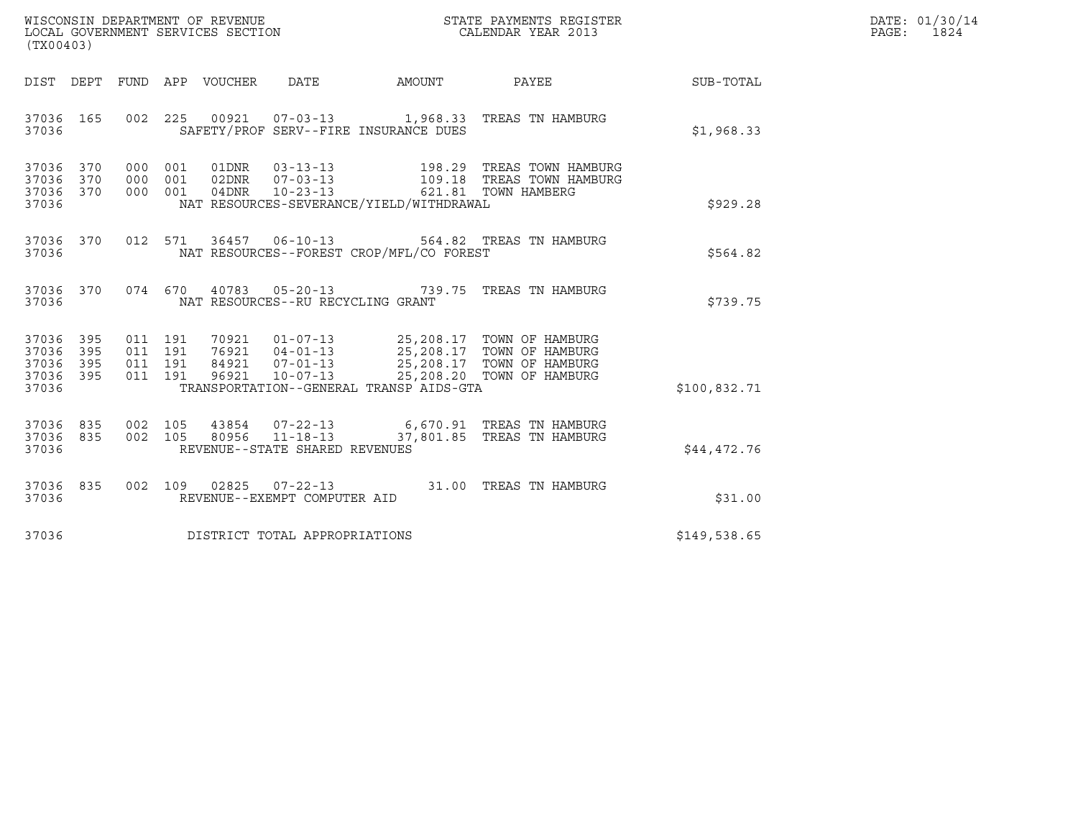| WISCONSIN DEPARTMENT OF REVENUE   | STATE PAYMENTS REGISTER | DATE: 01/30/14 |
|-----------------------------------|-------------------------|----------------|
| LOCAL GOVERNMENT SERVICES SECTION | CALENDAR YEAR 2013      | 1824<br>PAGE:  |

| (TX00403)                                                           |                                                                                                                                                                                                                                                                                                                                                               |  |              | DATE: 01/30/14<br>$\mathtt{PAGE}$ :<br>1824 |
|---------------------------------------------------------------------|---------------------------------------------------------------------------------------------------------------------------------------------------------------------------------------------------------------------------------------------------------------------------------------------------------------------------------------------------------------|--|--------------|---------------------------------------------|
| DIST DEPT FUND APP VOUCHER DATE AMOUNT PAYEE                        |                                                                                                                                                                                                                                                                                                                                                               |  | SUB-TOTAL    |                                             |
| 37036 165 002 225 00921 07-03-13 1,968.33 TREAS TN HAMBURG<br>37036 | SAFETY/PROF SERV--FIRE INSURANCE DUES                                                                                                                                                                                                                                                                                                                         |  | \$1,968.33   |                                             |
| 37036 370<br>37036 370<br>37036 370<br>37036                        | 000 001 01DNR 03-13-13 198.29 TREAS TOWN HAMBURG<br>000 001 02DNR 07-03-13 109.18 TREAS TOWN HAMBURG<br>000 001 04DNR 10-23-13 621.81 TOWN HAMBERG<br>NAT RESOURCES-SEVERANCE/YIELD/WITHDRAWAL                                                                                                                                                                |  | \$929.28     |                                             |
| 37036 370<br>37036                                                  | 012 571 36457 06-10-13 564.82 TREAS TN HAMBURG<br>NAT RESOURCES--FOREST CROP/MFL/CO FOREST                                                                                                                                                                                                                                                                    |  | \$564.82     |                                             |
| 37036 370 074 670 40783 05-20-13 739.75 TREAS TN HAMBURG<br>37036   | NAT RESOURCES--RU RECYCLING GRANT                                                                                                                                                                                                                                                                                                                             |  | \$739.75     |                                             |
| 37036 395<br>37036 395<br>37036 395<br>37036 395<br>37036           | $\begin{array}{cccc} 011 & 191 & 70921 & 01-07-13 & 25,208.17 & \text{TOWN OF HAMBURG} \\ 011 & 191 & 76921 & 04-01-13 & 25,208.17 & \text{TOWN OF HAMBURG} \\ 011 & 191 & 84921 & 07-01-13 & 25,208.17 & \text{TOWN OF HAMBURG} \\ 011 & 191 & 96921 & 10-07-13 & 25,208.20 & \text{TOWN OF HAMBURG} \end{array}$<br>TRANSPORTATION--GENERAL TRANSP AIDS-GTA |  | \$100,832.71 |                                             |
| 37036 835<br>37036 835<br>37036                                     | 002 105 43854 07-22-13 6,670.91 TREAS TN HAMBURG<br>002 105 80956 11-18-13 37,801.85 TREAS TN HAMBURG<br>REVENUE--STATE SHARED REVENUES                                                                                                                                                                                                                       |  | \$44,472.76  |                                             |
| 37036 835<br>37036                                                  | 002 109 02825 07-22-13 31.00 TREAS TN HAMBURG<br>REVENUE--EXEMPT COMPUTER AID                                                                                                                                                                                                                                                                                 |  | \$31.00      |                                             |
| 37036 DISTRICT TOTAL APPROPRIATIONS                                 |                                                                                                                                                                                                                                                                                                                                                               |  | \$149,538.65 |                                             |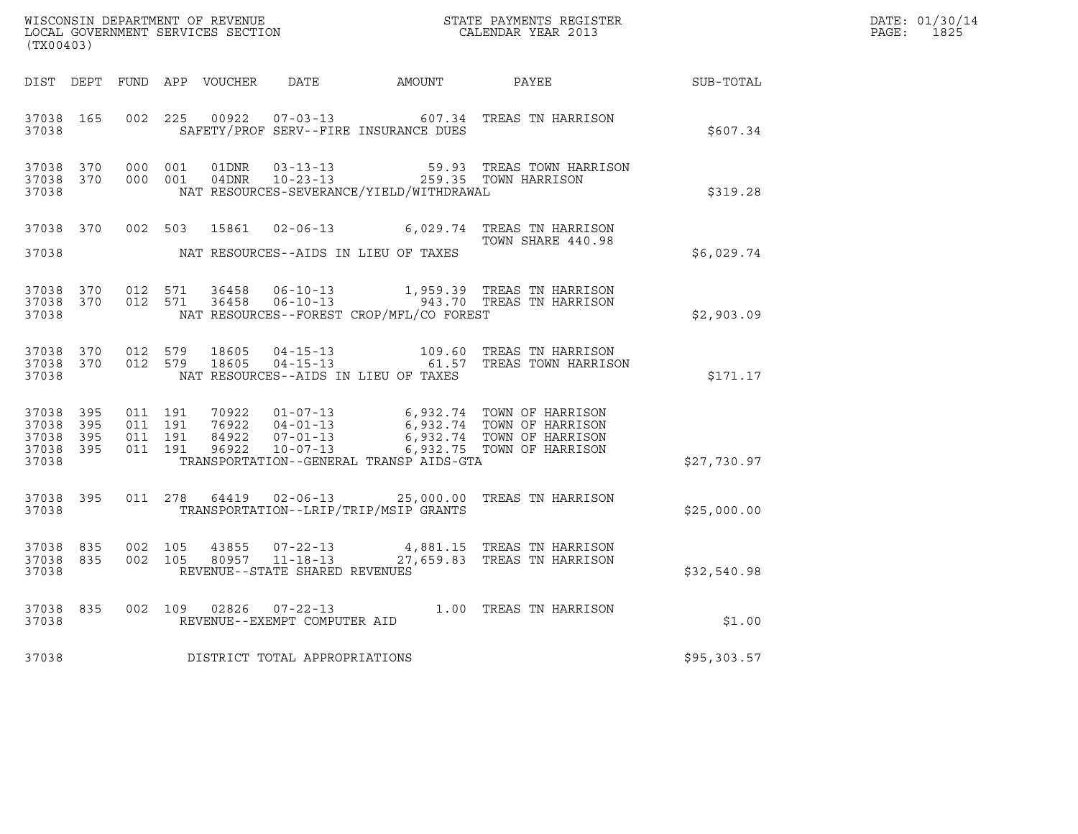| WISCONSIN DEPARTMENT OF REVENUE   | STATE PAYMENTS REGISTER | DATE: 01/30/14 |
|-----------------------------------|-------------------------|----------------|
| LOCAL GOVERNMENT SERVICES SECTION | CALENDAR YEAR 2013      | 1825<br>PAGE : |

| % WISCONSIN DEPARTMENT OF REVENUE<br>$$\tt STATE$ PAYMENTS REGISTER LOCAL GOVERNMENT SERVICES SECTION<br>$$\tt CALENDAR$ YEAR 2013<br>(TX00403) |  |  |  |  |                                     |                                          |                                                                                                                                                                                                                                                                                                                                                             |             | DATE: 01/30/14<br>PAGE:<br>1825 |
|-------------------------------------------------------------------------------------------------------------------------------------------------|--|--|--|--|-------------------------------------|------------------------------------------|-------------------------------------------------------------------------------------------------------------------------------------------------------------------------------------------------------------------------------------------------------------------------------------------------------------------------------------------------------------|-------------|---------------------------------|
|                                                                                                                                                 |  |  |  |  |                                     |                                          | DIST DEPT FUND APP VOUCHER DATE AMOUNT PAYEE SUB-TOTAL                                                                                                                                                                                                                                                                                                      |             |                                 |
| 37038 165<br>37038                                                                                                                              |  |  |  |  |                                     | SAFETY/PROF SERV--FIRE INSURANCE DUES    | 002 225 00922 07-03-13 607.34 TREAS TN HARRISON                                                                                                                                                                                                                                                                                                             | \$607.34    |                                 |
| 37038 370<br>37038 370<br>37038                                                                                                                 |  |  |  |  |                                     | NAT RESOURCES-SEVERANCE/YIELD/WITHDRAWAL | 000 001 01DNR 03-13-13 59.93 TREAS TOWN HARRISON<br>000 001 04DNR 10-23-13 259.35 TOWN HARRISON                                                                                                                                                                                                                                                             | \$319.28    |                                 |
|                                                                                                                                                 |  |  |  |  |                                     |                                          | 37038 370 002 503 15861 02-06-13 6,029.74 TREAS TN HARRISON<br>TOWN SHARE 440.98                                                                                                                                                                                                                                                                            |             |                                 |
|                                                                                                                                                 |  |  |  |  |                                     |                                          |                                                                                                                                                                                                                                                                                                                                                             | \$6,029.74  |                                 |
| 37038 370<br>37038 370<br>37038                                                                                                                 |  |  |  |  |                                     | NAT RESOURCES--FOREST CROP/MFL/CO FOREST | 012 571 36458 06-10-13 1,959.39 TREAS TN HARRISON<br>012 571 36458 06-10-13 943.70 TREAS TN HARRISON                                                                                                                                                                                                                                                        | \$2,903.09  |                                 |
| 37038                                                                                                                                           |  |  |  |  |                                     | NAT RESOURCES--AIDS IN LIEU OF TAXES     | 37038 370 012 579 18605 04-15-13 109.60 TREAS TN HARRISON 37038 370 012 579 18605 04-15-13 61.57 TREAS TOWN HARRISON                                                                                                                                                                                                                                        | \$171.17    |                                 |
| 37038 395<br>37038 395<br>37038 395<br>37038 395<br>37038                                                                                       |  |  |  |  |                                     | TRANSPORTATION--GENERAL TRANSP AIDS-GTA  | $\begin{array}{cccc} 011 & 191 & 70922 & 01\texttt{-}07\texttt{-}13 \\ 011 & 191 & 76922 & 04\texttt{-}01\texttt{-}13 \\ 011 & 191 & 84922 & 07\texttt{-}01\texttt{-}13 \\ 011 & 191 & 84922 & 07\texttt{-}01\texttt{-}13 \\ 011 & 191 & 96922 & 10\texttt{-}07\texttt{-}13 \\ \end{array} \qquad \qquad \begin{array}{c} \texttt{6, 932.74} & \texttt{TOW$ | \$27,730.97 |                                 |
| 37038 395<br>37038                                                                                                                              |  |  |  |  |                                     | TRANSPORTATION--LRIP/TRIP/MSIP GRANTS    | 011 278 64419 02-06-13 25,000.00 TREAS TN HARRISON                                                                                                                                                                                                                                                                                                          | \$25,000.00 |                                 |
| 37038 835<br>37038 835<br>37038                                                                                                                 |  |  |  |  | REVENUE--STATE SHARED REVENUES      |                                          | 002 105 43855 07-22-13 4,881.15 TREAS TN HARRISON<br>002 105 80957 11-18-13 27,659.83 TREAS TN HARRISON                                                                                                                                                                                                                                                     | \$32,540.98 |                                 |
|                                                                                                                                                 |  |  |  |  | REVENUE--EXEMPT COMPUTER AID        |                                          | 37038 835 002 109 02826 07-22-13 1.00 TREAS TN HARRISON                                                                                                                                                                                                                                                                                                     | \$1.00      |                                 |
|                                                                                                                                                 |  |  |  |  | 37038 DISTRICT TOTAL APPROPRIATIONS |                                          |                                                                                                                                                                                                                                                                                                                                                             | \$95,303.57 |                                 |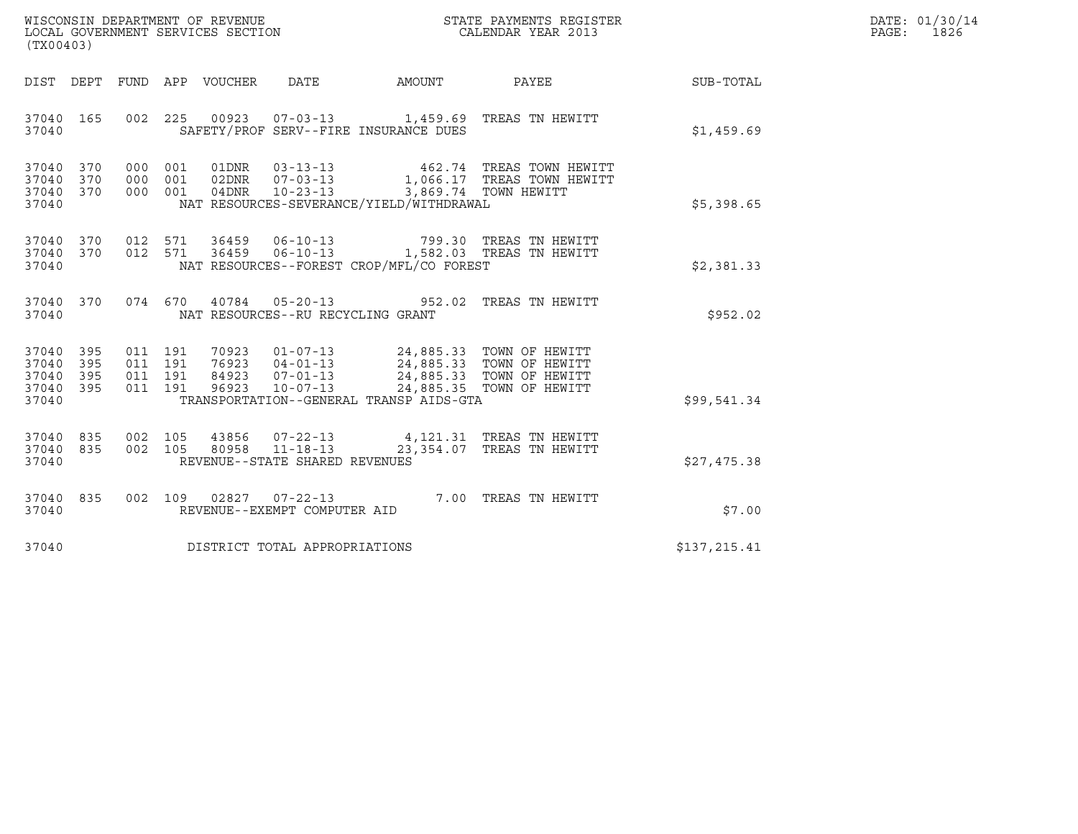| WISCONSIN DEPARTMENT OF REVENUE   | STATE PAYMENTS REGISTER | DATE: 01/30/14 |
|-----------------------------------|-------------------------|----------------|
| LOCAL GOVERNMENT SERVICES SECTION | CALENDAR YEAR 2013      | 1826<br>PAGE : |

| WISCONSIN DEPARTMENT OF REVENUE<br>LOCAL GOVERNMENT SERVICES SECTION TERMS CONFINENTS REGISTER<br>CALENDAR YEAR 2013<br>(TX00403)       |                                                                                                                                                                                                          |              | DATE: 01/30/14<br>PAGE: 1826 |
|-----------------------------------------------------------------------------------------------------------------------------------------|----------------------------------------------------------------------------------------------------------------------------------------------------------------------------------------------------------|--------------|------------------------------|
| DIST DEPT FUND APP VOUCHER DATE AMOUNT PAYEE SUB-TOTAL                                                                                  |                                                                                                                                                                                                          |              |                              |
| 37040 165<br>SAFETY/PROF SERV--FIRE INSURANCE DUES<br>37040                                                                             | 002 225 00923 07-03-13 1,459.69 TREAS TN HEWITT                                                                                                                                                          | \$1,459.69   |                              |
| 37040 370<br>37040 370<br>000 001 04DNR 10-23-13 3,869.74 TOWN HEWITT<br>37040 370<br>NAT RESOURCES-SEVERANCE/YIELD/WITHDRAWAL<br>37040 | 000 001 01DNR 03-13-13 462.74 TREAS TOWN HEWITT 000 001 02DNR 07-03-13 1,066.17 TREAS TOWN HEWITT                                                                                                        | \$5,398.65   |                              |
| 37040 370<br>37040 370<br>NAT RESOURCES--FOREST CROP/MFL/CO FOREST<br>37040                                                             | 012 571 36459 06-10-13 799.30 TREAS TN HEWITT<br>012 571 36459 06-10-13 1,582.03 TREAS TN HEWITT                                                                                                         | \$2,381.33   |                              |
| 37040 370<br>37040<br>NAT RESOURCES--RU RECYCLING GRANT                                                                                 | 074 670 40784 05-20-13 952.02 TREAS TN HEWITT                                                                                                                                                            | \$952.02     |                              |
| 37040 395<br>37040 395<br>37040 395<br>37040 395<br>37040 TRANSPORTATION--GENERAL TRANSP AIDS-GTA                                       | 011 191 70923 01-07-13 24,885.33 TOWN OF HEWITT<br>011 191 76923 04-01-13 24,885.33 TOWN OF HEWITT<br>011 191 84923 07-01-13 24,885.33 TOWN OF HEWITT<br>011 191 96923 10-07-13 24,885.35 TOWN OF HEWITT | \$99,541.34  |                              |
| 37040 835<br>37040 835<br>REVENUE--STATE SHARED REVENUES<br>37040                                                                       | 002 105 43856 07-22-13 4,121.31 TREAS TN HEWITT<br>002 105 80958 11-18-13 23,354.07 TREAS TN HEWITT                                                                                                      | \$27,475.38  |                              |
| 37040 835<br>37040<br>REVENUE--EXEMPT COMPUTER AID                                                                                      | 002 109 02827 07-22-13 7.00 TREAS TN HEWITT                                                                                                                                                              | \$7.00       |                              |
| DISTRICT TOTAL APPROPRIATIONS<br>37040                                                                                                  |                                                                                                                                                                                                          | \$137,215.41 |                              |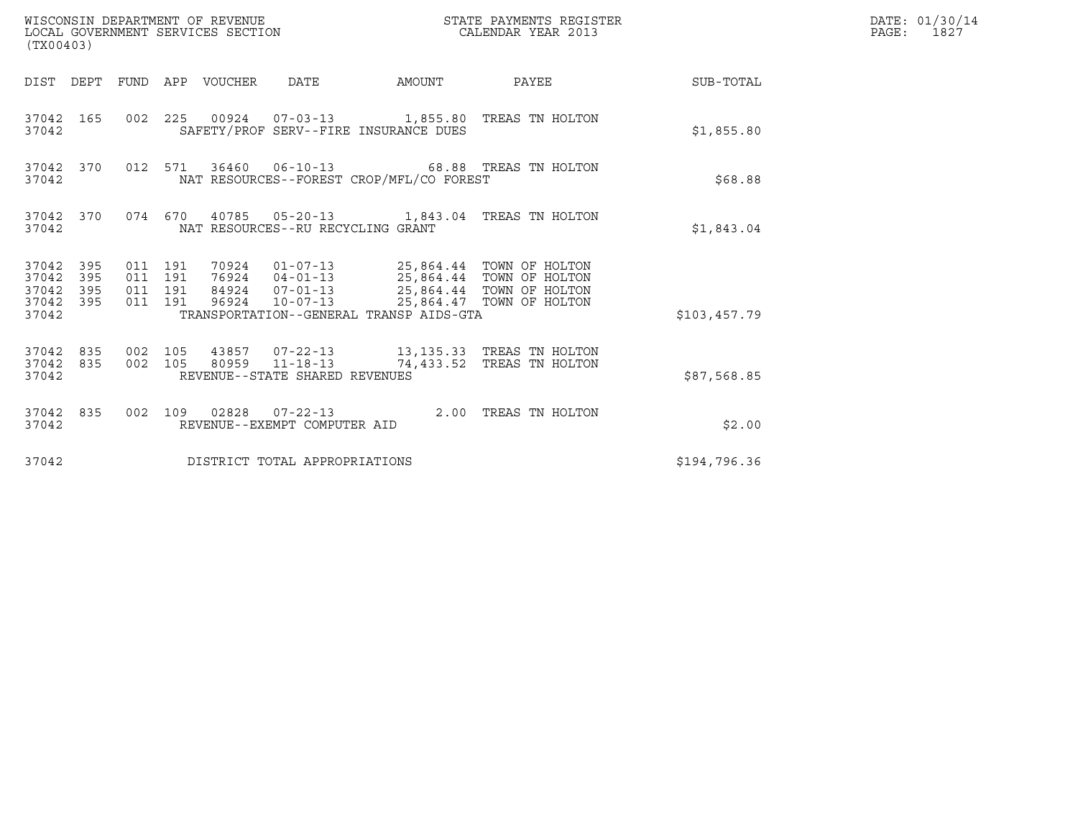| (TX00403)                                         |            |                                          | WISCONSIN DEPARTMENT OF REVENUE<br>LOCAL GOVERNMENT SERVICES SECTION |                                                  |                                          | STATE PAYMENTS REGISTER<br>CALENDAR YEAR 2013                                                                                                                                        |                  | DATE: 01/30/14<br>PAGE: 1827 |
|---------------------------------------------------|------------|------------------------------------------|----------------------------------------------------------------------|--------------------------------------------------|------------------------------------------|--------------------------------------------------------------------------------------------------------------------------------------------------------------------------------------|------------------|------------------------------|
|                                                   |            |                                          | DIST DEPT FUND APP VOUCHER DATE                                      |                                                  | AMOUNT                                   | <b>PAYEE</b>                                                                                                                                                                         | <b>SUB-TOTAL</b> |                              |
| 37042                                             | 37042 165  |                                          |                                                                      |                                                  | SAFETY/PROF SERV--FIRE INSURANCE DUES    | 002  225  00924  07-03-13  1,855.80 TREAS TN HOLTON                                                                                                                                  | \$1,855.80       |                              |
| 37042 370<br>37042                                |            |                                          |                                                                      |                                                  | NAT RESOURCES--FOREST CROP/MFL/CO FOREST | 012 571 36460 06-10-13 68.88 TREAS TN HOLTON                                                                                                                                         | \$68.88          |                              |
| 37042                                             | 37042 370  |                                          |                                                                      | NAT RESOURCES--RU RECYCLING GRANT                |                                          | 074  670  40785  05-20-13   1,843.04  TREAS TN HOLTON                                                                                                                                | \$1,843.04       |                              |
| 37042 395<br>37042<br>37042<br>37042 395<br>37042 | 395<br>395 | 011 191<br>011 191<br>011 191<br>011 191 |                                                                      |                                                  | TRANSPORTATION--GENERAL TRANSP AIDS-GTA  | 70924  01-07-13  25,864.44  TOWN OF HOLTON<br>76924  04-01-13  25,864.44  TOWN OF HOLTON<br>84924  07-01-13  25,864.44  TOWN OF HOLTON<br>96924  10-07-13  25,864.47  TOWN OF HOLTON | \$103,457.79     |                              |
| 37042 835<br>37042                                | 37042 835  | 002 105<br>002 105                       |                                                                      | 80959 11-18-13<br>REVENUE--STATE SHARED REVENUES |                                          | 43857  07-22-13  13,135.33  TREAS TN HOLTON<br>74,433.52 TREAS TN HOLTON                                                                                                             | \$87,568.85      |                              |
| 37042                                             | 37042 835  |                                          |                                                                      | REVENUE--EXEMPT COMPUTER AID                     |                                          | 002 109 02828 07-22-13 2.00 TREAS TN HOLTON                                                                                                                                          | \$2.00           |                              |
| 37042                                             |            |                                          |                                                                      | DISTRICT TOTAL APPROPRIATIONS                    |                                          |                                                                                                                                                                                      | \$194,796.36     |                              |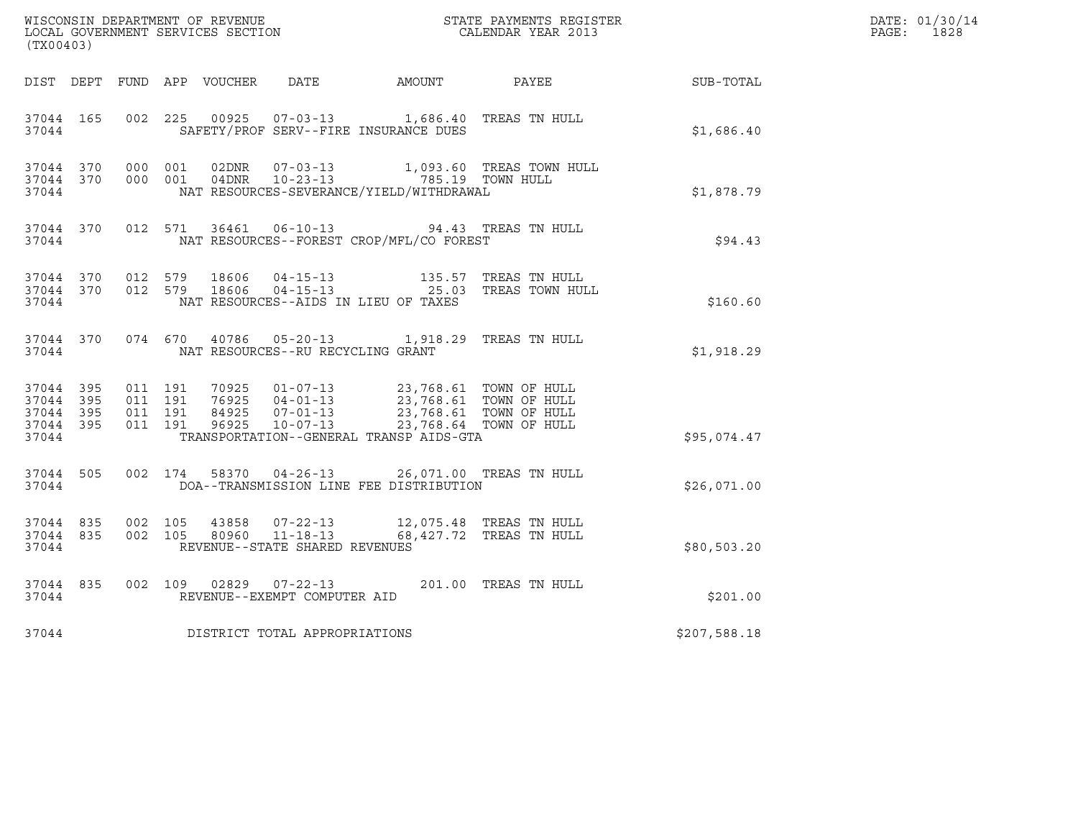| WISCONSIN DEPARTMENT OF REVENUE<br>LOCAL GOVERNMENT SERVICES SECTION<br>CALENDAR YEAR 2013<br>(TX00403) |           |                                          |  |  |                                   |                                                                                                                                                                                                                         |                                                                                             |              | DATE: 01/30/14<br>PAGE: 1828 |
|---------------------------------------------------------------------------------------------------------|-----------|------------------------------------------|--|--|-----------------------------------|-------------------------------------------------------------------------------------------------------------------------------------------------------------------------------------------------------------------------|---------------------------------------------------------------------------------------------|--------------|------------------------------|
|                                                                                                         |           |                                          |  |  |                                   | DIST DEPT FUND APP VOUCHER DATE AMOUNT PAYEE                                                                                                                                                                            |                                                                                             | SUB-TOTAL    |                              |
| 37044 165<br>37044                                                                                      |           | 002 225                                  |  |  |                                   | 00925  07-03-13  1,686.40 TREAS TN HULL<br>SAFETY/PROF SERV--FIRE INSURANCE DUES                                                                                                                                        |                                                                                             | \$1,686.40   |                              |
| 37044                                                                                                   |           | 37044 370 000 001<br>37044 370 000 001   |  |  |                                   | NAT RESOURCES-SEVERANCE/YIELD/WITHDRAWAL                                                                                                                                                                                |                                                                                             | \$1,878.79   |                              |
|                                                                                                         | 37044     |                                          |  |  |                                   | 37044 370 012 571 36461 06-10-13 94.43 TREAS TN HULL<br>NAT RESOURCES--FOREST CROP/MFL/CO FOREST                                                                                                                        |                                                                                             | \$94.43      |                              |
| 37044                                                                                                   | 37044 370 | 37044 370 012 579                        |  |  |                                   | NAT RESOURCES--AIDS IN LIEU OF TAXES                                                                                                                                                                                    | 012 579 18606 04-15-13 135.57 TREAS TN HULL<br>012 579 18606 04-15-13 25.03 TREAS TOWN HULL | \$160.60     |                              |
|                                                                                                         |           | 37044                                    |  |  | NAT RESOURCES--RU RECYCLING GRANT | 37044 370 074 670 40786 05-20-13 1,918.29 TREAS TN HULL                                                                                                                                                                 |                                                                                             | \$1,918.29   |                              |
| 37044 395<br>37044 395<br>37044 395<br>37044                                                            | 37044 395 | 011 191<br>011 191<br>011 191<br>011 191 |  |  |                                   | 70925  01-07-13  23,768.61  TOWN OF HULL<br>76925  04-01-13  23,768.61  TOWN OF HULL<br>84925  07-01-13  23,768.61  TOWN OF HULL<br>96925  10-07-13  23,768.64  TOWN OF HULL<br>TRANSPORTATION--GENERAL TRANSP AIDS-GTA |                                                                                             | \$95,074.47  |                              |
| 37044                                                                                                   | 37044 505 |                                          |  |  |                                   | 002 174 58370 04-26-13 26,071.00 TREAS TN HULL<br>DOA--TRANSMISSION LINE FEE DISTRIBUTION                                                                                                                               |                                                                                             | \$26,071.00  |                              |
| 37044                                                                                                   | 37044 835 | 37044 835 002 105<br>002 105             |  |  | REVENUE--STATE SHARED REVENUES    | $\begin{tabular}{llllll} 43858 & 07-22-13 & 12,075.48 & TREAS TN HULL \\ 80960 & 11-18-13 & 68,427.72 & TREAS TN HUIJ. \end{tabular}$                                                                                   |                                                                                             | \$80,503.20  |                              |
| 37044                                                                                                   | 37044 835 |                                          |  |  | REVENUE--EXEMPT COMPUTER AID      | 002 109 02829 07-22-13 201.00 TREAS TN HULL                                                                                                                                                                             |                                                                                             | \$201.00     |                              |
| 37044                                                                                                   |           |                                          |  |  | DISTRICT TOTAL APPROPRIATIONS     |                                                                                                                                                                                                                         |                                                                                             | \$207,588.18 |                              |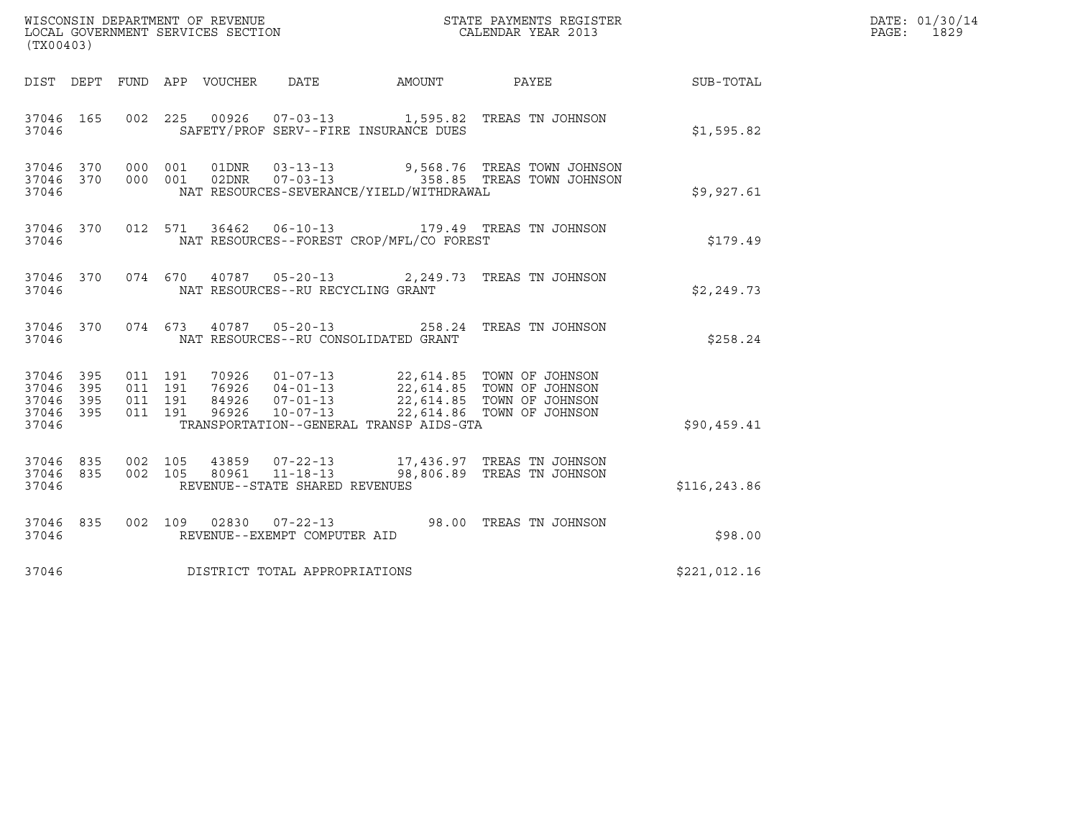| (TX00403)                                     |                   |                                          | WISCONSIN DEPARTMENT OF REVENUE<br>LOCAL GOVERNMENT SERVICES SECTION<br>LOCAL GOVERNMENT SERVICES SECTION |                                   |                                          | STATE PAYMENTS REGISTER<br>CALENDAR YEAR 2013                                                                                                                          |               | DATE: 01/30/14<br>PAGE:<br>1829 |
|-----------------------------------------------|-------------------|------------------------------------------|-----------------------------------------------------------------------------------------------------------|-----------------------------------|------------------------------------------|------------------------------------------------------------------------------------------------------------------------------------------------------------------------|---------------|---------------------------------|
|                                               |                   |                                          | DIST DEPT FUND APP VOUCHER                                                                                | DATE                              | AMOUNT PAYEE                             |                                                                                                                                                                        | SUB-TOTAL     |                                 |
| 37046 165<br>37046                            |                   |                                          |                                                                                                           |                                   | SAFETY/PROF SERV--FIRE INSURANCE DUES    | 002 225 00926 07-03-13 1,595.82 TREAS TN JOHNSON                                                                                                                       | \$1,595.82    |                                 |
| 37046 370 000 001<br>37046 370<br>37046       |                   | 000 001                                  |                                                                                                           |                                   | NAT RESOURCES-SEVERANCE/YIELD/WITHDRAWAL | 01DNR  03-13-13  9,568.76 TREAS TOWN JOHNSON<br>02DNR  07-03-13    358.85 TREAS TOWN JOHNSON                                                                           | \$9,927.61    |                                 |
| 37046 370<br>37046                            |                   |                                          | 012 571                                                                                                   |                                   | NAT RESOURCES--FOREST CROP/MFL/CO FOREST | 36462  06-10-13    179.49    TREAS TN JOHNSON                                                                                                                          | \$179.49      |                                 |
| 37046 370<br>37046                            |                   |                                          |                                                                                                           | NAT RESOURCES--RU RECYCLING GRANT |                                          | 074 670 40787 05-20-13 2,249.73 TREAS TN JOHNSON                                                                                                                       | \$2,249.73    |                                 |
| 37046 370<br>37046                            |                   |                                          | 074 673 40787 05-20-13                                                                                    |                                   | NAT RESOURCES--RU CONSOLIDATED GRANT     | 258.24 TREAS TN JOHNSON                                                                                                                                                | \$258.24      |                                 |
| 37046 395<br>37046<br>37046<br>37046<br>37046 | 395<br>395<br>395 | 011 191<br>011 191<br>011 191<br>011 191 | 96926                                                                                                     | $10 - 07 - 13$                    | TRANSPORTATION--GENERAL TRANSP AIDS-GTA  | 70926  01-07-13  22,614.85  TOWN OF JOHNSON<br>76926  04-01-13  22,614.85  TOWN OF JOHNSON<br>84926  07-01-13  22,614.85  TOWN OF JOHNSON<br>22,614.86 TOWN OF JOHNSON | \$90,459.41   |                                 |
| 37046 835<br>37046 835<br>37046               |                   | 002 105                                  | 002 105 80961 11-18-13                                                                                    | REVENUE--STATE SHARED REVENUES    |                                          | 43859 07-22-13 17,436.97 TREAS TN JOHNSON<br>98,806.89 TREAS TN JOHNSON                                                                                                | \$116, 243.86 |                                 |
| 37046 835<br>37046                            |                   |                                          |                                                                                                           | REVENUE--EXEMPT COMPUTER AID      |                                          | 002 109 02830 07-22-13 98.00 TREAS TN JOHNSON                                                                                                                          | \$98.00       |                                 |
| 37046                                         |                   |                                          | DISTRICT TOTAL APPROPRIATIONS                                                                             |                                   |                                          |                                                                                                                                                                        | \$221,012.16  |                                 |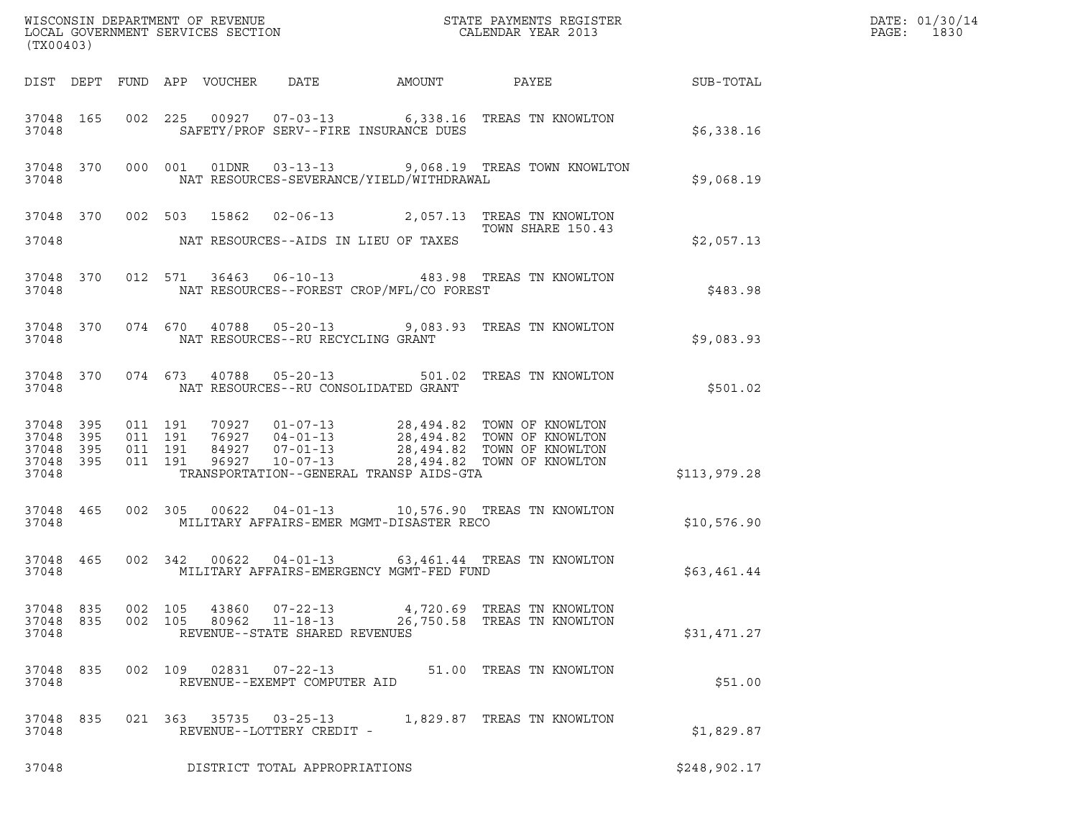| (TX00403)                                                 |     |                    |                                                                                                                                                                                                                                                                                                                                                                                                     |                  | DATE: 01/30/14<br>PAGE:<br>1830 |
|-----------------------------------------------------------|-----|--------------------|-----------------------------------------------------------------------------------------------------------------------------------------------------------------------------------------------------------------------------------------------------------------------------------------------------------------------------------------------------------------------------------------------------|------------------|---------------------------------|
|                                                           |     |                    | DIST DEPT FUND APP VOUCHER DATE<br>AMOUNT<br>PAYEE                                                                                                                                                                                                                                                                                                                                                  | <b>SUB-TOTAL</b> |                                 |
| 37048 165<br>37048                                        |     |                    | 002 225 00927 07-03-13 6,338.16 TREAS TN KNOWLTON<br>SAFETY/PROF SERV--FIRE INSURANCE DUES                                                                                                                                                                                                                                                                                                          | \$6,338.16       |                                 |
| 37048 370<br>37048                                        |     |                    | 000 001 01DNR 03-13-13 9,068.19 TREAS TOWN KNOWLTON<br>NAT RESOURCES-SEVERANCE/YIELD/WITHDRAWAL                                                                                                                                                                                                                                                                                                     | \$9,068.19       |                                 |
|                                                           |     |                    | 37048 370 002 503 15862 02-06-13 2,057.13 TREAS TN KNOWLTON<br>TOWN SHARE 150.43                                                                                                                                                                                                                                                                                                                    |                  |                                 |
| 37048                                                     |     |                    | NAT RESOURCES--AIDS IN LIEU OF TAXES                                                                                                                                                                                                                                                                                                                                                                | \$2,057.13       |                                 |
| 37048 370<br>37048                                        |     |                    | 012 571 36463 06-10-13 483.98 TREAS TN KNOWLTON<br>NAT RESOURCES--FOREST CROP/MFL/CO FOREST                                                                                                                                                                                                                                                                                                         | \$483.98         |                                 |
| 37048 370<br>37048                                        |     |                    | 074 670 40788 05-20-13 9,083.93 TREAS TN KNOWLTON<br>NAT RESOURCES--RU RECYCLING GRANT                                                                                                                                                                                                                                                                                                              | \$9,083.93       |                                 |
| 37048 370<br>37048                                        |     |                    | 074 673 40788 05-20-13 501.02 TREAS TN KNOWLTON<br>NAT RESOURCES--RU CONSOLIDATED GRANT                                                                                                                                                                                                                                                                                                             | \$501.02         |                                 |
| 37048 395<br>37048 395<br>37048 395<br>37048 395<br>37048 |     |                    | $\begin{array}{cccccc} 011 & 191 & 70927 & 01\texttt{-}07\texttt{-}13 & 28,494.82 & \texttt{TOWN OF KNOWLTON} \\ 011 & 191 & 76927 & 04\texttt{-}01\texttt{-}13 & 28,494.82 & \texttt{TOWN OF KNOWLTON} \\ 011 & 191 & 84927 & 07\texttt{-}01\texttt{-}13 & 28,494.82 & \texttt{TOWN OF KNOWLTON} \\ 011 & 191 & 96927 & 10\texttt{-}07\texttt{-}13 & 2$<br>TRANSPORTATION--GENERAL TRANSP AIDS-GTA | \$113,979.28     |                                 |
| 37048 465<br>37048                                        |     |                    | 002 305 00622 04-01-13 10,576.90 TREAS TN KNOWLTON<br>MILITARY AFFAIRS-EMER MGMT-DISASTER RECO                                                                                                                                                                                                                                                                                                      | \$10,576.90      |                                 |
| 37048 465<br>37048                                        |     |                    | 002 342 00622 04-01-13 63,461.44 TREAS TN KNOWLTON<br>MILITARY AFFAIRS-EMERGENCY MGMT-FED FUND                                                                                                                                                                                                                                                                                                      | \$63,461.44      |                                 |
| 37048 835<br>37048 835<br>37048                           |     | 002 105<br>002 105 | 43860<br>07-22-13<br>4,720.69   TREAS  TN  KNOWLTON<br>80962<br>$11 - 18 - 13$<br>26,750.58 TREAS TN KNOWLTON<br>REVENUE--STATE SHARED REVENUES                                                                                                                                                                                                                                                     | \$31,471.27      |                                 |
| 37048<br>37048                                            | 835 | 002 109            | 02831<br>51.00 TREAS TN KNOWLTON<br>$07 - 22 - 13$<br>REVENUE--EXEMPT COMPUTER AID                                                                                                                                                                                                                                                                                                                  | \$51.00          |                                 |
| 37048<br>37048                                            | 835 |                    | 021 363 35735 03-25-13<br>1,829.87 TREAS TN KNOWLTON<br>REVENUE--LOTTERY CREDIT -                                                                                                                                                                                                                                                                                                                   | \$1,829.87       |                                 |
| 37048                                                     |     |                    | DISTRICT TOTAL APPROPRIATIONS                                                                                                                                                                                                                                                                                                                                                                       | \$248,902.17     |                                 |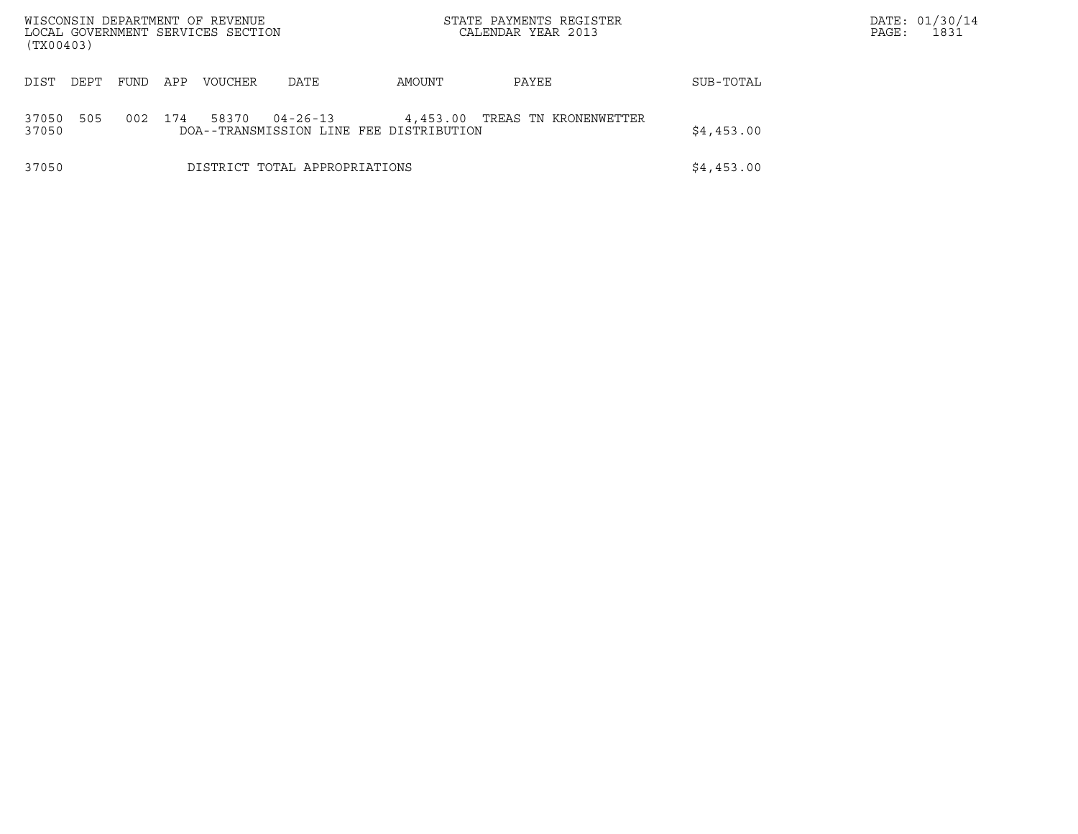| WISCONSIN DEPARTMENT OF REVENUE<br>LOCAL GOVERNMENT SERVICES SECTION<br>(TX00403) |                                                                                                                              |      |     |                               |      |            | STATE PAYMENTS REGISTER<br>CALENDAR YEAR 2013 |            | DATE: 01/30/14<br>PAGE: | 1831 |
|-----------------------------------------------------------------------------------|------------------------------------------------------------------------------------------------------------------------------|------|-----|-------------------------------|------|------------|-----------------------------------------------|------------|-------------------------|------|
| DIST                                                                              | DEPT                                                                                                                         | FUND | APP | <b>VOUCHER</b>                | DATE | AMOUNT     | PAYEE                                         | SUB-TOTAL  |                         |      |
| 37050<br>37050                                                                    | 505<br>174<br>$04 - 26 - 13$<br>002<br>58370<br>4,453.00<br>TREAS TN KRONENWETTER<br>DOA--TRANSMISSION LINE FEE DISTRIBUTION |      |     |                               |      |            |                                               | \$4,453.00 |                         |      |
| 37050                                                                             |                                                                                                                              |      |     | DISTRICT TOTAL APPROPRIATIONS |      | \$4,453.00 |                                               |            |                         |      |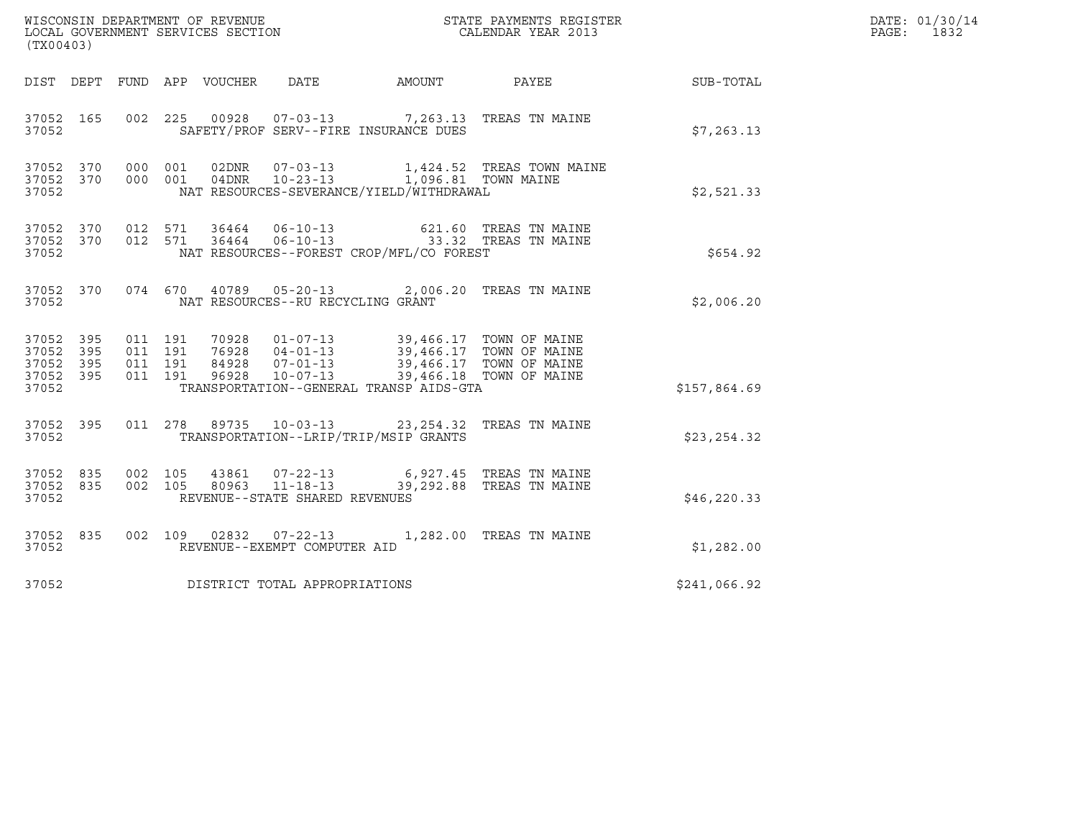| (TX00403)                           |           |                              |         |                                 |                                                  |                                                                                                                                                                                  |                                                  |              | DATE: 01/30/14<br>PAGE:<br>1832 |
|-------------------------------------|-----------|------------------------------|---------|---------------------------------|--------------------------------------------------|----------------------------------------------------------------------------------------------------------------------------------------------------------------------------------|--------------------------------------------------|--------------|---------------------------------|
|                                     |           |                              |         | DIST DEPT FUND APP VOUCHER DATE |                                                  | AMOUNT                                                                                                                                                                           | PAYEE                                            | SUB-TOTAL    |                                 |
| 37052 165<br>37052                  |           |                              |         |                                 |                                                  | 002 225 00928 07-03-13 7,263.13 TREAS TN MAINE<br>SAFETY/PROF SERV--FIRE INSURANCE DUES                                                                                          |                                                  | \$7,263.13   |                                 |
| 37052 370<br>37052                  |           | 37052 370 000 001<br>000 001 |         |                                 | 04DNR 10-23-13                                   | NAT RESOURCES-SEVERANCE/YIELD/WITHDRAWAL                                                                                                                                         | 1,424.52 TREAS TOWN MAINE<br>1,096.81 TOWN MAINE | \$2,521.33   |                                 |
| 37052 370<br>37052                  |           | 37052 370 012 571<br>012 571 |         |                                 | 36464 06-10-13                                   | 36464  06-10-13  33.32  TREAS TN MAINE<br>NAT RESOURCES--FOREST CROP/MFL/CO FOREST                                                                                               | 621.60 TREAS TN MAINE                            | \$654.92     |                                 |
| 37052 370<br>37052                  |           |                              |         |                                 | NAT RESOURCES--RU RECYCLING GRANT                | 074 670 40789 05-20-13 2,006.20 TREAS TN MAINE                                                                                                                                   |                                                  | \$2,006.20   |                                 |
| 37052 395<br>37052 395<br>37052 395 |           | 011 191<br>011 191           | 011 191 |                                 |                                                  | 70928  01-07-13  39,466.17  TOWN OF MAINE<br>76928  04-01-13  39,466.17  TOWN OF MAINE<br>84928  07-01-13  39,466.17  TOWN OF MAINE<br>96928  10-07-13  39,466.18  TOWN OF MAINE |                                                  |              |                                 |
| 37052 395<br>37052                  |           | 011 191                      |         |                                 |                                                  | TRANSPORTATION--GENERAL TRANSP AIDS-GTA                                                                                                                                          |                                                  | \$157,864.69 |                                 |
| 37052                               | 37052 395 |                              |         |                                 |                                                  | 011 278 89735 10-03-13 23,254.32 TREAS TN MAINE<br>TRANSPORTATION--LRIP/TRIP/MSIP GRANTS                                                                                         |                                                  | \$23,254.32  |                                 |
| 37052 835<br>37052 835<br>37052     |           | 002 105<br>002 105           |         | 80963                           | $11 - 18 - 13$<br>REVENUE--STATE SHARED REVENUES | 43861 07-22-13 6,927.45 TREAS TN MAINE                                                                                                                                           | 39,292.88 TREAS TN MAINE                         | \$46, 220.33 |                                 |
| 37052                               | 37052 835 |                              |         |                                 | REVENUE--EXEMPT COMPUTER AID                     | 002 109 02832 07-22-13 1,282.00 TREAS TN MAINE                                                                                                                                   |                                                  | \$1,282.00   |                                 |
| 37052                               |           |                              |         |                                 | DISTRICT TOTAL APPROPRIATIONS                    |                                                                                                                                                                                  |                                                  | \$241,066.92 |                                 |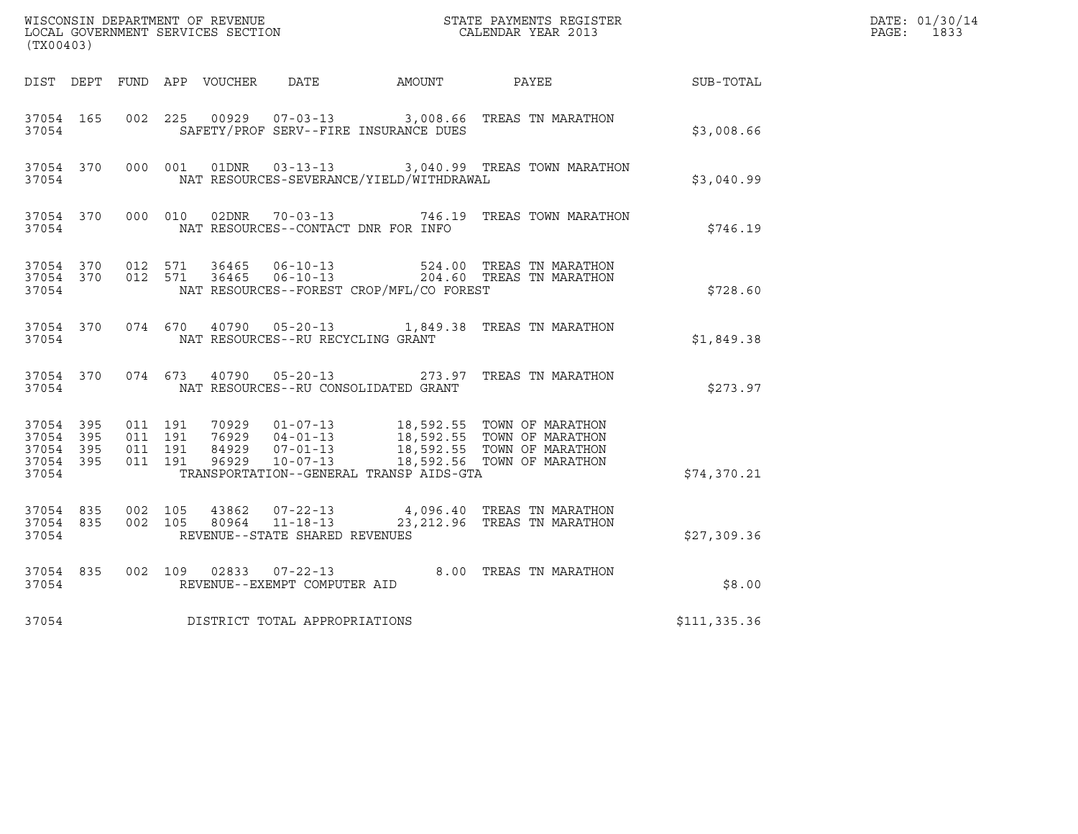|                                                                                                                                                   |           |                                          | DATE: 01/30/14<br>PAGE: 1833 |                |                                                    |                                          |                                                                                                                                              |              |  |
|---------------------------------------------------------------------------------------------------------------------------------------------------|-----------|------------------------------------------|------------------------------|----------------|----------------------------------------------------|------------------------------------------|----------------------------------------------------------------------------------------------------------------------------------------------|--------------|--|
| $\tt WISCONSIM DEPARTMENT OF REVENUE$ $\tt SCATE$ $\tt PAYMENTS$ REGISTER LOCAL GOVERNMENT SERVICES SECTION $\tt CALENDAR$ YEAR 2013<br>(TX00403) |           |                                          |                              |                |                                                    |                                          |                                                                                                                                              |              |  |
|                                                                                                                                                   |           |                                          |                              |                |                                                    | DIST DEPT FUND APP VOUCHER DATE AMOUNT   | PAYEE                                                                                                                                        | SUB-TOTAL    |  |
| 37054 165<br>37054                                                                                                                                |           | 002 225                                  |                              | 00929          |                                                    | SAFETY/PROF SERV--FIRE INSURANCE DUES    | 07-03-13 3,008.66 TREAS TN MARATHON                                                                                                          | \$3,008.66   |  |
| 37054 370<br>37054                                                                                                                                |           |                                          | 000 001                      |                |                                                    | NAT RESOURCES-SEVERANCE/YIELD/WITHDRAWAL | 01DNR  03-13-13  3,040.99 TREAS TOWN MARATHON                                                                                                | \$3,040.99   |  |
| 37054                                                                                                                                             | 37054 370 |                                          |                              |                |                                                    | NAT RESOURCES--CONTACT DNR FOR INFO      | 000 010 02DNR 70-03-13 746.19 TREAS TOWN MARATHON                                                                                            | \$746.19     |  |
| 37054 370<br>37054 370<br>37054                                                                                                                   |           | 012 571<br>012 571                       |                              | 36465<br>36465 | $06 - 10 - 13$<br>$06 - 10 - 13$                   | NAT RESOURCES--FOREST CROP/MFL/CO FOREST | 524.00 TREAS TN MARATHON<br>204.60 TREAS TN MARATHON                                                                                         | \$728.60     |  |
| 37054 370<br>37054                                                                                                                                |           | 074 670                                  |                              |                | NAT RESOURCES--RU RECYCLING GRANT                  |                                          | 40790  05-20-13   1,849.38   TREAS TN MARATHON                                                                                               | \$1,849.38   |  |
| 37054                                                                                                                                             | 37054 370 |                                          |                              |                | 074 673 40790 05-20-13                             | NAT RESOURCES--RU CONSOLIDATED GRANT     | 273.97 TREAS TN MARATHON                                                                                                                     | \$273.97     |  |
| 37054 395<br>37054<br>37054 395<br>37054 395<br>37054                                                                                             | 395       | 011 191<br>011 191<br>011 191<br>011 191 |                              | 70929<br>96929 | 76929 04-01-13<br>$10 - 07 - 13$                   | TRANSPORTATION--GENERAL TRANSP AIDS-GTA  | 01-07-13 18,592.55 TOWN OF MARATHON<br>18,592.55 TOWN OF MARATHON<br>84929 07-01-13 18,592.55 TOWN OF MARATHON<br>18,592.56 TOWN OF MARATHON | \$74,370.21  |  |
| 37054 835<br>37054 835<br>37054                                                                                                                   |           | 002 105<br>002 105                       |                              | 43862<br>80964 | $11 - 18 - 13$<br>REVENUE--STATE SHARED REVENUES   |                                          | 07-22-13 4,096.40 TREAS TN MARATHON<br>23, 212.96 TREAS TN MARATHON                                                                          | \$27,309.36  |  |
| 37054 835<br>37054                                                                                                                                |           | 002 109                                  |                              |                | $02833$ $07-22-13$<br>REVENUE--EXEMPT COMPUTER AID |                                          | 8.00 TREAS TN MARATHON                                                                                                                       | \$8.00       |  |
| 37054                                                                                                                                             |           |                                          |                              |                | DISTRICT TOTAL APPROPRIATIONS                      |                                          |                                                                                                                                              | \$111,335.36 |  |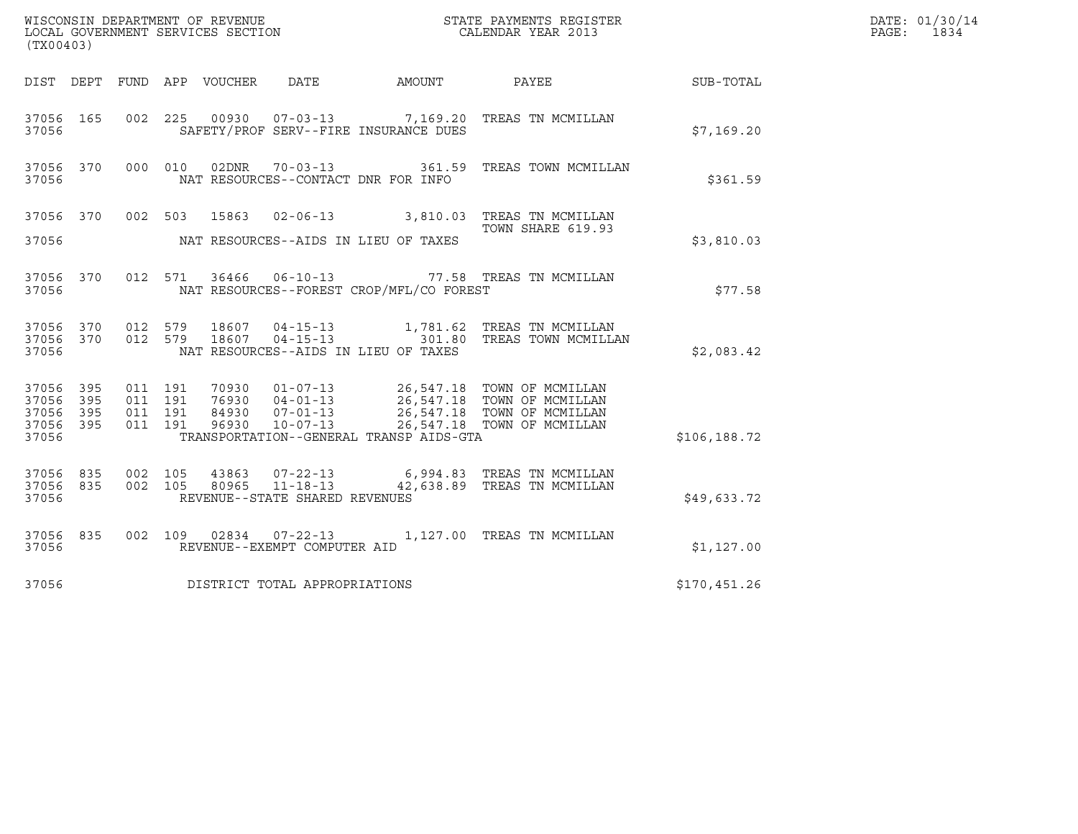|                                                           |                               |         |                                 |                                                                    |                                          | DATE: 01/30/14                                                                                                                                                                                                             |                  |                          |
|-----------------------------------------------------------|-------------------------------|---------|---------------------------------|--------------------------------------------------------------------|------------------------------------------|----------------------------------------------------------------------------------------------------------------------------------------------------------------------------------------------------------------------------|------------------|--------------------------|
| (TX00403)                                                 |                               |         |                                 |                                                                    |                                          |                                                                                                                                                                                                                            |                  | $\mathtt{PAGE:}$<br>1834 |
|                                                           |                               |         | DIST DEPT FUND APP VOUCHER DATE |                                                                    | AMOUNT                                   | PAYEE                                                                                                                                                                                                                      | <b>SUB-TOTAL</b> |                          |
| 37056 165<br>37056                                        |                               | 002 225 |                                 |                                                                    | SAFETY/PROF SERV--FIRE INSURANCE DUES    | 00930  07-03-13  7,169.20 TREAS TN MCMILLAN                                                                                                                                                                                | \$7.169.20       |                          |
| 37056 370<br>37056                                        |                               | 000 010 |                                 |                                                                    | NAT RESOURCES--CONTACT DNR FOR INFO      | 02DNR 70-03-13 361.59 TREAS TOWN MCMILLAN                                                                                                                                                                                  | \$361.59         |                          |
| 37056 370<br>37056                                        |                               |         | 002 503 15863                   |                                                                    | NAT RESOURCES--AIDS IN LIEU OF TAXES     | 02-06-13 3,810.03 TREAS TN MCMILLAN<br>TOWN SHARE 619.93                                                                                                                                                                   | \$3,810.03       |                          |
| 37056 370<br>37056                                        |                               |         |                                 |                                                                    | NAT RESOURCES--FOREST CROP/MFL/CO FOREST | 012 571 36466 06-10-13 77.58 TREAS TN MCMILLAN                                                                                                                                                                             | \$77.58          |                          |
| 37056 370<br>37056 370<br>37056                           | 012 579                       | 012 579 | 18607<br>18607                  | $04 - 15 - 13$<br>$04 - 15 - 13$                                   | NAT RESOURCES--AIDS IN LIEU OF TAXES     | 1,781.62 TREAS TN MCMILLAN<br>301.80 TREAS TOWN MCMILLAN                                                                                                                                                                   | \$2,083.42       |                          |
| 37056 395<br>37056 395<br>37056 395<br>37056 395<br>37056 | 011 191<br>011 191<br>011 191 | 011 191 |                                 |                                                                    | TRANSPORTATION--GENERAL TRANSP AIDS-GTA  | 70930  01-07-13  26,547.18  TOWN OF MCMILLAN<br>76930  04-01-13  26,547.18  TOWN OF MCMILLAN<br>84930  07-01-13  26,547.18  TOWN OF MCMILLAN<br>96930  10-07-13  26,547.18  TOWN OF MCMILLAN<br>26,547.18 TOWN OF MCMILLAN | \$106,188.72     |                          |
| 37056 835<br>37056 835<br>37056                           | 002 105<br>002 105            |         | 43863<br>80965                  | $07 - 22 - 13$<br>$11 - 18 - 13$<br>REVENUE--STATE SHARED REVENUES |                                          | 6,994.83 TREAS TN MCMILLAN<br>42,638.89 TREAS TN MCMILLAN                                                                                                                                                                  | \$49,633.72      |                          |
| 37056 835<br>37056                                        |                               |         |                                 | REVENUE--EXEMPT COMPUTER AID                                       |                                          | 002 109 02834 07-22-13 1,127.00 TREAS TN MCMILLAN                                                                                                                                                                          | \$1,127.00       |                          |
| 37056                                                     |                               |         |                                 | DISTRICT TOTAL APPROPRIATIONS                                      |                                          |                                                                                                                                                                                                                            | \$170,451.26     |                          |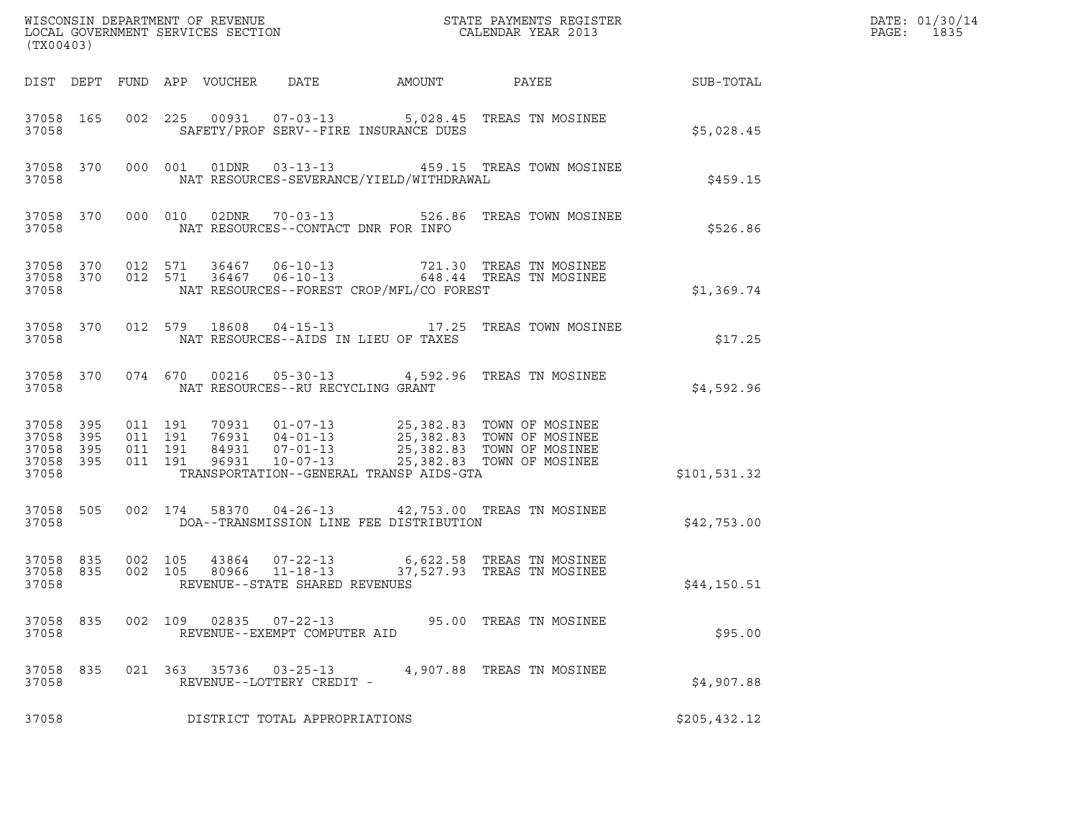| (TX00403)                                                 |           |                                          |                                 |                                                |                                          | ${\tt WISCONSIM\ DEPARTMENT\ OF\ REVENUE}\qquad \qquad {\tt STATE\ PAYMENTS\ REGISTER} \\ {\tt LOCAL\ GOVERNMENT\ SERVICES\ SECTION}\qquad \qquad {\tt CALENDAR\ YEAR\ 2013}$                                    |                  | DATE: 01/30/14<br>PAGE:<br>1835 |
|-----------------------------------------------------------|-----------|------------------------------------------|---------------------------------|------------------------------------------------|------------------------------------------|------------------------------------------------------------------------------------------------------------------------------------------------------------------------------------------------------------------|------------------|---------------------------------|
|                                                           |           |                                          | DIST DEPT FUND APP VOUCHER DATE |                                                | AMOUNT                                   | PAYEE                                                                                                                                                                                                            | <b>SUB-TOTAL</b> |                                 |
| 37058                                                     | 37058 165 |                                          |                                 |                                                | SAFETY/PROF SERV--FIRE INSURANCE DUES    | 002 225 00931 07-03-13 5,028.45 TREAS TN MOSINEE                                                                                                                                                                 | \$5,028.45       |                                 |
| 37058                                                     | 37058 370 |                                          |                                 |                                                | NAT RESOURCES-SEVERANCE/YIELD/WITHDRAWAL | 000 001 01DNR 03-13-13 459.15 TREAS TOWN MOSINEE                                                                                                                                                                 | \$459.15         |                                 |
| 37058                                                     | 37058 370 |                                          |                                 |                                                | NAT RESOURCES--CONTACT DNR FOR INFO      | 000 010 02DNR 70-03-13 526.86 TREAS TOWN MOSINEE                                                                                                                                                                 | \$526.86         |                                 |
| 37058                                                     |           |                                          |                                 |                                                | NAT RESOURCES--FOREST CROP/MFL/CO FOREST | $\begin{array}{cccccc} 37058 & 370 & 012 & 571 & 36467 & 06-10-13 & & & & & 721.30 & \text{TREAS TN MOSINEE} \\ 37058 & 370 & 012 & 571 & 36467 & 06-10-13 & & & & 648.44 & \text{TREAS TN MOSINEE} \end{array}$ | \$1,369.74       |                                 |
| 37058                                                     | 37058 370 |                                          |                                 |                                                | NAT RESOURCES--AIDS IN LIEU OF TAXES     | 012 579 18608 04-15-13 17.25 TREAS TOWN MOSINEE                                                                                                                                                                  | \$17.25          |                                 |
| 37058                                                     | 37058 370 |                                          |                                 |                                                | NAT RESOURCES--RU RECYCLING GRANT        | 074 670 00216 05-30-13 4,592.96 TREAS TN MOSINEE                                                                                                                                                                 | \$4,592.96       |                                 |
| 37058 395<br>37058 395<br>37058 395<br>37058 395<br>37058 |           | 011 191<br>011 191<br>011 191<br>011 191 |                                 |                                                | TRANSPORTATION--GENERAL TRANSP AIDS-GTA  | 70931   01-07-13   25,382.83   TOWN OF MOSINEE<br>76931   04-01-13   25,382.83   TOWN OF MOSINEE<br>84931   07-01-13   25,382.83   TOWN OF MOSINEE<br>96931   10-07-13   25,382.83   TOWN OF MOSINEE             | \$101,531.32     |                                 |
| 37058                                                     | 37058 505 |                                          |                                 |                                                | DOA--TRANSMISSION LINE FEE DISTRIBUTION  | 002 174 58370 04-26-13 42,753.00 TREAS TN MOSINEE                                                                                                                                                                | \$42,753.00      |                                 |
| 37058 835<br>37058                                        |           | 37058 835 002 105<br>002 105             |                                 | REVENUE--STATE SHARED REVENUES                 |                                          |                                                                                                                                                                                                                  | \$44,150.51      |                                 |
| 37058 835<br>37058                                        |           | 002 109                                  | 02835                           | $07 - 22 - 13$<br>REVENUE--EXEMPT COMPUTER AID |                                          | 95.00 TREAS TN MOSINEE                                                                                                                                                                                           | \$95.00          |                                 |
| 37058<br>37058                                            | 835       |                                          | 021 363 35736                   | $03 - 25 - 13$<br>REVENUE--LOTTERY CREDIT -    |                                          | 4,907.88 TREAS TN MOSINEE                                                                                                                                                                                        | \$4,907.88       |                                 |
| 37058                                                     |           |                                          |                                 | DISTRICT TOTAL APPROPRIATIONS                  |                                          |                                                                                                                                                                                                                  | \$205,432.12     |                                 |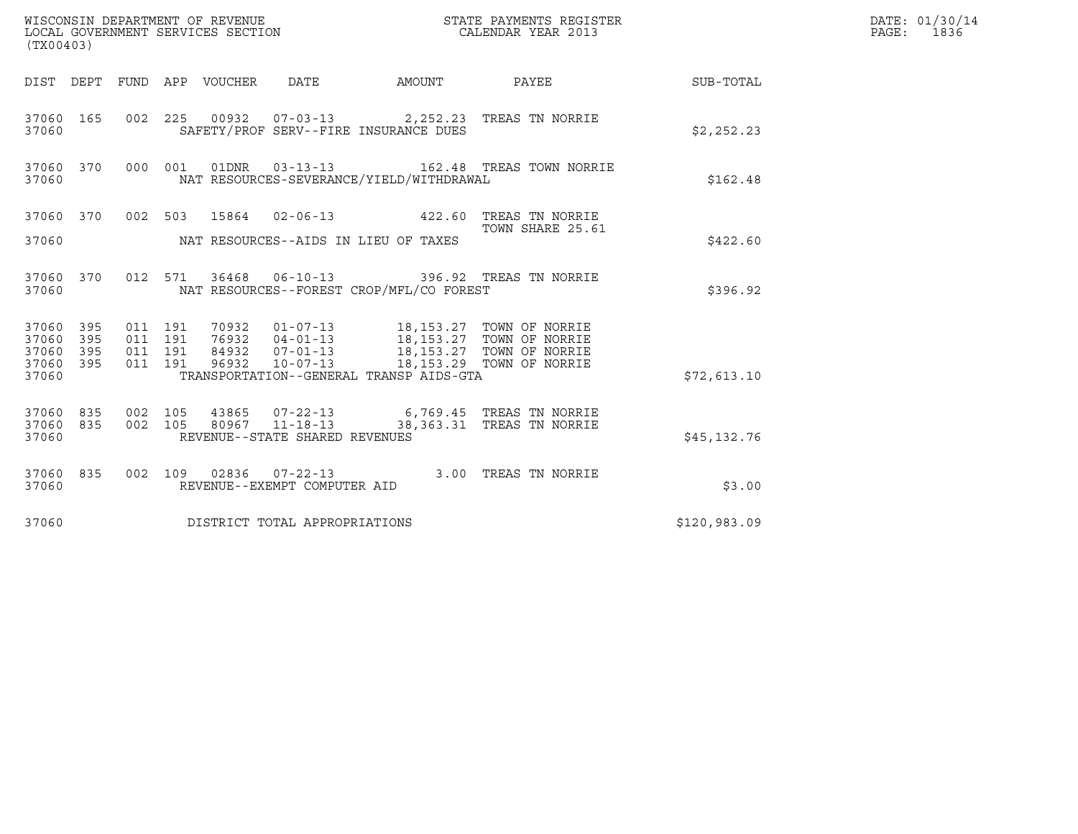| (TX00403)                                                       | WISCONSIN DEPARTMENT OF REVENUE<br>LOCAL GOVERNMENT SERVICES SECTION                                              | STATE PAYMENTS REGISTER<br>CALENDAR YEAR 2013 |              | DATE: 01/30/14<br>PAGE: 1836 |
|-----------------------------------------------------------------|-------------------------------------------------------------------------------------------------------------------|-----------------------------------------------|--------------|------------------------------|
|                                                                 | DIST DEPT FUND APP VOUCHER DATE<br>AMOUNT                                                                         | PAYEE SUB-TOTAL                               |              |                              |
| 37060 165<br>37060                                              | 002 225 00932 07-03-13 2,252.23 TREAS TN NORRIE<br>SAFETY/PROF SERV--FIRE INSURANCE DUES                          |                                               | \$2,252.23   |                              |
| 37060 370<br>37060                                              | 000 001 01DNR 03-13-13 162.48 TREAS TOWN NORRIE<br>NAT RESOURCES-SEVERANCE/YIELD/WITHDRAWAL                       |                                               | \$162.48     |                              |
| 37060 370<br>37060                                              | 002 503 15864 02-06-13 422.60 TREAS TN NORRIE<br>NAT RESOURCES--AIDS IN LIEU OF TAXES                             | TOWN SHARE 25.61                              | \$422.60     |                              |
| 37060 370<br>37060                                              | 012 571 36468 06-10-13 396.92 TREAS TN NORRIE<br>NAT RESOURCES--FOREST CROP/MFL/CO FOREST                         |                                               | \$396.92     |                              |
| 37060 395<br>37060 395<br>395<br>37060<br>395<br>37060<br>37060 | 011 191<br>011 191<br>011 191<br>011 191<br>$10 - 07 - 13$<br>96932<br>TRANSPORTATION--GENERAL TRANSP AIDS-GTA    | 18,153.29 TOWN OF NORRIE                      | \$72,613.10  |                              |
| 37060 835<br>37060 835<br>37060                                 | 002 105<br>43865 07-22-13 6,769.45 TREAS TN NORRIE<br>002 105<br>80967 11-18-13<br>REVENUE--STATE SHARED REVENUES | 38,363.31 TREAS TN NORRIE                     | \$45,132.76  |                              |
| 37060 835<br>37060                                              | 002 109 02836 07-22-13<br>REVENUE--EXEMPT COMPUTER AID                                                            | 3.00 TREAS TN NORRIE                          | \$3.00       |                              |
| 37060                                                           | DISTRICT TOTAL APPROPRIATIONS                                                                                     |                                               | \$120,983.09 |                              |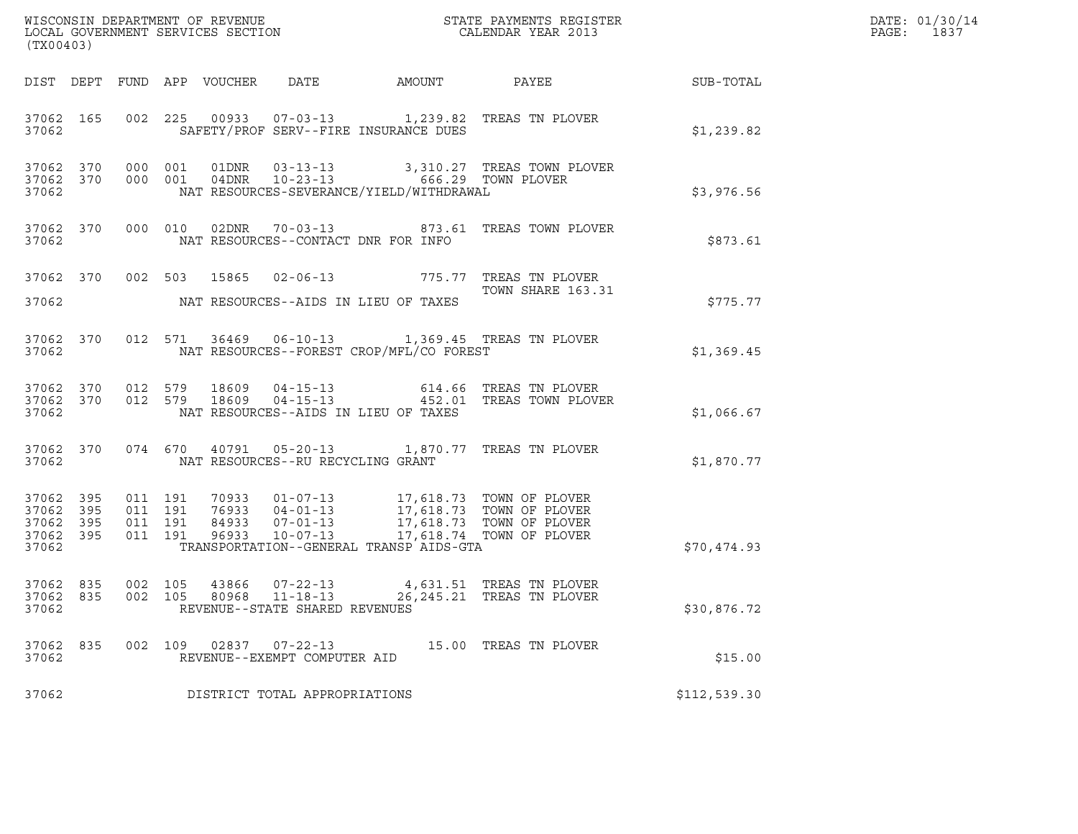| (TX00403)                                                 |                    |                    |                                                        | ${\tt WISCOONSIM\ DEPARTMENT\ OF\ REVENUE}\qquad \qquad {\tt STATE\ PAYMENTS\ REGISTER\ LOCAL\ GOVERNMENT\ SERVICES\ SECTION\qquad \qquad {\tt CALENDAR\ YEAR\ 2013}$ |                                                                                                                                                      | DATE: 01/30/14<br>PAGE: 1837 |  |
|-----------------------------------------------------------|--------------------|--------------------|--------------------------------------------------------|-----------------------------------------------------------------------------------------------------------------------------------------------------------------------|------------------------------------------------------------------------------------------------------------------------------------------------------|------------------------------|--|
|                                                           |                    |                    |                                                        |                                                                                                                                                                       | DIST DEPT FUND APP VOUCHER DATE AMOUNT PAYEE TO SUB-TOTAL                                                                                            |                              |  |
| 37062                                                     |                    |                    | SAFETY/PROF SERV--FIRE INSURANCE DUES                  |                                                                                                                                                                       | 37062 165 002 225 00933 07-03-13 1,239.82 TREAS TN PLOVER                                                                                            | \$1,239.82                   |  |
| 37062                                                     |                    |                    | NAT RESOURCES-SEVERANCE/YIELD/WITHDRAWAL               |                                                                                                                                                                       | 37062 370 000 001 01DNR 03-13-13 3,310.27 TREAS TOWN PLOVER 37062 370 000 001 04DNR 10-23-13 666.29 TOWN PLOVER                                      | \$3,976.56                   |  |
| 37062                                                     |                    |                    | NAT RESOURCES--CONTACT DNR FOR INFO                    |                                                                                                                                                                       | 37062 370 000 010 02DNR 70-03-13 873.61 TREAS TOWN PLOVER                                                                                            | \$873.61                     |  |
| 37062 370<br>37062                                        |                    |                    | NAT RESOURCES--AIDS IN LIEU OF TAXES                   |                                                                                                                                                                       | 002 503 15865 02-06-13 775.77 TREAS TN PLOVER<br>TOWN SHARE 163.31                                                                                   | \$775.77                     |  |
|                                                           |                    |                    | 37062 NAT RESOURCES--FOREST CROP/MFL/CO FOREST         |                                                                                                                                                                       | 37062 370 012 571 36469 06-10-13 1,369.45 TREAS TN PLOVER                                                                                            | \$1,369.45                   |  |
| 37062                                                     |                    |                    | NAT RESOURCES--AIDS IN LIEU OF TAXES                   |                                                                                                                                                                       | 37062 370 012 579 18609 04-15-13 614.66 TREAS TN PLOVER<br>37062 370 012 579 18609 04-15-13 452.01 TREAS TOWN PLOVER                                 | \$1,066.67                   |  |
| 37062                                                     |                    |                    | NAT RESOURCES--RU RECYCLING GRANT                      |                                                                                                                                                                       | 37062 370 074 670 40791 05-20-13 1,870.77 TREAS TN PLOVER                                                                                            | \$1,870.77                   |  |
| 37062 395<br>37062 395<br>37062 395<br>37062 395<br>37062 | 011 191<br>011 191 | 011 191<br>011 191 | TRANSPORTATION--GENERAL TRANSP AIDS-GTA                |                                                                                                                                                                       |                                                                                                                                                      | \$70,474.93                  |  |
| 37062 835<br>37062                                        | 002 105            |                    | REVENUE--STATE SHARED REVENUES                         |                                                                                                                                                                       | 37062 835 002 105 43866 07-22-13 4,631.51 TREAS TN PLOVER<br>80968     11-18-13          26,245.21     TREAS                               TN PLOVER | \$30,876.72                  |  |
| 37062 835<br>37062                                        |                    |                    | 002 109 02837 07-22-13<br>REVENUE--EXEMPT COMPUTER AID |                                                                                                                                                                       | 15.00 TREAS TN PLOVER                                                                                                                                | \$15.00                      |  |
| 37062                                                     |                    |                    | DISTRICT TOTAL APPROPRIATIONS                          |                                                                                                                                                                       |                                                                                                                                                      | \$112,539.30                 |  |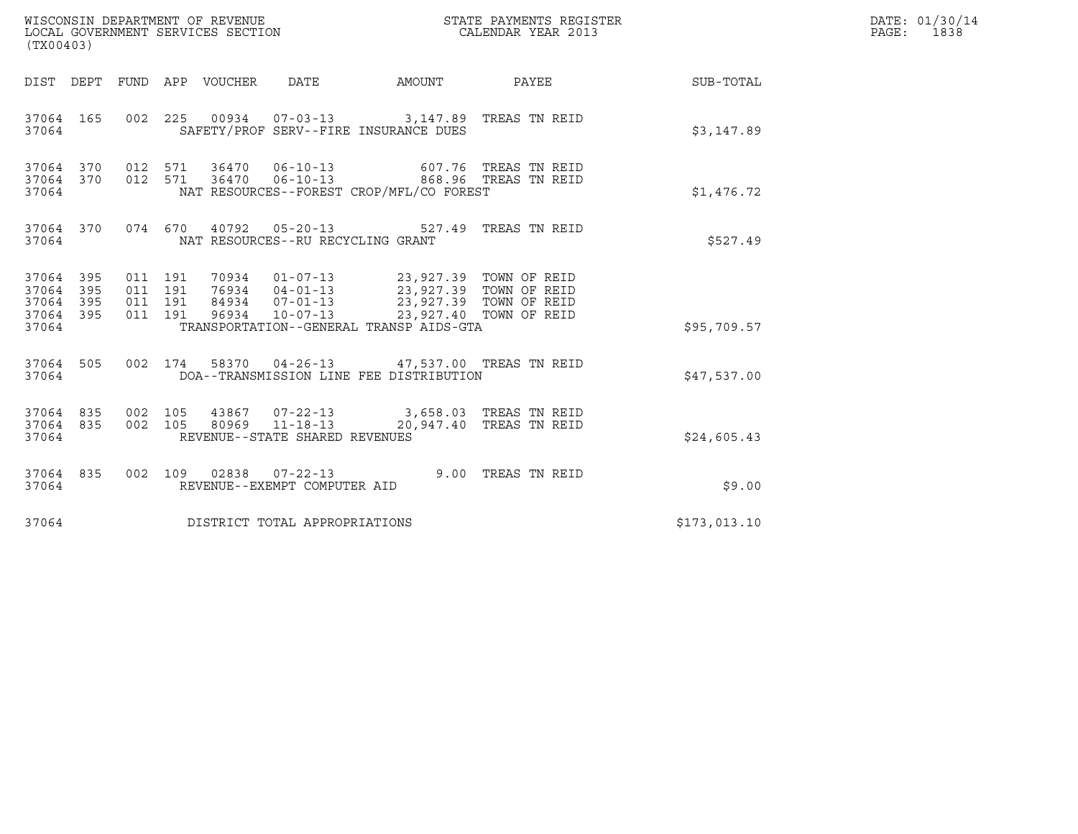| (TX00403)                                         |            |                                          | WISCONSIN DEPARTMENT OF REVENUE<br>LOCAL GOVERNMENT SERVICES SECTION |                                                                    |                                                                                                                                                                                                                | STATE PAYMENTS REGISTER<br>CALENDAR YEAR 2013     |              | DATE: 01/30/14<br>PAGE: 1838 |
|---------------------------------------------------|------------|------------------------------------------|----------------------------------------------------------------------|--------------------------------------------------------------------|----------------------------------------------------------------------------------------------------------------------------------------------------------------------------------------------------------------|---------------------------------------------------|--------------|------------------------------|
|                                                   |            |                                          | DIST DEPT FUND APP VOUCHER DATE                                      |                                                                    | AMOUNT                                                                                                                                                                                                         | <b>PAYEE</b>                                      | SUB-TOTAL    |                              |
| 37064 165<br>37064                                |            |                                          |                                                                      |                                                                    | 002 225 00934 07-03-13 3,147.89 TREAS TN REID<br>SAFETY/PROF SERV--FIRE INSURANCE DUES                                                                                                                         |                                                   | \$3,147.89   |                              |
| 37064 370<br>37064 370<br>37064                   |            | 012 571                                  |                                                                      |                                                                    | 012 571 36470 06-10-13 607.76 TREAS TN REID<br>012 571 36470 06-10-13 868.96 TREAS TN REID<br>NAT RESOURCES--FOREST CROP/MFL/CO FOREST                                                                         |                                                   | \$1,476.72   |                              |
| 37064                                             |            |                                          |                                                                      | NAT RESOURCES--RU RECYCLING GRANT                                  | 37064 370 074 670 40792 05-20-13 527.49 TREAS TN REID                                                                                                                                                          |                                                   | \$527.49     |                              |
| 37064 395<br>37064<br>37064<br>37064 395<br>37064 | 395<br>395 | 011 191<br>011 191<br>011 191<br>011 191 |                                                                      |                                                                    | 70934  01-07-13  23,927.39  TOWN OF REID<br>76934 04-01-13 23,927.39 TOWN OF REID<br>84934 07-01-13 23,927.39 TOWN OF REID<br>96934 10-07-13 23,927.40 TOWN OF REID<br>TRANSPORTATION--GENERAL TRANSP AIDS-GTA |                                                   | \$95,709.57  |                              |
| 37064 505<br>37064                                |            |                                          |                                                                      |                                                                    | 002 174 58370 04-26-13 47,537.00 TREAS TN REID<br>DOA--TRANSMISSION LINE FEE DISTRIBUTION                                                                                                                      |                                                   | \$47,537.00  |                              |
| 37064 835<br>37064                                | 37064 835  | 002 105<br>002 105                       |                                                                      | 43867 07-22-13<br>80969 11-18-13<br>REVENUE--STATE SHARED REVENUES |                                                                                                                                                                                                                | 3,658.03 TREAS TN REID<br>20,947.40 TREAS TN REID | \$24,605.43  |                              |
| 37064 835<br>37064                                |            |                                          |                                                                      | 002 109 02838 07-22-13<br>REVENUE--EXEMPT COMPUTER AID             |                                                                                                                                                                                                                | 9.00 TREAS TN REID                                | \$9.00       |                              |
| 37064                                             |            |                                          |                                                                      | DISTRICT TOTAL APPROPRIATIONS                                      |                                                                                                                                                                                                                |                                                   | \$173,013.10 |                              |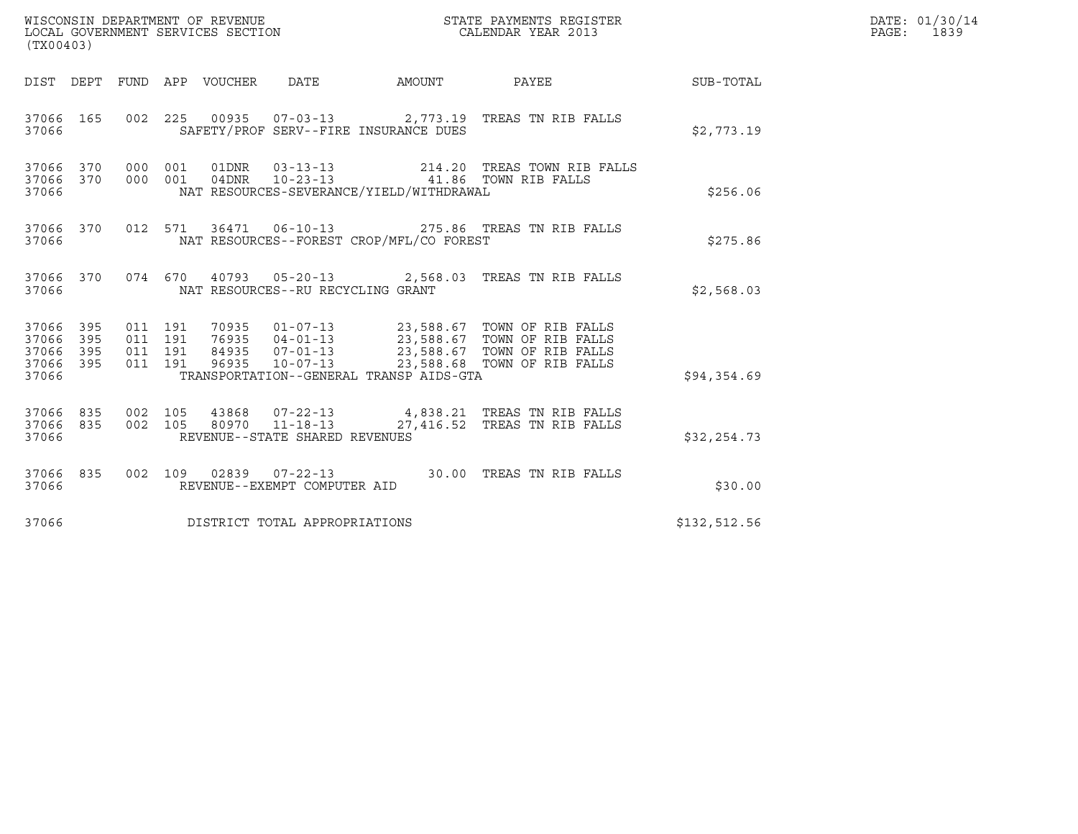| WISCONSIN DEPARTMENT OF REVENUE<br>LOCAL GOVERNMENT SERVICES SECTION | STATE PAYMENTS REGISTER<br>CALENDAR YEAR 2013 | DATE: 01/30/14<br>1839<br>PAGE: |
|----------------------------------------------------------------------|-----------------------------------------------|---------------------------------|

| ${\small \tt MISCONSIM\ DEPARTMENT\ OF\ REVENUE\ } \\\verb DCAL\ GOVERNMENT\ SERVICES\ SECTION\norm  \\\verb DCAL\ ENDAR\ YEAR\ 2013\norm  \\\verb DCAL\ ENDAR\ YEAR\ 2013\norm  \\\verb DCAL\ RBOR\ YEAR\ 2013\norm  \\\verb DCAL\ RBOR\ YEAR\ 2013\norm  \\\verb DCAL\ RBOR\ YEAR\ 2013\norm  \\\verb DCAL\ RBOR\ YEAR\ 2013\norm  \\\verb DCAL\ RBOR\ YEAR\ 2013\norm  \\\verb DCAL\ RBOR\ PACS$<br>(TX00403) |                                 |  |  |  |                                         |                                       |                                                                                                                                                                                                                                                                 | DATE: 01/30/14<br>$\mathbb{R}^n$<br>PAGE: 1839 |  |
|------------------------------------------------------------------------------------------------------------------------------------------------------------------------------------------------------------------------------------------------------------------------------------------------------------------------------------------------------------------------------------------------------------------|---------------------------------|--|--|--|-----------------------------------------|---------------------------------------|-----------------------------------------------------------------------------------------------------------------------------------------------------------------------------------------------------------------------------------------------------------------|------------------------------------------------|--|
|                                                                                                                                                                                                                                                                                                                                                                                                                  |                                 |  |  |  |                                         |                                       | DIST DEPT FUND APP VOUCHER DATE AMOUNT PAYEE                                                                                                                                                                                                                    | SUB-TOTAL                                      |  |
|                                                                                                                                                                                                                                                                                                                                                                                                                  | 37066 3706                      |  |  |  |                                         | SAFETY/PROF SERV--FIRE INSURANCE DUES | 37066 165 002 225 00935 07-03-13 2,773.19 TREAS TN RIB FALLS                                                                                                                                                                                                    | \$2,773.19                                     |  |
|                                                                                                                                                                                                                                                                                                                                                                                                                  | 37066 370<br>37066 370          |  |  |  |                                         |                                       | 000 001 01DNR 03-13-13 214.20 TREAS TOWN RIB FALLS<br>000 001 04DNR 10-23-13 41.86 TOWN RIB FALLS                                                                                                                                                               | \$256.06                                       |  |
|                                                                                                                                                                                                                                                                                                                                                                                                                  |                                 |  |  |  |                                         |                                       | 37066 370 012 571 36471 06-10-13 275.86 TREAS TN RIB FALLS                                                                                                                                                                                                      | \$275.86                                       |  |
|                                                                                                                                                                                                                                                                                                                                                                                                                  |                                 |  |  |  | 37066 NAT RESOURCES--RU RECYCLING GRANT |                                       | 37066 370 074 670 40793 05-20-13 2,568.03 TREAS TN RIB FALLS                                                                                                                                                                                                    | \$2,568.03                                     |  |
| 37066 395<br>37066 395<br>37066 395<br>37066 395                                                                                                                                                                                                                                                                                                                                                                 | 37066                           |  |  |  |                                         |                                       | 011 191 70935 01-07-13 23,588.67 TOWN OF RIB FALLS<br>011 191 76935 04-01-13 23,588.67 TOWN OF RIB FALLS<br>011 191 84935 07-01-13 23,588.67 TOWN OF RIB FALLS<br>011 191 96935 10-07-13 23,588.68 TOWN OF RIB FALLS<br>TRANSPORTATION--GENERAL TRANSP AIDS-GTA | \$94,354.69                                    |  |
|                                                                                                                                                                                                                                                                                                                                                                                                                  | 37066 835<br>37066 835<br>37066 |  |  |  | REVENUE--STATE SHARED REVENUES          |                                       | 002 105 43868 07-22-13 4,838.21 TREAS TN RIB FALLS<br>002 105 80970 11-18-13 27,416.52 TREAS TN RIB FALLS                                                                                                                                                       | \$32, 254.73                                   |  |
|                                                                                                                                                                                                                                                                                                                                                                                                                  |                                 |  |  |  | 37066 REVENUE--EXEMPT COMPUTER AID      |                                       | 37066 835 002 109 02839 07-22-13 30.00 TREAS TN RIB FALLS                                                                                                                                                                                                       | \$30.00                                        |  |
|                                                                                                                                                                                                                                                                                                                                                                                                                  |                                 |  |  |  | 37066 DISTRICT TOTAL APPROPRIATIONS     |                                       |                                                                                                                                                                                                                                                                 | \$132,512.56                                   |  |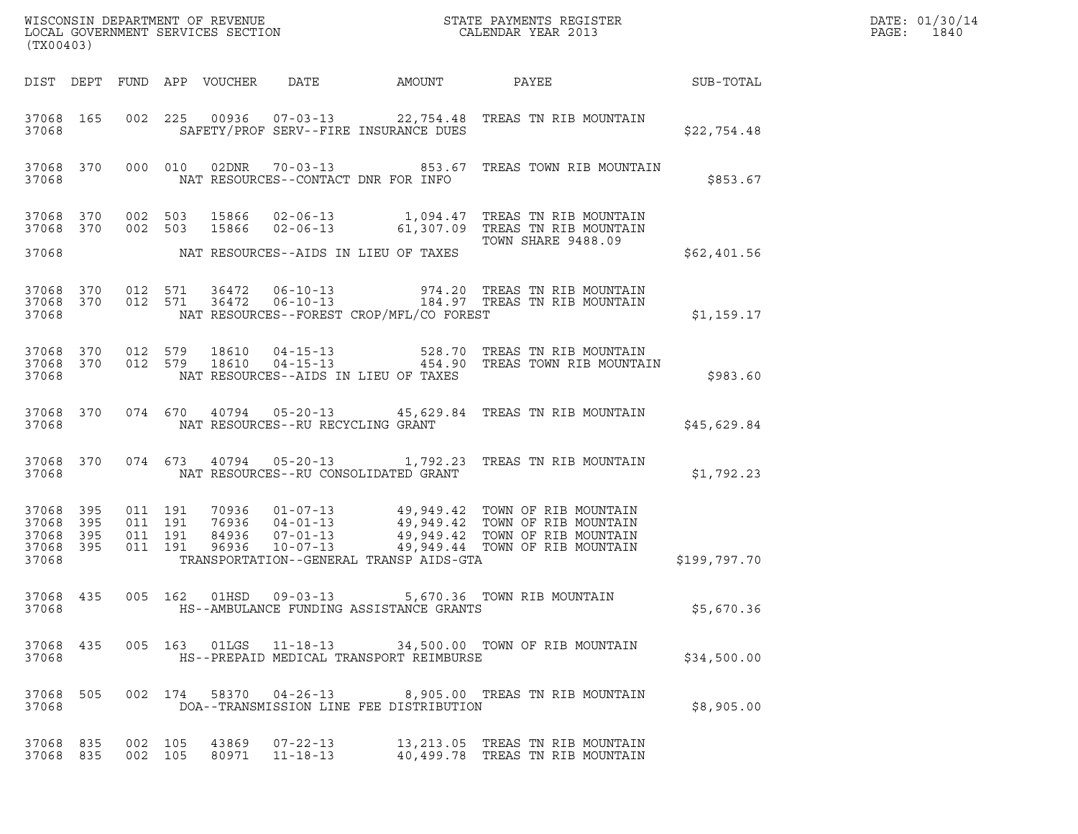| (TX00403)                                |            |                                          |                            |                                     |                                          |                                                                                                                                                                                           |              | DATE: 01/30/14<br>PAGE:<br>1840 |
|------------------------------------------|------------|------------------------------------------|----------------------------|-------------------------------------|------------------------------------------|-------------------------------------------------------------------------------------------------------------------------------------------------------------------------------------------|--------------|---------------------------------|
|                                          |            |                                          | DIST DEPT FUND APP VOUCHER | DATE                                | AMOUNT                                   | PAYEE                                                                                                                                                                                     | SUB-TOTAL    |                                 |
| 37068 165<br>37068                       |            |                                          |                            |                                     | SAFETY/PROF SERV--FIRE INSURANCE DUES    | 002 225 00936 07-03-13 22,754.48 TREAS TN RIB MOUNTAIN                                                                                                                                    | \$22,754.48  |                                 |
| 37068 370<br>37068                       |            | 000 010                                  | 02DNR                      | NAT RESOURCES--CONTACT DNR FOR INFO |                                          | 70-03-13 653.67 TREAS TOWN RIB MOUNTAIN                                                                                                                                                   | \$853.67     |                                 |
| 37068 370<br>37068 370                   |            | 002 503<br>002 503                       | 15866                      |                                     |                                          | 15866  02-06-13    1,094.47    TREAS TN RIB MOUNTAIN<br>02-06-13 61,307.09 TREAS TN RIB MOUNTAIN<br><b>TOWN SHARE 9488.09</b>                                                             |              |                                 |
| 37068                                    |            |                                          |                            |                                     | NAT RESOURCES--AIDS IN LIEU OF TAXES     |                                                                                                                                                                                           | \$62,401.56  |                                 |
| 37068 370<br>37068 370<br>37068          |            | 012 571<br>012 571                       | 36472<br>36472             | $06 - 10 - 13$<br>$06 - 10 - 13$    | NAT RESOURCES--FOREST CROP/MFL/CO FOREST | 974.20 TREAS TN RIB MOUNTAIN<br>184.97 TREAS TN RIB MOUNTAIN                                                                                                                              | \$1,159.17   |                                 |
| 37068 370<br>37068 370<br>37068          |            | 012 579<br>012 579                       | 18610<br>18610             |                                     | NAT RESOURCES--AIDS IN LIEU OF TAXES     | 04-15-13 528.70 TREAS TN RIB MOUNTAIN<br>04-15-13 454.90 TREAS TOWN RIB MOUNTAIN                                                                                                          | \$983.60     |                                 |
| 37068 370<br>37068                       |            |                                          |                            | NAT RESOURCES--RU RECYCLING GRANT   |                                          | 074 670 40794 05-20-13 45,629.84 TREAS TN RIB MOUNTAIN                                                                                                                                    | \$45,629.84  |                                 |
| 37068 370<br>37068                       |            |                                          |                            |                                     | NAT RESOURCES--RU CONSOLIDATED GRANT     | 074 673 40794 05-20-13 1,792.23 TREAS TN RIB MOUNTAIN                                                                                                                                     | \$1,792.23   |                                 |
| 37068 395<br>37068<br>37068<br>37068 395 | 395<br>395 | 011 191<br>011 191<br>011 191<br>011 191 | 76936<br>84936<br>96936    | $10 - 07 - 13$                      |                                          | 70936  01-07-13  49,949.42  TOWN OF RIB MOUNTAIN<br>04-01-13         49,949.42  TOWN OF RIB MOUNTAIN<br>07-01-13        49,949.42  TOWN OF RIB MOUNTAIN<br>49,949.44 TOWN OF RIB MOUNTAIN |              |                                 |
| 37068                                    |            |                                          |                            |                                     | TRANSPORTATION--GENERAL TRANSP AIDS-GTA  |                                                                                                                                                                                           | \$199,797.70 |                                 |
| 37068 435<br>37068                       |            |                                          |                            |                                     | HS--AMBULANCE FUNDING ASSISTANCE GRANTS  | 005 162 01HSD 09-03-13 5,670.36 TOWN RIB MOUNTAIN                                                                                                                                         | \$5,670.36   |                                 |
| 37068 435<br>37068                       |            |                                          |                            |                                     | HS--PREPAID MEDICAL TRANSPORT REIMBURSE  | 005 163 01LGS 11-18-13 34,500.00 TOWN OF RIB MOUNTAIN                                                                                                                                     | \$34,500.00  |                                 |
| 37068<br>37068                           | 505        |                                          |                            |                                     | DOA--TRANSMISSION LINE FEE DISTRIBUTION  | 002 174 58370 04-26-13 8,905.00 TREAS TN RIB MOUNTAIN                                                                                                                                     | \$8,905.00   |                                 |
| 37068 835<br>37068 835                   |            | 002 105<br>002 105                       | 43869<br>80971             | 07-22-13<br>$11 - 18 - 13$          |                                          | 13, 213.05 TREAS TN RIB MOUNTAIN<br>40,499.78 TREAS TN RIB MOUNTAIN                                                                                                                       |              |                                 |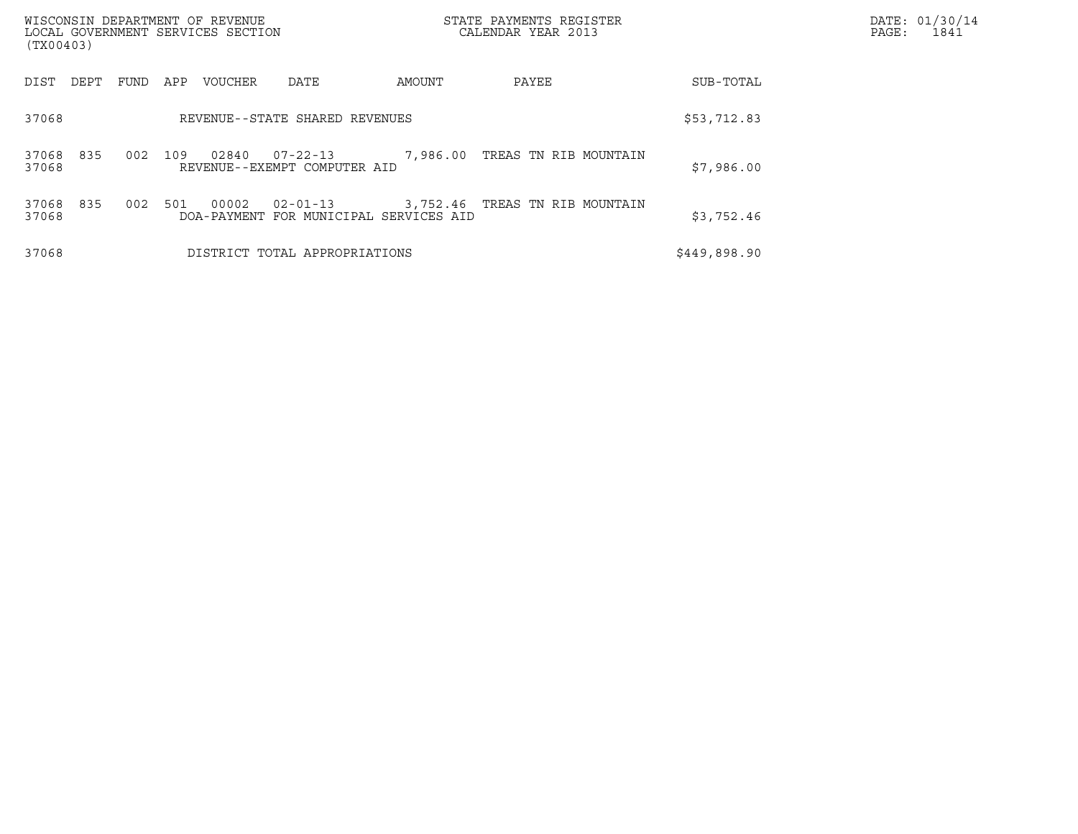| WISCONSIN DEPARTMENT OF REVENUE<br>LOCAL GOVERNMENT SERVICES SECTION<br>(TX00403) |      |     |                                |                                                          | STATE PAYMENTS REGISTER<br>CALENDAR YEAR 2013 |                                     | DATE: 01/30/14<br>PAGE:<br>1841 |  |
|-----------------------------------------------------------------------------------|------|-----|--------------------------------|----------------------------------------------------------|-----------------------------------------------|-------------------------------------|---------------------------------|--|
| DIST<br>DEPT                                                                      | FUND | APP | VOUCHER                        | DATE                                                     | AMOUNT                                        | PAYEE                               | SUB-TOTAL                       |  |
| 37068                                                                             |      |     | REVENUE--STATE SHARED REVENUES | \$53,712.83                                              |                                               |                                     |                                 |  |
| 835<br>37068<br>37068                                                             | 002  | 109 | 02840                          | 07-22-13<br>REVENUE--EXEMPT COMPUTER AID                 |                                               | 7,986.00 TREAS TN RIB MOUNTAIN      | \$7,986.00                      |  |
| 37068 835<br>37068                                                                | 002  | 501 | 00002                          | $02 - 01 - 13$<br>DOA-PAYMENT FOR MUNICIPAL SERVICES AID |                                               | 3,752.46   TREAS  TN  RIB  MOUNTAIN | \$3,752.46                      |  |
| 37068                                                                             |      |     |                                | DISTRICT TOTAL APPROPRIATIONS                            |                                               |                                     | \$449,898.90                    |  |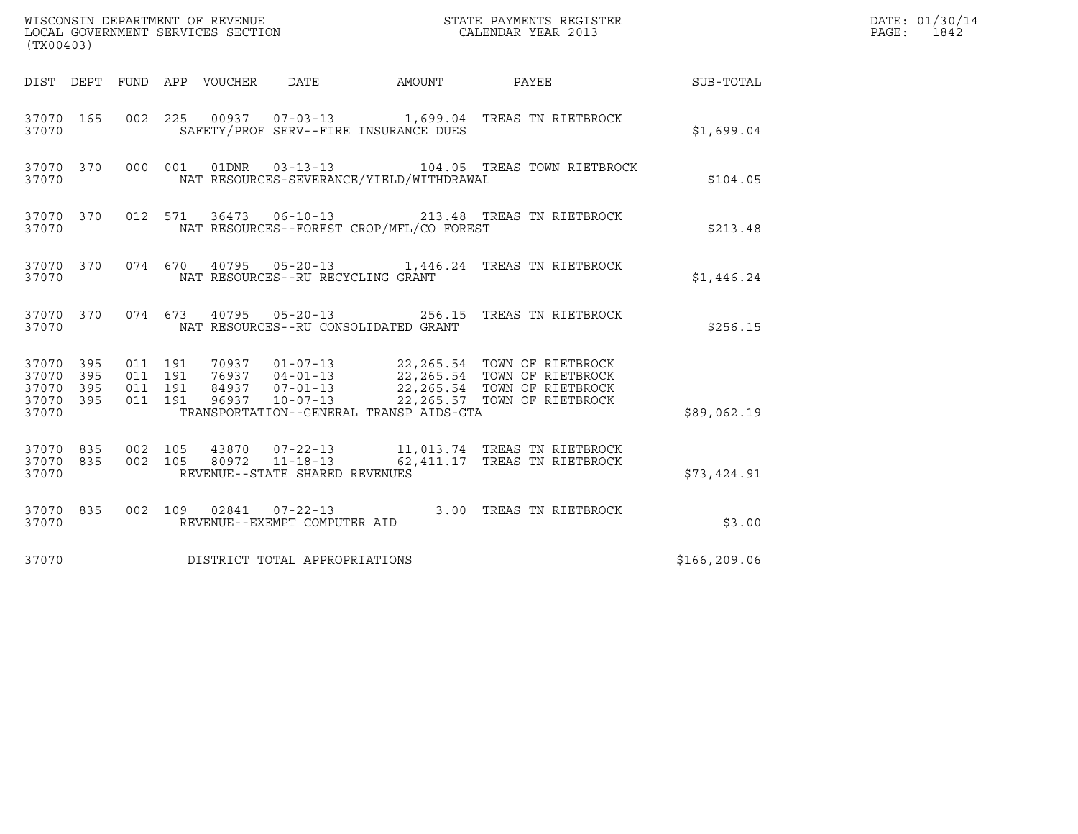| (TX00403)                                             |     |                                          |                                 |                                   |                                          |                                                                                                                                                                                                  |              | DATE: 01/30/14<br>PAGE: 1842 |
|-------------------------------------------------------|-----|------------------------------------------|---------------------------------|-----------------------------------|------------------------------------------|--------------------------------------------------------------------------------------------------------------------------------------------------------------------------------------------------|--------------|------------------------------|
|                                                       |     |                                          | DIST DEPT FUND APP VOUCHER DATE |                                   |                                          | AMOUNT PAYEE SUB-TOTAL                                                                                                                                                                           |              |                              |
| 37070 165<br>37070                                    |     |                                          |                                 |                                   | SAFETY/PROF SERV--FIRE INSURANCE DUES    | 002 225 00937 07-03-13 1,699.04 TREAS TN RIETBROCK                                                                                                                                               | \$1,699.04   |                              |
| 37070 370<br>37070                                    |     |                                          |                                 | 000 001 01DNR 03-13-13            | NAT RESOURCES-SEVERANCE/YIELD/WITHDRAWAL | 104.05 TREAS TOWN RIETBROCK                                                                                                                                                                      | \$104.05     |                              |
| 37070                                                 |     |                                          |                                 |                                   | NAT RESOURCES--FOREST CROP/MFL/CO FOREST | 37070 370 012 571 36473 06-10-13 213.48 TREAS TN RIETBROCK                                                                                                                                       | \$213.48     |                              |
| 37070                                                 |     |                                          |                                 | NAT RESOURCES--RU RECYCLING GRANT |                                          | 37070 370 074 670 40795 05-20-13 1,446.24 TREAS TN RIETBROCK                                                                                                                                     | \$1,446.24   |                              |
| 37070                                                 |     |                                          |                                 |                                   | NAT RESOURCES--RU CONSOLIDATED GRANT     | 37070 370 074 673 40795 05-20-13 256.15 TREAS TN RIETBROCK                                                                                                                                       | \$256.15     |                              |
| 37070 395<br>37070 395<br>37070<br>37070 395<br>37070 | 395 | 011 191<br>011 191<br>011 191<br>011 191 |                                 |                                   | TRANSPORTATION--GENERAL TRANSP AIDS-GTA  | 70937  01-07-13  22,265.54  TOWN OF RIETBROCK<br>76937  04-01-13  22,265.54  TOWN OF RIETBROCK<br>84937  07-01-13  22,265.54  TOWN OF RIETBROCK<br>96937  10-07-13  22,265.57  TOWN OF RIETBROCK | \$89,062.19  |                              |
| 37070 835 002 105<br>37070 835<br>37070               |     | 002 105                                  |                                 | REVENUE--STATE SHARED REVENUES    |                                          |                                                                                                                                                                                                  | \$73,424.91  |                              |
| 37070 835<br>37070                                    |     |                                          |                                 | REVENUE--EXEMPT COMPUTER AID      |                                          | 002 109 02841 07-22-13 3.00 TREAS TN RIETBROCK                                                                                                                                                   | \$3.00       |                              |
| 37070                                                 |     |                                          |                                 | DISTRICT TOTAL APPROPRIATIONS     |                                          |                                                                                                                                                                                                  | \$166,209.06 |                              |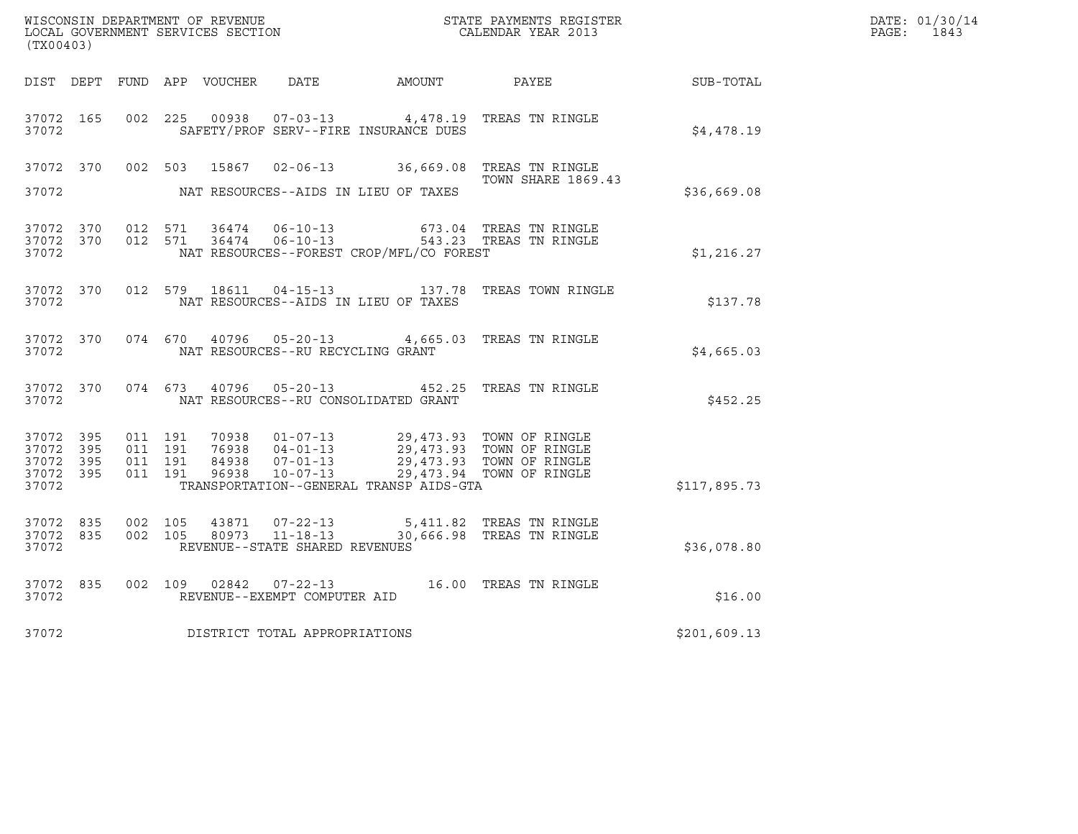| (TX00403)                                                 |           |                                          |                |                                   |                                                                                                                                                                                   |                                                                                         |                  | DATE: 01/30/14<br>PAGE: 1843 |
|-----------------------------------------------------------|-----------|------------------------------------------|----------------|-----------------------------------|-----------------------------------------------------------------------------------------------------------------------------------------------------------------------------------|-----------------------------------------------------------------------------------------|------------------|------------------------------|
|                                                           |           |                                          |                |                                   | DIST DEPT FUND APP VOUCHER DATE AMOUNT PAYEE                                                                                                                                      |                                                                                         | <b>SUB-TOTAL</b> |                              |
| 37072 165<br>37072                                        |           | 002 225                                  | 00938          |                                   | SAFETY/PROF SERV--FIRE INSURANCE DUES                                                                                                                                             | 07-03-13 4,478.19 TREAS TN RINGLE                                                       | \$4,478.19       |                              |
| 37072                                                     |           |                                          |                |                                   | NAT RESOURCES--AIDS IN LIEU OF TAXES                                                                                                                                              | 37072 370 002 503 15867 02-06-13 36,669.08 TREAS TN RINGLE<br><b>TOWN SHARE 1869.43</b> | \$36,669.08      |                              |
| 37072 370<br>37072                                        |           | 37072 370 012 571<br>012 571             |                |                                   | NAT RESOURCES--FOREST CROP/MFL/CO FOREST                                                                                                                                          | 673.04 TREAS TN RINGLE<br>543.23 TREAS TN RINGLE                                        | \$1,216.27       |                              |
| 37072                                                     |           |                                          |                |                                   | NAT RESOURCES--AIDS IN LIEU OF TAXES                                                                                                                                              | 37072 370 012 579 18611 04-15-13 137.78 TREAS TOWN RINGLE                               | \$137.78         |                              |
| 37072                                                     |           |                                          |                | NAT RESOURCES--RU RECYCLING GRANT |                                                                                                                                                                                   | 37072 370 074 670 40796 05-20-13 4,665.03 TREAS TN RINGLE                               | \$4,665.03       |                              |
| 37072                                                     | 37072 370 | 074 673                                  |                | 40796 05-20-13                    | NAT RESOURCES--RU CONSOLIDATED GRANT                                                                                                                                              | 452.25 TREAS TN RINGLE                                                                  | \$452.25         |                              |
| 37072 395<br>37072 395<br>37072 395<br>37072 395<br>37072 |           | 011 191<br>011 191<br>011 191<br>011 191 | 96938          | 07-01-13<br>10-07-13              | 70938  01-07-13  29,473.93  TOWN OF RINGLE<br>76938  04-01-13  29,473.93  TOWN OF RINGLE<br>84938  07-01-13  29,473.93  TOWN OF RINGLE<br>TRANSPORTATION--GENERAL TRANSP AIDS-GTA | 29,473.94 TOWN OF RINGLE                                                                | \$117,895.73     |                              |
| 37072 835<br>37072 835<br>37072                           |           | 002 105<br>002 105                       | 43871<br>80973 | REVENUE--STATE SHARED REVENUES    |                                                                                                                                                                                   | 07-22-13 5,411.82 TREAS TN RINGLE<br>11-18-13 30,666.98 TREAS TN RINGLE                 | \$36,078.80      |                              |
| 37072                                                     | 37072 835 |                                          |                | REVENUE--EXEMPT COMPUTER AID      |                                                                                                                                                                                   | 002 109 02842 07-22-13 16.00 TREAS TN RINGLE                                            | \$16.00          |                              |
| 37072                                                     |           |                                          |                | DISTRICT TOTAL APPROPRIATIONS     |                                                                                                                                                                                   |                                                                                         | \$201,609.13     |                              |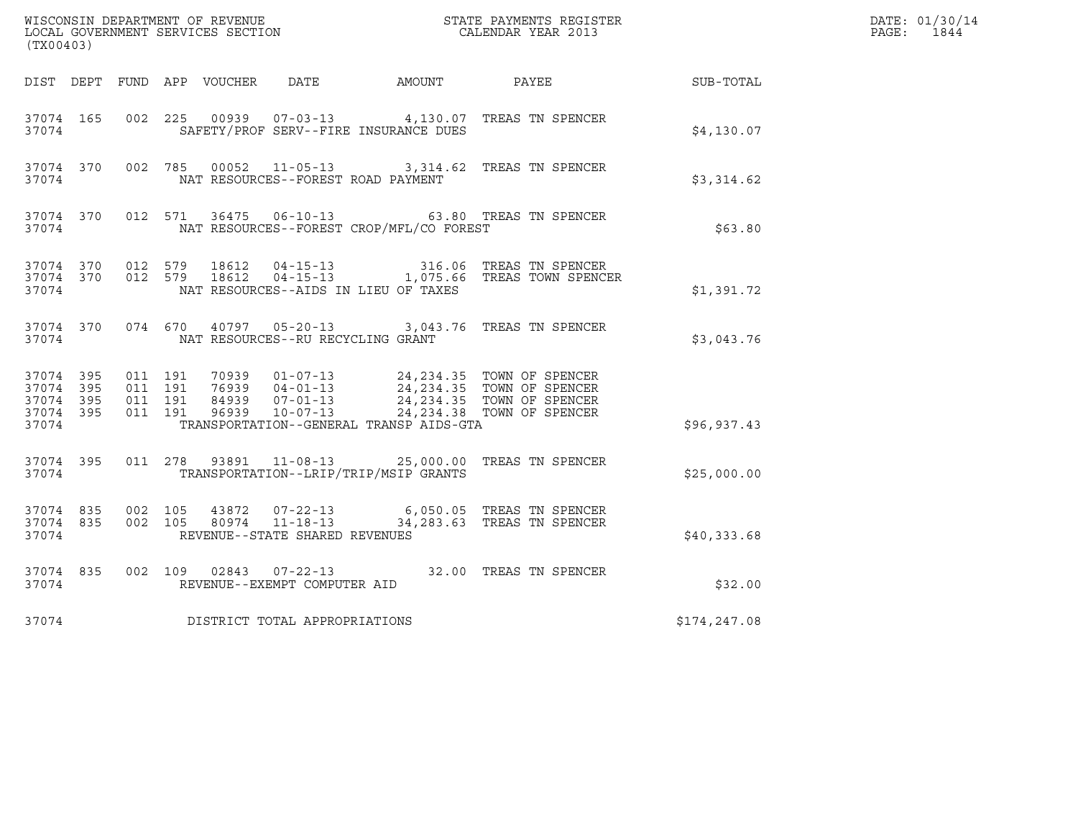| (TX00403)                                                 |           |                                          |                |                                                                    |                                          | $\tt WISCONSIM DEPARTMENT OF REVENUE$ $\tt TOCAL BINDAR YEAR$ 2013 $\tt COALENDAR YEAR$ 2013                                                                                        |               | DATE: 01/30/14<br>PAGE: 1844 |
|-----------------------------------------------------------|-----------|------------------------------------------|----------------|--------------------------------------------------------------------|------------------------------------------|-------------------------------------------------------------------------------------------------------------------------------------------------------------------------------------|---------------|------------------------------|
|                                                           |           |                                          |                |                                                                    | DIST DEPT FUND APP VOUCHER DATE AMOUNT   | PAYEE                                                                                                                                                                               | SUB-TOTAL     |                              |
| 37074 165<br>37074                                        |           | 002 225                                  |                |                                                                    | SAFETY/PROF SERV--FIRE INSURANCE DUES    | 00939  07-03-13  4,130.07  TREAS TN SPENCER                                                                                                                                         | \$4,130.07    |                              |
| 37074 370<br>37074                                        |           |                                          |                | NAT RESOURCES--FOREST ROAD PAYMENT                                 |                                          | 002 785 00052 11-05-13 3,314.62 TREAS TN SPENCER                                                                                                                                    | \$3,314.62    |                              |
| 37074                                                     |           |                                          |                |                                                                    | NAT RESOURCES--FOREST CROP/MFL/CO FOREST | 37074 370 012 571 36475 06-10-13 63.80 TREAS TN SPENCER                                                                                                                             | \$63.80       |                              |
| 37074                                                     | 37074 370 | 37074 370 012 579<br>012 579             | 18612<br>18612 |                                                                    | NAT RESOURCES--AIDS IN LIEU OF TAXES     | 04-15-13 316.06 TREAS TN SPENCER<br>04-15-13 1,075.66 TREAS TOWN SPENCER                                                                                                            | \$1,391.72    |                              |
| 37074                                                     | 37074 370 | 074 670                                  |                | NAT RESOURCES--RU RECYCLING GRANT                                  |                                          | 40797  05-20-13  3,043.76  TREAS TN SPENCER                                                                                                                                         | \$3,043.76    |                              |
| 37074 395<br>37074 395<br>37074 395<br>37074 395<br>37074 |           | 011 191<br>011 191<br>011 191<br>011 191 | 96939          | $10 - 07 - 13$                                                     | TRANSPORTATION--GENERAL TRANSP AIDS-GTA  | 70939  01-07-13  24,234.35  TOWN OF SPENCER<br>76939 04-01-13<br>76939 04-01-13 24,234.35 TOWN OF SPENCER<br>84939 07-01-13 24.234.35 TOWN OF SPENCER<br>24, 234.38 TOWN OF SPENCER | \$96,937.43   |                              |
| 37074                                                     | 37074 395 |                                          |                |                                                                    | TRANSPORTATION--LRIP/TRIP/MSIP GRANTS    | 011  278  93891  11-08-13  25,000.00 TREAS TN SPENCER                                                                                                                               | \$25,000.00   |                              |
| 37074 835<br>37074 835<br>37074                           |           | 002 105<br>002 105                       | 43872          | $07 - 22 - 13$<br>80974 11-18-13<br>REVENUE--STATE SHARED REVENUES |                                          | 6,050.05 TREAS TN SPENCER<br>34,283.63 TREAS TN SPENCER                                                                                                                             | \$40,333.68   |                              |
| 37074 835<br>37074                                        |           | 002 109                                  |                | $02843$ $07-22-13$<br>REVENUE--EXEMPT COMPUTER AID                 |                                          | 32.00 TREAS TN SPENCER                                                                                                                                                              | \$32.00       |                              |
| 37074                                                     |           |                                          |                | DISTRICT TOTAL APPROPRIATIONS                                      |                                          |                                                                                                                                                                                     | \$174, 247.08 |                              |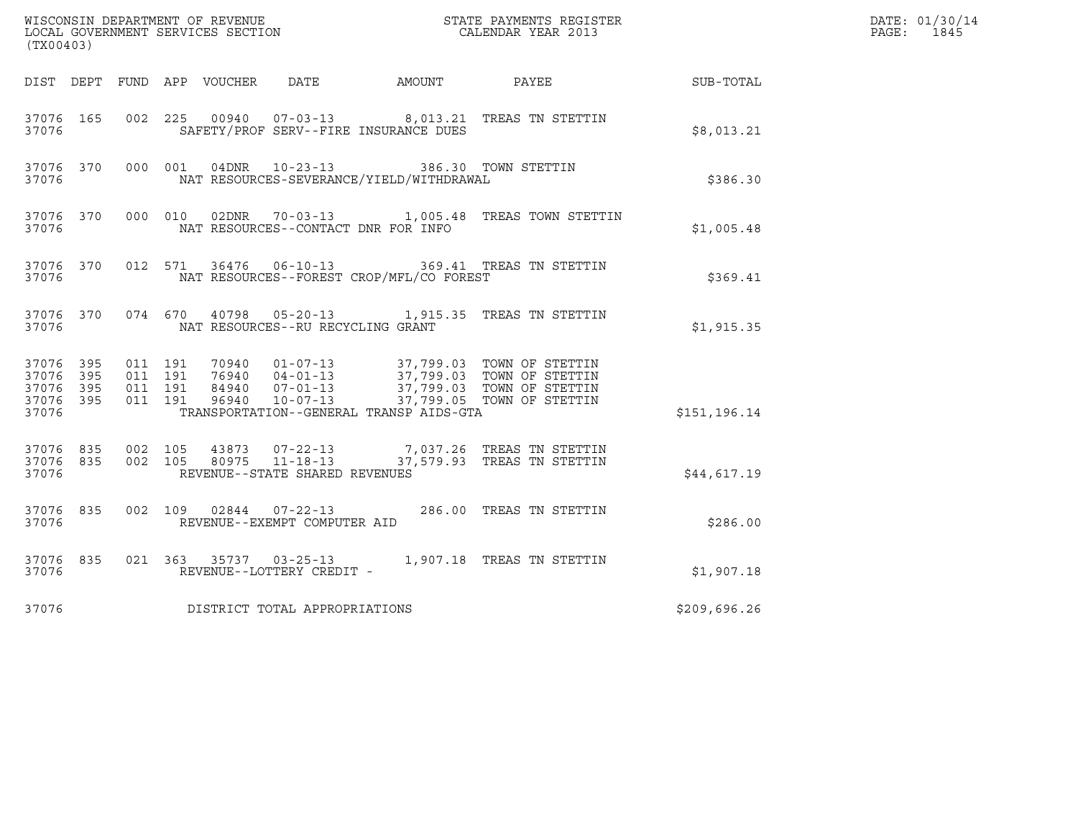| (TX00403)                                                 |                        |                                          |  |                                                          |                                          | $\tt WISCONSIM DEPARTMENT OF REVENUE$ $\tt TOCAL BINDAR YEAR$ 2013 $\tt COALENDAR YEAR$ 2013                                                                                             |              | DATE: 01/30/14<br>PAGE: 1845 |
|-----------------------------------------------------------|------------------------|------------------------------------------|--|----------------------------------------------------------|------------------------------------------|------------------------------------------------------------------------------------------------------------------------------------------------------------------------------------------|--------------|------------------------------|
|                                                           |                        |                                          |  |                                                          |                                          | DIST DEPT FUND APP VOUCHER DATE AMOUNT PAYEE THE SUB-TOTAL                                                                                                                               |              |                              |
| 37076 165<br>37076                                        |                        |                                          |  |                                                          | SAFETY/PROF SERV--FIRE INSURANCE DUES    | 002 225 00940 07-03-13 8,013.21 TREAS TN STETTIN                                                                                                                                         | \$8,013.21   |                              |
| 37076                                                     | 37076 370              |                                          |  | 000 001 04DNR 10-23-13                                   | NAT RESOURCES-SEVERANCE/YIELD/WITHDRAWAL | 386.30 TOWN STETTIN                                                                                                                                                                      | \$386.30     |                              |
| 37076                                                     | 37076 370              |                                          |  |                                                          | NAT RESOURCES--CONTACT DNR FOR INFO      | 000 010 02DNR 70-03-13 1,005.48 TREAS TOWN STETTIN                                                                                                                                       | \$1,005.48   |                              |
| 37076                                                     |                        |                                          |  |                                                          | NAT RESOURCES--FOREST CROP/MFL/CO FOREST | 37076 370 012 571 36476 06-10-13 369.41 TREAS TN STETTIN                                                                                                                                 | \$369.41     |                              |
| 37076                                                     |                        |                                          |  | NAT RESOURCES--RU RECYCLING GRANT                        |                                          | 37076 370 074 670 40798 05-20-13 1,915.35 TREAS TN STETTIN                                                                                                                               | \$1,915.35   |                              |
| 37076 395<br>37076 395<br>37076 395<br>37076 395<br>37076 |                        | 011 191<br>011 191<br>011 191<br>011 191 |  |                                                          | TRANSPORTATION--GENERAL TRANSP AIDS-GTA  | 70940  01-07-13  37,799.03  TOWN OF STETTIN<br>76940  04-01-13  37,799.03  TOWN OF STETTIN<br>84940  07-01-13  37,799.03  TOWN OF STETTIN<br>96940  10-07-13  37,799.05  TOWN OF STETTIN | \$151,196.14 |                              |
| 37076                                                     | 37076 835<br>37076 835 | 002 105                                  |  | 002 105 80975 11-18-13<br>REVENUE--STATE SHARED REVENUES |                                          | 43873  07-22-13  7,037.26  TREAS TN STETTIN<br>37,579.93 TREAS TN STETTIN                                                                                                                | \$44,617.19  |                              |
| 37076 835<br>37076                                        |                        |                                          |  | REVENUE--EXEMPT COMPUTER AID                             |                                          | 002 109 02844 07-22-13 286.00 TREAS TN STETTIN                                                                                                                                           | \$286.00     |                              |
| 37076                                                     | 37076 835              |                                          |  | REVENUE--LOTTERY CREDIT -                                |                                          | 021 363 35737 03-25-13 1,907.18 TREAS TN STETTIN                                                                                                                                         | \$1,907.18   |                              |
| 37076                                                     |                        |                                          |  | DISTRICT TOTAL APPROPRIATIONS                            |                                          |                                                                                                                                                                                          | \$209,696.26 |                              |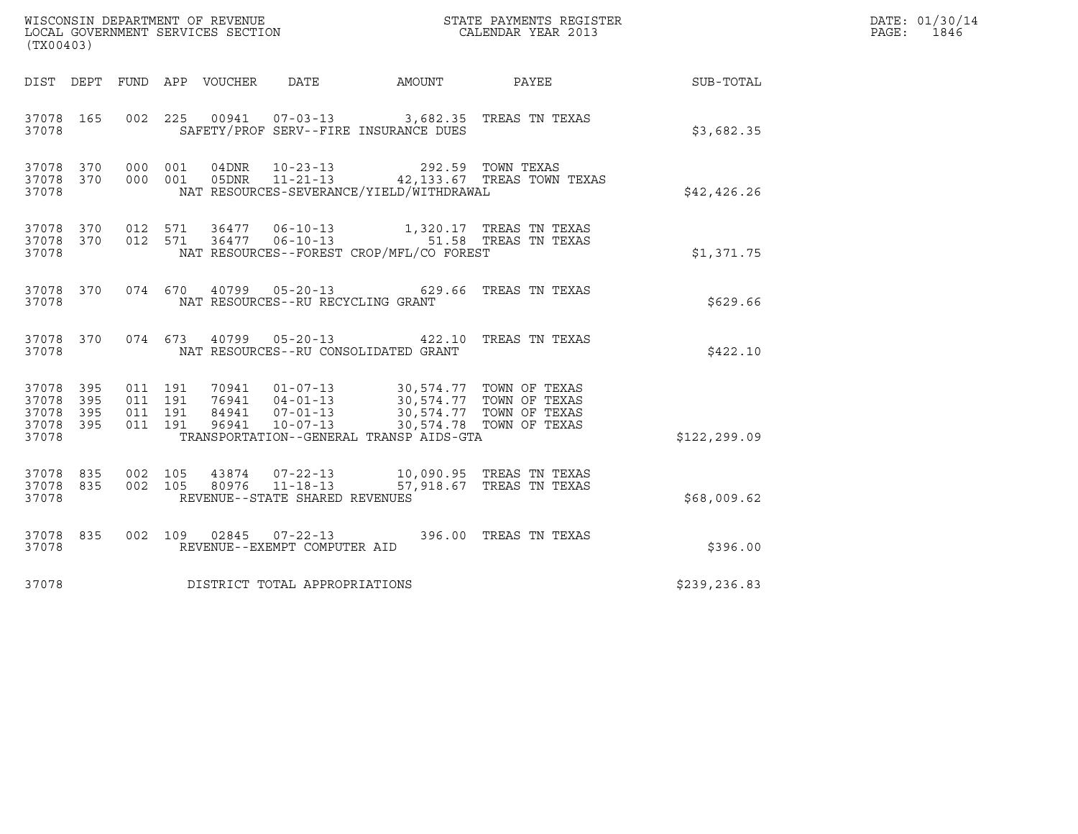| (TX00403)                                     |                   |                    |                    |                  | WISCONSIN DEPARTMENT OF REVENUE<br>LOCAL GOVERNMENT SERVICES SECTION |                                                                                         | STATE PAYMENTS REGISTER<br>CALENDAR YEAR 2013        |              | DATE: 01/30/14<br>$\mathtt{PAGE:}$<br>1846 |
|-----------------------------------------------|-------------------|--------------------|--------------------|------------------|----------------------------------------------------------------------|-----------------------------------------------------------------------------------------|------------------------------------------------------|--------------|--------------------------------------------|
| DIST DEPT                                     |                   |                    |                    | FUND APP VOUCHER | DATE                                                                 | AMOUNT                                                                                  | PAYEE                                                | SUB-TOTAL    |                                            |
| 37078 165<br>37078                            |                   |                    |                    |                  |                                                                      | 002 225 00941 07-03-13 3,682.35 TREAS TN TEXAS<br>SAFETY/PROF SERV--FIRE INSURANCE DUES |                                                      | \$3,682.35   |                                            |
| 37078 370<br>37078 370<br>37078               |                   | 000 001<br>000 001 |                    | 04DNR<br>05DNR   | $11 - 21 - 13$                                                       | 10-23-13 292.59 TOWN TEXAS<br>NAT RESOURCES-SEVERANCE/YIELD/WITHDRAWAL                  | 42,133.67 TREAS TOWN TEXAS                           | \$42,426.26  |                                            |
| 37078 370<br>37078 370<br>37078               |                   | 012 571            | 012 571            |                  | 36477 06-10-13<br>$36477$ 06-10-13                                   | NAT RESOURCES--FOREST CROP/MFL/CO FOREST                                                | 1,320.17 TREAS TN TEXAS<br>51.58 TREAS TN TEXAS      | \$1,371.75   |                                            |
| 37078 370<br>37078                            |                   |                    | 074 670            |                  | NAT RESOURCES--RU RECYCLING GRANT                                    | 40799  05-20-13  629.66  TREAS TN TEXAS                                                 |                                                      | \$629.66     |                                            |
| 37078 370<br>37078                            |                   |                    | 074 673            |                  |                                                                      | 40799  05-20-13  422.10  TREAS TN TEXAS<br>NAT RESOURCES--RU CONSOLIDATED GRANT         |                                                      | \$422.10     |                                            |
| 37078 395<br>37078<br>37078<br>37078<br>37078 | 395<br>395<br>395 | 011 191<br>011 191 | 011 191<br>011 191 | 96941            | $10 - 07 - 13$                                                       | TRANSPORTATION--GENERAL TRANSP AIDS-GTA                                                 | 30,574.78 TOWN OF TEXAS                              | \$122,299.09 |                                            |
| 37078 835<br>37078 835<br>37078               |                   |                    | 002 105<br>002 105 | 43874<br>80976   | $07 - 22 - 13$<br>$11 - 18 - 13$<br>REVENUE--STATE SHARED REVENUES   |                                                                                         | 10,090.95 TREAS TN TEXAS<br>57,918.67 TREAS TN TEXAS | \$68,009.62  |                                            |
| 37078 835<br>37078                            |                   |                    |                    |                  | 002 109 02845 07-22-13<br>REVENUE--EXEMPT COMPUTER AID               |                                                                                         | 396.00 TREAS TN TEXAS                                | \$396.00     |                                            |
| 37078                                         |                   |                    |                    |                  | DISTRICT TOTAL APPROPRIATIONS                                        |                                                                                         |                                                      | \$239,236.83 |                                            |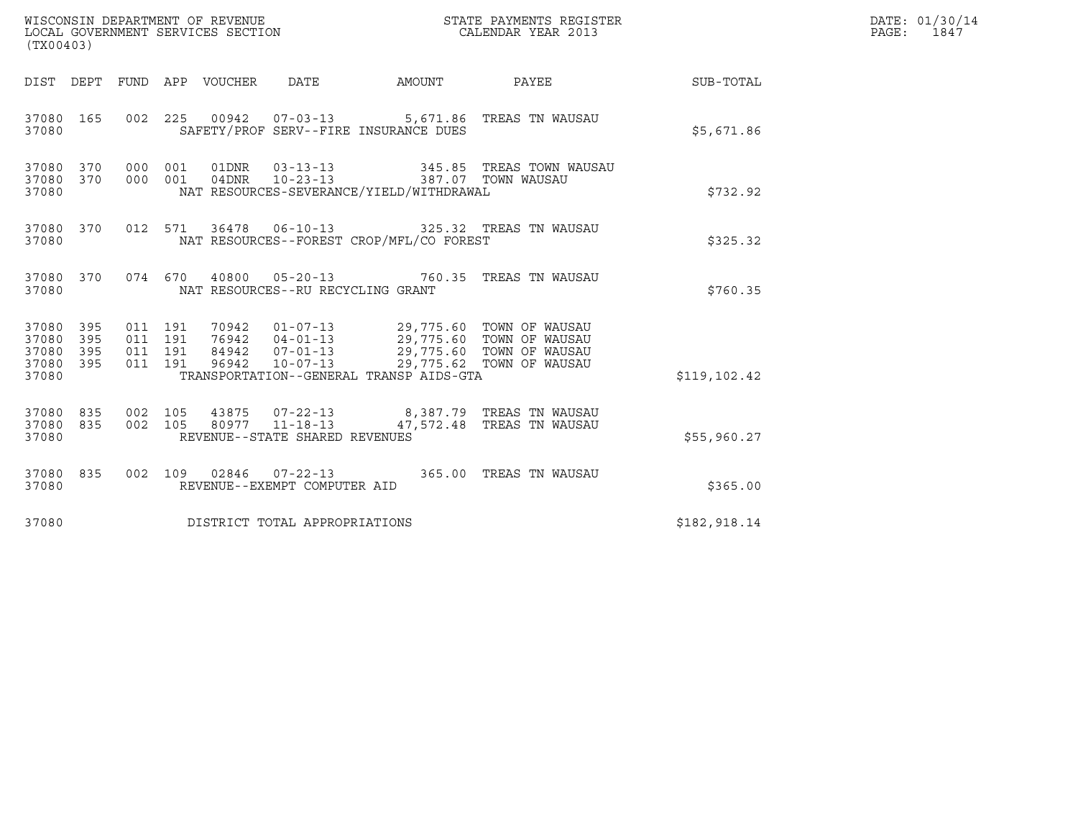| (TX00403)                                             |     |                               |         |       | WISCONSIN DEPARTMENT OF REVENUE<br>LOCAL GOVERNMENT SERVICES SECTION |                                                                     | STATE PAYMENTS REGISTER<br>CALENDAR YEAR 2013                                                                                                                                                                 |               | DATE: 01/30/14<br>PAGE: 1847 |
|-------------------------------------------------------|-----|-------------------------------|---------|-------|----------------------------------------------------------------------|---------------------------------------------------------------------|---------------------------------------------------------------------------------------------------------------------------------------------------------------------------------------------------------------|---------------|------------------------------|
|                                                       |     |                               |         |       |                                                                      |                                                                     | DIST DEPT FUND APP VOUCHER DATE AMOUNT PAYEE TO SUB-TOTAL                                                                                                                                                     |               |                              |
| 37080 165<br>37080                                    |     |                               |         |       |                                                                      | SAFETY/PROF SERV--FIRE INSURANCE DUES                               | 002 225 00942 07-03-13 5,671.86 TREAS TN WAUSAU                                                                                                                                                               | \$5,671.86    |                              |
| 37080 370<br>37080 370<br>37080                       |     | 000 001                       | 000 001 |       |                                                                      | NAT RESOURCES-SEVERANCE/YIELD/WITHDRAWAL                            | $\begin{array}{cccc} \texttt{01DNR} & \texttt{03-13-13} & \texttt{345.85} & \texttt{TREAS} & \texttt{TOWN WAUSAU} \\ \texttt{04DNR} & \texttt{10-23-13} & \texttt{387.07} & \texttt{TOWN WAUSAU} \end{array}$ | \$732.92      |                              |
| 37080 370<br>37080                                    |     |                               |         |       |                                                                      | NAT RESOURCES--FOREST CROP/MFL/CO FOREST                            | 012 571 36478 06-10-13 325.32 TREAS TN WAUSAU                                                                                                                                                                 | \$325.32      |                              |
| 37080 370<br>37080                                    |     |                               |         |       | NAT RESOURCES--RU RECYCLING GRANT                                    |                                                                     | 074 670 40800 05-20-13 760.35 TREAS TN WAUSAU                                                                                                                                                                 | \$760.35      |                              |
| 37080 395<br>37080<br>37080 395<br>37080 395<br>37080 | 395 | 011 191<br>011 191<br>011 191 | 011 191 | 96942 | $10 - 07 - 13$                                                       | 29,775.62 TOWN OF WAUSAU<br>TRANSPORTATION--GENERAL TRANSP AIDS-GTA |                                                                                                                                                                                                               | \$119, 102.42 |                              |
| 37080 835<br>37080 835<br>37080                       |     | 002 105                       | 002 105 |       | 80977 11-18-13<br>REVENUE--STATE SHARED REVENUES                     |                                                                     | 43875  07-22-13  8,387.79  TREAS TN WAUSAU<br>47,572.48 TREAS TN WAUSAU                                                                                                                                       | \$55,960.27   |                              |
| 37080 835<br>37080                                    |     |                               |         |       | REVENUE--EXEMPT COMPUTER AID                                         |                                                                     | 002  109  02846  07-22-13  365.00  TREAS TN WAUSAU                                                                                                                                                            | \$365.00      |                              |
| 37080                                                 |     |                               |         |       | DISTRICT TOTAL APPROPRIATIONS                                        |                                                                     |                                                                                                                                                                                                               | \$182,918.14  |                              |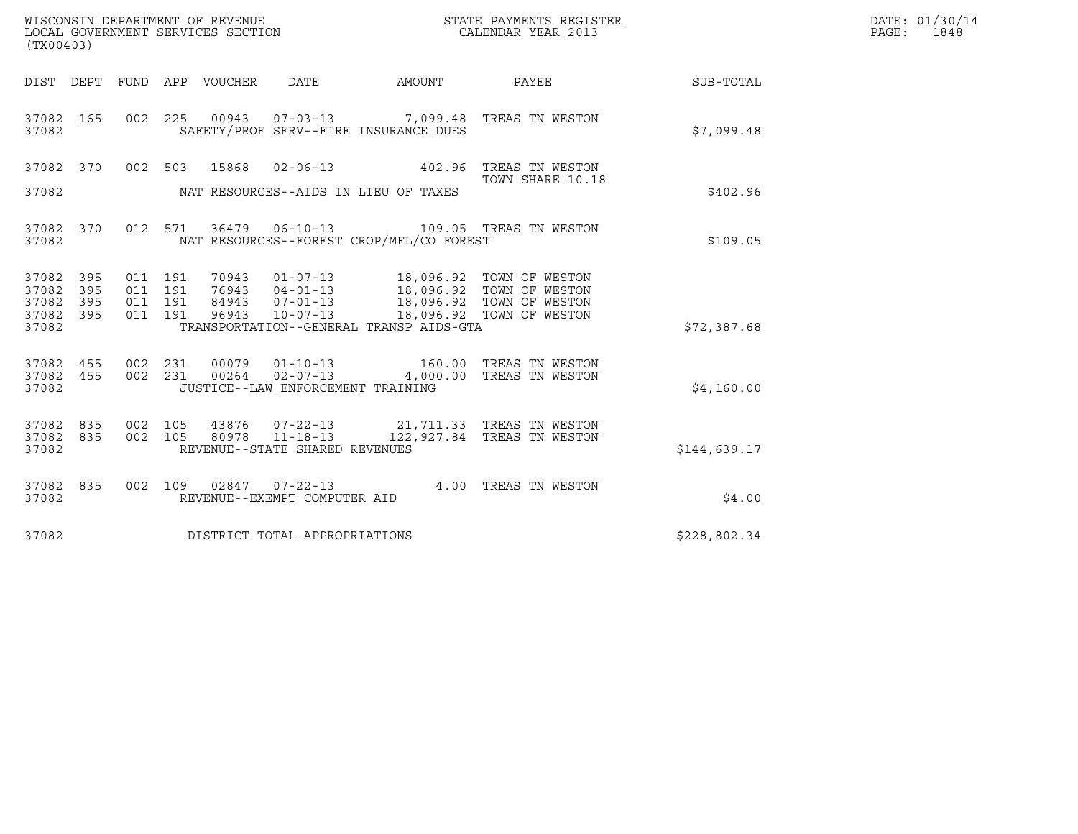| WISCONSIN DEPARTMENT OF REVENUE   | STATE PAYMENTS REGISTER | DATE: 01/30/14 |
|-----------------------------------|-------------------------|----------------|
| LOCAL GOVERNMENT SERVICES SECTION | CALENDAR YEAR 2013      | 1848<br>PAGE:  |

| (TX00403)                       |     |  |         |               |                                     |                                          |                                                                                                                                                                                      |              | DATE: 01/30/14<br>PAGE:<br>1848 |
|---------------------------------|-----|--|---------|---------------|-------------------------------------|------------------------------------------|--------------------------------------------------------------------------------------------------------------------------------------------------------------------------------------|--------------|---------------------------------|
|                                 |     |  |         |               |                                     |                                          | DIST DEPT FUND APP VOUCHER DATE AMOUNT PAYEE                                                                                                                                         | SUB-TOTAL    |                                 |
| 37082 165<br>37082              |     |  |         |               |                                     | SAFETY/PROF SERV--FIRE INSURANCE DUES    | 002 225 00943 07-03-13 7,099.48 TREAS TN WESTON                                                                                                                                      | \$7,099.48   |                                 |
|                                 |     |  |         |               |                                     |                                          | 37082 370 002 503 15868 02-06-13 402.96 TREAS TN WESTON<br>TOWN SHARE 10.18                                                                                                          |              |                                 |
|                                 |     |  |         |               |                                     |                                          |                                                                                                                                                                                      | \$402.96     |                                 |
| 37082 370<br>37082              |     |  |         | 012 571 36479 |                                     | NAT RESOURCES--FOREST CROP/MFL/CO FOREST | 06-10-13 109.05 TREAS TN WESTON                                                                                                                                                      | \$109.05     |                                 |
| 37082 395<br>37082              | 395 |  | 011 191 | 011 191 70943 |                                     |                                          | 70943  01-07-13  18,096.92  TOWN OF WESTON<br>76943  04-01-13  18,096.92  TOWN OF WESTON<br>84943  07-01-13  18,096.92  TOWN OF WESTON<br>96943  10-07-13  18,096.92  TOWN OF WESTON |              |                                 |
| 37082<br>37082 395<br>37082     | 395 |  | 011 191 | 011 191 96943 |                                     | TRANSPORTATION--GENERAL TRANSP AIDS-GTA  |                                                                                                                                                                                      | \$72,387.68  |                                 |
| 37082 455<br>37082 455          |     |  |         |               |                                     |                                          | 002 231 00079 01-10-13 160.00 TREAS TN WESTON 002 231 00264 02-07-13 4,000.00 TREAS TN WESTON                                                                                        |              |                                 |
| 37082                           |     |  |         |               | JUSTICE--LAW ENFORCEMENT TRAINING   |                                          |                                                                                                                                                                                      | \$4,160.00   |                                 |
| 37082 835<br>37082 835<br>37082 |     |  |         |               | REVENUE--STATE SHARED REVENUES      |                                          | 002 105 43876 07-22-13 21,711.33 TREAS TN WESTON 002 105 80978 11-18-13 122,927.84 TREAS TN WESTON                                                                                   | \$144,639.17 |                                 |
| 37082 835<br>37082              |     |  |         |               | REVENUE--EXEMPT COMPUTER AID        |                                          | 002 109 02847 07-22-13 4.00 TREAS TN WESTON                                                                                                                                          | \$4.00       |                                 |
|                                 |     |  |         |               | 37082 DISTRICT TOTAL APPROPRIATIONS |                                          |                                                                                                                                                                                      | \$228,802.34 |                                 |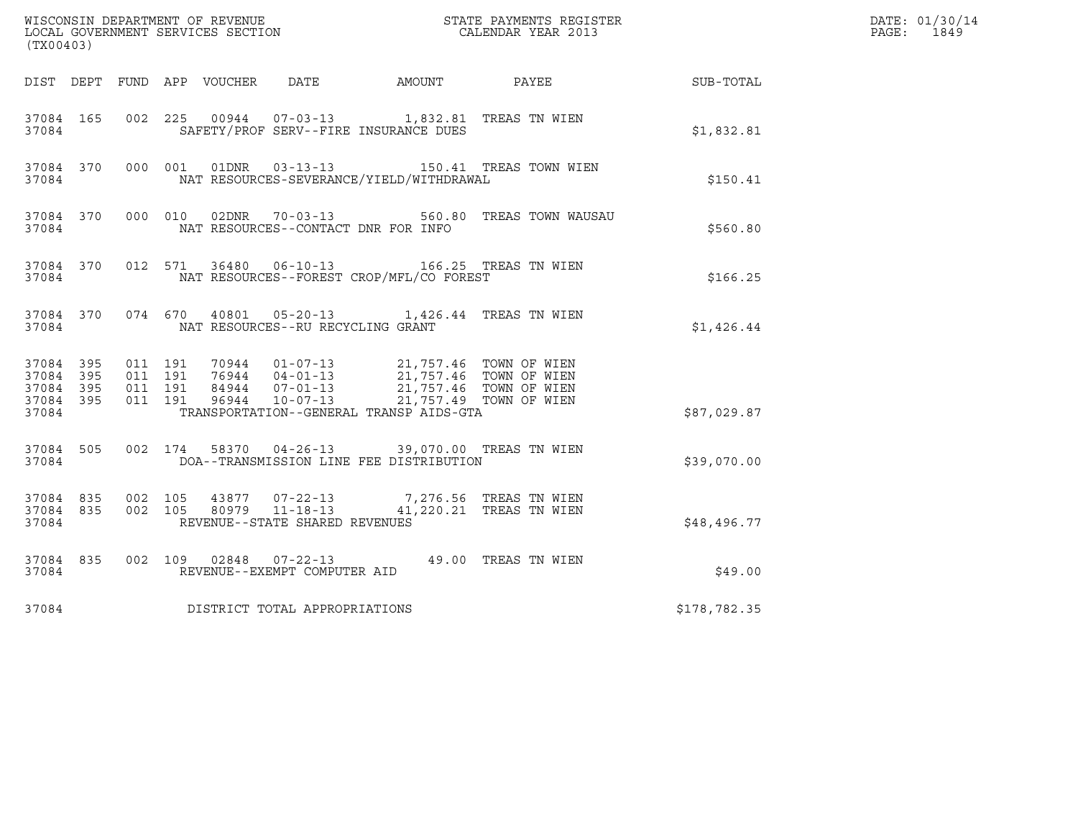| (TX00403)              |                        |                                          |               |                                |                                                                                                                                                                  |                                                                                       |              | DATE: 01/30/14<br>PAGE: 1849 |
|------------------------|------------------------|------------------------------------------|---------------|--------------------------------|------------------------------------------------------------------------------------------------------------------------------------------------------------------|---------------------------------------------------------------------------------------|--------------|------------------------------|
|                        |                        |                                          |               |                                |                                                                                                                                                                  | DIST DEPT FUND APP VOUCHER DATE AMOUNT PAYEE SUB-TOTAL                                |              |                              |
| 37084                  | 37084 165              |                                          |               |                                | SAFETY/PROF SERV--FIRE INSURANCE DUES                                                                                                                            | 002 225 00944 07-03-13 1,832.81 TREAS TN WIEN                                         | \$1,832.81   |                              |
| 37084                  | 37084 370              |                                          | 000 001 01DNR | $03 - 13 - 13$                 | NAT RESOURCES-SEVERANCE/YIELD/WITHDRAWAL                                                                                                                         | 150.41 TREAS TOWN WIEN                                                                | \$150.41     |                              |
| 37084                  | 37084 370              |                                          |               | 000 010 02DNR 70-03-13         | NAT RESOURCES--CONTACT DNR FOR INFO                                                                                                                              | 560.80 TREAS TOWN WAUSAU                                                              | \$560.80     |                              |
| 37084                  | 37084 370              |                                          |               |                                | NAT RESOURCES--FOREST CROP/MFL/CO FOREST                                                                                                                         | 012 571 36480 06-10-13 166.25 TREAS TN WIEN                                           | \$166.25     |                              |
|                        | 37084 370<br>37084     |                                          |               |                                | NAT RESOURCES--RU RECYCLING GRANT                                                                                                                                | 074 670 40801 05-20-13 1,426.44 TREAS TN WIEN                                         | \$1,426.44   |                              |
| 37084 395<br>37084 395 | 37084 395<br>37084 395 | 011 191<br>011 191<br>011 191<br>011 191 |               |                                | 70944 01-07-13 21,757.46 TOWN OF WIEN<br>76944 04-01-13 21,757.46 TOWN OF WIEN<br>84944 07-01-13 21,757.46 TOWN OF WIEN<br>96944 10-07-13 21,757.49 TOWN OF WIEN |                                                                                       |              |                              |
| 37084                  |                        |                                          |               |                                | TRANSPORTATION--GENERAL TRANSP AIDS-GTA                                                                                                                          |                                                                                       | \$87,029.87  |                              |
| 37084                  | 37084 505              |                                          |               |                                | DOA--TRANSMISSION LINE FEE DISTRIBUTION                                                                                                                          | 002 174 58370 04-26-13 39,070.00 TREAS TN WIEN                                        | \$39,070.00  |                              |
| 37084 835<br>37084     | 37084 835 002 105      | 002 105                                  |               | REVENUE--STATE SHARED REVENUES |                                                                                                                                                                  | 43877  07-22-13  7,276.56  TREAS TN WIEN<br>80979  11-18-13  41,220.21  TREAS TN WIEN | \$48,496.77  |                              |
| 37084                  | 37084 835              |                                          |               | REVENUE--EXEMPT COMPUTER AID   |                                                                                                                                                                  | 002 109 02848 07-22-13 49.00 TREAS TN WIEN                                            | \$49.00      |                              |
| 37084                  |                        |                                          |               | DISTRICT TOTAL APPROPRIATIONS  |                                                                                                                                                                  |                                                                                       | \$178,782.35 |                              |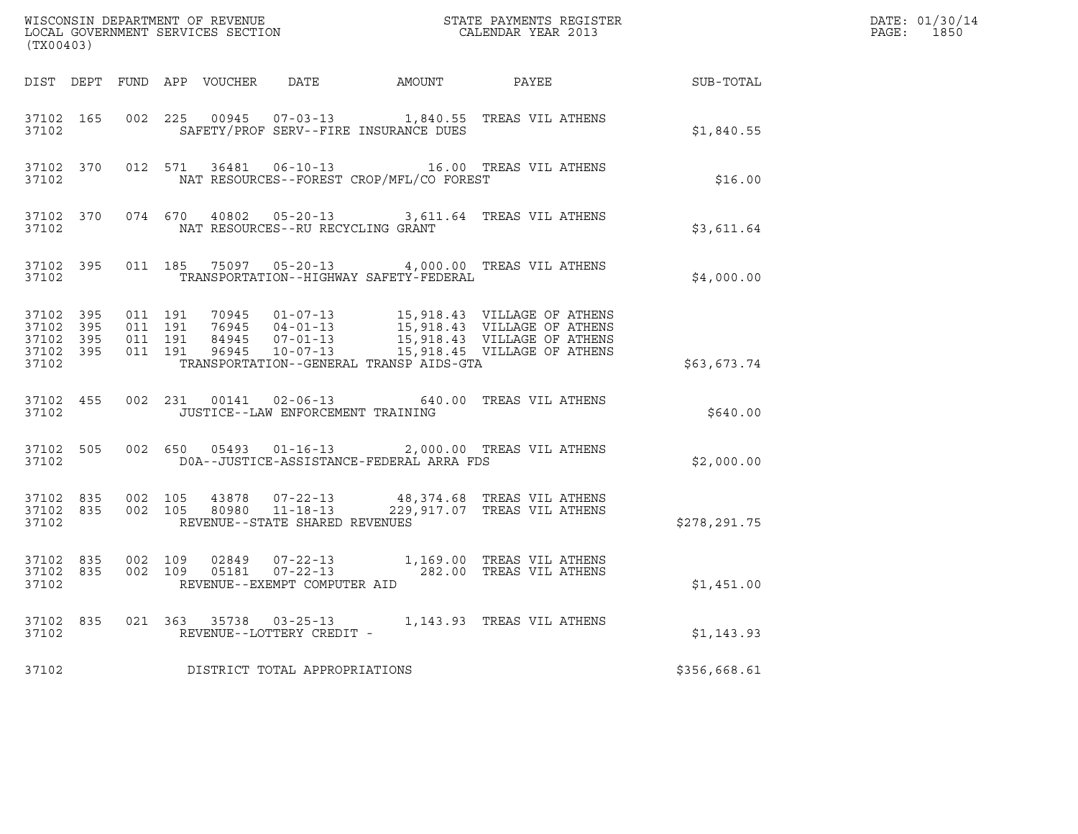| (TX00403)                                    |                                |  |                                   |                                          |                                                                                                                          | $R = \frac{1}{2}$ | DATE: 01/30/14<br>PAGE: 1850 |
|----------------------------------------------|--------------------------------|--|-----------------------------------|------------------------------------------|--------------------------------------------------------------------------------------------------------------------------|-------------------|------------------------------|
|                                              |                                |  |                                   |                                          | DIST DEPT FUND APP VOUCHER DATE AMOUNT PAYEE SUB-TOTAL                                                                   |                   |                              |
| 37102                                        |                                |  |                                   | SAFETY/PROF SERV--FIRE INSURANCE DUES    | 37102 165 002 225 00945 07-03-13 1,840.55 TREAS VIL ATHENS                                                               | \$1,840.55        |                              |
| 37102                                        |                                |  |                                   | NAT RESOURCES--FOREST CROP/MFL/CO FOREST | 37102 370 012 571 36481 06-10-13 16.00 TREAS VIL ATHENS                                                                  | \$16.00           |                              |
|                                              | 37102                          |  | NAT RESOURCES--RU RECYCLING GRANT |                                          | 37102 370 074 670 40802 05-20-13 3,611.64 TREAS VIL ATHENS                                                               | \$3,611.64        |                              |
| 37102                                        |                                |  |                                   | TRANSPORTATION--HIGHWAY SAFETY-FEDERAL   | 37102 395 011 185 75097 05-20-13 4,000.00 TREAS VIL ATHENS                                                               | \$4,000.00        |                              |
| 37102 395<br>37102 395<br>37102 395<br>37102 | 37102 395                      |  |                                   | TRANSPORTATION--GENERAL TRANSP AIDS-GTA  |                                                                                                                          | \$63,673.74       |                              |
| 37102                                        | 37102 455                      |  | JUSTICE--LAW ENFORCEMENT TRAINING |                                          | 002 231 00141 02-06-13 640.00 TREAS VIL ATHENS                                                                           | \$640.00          |                              |
| 37102                                        | 37102 505                      |  |                                   | DOA--JUSTICE-ASSISTANCE-FEDERAL ARRA FDS | 002 650 05493 01-16-13 2,000.00 TREAS VIL ATHENS                                                                         | \$2,000.00        |                              |
| 37102                                        |                                |  | REVENUE--STATE SHARED REVENUES    |                                          | 37102 835 002 105 43878 07-22-13 48,374.68 TREAS VIL ATHENS 37102 835 002 105 80980 11-18-13 229,917.07 TREAS VIL ATHENS | \$278,291.75      |                              |
| 37102                                        | 37102 835 002 109<br>37102 835 |  | REVENUE--EXEMPT COMPUTER AID      |                                          | 002 109 02849 07-22-13 1,169.00 TREAS VIL ATHENS<br>002 109 05181 07-22-13 282.00 TREAS VIL ATHENS                       | \$1,451.00        |                              |
|                                              | 37102                          |  | REVENUE--LOTTERY CREDIT -         |                                          | 37102 835 021 363 35738 03-25-13 1,143.93 TREAS VIL ATHENS                                                               | \$1,143.93        |                              |
| 37102                                        |                                |  | DISTRICT TOTAL APPROPRIATIONS     |                                          |                                                                                                                          | \$356,668.61      |                              |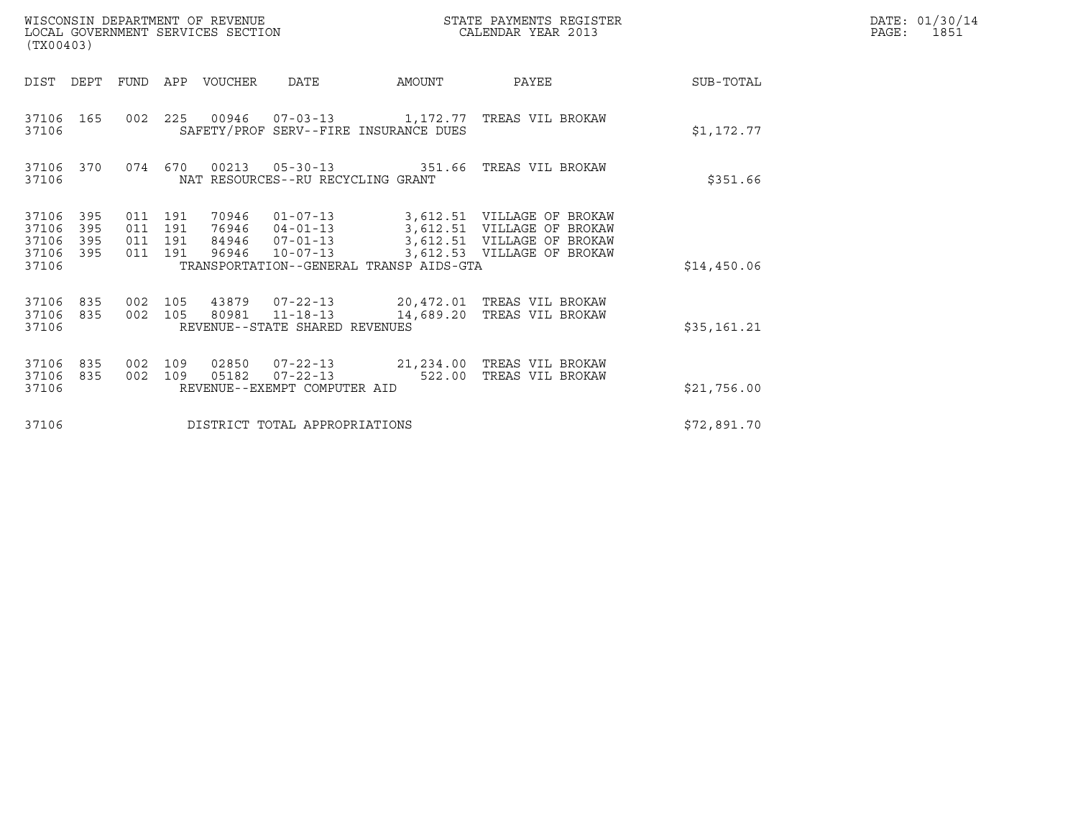| (TX00403)                                 |                          |                                          | WISCONSIN DEPARTMENT OF REVENUE<br>LOCAL GOVERNMENT SERVICES SECTION |                                                                             |        | STATE PAYMENTS REGISTER<br>CALENDAR YEAR 2013                                                                                                   |             | DATE: 01/30/14<br>PAGE:<br>1851 |
|-------------------------------------------|--------------------------|------------------------------------------|----------------------------------------------------------------------|-----------------------------------------------------------------------------|--------|-------------------------------------------------------------------------------------------------------------------------------------------------|-------------|---------------------------------|
| DIST DEPT                                 |                          |                                          | FUND APP VOUCHER                                                     | <b>DATE</b>                                                                 | AMOUNT | PAYEE                                                                                                                                           | SUB-TOTAL   |                                 |
| 37106 165<br>37106                        |                          |                                          |                                                                      | SAFETY/PROF SERV--FIRE INSURANCE DUES                                       |        | 002 225 00946 07-03-13 1,172.77 TREAS VIL BROKAW                                                                                                | \$1,172.77  |                                 |
| 37106 370<br>37106                        |                          | 074 670                                  |                                                                      | NAT RESOURCES--RU RECYCLING GRANT                                           |        | 00213  05-30-13  351.66  TREAS VIL BROKAW                                                                                                       | \$351.66    |                                 |
| 37106<br>37106<br>37106<br>37106<br>37106 | 395<br>395<br>395<br>395 | 011 191<br>011 191<br>011 191<br>011 191 | 70946<br>96946                                                       | 84946 07-01-13<br>$10 - 07 - 13$<br>TRANSPORTATION--GENERAL TRANSP AIDS-GTA |        | 01-07-13 3,612.51 VILLAGE OF BROKAW<br>76946  04-01-13  3,612.51  VILLAGE OF BROKAW<br>3,612.51 VILLAGE OF BROKAW<br>3,612.53 VILLAGE OF BROKAW | \$14,450.06 |                                 |
| 37106<br>37106<br>37106                   | 835<br>835               | 002 105<br>002 105                       |                                                                      | REVENUE--STATE SHARED REVENUES                                              |        | 43879  07-22-13  20,472.01 TREAS VIL BROKAW<br>80981  11-18-13  14,689.20 TREAS VIL BROKAW                                                      | \$35,161.21 |                                 |
| 37106<br>37106<br>37106                   | 835<br>835               | 002 109<br>002 109                       | 02850<br>05182                                                       | REVENUE--EXEMPT COMPUTER AID                                                |        | 07-22-13 522.00 TREAS VIL BROKAW                                                                                                                | \$21,756.00 |                                 |
| 37106                                     |                          |                                          |                                                                      | DISTRICT TOTAL APPROPRIATIONS                                               |        |                                                                                                                                                 | \$72,891.70 |                                 |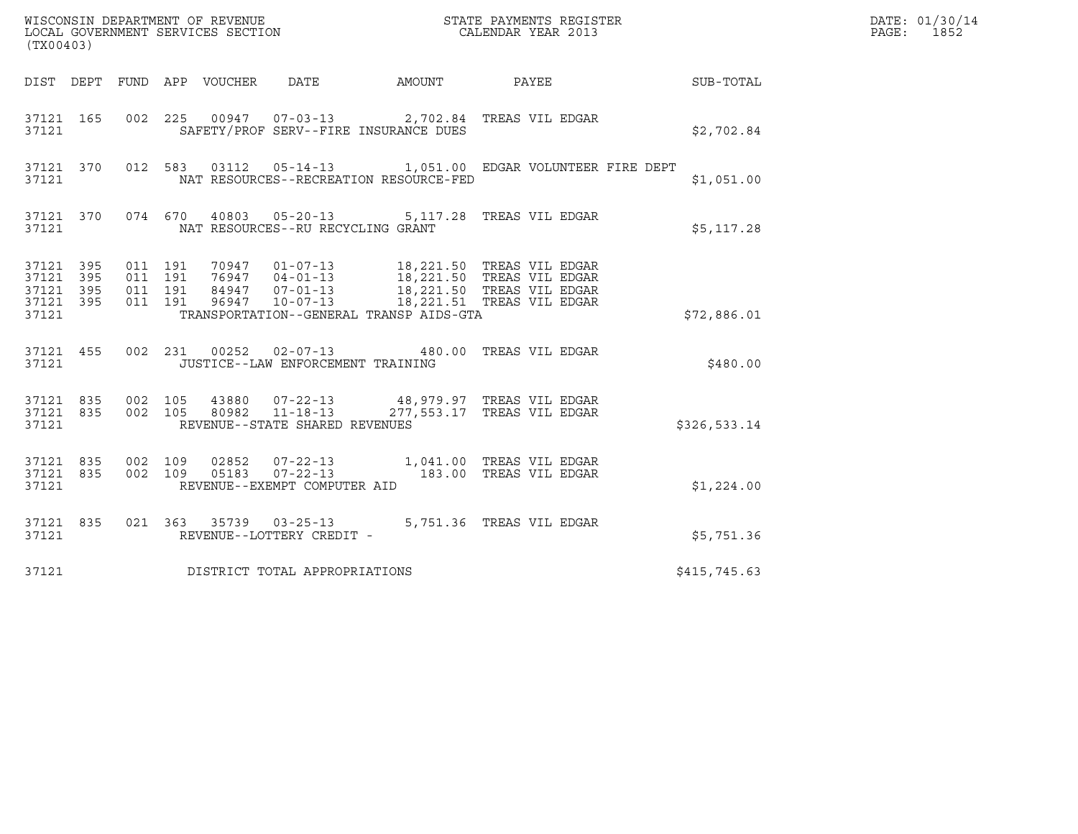| (TX00403)                                                 |  |                                          |  |                                 |                                                                            |  |                                                                                                                                                                      |              | DATE: 01/30/14<br>PAGE: 1852 |
|-----------------------------------------------------------|--|------------------------------------------|--|---------------------------------|----------------------------------------------------------------------------|--|----------------------------------------------------------------------------------------------------------------------------------------------------------------------|--------------|------------------------------|
|                                                           |  |                                          |  | DIST DEPT FUND APP VOUCHER DATE |                                                                            |  | AMOUNT PAYEE                                                                                                                                                         | SUB-TOTAL    |                              |
| 37121 165<br>37121                                        |  |                                          |  |                                 | SAFETY/PROF SERV--FIRE INSURANCE DUES                                      |  | 002  225  00947  07-03-13  2,702.84 TREAS VIL EDGAR                                                                                                                  | \$2,702.84   |                              |
| 37121                                                     |  |                                          |  |                                 | NAT RESOURCES--RECREATION RESOURCE-FED                                     |  | 37121 370 012 583 03112 05-14-13 1,051.00 EDGAR VOLUNTEER FIRE DEPT                                                                                                  | \$1,051.00   |                              |
| 37121                                                     |  |                                          |  |                                 | NAT RESOURCES--RU RECYCLING GRANT                                          |  | 37121 370 074 670 40803 05-20-13 5,117.28 TREAS VIL EDGAR                                                                                                            | \$5,117.28   |                              |
| 37121 395<br>37121 395<br>37121 395<br>37121 395<br>37121 |  | 011 191<br>011 191<br>011 191<br>011 191 |  |                                 | TRANSPORTATION--GENERAL TRANSP AIDS-GTA                                    |  | 18,221.50 TREAS VIL EDGAR<br>76947 04-01-13 18,221.50 TREAS VIL EDGAR<br>84947 07-01-13 18,221.50 TREAS VIL EDGAR<br>96947 10-07-13 18,221.51 TREAS VIL EDGAR        | \$72,886.01  |                              |
| 37121 455<br>37121                                        |  |                                          |  |                                 | 002 231 00252 02-07-13<br>JUSTICE--LAW ENFORCEMENT TRAINING                |  | 480.00 TREAS VIL EDGAR                                                                                                                                               | \$480.00     |                              |
| 37121 835 002 105<br>37121 835<br>37121                   |  |                                          |  |                                 | 43880 07-22-13<br>002 105 80982 11-18-13<br>REVENUE--STATE SHARED REVENUES |  | 48,979.97 TREAS VIL EDGAR<br>277,553.17 TREAS VIL EDGAR                                                                                                              | \$326,533.14 |                              |
| 37121 835<br>37121 835<br>37121                           |  |                                          |  |                                 | REVENUE--EXEMPT COMPUTER AID                                               |  | $\begin{array}{cccc} 002 & 109 & 02852 & 07-22-13 & 1,041.00 & \text{TREAS VIL EDGAR} \\ 002 & 109 & 05183 & 07-22-13 & 183.00 & \text{TREAS VIL EDGAR} \end{array}$ | \$1,224.00   |                              |
| 37121 835<br>37121                                        |  |                                          |  |                                 | REVENUE--LOTTERY CREDIT -                                                  |  | 021  363  35739  03-25-13  5,751.36  TREAS VIL EDGAR                                                                                                                 | \$5,751.36   |                              |
| 37121                                                     |  |                                          |  |                                 | DISTRICT TOTAL APPROPRIATIONS                                              |  |                                                                                                                                                                      | \$415,745.63 |                              |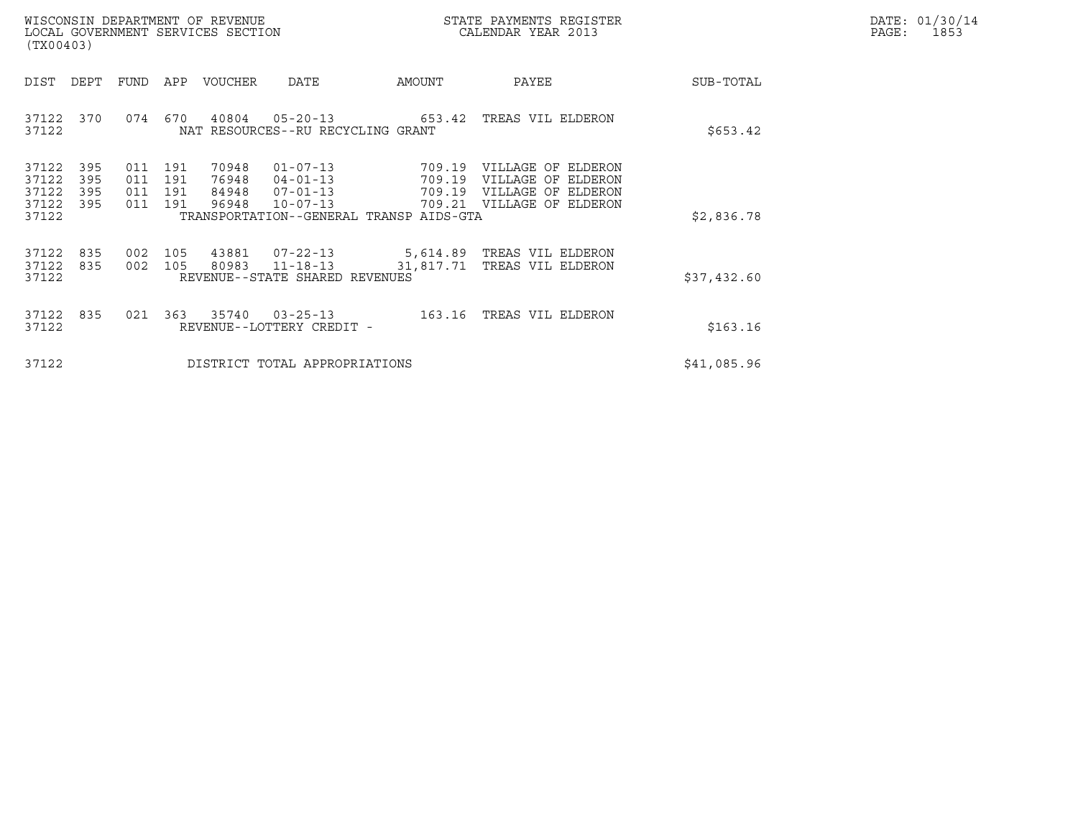| WISCONSIN DEPARTMENT OF REVENUE   | STATE PAYMENTS REGISTER | DATE: 01/30/14 |
|-----------------------------------|-------------------------|----------------|
| LOCAL GOVERNMENT SERVICES SECTION | CALENDAR YEAR 2013      | 1853<br>PAGE : |

| (TX00403)                                                             | WISCONSIN DEPARTMENT OF REVENUE<br>LOCAL GOVERNMENT SERVICES SECTION                                                                                                                                        |                            | STATE PAYMENTS REGISTER<br>CALENDAR YEAR 2013                                               |             | DATE: 01/30/14<br>PAGE:<br>1853 |
|-----------------------------------------------------------------------|-------------------------------------------------------------------------------------------------------------------------------------------------------------------------------------------------------------|----------------------------|---------------------------------------------------------------------------------------------|-------------|---------------------------------|
| DIST<br>DEPT                                                          | APP<br>VOUCHER<br>DATE<br>FUND                                                                                                                                                                              | AMOUNT                     | PAYEE                                                                                       | SUB-TOTAL   |                                 |
| 37122<br>370<br>37122                                                 | 670<br>40804<br>074<br>NAT RESOURCES--RU RECYCLING GRANT                                                                                                                                                    | $05 - 20 - 13$ 653.42      | TREAS VIL ELDERON                                                                           | \$653.42    |                                 |
| 37122<br>395<br>395<br>37122<br>37122<br>395<br>37122<br>395<br>37122 | 70948<br>$01 - 07 - 13$<br>191<br>011<br>011<br>191<br>76948<br>$04 - 01 - 13$<br>011<br>191<br>$07 - 01 - 13$<br>84948<br>96948<br>$10 - 07 - 13$<br>011<br>191<br>TRANSPORTATION--GENERAL TRANSP AIDS-GTA | 709.19<br>709.19<br>709.19 | VILLAGE OF ELDERON<br>VILLAGE OF ELDERON<br>VILLAGE OF ELDERON<br>709.21 VILLAGE OF ELDERON | \$2,836.78  |                                 |
| 37122<br>835<br>37122<br>835<br>37122                                 | 105<br>43881 07-22-13<br>002<br>002<br>80983 11-18-13<br>105<br>REVENUE--STATE SHARED REVENUES                                                                                                              | 5,614.89<br>31,817.71      | TREAS VIL ELDERON<br>TREAS VIL ELDERON                                                      | \$37,432.60 |                                 |
| 37122<br>835<br>37122                                                 | 35740<br>021<br>363<br>REVENUE--LOTTERY CREDIT -                                                                                                                                                            |                            | 03-25-13 163.16 TREAS VIL ELDERON                                                           | \$163.16    |                                 |
| 37122                                                                 | DISTRICT TOTAL APPROPRIATIONS                                                                                                                                                                               |                            |                                                                                             | \$41,085.96 |                                 |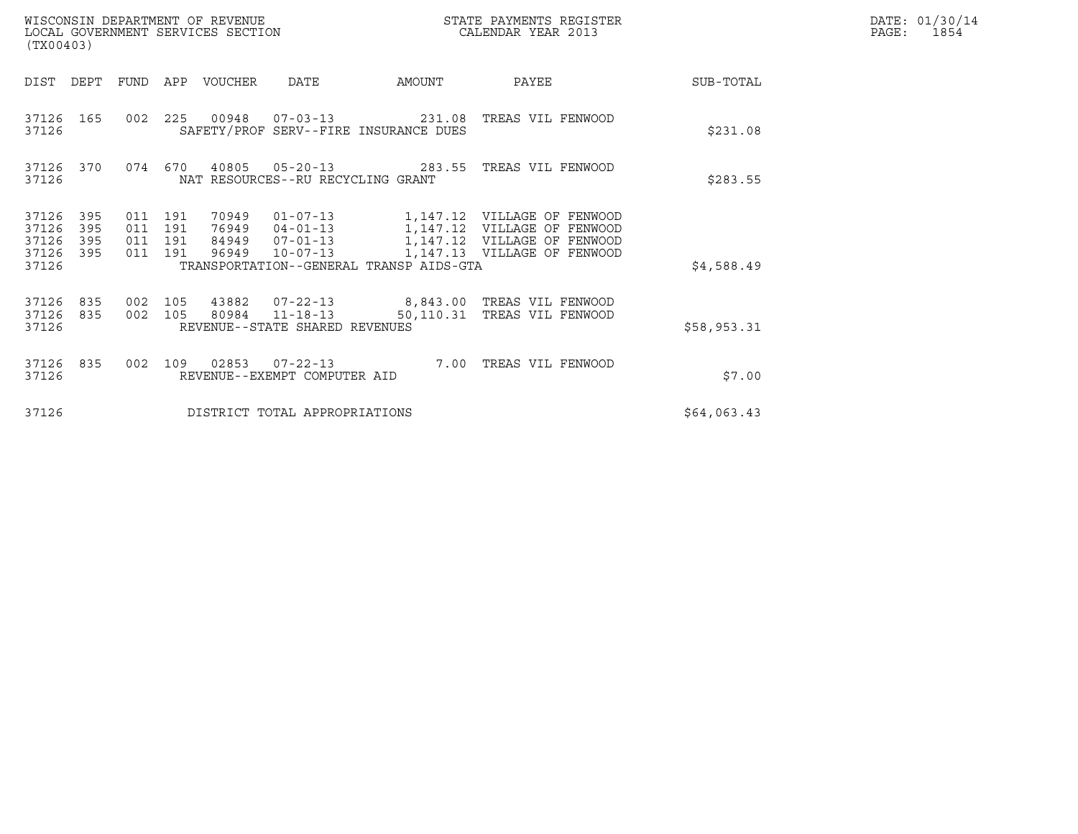| (TX00403)                                 |                          |                                      |     | WISCONSIN DEPARTMENT OF REVENUE<br>LOCAL GOVERNMENT SERVICES SECTION |                                                  | STATE PAYMENTS REGISTER<br>CALENDAR YEAR 2013 |                                                                                                                               |             | DATE: 01/30/14<br>$\mathtt{PAGE:}$<br>1854 |
|-------------------------------------------|--------------------------|--------------------------------------|-----|----------------------------------------------------------------------|--------------------------------------------------|-----------------------------------------------|-------------------------------------------------------------------------------------------------------------------------------|-------------|--------------------------------------------|
| DIST                                      | DEPT                     | FUND                                 |     | APP VOUCHER                                                          | DATE                                             | AMOUNT                                        | PAYEE                                                                                                                         | SUB-TOTAL   |                                            |
| 37126                                     | 37126 165                |                                      |     |                                                                      |                                                  | SAFETY/PROF SERV--FIRE INSURANCE DUES         | 002  225  00948  07-03-13  231.08  TREAS VIL FENWOOD                                                                          | \$231.08    |                                            |
| 37126                                     | 37126 370                | 074 670                              |     | 40805                                                                | NAT RESOURCES--RU RECYCLING GRANT                |                                               |                                                                                                                               | \$283.55    |                                            |
| 37126<br>37126<br>37126<br>37126<br>37126 | 395<br>395<br>395<br>395 | 011 191<br>011<br>011 191<br>011 191 | 191 | 70949                                                                | 96949 10-07-13                                   | TRANSPORTATION--GENERAL TRANSP AIDS-GTA       | 76949  04-01-13  1,147.12  VILLAGE OF FENWOOD<br>84949  07-01-13  1,147.12  VILLAGE OF FENWOOD<br>1,147.13 VILLAGE OF FENWOOD | \$4,588.49  |                                            |
| 37126 835<br>37126<br>37126               | 835                      | 002 105<br>002 105                   |     | 43882                                                                | 80984 11-18-13<br>REVENUE--STATE SHARED REVENUES |                                               | 07-22-13 8,843.00 TREAS VIL FENWOOD<br>50,110.31 TREAS VIL FENWOOD                                                            | \$58,953.31 |                                            |
| 37126 835<br>37126                        |                          | 002                                  | 109 |                                                                      | REVENUE--EXEMPT COMPUTER AID                     | 7.00                                          | TREAS VIL FENWOOD                                                                                                             | \$7.00      |                                            |
| 37126                                     |                          |                                      |     |                                                                      | DISTRICT TOTAL APPROPRIATIONS                    |                                               |                                                                                                                               | \$64,063.43 |                                            |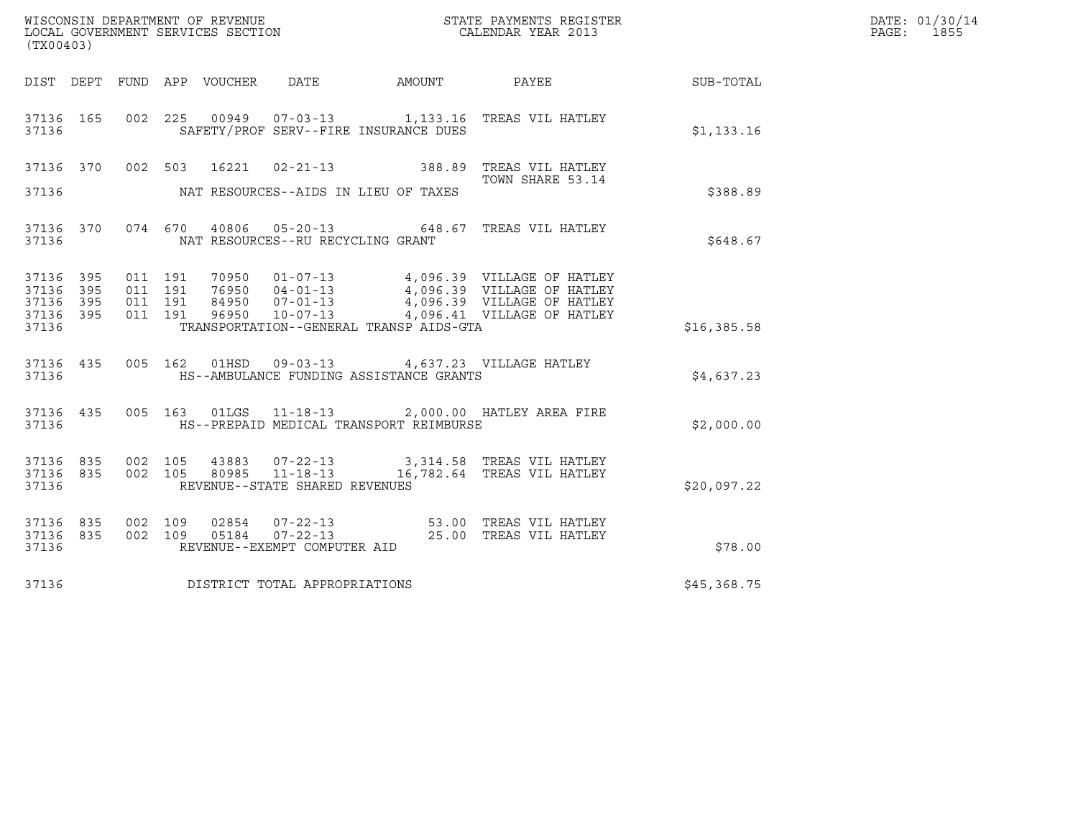| (TX00403)                                     |                   |         |                    |                                         |                                                                                                     | WISCONSIN DEPARTMENT OF REVENUE<br>LOCAL GOVERNMENT SERVICES SECTION CALENDAR YEAR 2013                                                                                                                                                                                                                                                                    |             | DATE: 01/30/14<br>PAGE: 1855 |
|-----------------------------------------------|-------------------|---------|--------------------|-----------------------------------------|-----------------------------------------------------------------------------------------------------|------------------------------------------------------------------------------------------------------------------------------------------------------------------------------------------------------------------------------------------------------------------------------------------------------------------------------------------------------------|-------------|------------------------------|
|                                               |                   |         |                    |                                         |                                                                                                     | DIST DEPT FUND APP VOUCHER DATE AMOUNT PAYEE SUB-TOTAL                                                                                                                                                                                                                                                                                                     |             |                              |
| 37136                                         |                   |         |                    |                                         | SAFETY/PROF SERV--FIRE INSURANCE DUES                                                               | 37136 165 002 225 00949 07-03-13 1,133.16 TREAS VIL HATLEY                                                                                                                                                                                                                                                                                                 | \$1,133.16  |                              |
| 37136                                         |                   |         |                    |                                         | NAT RESOURCES--AIDS IN LIEU OF TAXES                                                                | 37136 370 002 503 16221 02-21-13 388.89 TREAS VIL HATLEY<br>TOWN SHARE 53.14                                                                                                                                                                                                                                                                               | \$388.89    |                              |
|                                               |                   |         |                    | 37136 MAT RESOURCES--RU RECYCLING GRANT |                                                                                                     | 37136 370 074 670 40806 05-20-13 648.67 TREAS VIL HATLEY                                                                                                                                                                                                                                                                                                   | \$648.67    |                              |
| 37136 395<br>37136<br>37136<br>37136<br>37136 | 395<br>395<br>395 |         |                    |                                         | TRANSPORTATION--GENERAL TRANSP AIDS-GTA                                                             | $\begin{array}{cccccccc} 011 & 191 & 70950 & 01\texttt{-}07\texttt{-}13 & 4\texttt{,}096.39 & \text{VILLAGE OF HATLEY} \\ 011 & 191 & 76950 & 04\texttt{-}01\texttt{-}13 & 4\texttt{,}096.39 & \text{VILLAGE OF HATLEY} \\ 011 & 191 & 84950 & 07\texttt{-}01\texttt{-}13 & 4\texttt{,}096.39 & \text{VILLAGE OF HATLEY} \\ 011 & 191 & 96950 & 10\texttt$ | \$16,385.58 |                              |
| 37136                                         |                   |         |                    |                                         | 37136 435 005 162 01HSD 09-03-13 4,637.23 VILLAGE HATLEY<br>HS--AMBULANCE FUNDING ASSISTANCE GRANTS |                                                                                                                                                                                                                                                                                                                                                            | \$4,637.23  |                              |
|                                               |                   |         |                    |                                         | 37136 HS--PREPAID MEDICAL TRANSPORT REIMBURSE                                                       | 37136 435 005 163 01LGS 11-18-13 2,000.00 HATLEY AREA FIRE                                                                                                                                                                                                                                                                                                 | \$2,000.00  |                              |
| 37136 835<br>37136 835<br>37136               |                   | 002 105 | 002 105            | REVENUE--STATE SHARED REVENUES          |                                                                                                     |                                                                                                                                                                                                                                                                                                                                                            | \$20,097.22 |                              |
| 37136 835<br>37136 835<br>37136               |                   |         | 002 109<br>002 109 | REVENUE--EXEMPT COMPUTER AID            |                                                                                                     |                                                                                                                                                                                                                                                                                                                                                            | \$78.00     |                              |
| 37136                                         |                   |         |                    | DISTRICT TOTAL APPROPRIATIONS           |                                                                                                     |                                                                                                                                                                                                                                                                                                                                                            | \$45,368.75 |                              |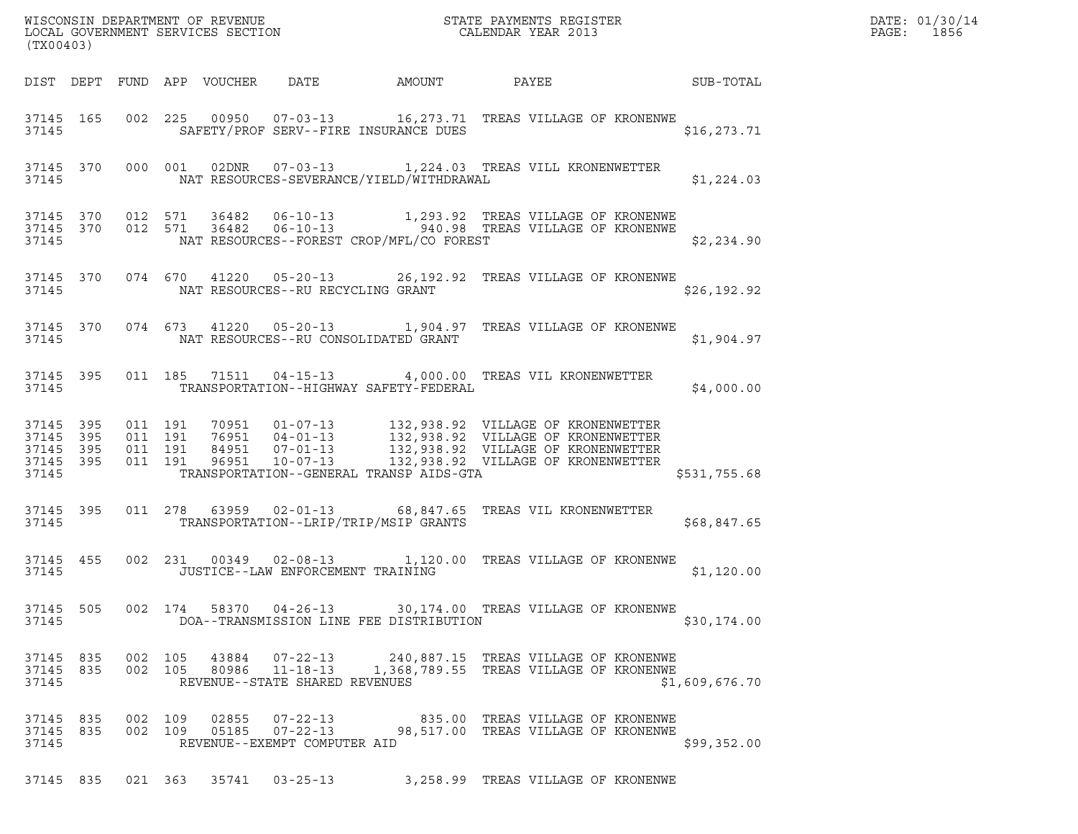| (TX00403)                       |  |  |                                |                                                      |                                                                                                                                                                                            |                | $\begin{tabular}{ll} \bf{DRTE:} & 01/30/14 \\ \bf{PAGE:} & 1856 \\ \end{tabular}$ |
|---------------------------------|--|--|--------------------------------|------------------------------------------------------|--------------------------------------------------------------------------------------------------------------------------------------------------------------------------------------------|----------------|-----------------------------------------------------------------------------------|
|                                 |  |  |                                |                                                      | DIST DEPT FUND APP VOUCHER DATE AMOUNT PAYEE SUB-TOTAL                                                                                                                                     |                |                                                                                   |
|                                 |  |  |                                |                                                      | 37145 165 002 225 00950 07-03-13 16,273.71 TREAS VILLAGE OF KRONENWE<br>37145 SAFETY/PROF SERV--FIRE INSURANCE DUES                                                                        | \$16, 273.71   |                                                                                   |
|                                 |  |  |                                |                                                      | 37145 370 000 001 02DNR 07-03-13 1,224.03 TREAS VILL KRONENWETTER<br>37145 NAT RESOURCES-SEVERANCE/YIELD/WITHDRAWAL                                                                        | \$1,224.03     |                                                                                   |
|                                 |  |  |                                |                                                      | 37145 370 012 571 36482 06-10-13 1,293.92 TREAS VILLAGE OF KRONENWE<br>37145 370 012 571 36482 06-10-13 940.98 TREAS VILLAGE OF KRONENWE<br>37145 NAT RESOURCES--FOREST CROP/MFL/CO FOREST | \$2,234.90     |                                                                                   |
|                                 |  |  |                                | 37145 NAT RESOURCES--RU RECYCLING GRANT              | 37145 370 074 670 41220 05-20-13 26,192.92 TREAS VILLAGE OF KRONENWE                                                                                                                       | \$26, 192.92   |                                                                                   |
|                                 |  |  |                                | 37145 SALE SALE NAT RESOURCES--RU CONSOLIDATED GRANT | 37145 370 074 673 41220 05-20-13 1,904.97 TREAS VILLAGE OF KRONENWE                                                                                                                        | \$1,904.97     |                                                                                   |
|                                 |  |  |                                | 37145 TRANSPORTATION--HIGHWAY SAFETY-FEDERAL         | 37145 395 011 185 71511 04-15-13 4,000.00 TREAS VIL KRONENWETTER                                                                                                                           | \$4,000.00     |                                                                                   |
|                                 |  |  |                                |                                                      | 37145 TRANSPORTATION--GENERAL TRANSP AIDS-GTA                                                                                                                                              | \$531,755.68   |                                                                                   |
| 37145 395                       |  |  |                                |                                                      | 011  278  63959  02-01-13  68,847.65  TREAS VIL KRONENWETTER<br>37145 TRANSPORTATION--LRIP/TRIP/MSIP GRANTS STORES AND \$68,847.65                                                         |                |                                                                                   |
| 37145                           |  |  |                                | JUSTICE--LAW ENFORCEMENT TRAINING                    | 37145 455 002 231 00349 02-08-13 1,120.00 TREAS VILLAGE OF KRONENWE                                                                                                                        | \$1,120.00     |                                                                                   |
| 37145 505<br>37145              |  |  |                                | DOA--TRANSMISSION LINE FEE DISTRIBUTION              | 002  174  58370  04-26-13  30,174.00  TREAS VILLAGE OF KRONENWE                                                                                                                            | \$30,174.00    |                                                                                   |
| 37145                           |  |  | REVENUE--STATE SHARED REVENUES |                                                      | 37145 835 002 105 43884 07-22-13 240,887.15 TREAS VILLAGE OF KRONENWE<br>37145 835 002 105 80986 11-18-13 1,368,789.55 TREAS VILLAGE OF KRONENWE                                           | \$1,609,676.70 |                                                                                   |
| 37145 835<br>37145 835<br>37145 |  |  | REVENUE--EXEMPT COMPUTER AID   |                                                      |                                                                                                                                                                                            | \$99,352.00    |                                                                                   |
|                                 |  |  |                                |                                                      | 37145 835 021 363 35741 03-25-13 3,258.99 TREAS VILLAGE OF KRONENWE                                                                                                                        |                |                                                                                   |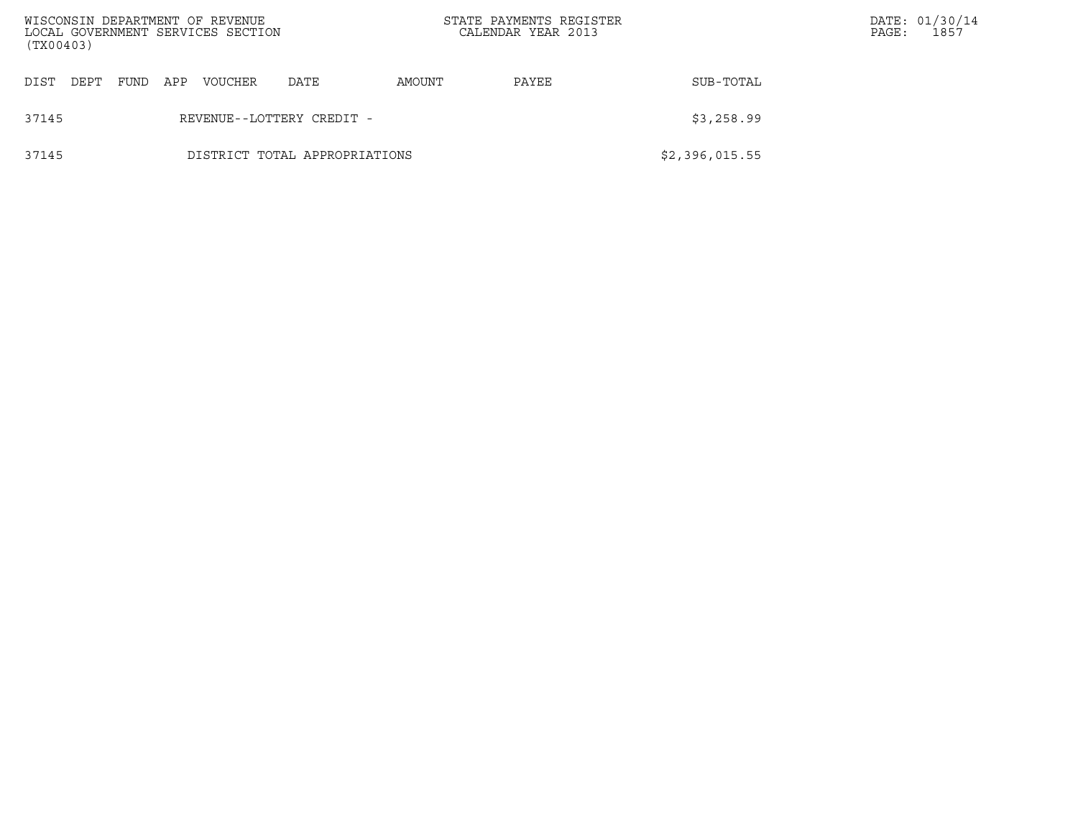| WISCONSIN DEPARTMENT OF REVENUE<br>(TX00403) |      |     | LOCAL GOVERNMENT SERVICES SECTION |                               |        | STATE PAYMENTS REGISTER<br>CALENDAR YEAR 2013 |                | PAGE: | DATE: 01/30/14<br>1857 |
|----------------------------------------------|------|-----|-----------------------------------|-------------------------------|--------|-----------------------------------------------|----------------|-------|------------------------|
| DIST<br>DEPT                                 | FUND | APP | VOUCHER                           | DATE                          | AMOUNT | PAYEE                                         | SUB-TOTAL      |       |                        |
| 37145                                        |      |     |                                   | REVENUE--LOTTERY CREDIT -     |        |                                               | \$3,258.99     |       |                        |
| 37145                                        |      |     |                                   | DISTRICT TOTAL APPROPRIATIONS |        |                                               | \$2,396,015.55 |       |                        |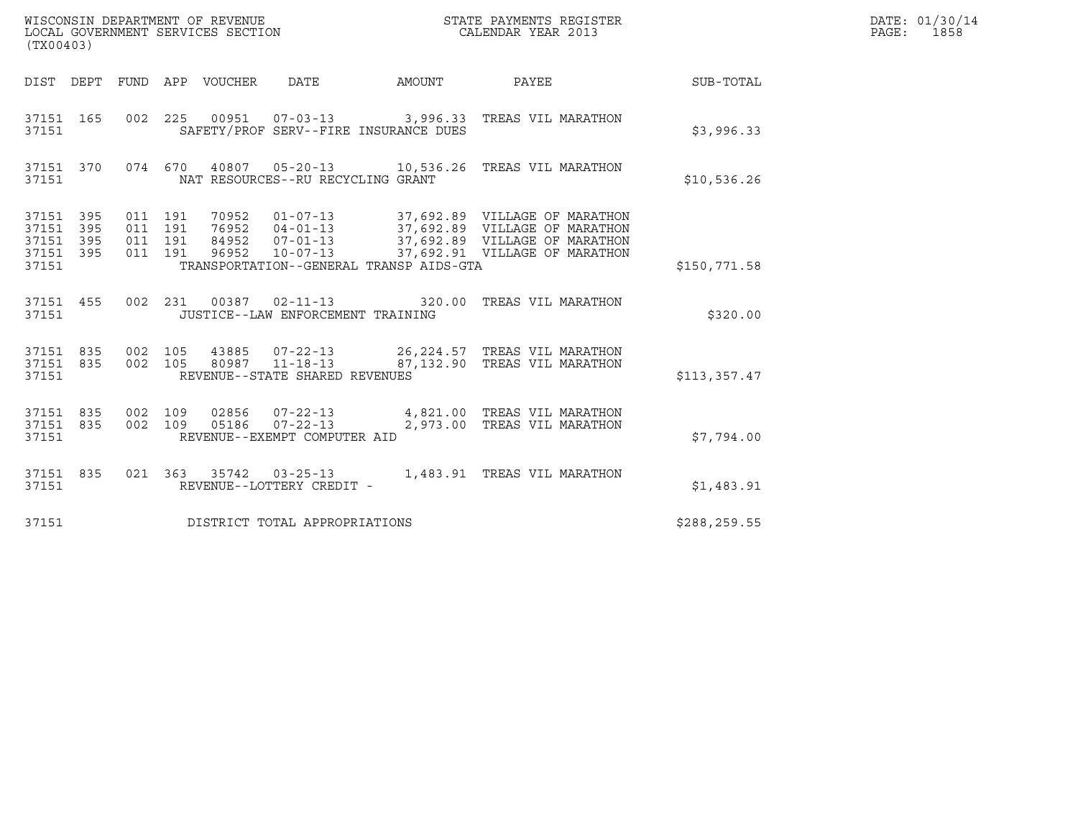| (TX00403)                                             |     |                                          | WISCONSIN DEPARTMENT OF REVENUE<br>LOCAL GOVERNMENT SERVICES SECTION |                                                                    | STATE PAYMENTS REGISTER<br>CALENDAR YEAR 2013                       |               | DATE: 01/30/14<br>PAGE: 1858 |
|-------------------------------------------------------|-----|------------------------------------------|----------------------------------------------------------------------|--------------------------------------------------------------------|---------------------------------------------------------------------|---------------|------------------------------|
|                                                       |     |                                          | DIST DEPT FUND APP VOUCHER DATE                                      | <b>AMOUNT</b>                                                      | <b>PAYEE</b>                                                        | SUB-TOTAL     |                              |
| 37151 165<br>37151                                    |     |                                          |                                                                      | SAFETY/PROF SERV--FIRE INSURANCE DUES                              | 002 225 00951 07-03-13 3,996.33 TREAS VIL MARATHON                  | \$3,996.33    |                              |
| 37151 370<br>37151                                    |     |                                          |                                                                      | NAT RESOURCES--RU RECYCLING GRANT                                  | 074 670 40807 05-20-13 10,536.26 TREAS VIL MARATHON                 | \$10,536.26   |                              |
| 37151 395<br>37151<br>37151 395<br>37151 395<br>37151 | 395 | 011 191<br>011 191<br>011 191<br>011 191 | 70952                                                                | TRANSPORTATION--GENERAL TRANSP AIDS-GTA                            | 01-07-13 37,692.89 VILLAGE OF MARATHON                              | \$150,771.58  |                              |
| 37151 455<br>37151                                    |     |                                          |                                                                      | JUSTICE--LAW ENFORCEMENT TRAINING                                  | 002 231 00387 02-11-13 320.00 TREAS VIL MARATHON                    | \$320.00      |                              |
| 37151 835<br>37151 835<br>37151                       |     | 002 105<br>002 105                       | 43885                                                                | $07 - 22 - 13$<br>80987 11-18-13<br>REVENUE--STATE SHARED REVENUES | 26,224.57 TREAS VIL MARATHON<br>87,132.90 TREAS VIL MARATHON        | \$113,357.47  |                              |
| 37151 835<br>37151 835<br>37151                       |     | 002 109<br>002 109                       | 05186                                                                | 02856  07-22-13<br>REVENUE--EXEMPT COMPUTER AID                    | 4,821.00 TREAS VIL MARATHON<br>07-22-13 2,973.00 TREAS VIL MARATHON | \$7,794.00    |                              |
| 37151 835<br>37151                                    |     |                                          |                                                                      | REVENUE--LOTTERY CREDIT -                                          | 021  363  35742  03-25-13  1,483.91  TREAS VIL MARATHON             | \$1,483.91    |                              |
| 37151                                                 |     |                                          |                                                                      | DISTRICT TOTAL APPROPRIATIONS                                      |                                                                     | \$288, 259.55 |                              |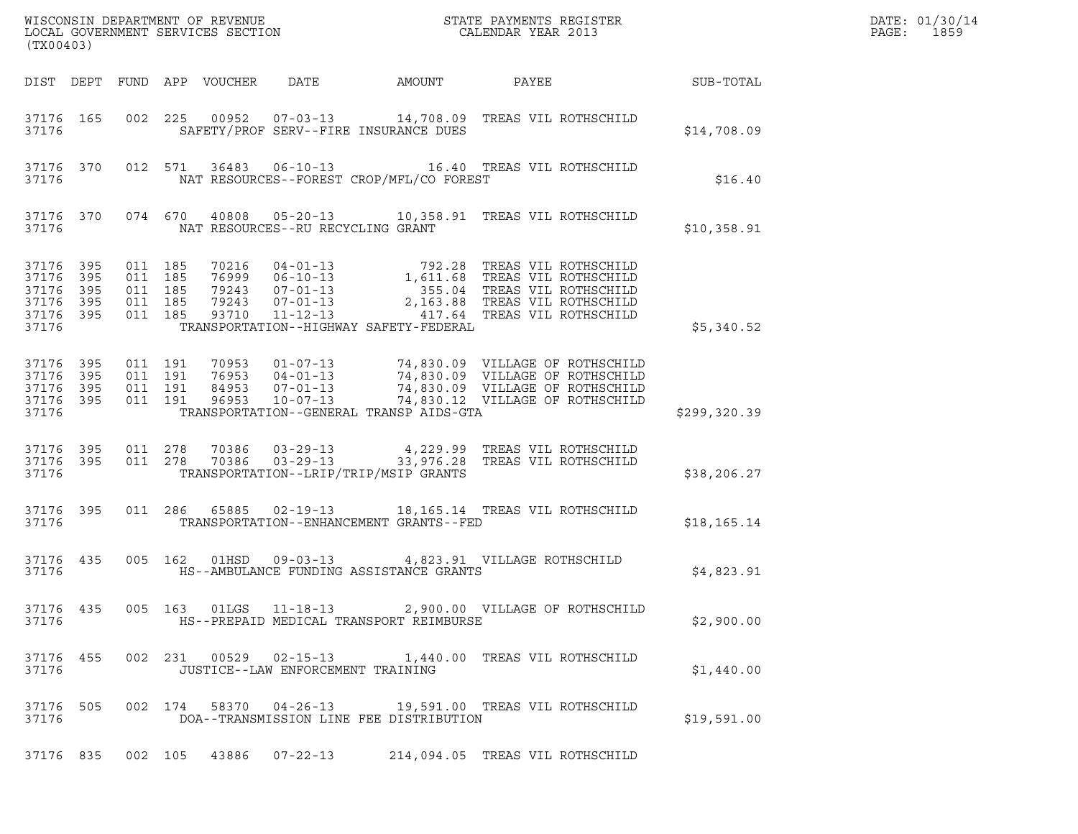| (TX00403)                                                  |                   |                                                     |         |                            |                                                             |                                          | $\tt WISCONSIM DEPARTMENT OF REVENUE$ $\tt WISCONSIMENT$ SERVICES SECTION $\tt CALENDAR$ YEAR 2013                                                                                                                                      |                  | DATE: 01/30/14<br>PAGE:<br>1859 |
|------------------------------------------------------------|-------------------|-----------------------------------------------------|---------|----------------------------|-------------------------------------------------------------|------------------------------------------|-----------------------------------------------------------------------------------------------------------------------------------------------------------------------------------------------------------------------------------------|------------------|---------------------------------|
|                                                            |                   |                                                     |         | DIST DEPT FUND APP VOUCHER | DATE                                                        | AMOUNT                                   | PAYEE                                                                                                                                                                                                                                   | <b>SUB-TOTAL</b> |                                 |
| 37176 165<br>37176                                         |                   |                                                     |         |                            |                                                             | SAFETY/PROF SERV--FIRE INSURANCE DUES    | 002 225 00952 07-03-13 14,708.09 TREAS VIL ROTHSCHILD                                                                                                                                                                                   | \$14,708.09      |                                 |
| 37176 370<br>37176                                         |                   |                                                     |         |                            |                                                             | NAT RESOURCES--FOREST CROP/MFL/CO FOREST | 012 571 36483 06-10-13 16.40 TREAS VIL ROTHSCHILD                                                                                                                                                                                       | \$16.40          |                                 |
| 37176                                                      |                   |                                                     |         |                            | NAT RESOURCES--RU RECYCLING GRANT                           |                                          | 37176 370 074 670 40808 05-20-13 10,358.91 TREAS VIL ROTHSCHILD                                                                                                                                                                         | \$10,358.91      |                                 |
| 37176 395<br>37176<br>37176<br>37176<br>37176 395<br>37176 | 395<br>395<br>395 | 011 185<br>011 185<br>011 185<br>011 185<br>011 185 |         |                            |                                                             | TRANSPORTATION--HIGHWAY SAFETY-FEDERAL   | 70216  04-01-13  792.28 TREAS VIL ROTHSCHILD<br>76999  06-10-13  1,611.68 TREAS VIL ROTHSCHILD<br>79243  07-01-13  2,163.88 TREAS VIL ROTHSCHILD<br>79243  07-01-13  2,163.88 TREAS VIL ROTHSCHILD<br>93710  11-12-13<br>2,163.88 TREAS | \$5,340.52       |                                 |
| 37176 395<br>37176<br>37176<br>37176 395<br>37176          | 395<br>395        | 011 191<br>011 191<br>011 191<br>011 191            |         | 96953                      | $10 - 07 - 13$                                              | TRANSPORTATION--GENERAL TRANSP AIDS-GTA  | 70953  01-07-13  74,830.09  VILLAGE OF ROTHSCHILD<br>76953  04-01-13  74,830.09  VILLAGE OF ROTHSCHILD<br>84953  07-01-13  74,830.09  VILLAGE OF ROTHSCHILD<br>74,830.12 VILLAGE OF ROTHSCHILD                                          | \$299,320.39     |                                 |
| 37176 395<br>37176 395<br>37176                            |                   | 011 278<br>011 278                                  |         | 70386<br>70386             | $03 - 29 - 13$<br>$03 - 29 - 13$                            | TRANSPORTATION--LRIP/TRIP/MSIP GRANTS    | 4,229.99   TREAS  VIL  ROTHSCHILD<br>33,976.28   TREAS  VIL  ROTHSCHILD                                                                                                                                                                 | \$38, 206.27     |                                 |
| 37176 395<br>37176                                         |                   |                                                     |         |                            |                                                             | TRANSPORTATION--ENHANCEMENT GRANTS--FED  | 011  286  65885  02-19-13  18,165.14  TREAS VIL ROTHSCHILD                                                                                                                                                                              | \$18, 165.14     |                                 |
| 37176 435<br>37176                                         |                   |                                                     |         |                            |                                                             | HS--AMBULANCE FUNDING ASSISTANCE GRANTS  | 005  162  01HSD  09-03-13  4,823.91  VILLAGE ROTHSCHILD                                                                                                                                                                                 | \$4,823.91       |                                 |
| 37176 435<br>37176                                         |                   |                                                     |         |                            |                                                             | HS--PREPAID MEDICAL TRANSPORT REIMBURSE  | 005  163  01LGS  11-18-13  2,900.00  VILLAGE OF ROTHSCHILD                                                                                                                                                                              | \$2,900.00       |                                 |
| 37176 455<br>37176                                         |                   |                                                     |         |                            | 002 231 00529 02-15-13<br>JUSTICE--LAW ENFORCEMENT TRAINING |                                          | 1,440.00 TREAS VIL ROTHSCHILD                                                                                                                                                                                                           | \$1,440.00       |                                 |
| 37176 505<br>37176                                         |                   |                                                     | 002 174 |                            | 58370 04-26-13                                              | DOA--TRANSMISSION LINE FEE DISTRIBUTION  | 19,591.00 TREAS VIL ROTHSCHILD                                                                                                                                                                                                          | \$19,591.00      |                                 |
| 37176 835                                                  |                   |                                                     | 002 105 |                            | 43886 07-22-13                                              |                                          | 214,094.05 TREAS VIL ROTHSCHILD                                                                                                                                                                                                         |                  |                                 |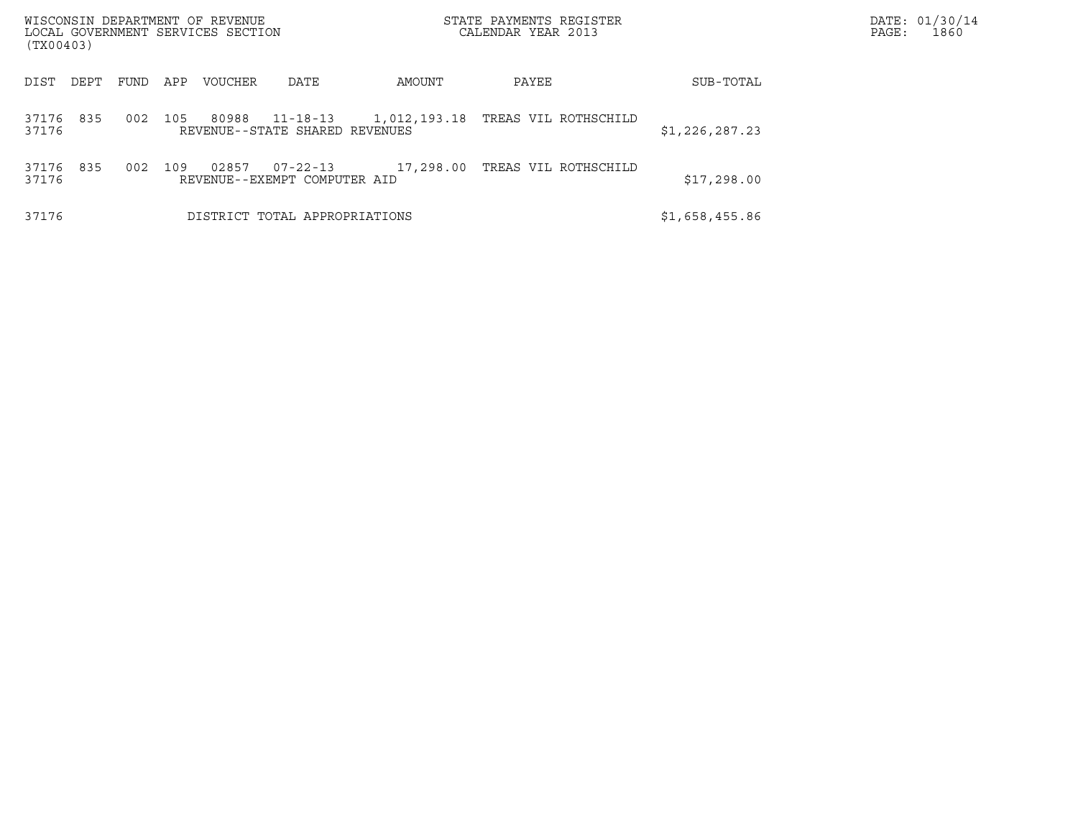| WISCONSIN DEPARTMENT OF REVENUE<br>LOCAL GOVERNMENT SERVICES SECTION<br>(TX00403) |      |                |                                            |           | STATE PAYMENTS REGISTER<br>CALENDAR YEAR 2013 |                | DATE: 01/30/14<br>PAGE:<br>1860 |
|-----------------------------------------------------------------------------------|------|----------------|--------------------------------------------|-----------|-----------------------------------------------|----------------|---------------------------------|
| DIST<br>DEPT                                                                      | FUND | APP<br>VOUCHER | DATE                                       | AMOUNT    | PAYEE                                         | SUB-TOTAL      |                                 |
| 835<br>37176<br>37176                                                             | 002  | 105<br>80988   | 11-18-13<br>REVENUE--STATE SHARED REVENUES |           | 1,012,193.18   TREAS VIL ROTHSCHILD           | \$1,226,287.23 |                                 |
| 835<br>37176<br>37176                                                             | 002  | 109<br>02857   | 07-22-13<br>REVENUE--EXEMPT COMPUTER AID   | 17,298.00 | TREAS VIL ROTHSCHILD                          | \$17,298.00    |                                 |
| 37176                                                                             |      |                | DISTRICT TOTAL APPROPRIATIONS              |           |                                               | \$1,658,455.86 |                                 |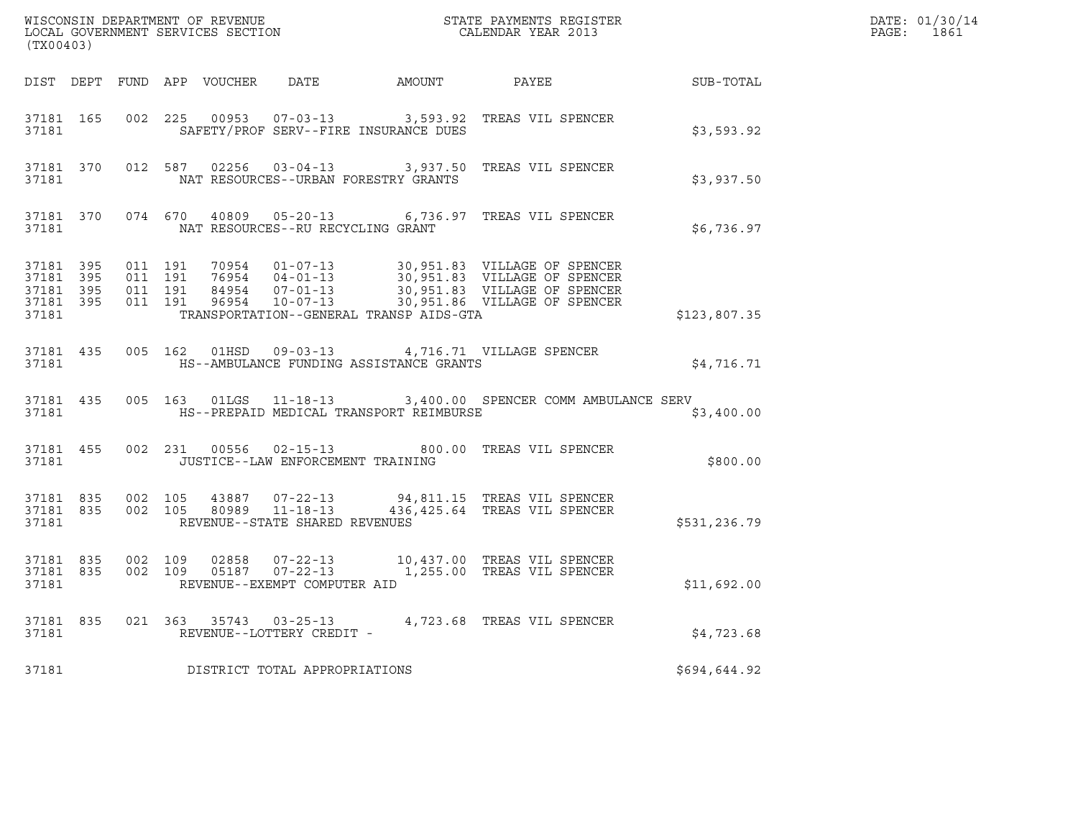| (TX00403)          |                                                                                                                |  |                                         | ${\tt WISCONSIM\ DEPARTMENT\ OF\ REVENUE}\qquad \qquad {\tt STATE\ PAYMENTS\ REGISTER} \\ {\tt LOCAL\ GOVERNMENT\ SERVICES\ SECTION}\qquad \qquad {\tt CALENDAR\ YEAR\ 2013}$                                            | $R = \frac{1}{2}$ | DATE: 01/30/14<br>PAGE: 1861 |
|--------------------|----------------------------------------------------------------------------------------------------------------|--|-----------------------------------------|--------------------------------------------------------------------------------------------------------------------------------------------------------------------------------------------------------------------------|-------------------|------------------------------|
|                    |                                                                                                                |  |                                         | DIST DEPT FUND APP VOUCHER DATE AMOUNT PAYEE SUB-TOTAL                                                                                                                                                                   |                   |                              |
|                    | 37181                                                                                                          |  | SAFETY/PROF SERV--FIRE INSURANCE DUES   | 37181 165 002 225 00953 07-03-13 3,593.92 TREAS VIL SPENCER                                                                                                                                                              | \$3,593.92        |                              |
|                    | 37181                                                                                                          |  | NAT RESOURCES--URBAN FORESTRY GRANTS    | 37181 370 012 587 02256 03-04-13 3,937.50 TREAS VIL SPENCER                                                                                                                                                              | \$3,937.50        |                              |
|                    |                                                                                                                |  | 37181 NAT RESOURCES--RU RECYCLING GRANT | 37181 370 074 670 40809 05-20-13 6,736.97 TREAS VIL SPENCER                                                                                                                                                              | \$6,736.97        |                              |
| 37181 395<br>37181 | 37181 395<br>37181 395 011 191<br>37181 395                                                                    |  | TRANSPORTATION--GENERAL TRANSP AIDS-GTA | 011 191 70954 01-07-13 30,951.83 VILLAGE OF SPENCER<br>011 191 76954 04-01-13 30,951.83 VILLAGE OF SPENCER<br>011 191 84954 07-01-13 30,951.83 VILLAGE OF SPENCER<br>011 191 96954 10-07-13 30,951.86 VILLAGE OF SPENCER | \$123,807.35      |                              |
| 37181              |                                                                                                                |  | HS--AMBULANCE FUNDING ASSISTANCE GRANTS | 37181 435 005 162 01HSD 09-03-13 4,716.71 VILLAGE SPENCER                                                                                                                                                                | \$4,716.71        |                              |
|                    | 37181                                                                                                          |  | HS--PREPAID MEDICAL TRANSPORT REIMBURSE | 37181 435 005 163 01LGS 11-18-13 3,400.00 SPENCER COMM AMBULANCE SERV                                                                                                                                                    | \$3,400.00        |                              |
|                    | 37181 and the set of the set of the set of the set of the set of the set of the set of the set of the set of t |  | JUSTICE--LAW ENFORCEMENT TRAINING       | 37181 455 002 231 00556 02-15-13 800.00 TREAS VIL SPENCER                                                                                                                                                                | \$800.00          |                              |
| 37181              |                                                                                                                |  | REVENUE--STATE SHARED REVENUES          | 37181 835 002 105 43887 07-22-13 94,811.15 TREAS VIL SPENCER<br>37181 835 002 105 80989 11-18-13 436,425.64 TREAS VIL SPENCER                                                                                            | \$531,236.79      |                              |
|                    | 37181                                                                                                          |  | REVENUE--EXEMPT COMPUTER AID            | 37181 835 002 109 02858 07-22-13 10,437.00 TREAS VIL SPENCER<br>37181 835 002 109 05187 07-22-13 1,255.00 TREAS VIL SPENCER                                                                                              | \$11,692.00       |                              |
|                    | 37181                                                                                                          |  | REVENUE--LOTTERY CREDIT -               | 37181 835 021 363 35743 03-25-13 4,723.68 TREAS VIL SPENCER                                                                                                                                                              | \$4,723.68        |                              |
| 37181              |                                                                                                                |  | DISTRICT TOTAL APPROPRIATIONS           |                                                                                                                                                                                                                          | \$694,644.92      |                              |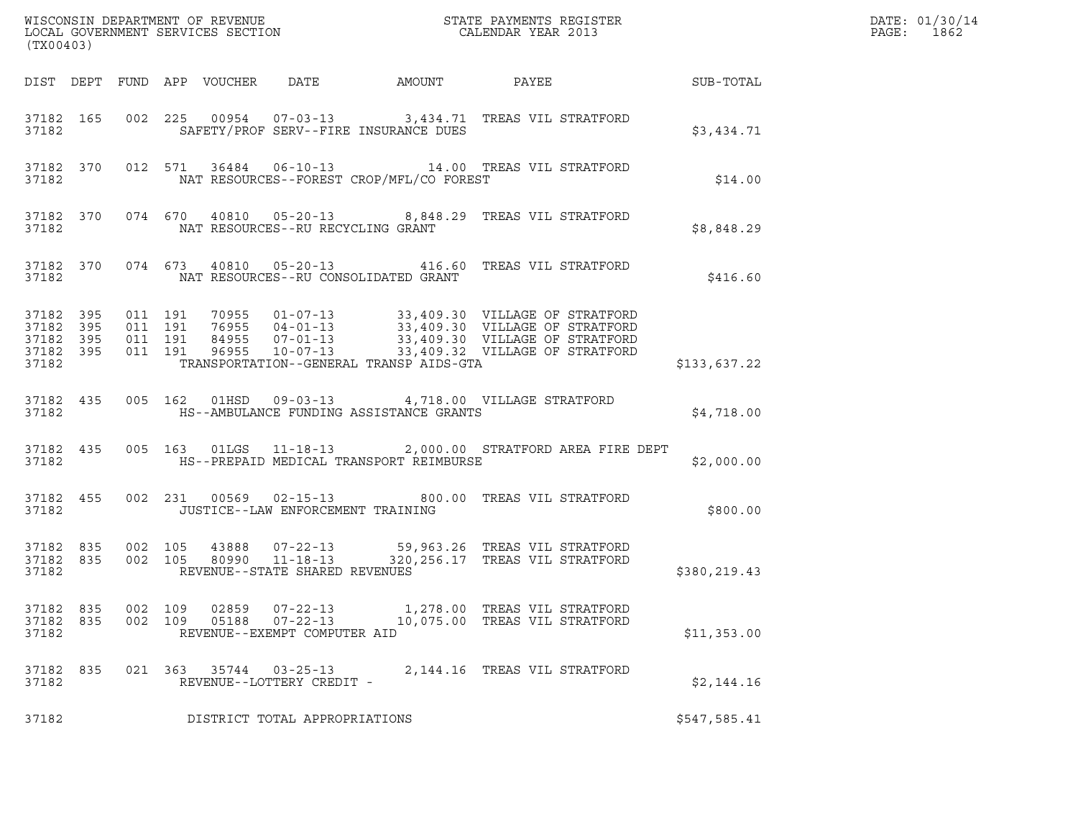| (TX00403)                       |                                     |                    |                |                                                                  |                                          |                                                                                                                                                                                                                                  |              | DATE: 01/30/14<br>PAGE: 1862 |
|---------------------------------|-------------------------------------|--------------------|----------------|------------------------------------------------------------------|------------------------------------------|----------------------------------------------------------------------------------------------------------------------------------------------------------------------------------------------------------------------------------|--------------|------------------------------|
|                                 |                                     |                    |                |                                                                  | DIST DEPT FUND APP VOUCHER DATE AMOUNT   | PAYEE SUB-TOTAL                                                                                                                                                                                                                  |              |                              |
| 37182                           |                                     |                    |                |                                                                  | SAFETY/PROF SERV--FIRE INSURANCE DUES    | 37182 165 002 225 00954 07-03-13 3,434.71 TREAS VIL STRATFORD                                                                                                                                                                    | \$3,434.71   |                              |
|                                 | 37182                               |                    |                |                                                                  | NAT RESOURCES--FOREST CROP/MFL/CO FOREST | 37182 370 012 571 36484 06-10-13 14.00 TREAS VIL STRATFORD                                                                                                                                                                       | \$14.00      |                              |
| 37182                           |                                     |                    |                | NAT RESOURCES--RU RECYCLING GRANT                                |                                          | 37182 370 074 670 40810 05-20-13 8,848.29 TREAS VIL STRATFORD                                                                                                                                                                    | \$8,848.29   |                              |
|                                 | 37182                               |                    |                |                                                                  | NAT RESOURCES--RU CONSOLIDATED GRANT     | 37182 370 074 673 40810 05-20-13 416.60 TREAS VIL STRATFORD                                                                                                                                                                      | \$416.60     |                              |
| 37182 395<br>37182              | 37182 395<br>37182 395<br>37182 395 |                    |                |                                                                  | TRANSPORTATION--GENERAL TRANSP AIDS-GTA  | 011 191 70955 01-07-13 33,409.30 VILLAGE OF STRATFORD<br>011 191 76955 04-01-13 33,409.30 VILLAGE OF STRATFORD<br>011 191 96955 10-07-13 33,409.30 VILLAGE OF STRATFORD<br>011 191 96955 10-07-13 33,409.32 VILLAGE OF STRATFORD | \$133,637.22 |                              |
| 37182                           | 37182 435                           |                    |                |                                                                  | HS--AMBULANCE FUNDING ASSISTANCE GRANTS  | 005 162 01HSD 09-03-13 4,718.00 VILLAGE STRATFORD                                                                                                                                                                                | \$4,718.00   |                              |
| 37182                           | 37182 435                           |                    |                |                                                                  | HS--PREPAID MEDICAL TRANSPORT REIMBURSE  | 005 163 01LGS 11-18-13 2,000.00 STRATFORD AREA FIRE DEPT                                                                                                                                                                         | \$2,000.00   |                              |
| 37182                           | 37182 455                           |                    |                | JUSTICE--LAW ENFORCEMENT TRAINING                                |                                          | 002 231 00569 02-15-13 800.00 TREAS VIL STRATFORD                                                                                                                                                                                | \$800.00     |                              |
| 37182                           | 37182 835<br>37182 835              |                    |                | REVENUE--STATE SHARED REVENUES                                   |                                          | 002 105 43888 07-22-13 59,963.26 TREAS VIL STRATFORD<br>002 105 80990 11-18-13 320,256.17 TREAS VIL STRATFORD                                                                                                                    | \$380,219.43 |                              |
| 37182 835<br>37182 835<br>37182 |                                     | 002 109<br>002 109 | 02859<br>05188 | $07 - 22 - 13$<br>$07 - 22 - 13$<br>REVENUE--EXEMPT COMPUTER AID |                                          | 1,278.00 TREAS VIL STRATFORD<br>10,075.00 TREAS VIL STRATFORD                                                                                                                                                                    | \$11,353.00  |                              |
| 37182 835<br>37182              |                                     |                    |                | 021 363 35744 03-25-13<br>REVENUE--LOTTERY CREDIT -              |                                          | 2,144.16 TREAS VIL STRATFORD                                                                                                                                                                                                     | \$2,144.16   |                              |
| 37182                           |                                     |                    |                | DISTRICT TOTAL APPROPRIATIONS                                    |                                          |                                                                                                                                                                                                                                  | \$547,585.41 |                              |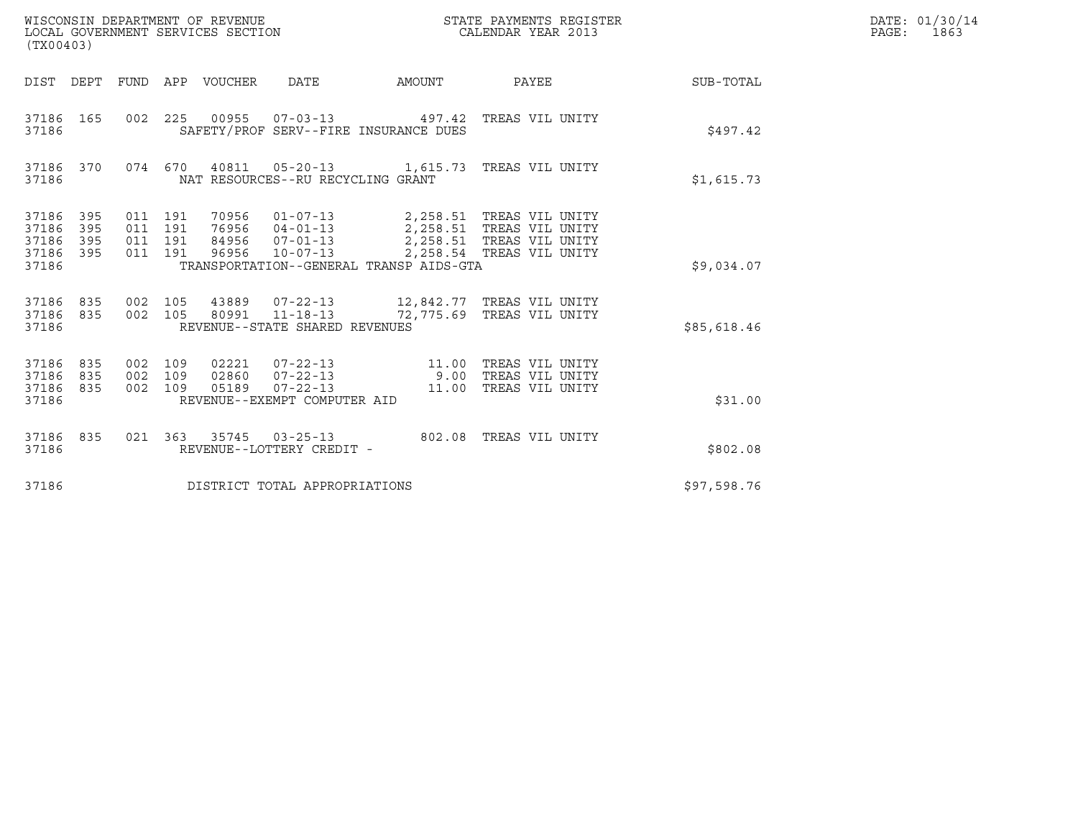| (TX00403)                                 |                          |                                      |         | WISCONSIN DEPARTMENT OF REVENUE<br>LOCAL GOVERNMENT SERVICES SECTION |                                                                        |                                         | STATE PAYMENTS REGISTER<br>CALENDAR YEAR 2013                                                                   |             | DATE: 01/30/14<br>PAGE:<br>1863 |
|-------------------------------------------|--------------------------|--------------------------------------|---------|----------------------------------------------------------------------|------------------------------------------------------------------------|-----------------------------------------|-----------------------------------------------------------------------------------------------------------------|-------------|---------------------------------|
| DIST DEPT                                 |                          |                                      |         | FUND APP VOUCHER                                                     | DATE                                                                   | AMOUNT                                  | PAYEE                                                                                                           | SUB-TOTAL   |                                 |
| 37186 165<br>37186                        |                          | 002 225                              |         | 00955                                                                |                                                                        | SAFETY/PROF SERV--FIRE INSURANCE DUES   | 07-03-13  497.42 TREAS VIL UNITY                                                                                | \$497.42    |                                 |
| 37186 370<br>37186                        |                          |                                      | 074 670 | 40811                                                                | NAT RESOURCES--RU RECYCLING GRANT                                      |                                         | 05-20-13 1,615.73 TREAS VIL UNITY                                                                               | \$1,615.73  |                                 |
| 37186<br>37186<br>37186<br>37186<br>37186 | 395<br>395<br>395<br>395 | 011 191<br>011 191<br>011<br>011 191 | 191     | 70956<br>76956<br>84956<br>96956                                     | $01 - 07 - 13$<br>$04 - 01 - 13$<br>$07 - 01 - 13$<br>$10 - 07 - 13$   | TRANSPORTATION--GENERAL TRANSP AIDS-GTA | 2,258.51   TREAS VIL UNITY<br>2, 258.51 TREAS VIL UNITY<br>2,258.51 TREAS VIL UNITY<br>2,258.54 TREAS VIL UNITY | \$9,034.07  |                                 |
| 37186<br>37186<br>37186                   | 835<br>835               | 002 105<br>002 105                   |         | 43889                                                                | 80991 11-18-13<br>REVENUE--STATE SHARED REVENUES                       |                                         | 07-22-13 12,842.77 TREAS VIL UNITY<br>72,775.69   TREAS VIL UNITY                                               | \$85,618.46 |                                 |
| 37186<br>37186<br>37186<br>37186          | 835<br>835<br>835        | 002 109<br>002 109<br>002 109        |         | 02221<br>02860<br>05189                                              | 07-22-13<br>07-22-13<br>$07 - 22 - 13$<br>REVENUE--EXEMPT COMPUTER AID | 9.00                                    | 11.00 TREAS VIL UNITY<br>TREAS VIL UNITY<br>11.00 TREAS VIL UNITY                                               | \$31.00     |                                 |
| 37186 835<br>37186                        |                          | 021 363                              |         | 35745                                                                | $03 - 25 - 13$<br>REVENUE--LOTTERY CREDIT -                            |                                         | 802.08 TREAS VIL UNITY                                                                                          | \$802.08    |                                 |
| 37186                                     |                          |                                      |         |                                                                      | DISTRICT TOTAL APPROPRIATIONS                                          |                                         |                                                                                                                 | \$97,598.76 |                                 |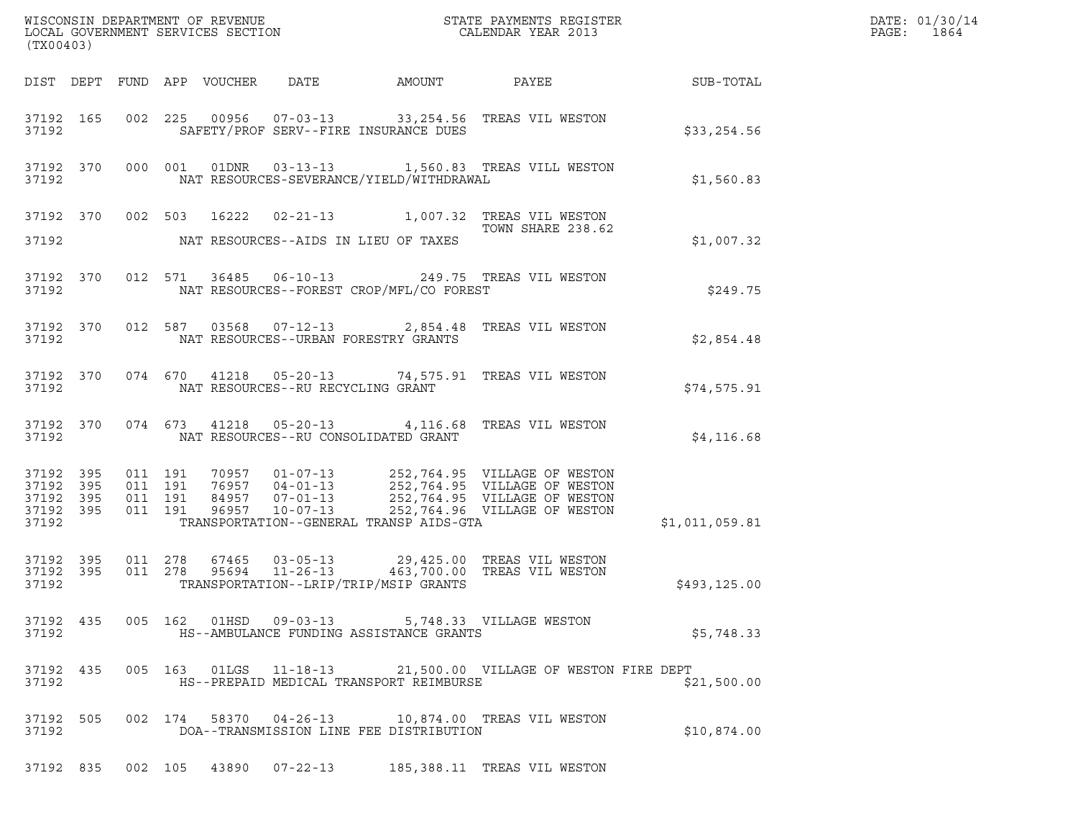| (TX00403)          |           |  |  |                                                                                           | WISCONSIN DEPARTMENT OF REVENUE<br>LOCAL GOVERNMENT SERVICES SECTION TO THE STATE PAYMENTS REGISTER<br>CALENDAR YEAR 2013                                                                                                                                                                                       | $\mathcal{R}$  | DATE: 01/30/14<br>PAGE: 1864 |
|--------------------|-----------|--|--|-------------------------------------------------------------------------------------------|-----------------------------------------------------------------------------------------------------------------------------------------------------------------------------------------------------------------------------------------------------------------------------------------------------------------|----------------|------------------------------|
|                    |           |  |  |                                                                                           |                                                                                                                                                                                                                                                                                                                 |                |                              |
| 37192              |           |  |  | SAFETY/PROF SERV--FIRE INSURANCE DUES                                                     | 37192 165 002 225 00956 07-03-13 33,254.56 TREAS VIL WESTON                                                                                                                                                                                                                                                     | \$33,254.56    |                              |
|                    |           |  |  | 37192 NAT RESOURCES-SEVERANCE/YIELD/WITHDRAWAL                                            | 37192 370 000 001 01DNR 03-13-13 1,560.83 TREAS VILL WESTON                                                                                                                                                                                                                                                     | \$1,560.83     |                              |
|                    |           |  |  |                                                                                           | 37192 370 002 503 16222 02-21-13 1,007.32 TREAS VIL WESTON<br>TOWN SHARE 238.62                                                                                                                                                                                                                                 |                |                              |
|                    |           |  |  | 37192 NAT RESOURCES--AIDS IN LIEU OF TAXES                                                |                                                                                                                                                                                                                                                                                                                 | \$1,007.32     |                              |
|                    |           |  |  | 37192 NAT RESOURCES--FOREST CROP/MFL/CO FOREST                                            | 37192 370 012 571 36485 06-10-13 249.75 TREAS VIL WESTON                                                                                                                                                                                                                                                        | \$249.75       |                              |
|                    |           |  |  | 37192 NAT RESOURCES--URBAN FORESTRY GRANTS                                                | 37192 370 012 587 03568 07-12-13 2,854.48 TREAS VIL WESTON                                                                                                                                                                                                                                                      | \$2,854.48     |                              |
|                    |           |  |  | 37192 NAT RESOURCES--RU RECYCLING GRANT                                                   | 37192 370 074 670 41218 05-20-13 74,575.91 TREAS VIL WESTON                                                                                                                                                                                                                                                     | \$74,575.91    |                              |
|                    |           |  |  | 37192 NAT RESOURCES--RU CONSOLIDATED GRANT                                                | 37192 370 074 673 41218 05-20-13 4,116.68 TREAS VIL WESTON                                                                                                                                                                                                                                                      | \$4,116.68     |                              |
|                    | 37192     |  |  | TRANSPORTATION--GENERAL TRANSP AIDS-GTA                                                   | $\begin{tabular}{cccc} 37192 & 395 & 011 & 191 & 70957 & 01-07-13 & 252,764.95 & VILLAGE OF WESTON \\ 37192 & 395 & 011 & 191 & 76957 & 04-01-13 & 252,764.95 & VILLAGE OF WESTON \\ 37192 & 395 & 011 & 191 & 84957 & 07-01-13 & 252,764.95 & VILLAGE OF WESTON \\ 37192 & 395 & 011 & 191 & 96957 & 10-07-13$ | \$1,011,059.81 |                              |
|                    |           |  |  | 37192 TRANSPORTATION--LRIP/TRIP/MSIP GRANTS                                               | 37192 395 011 278 67465 03-05-13 29,425.00 TREAS VIL WESTON<br>37192 395 011 278 95694 11-26-13 463,700.00 TREAS VIL WESTON                                                                                                                                                                                     | \$493,125.00   |                              |
| 37192              | 37192 435 |  |  | 005 162 01HSD 09-03-13 5,748.33 VILLAGE WESTON<br>HS--AMBULANCE FUNDING ASSISTANCE GRANTS |                                                                                                                                                                                                                                                                                                                 | \$5,748.33     |                              |
| 37192              | 37192 435 |  |  | HS--PREPAID MEDICAL TRANSPORT REIMBURSE                                                   | 005 163 01LGS 11-18-13 21,500.00 VILLAGE OF WESTON FIRE DEPT                                                                                                                                                                                                                                                    | \$21,500.00    |                              |
| 37192 505<br>37192 |           |  |  | DOA--TRANSMISSION LINE FEE DISTRIBUTION                                                   | 002 174 58370 04-26-13 10,874.00 TREAS VIL WESTON                                                                                                                                                                                                                                                               | \$10,874.00    |                              |
|                    |           |  |  |                                                                                           | 37192 835 002 105 43890 07-22-13 185,388.11 TREAS VIL WESTON                                                                                                                                                                                                                                                    |                |                              |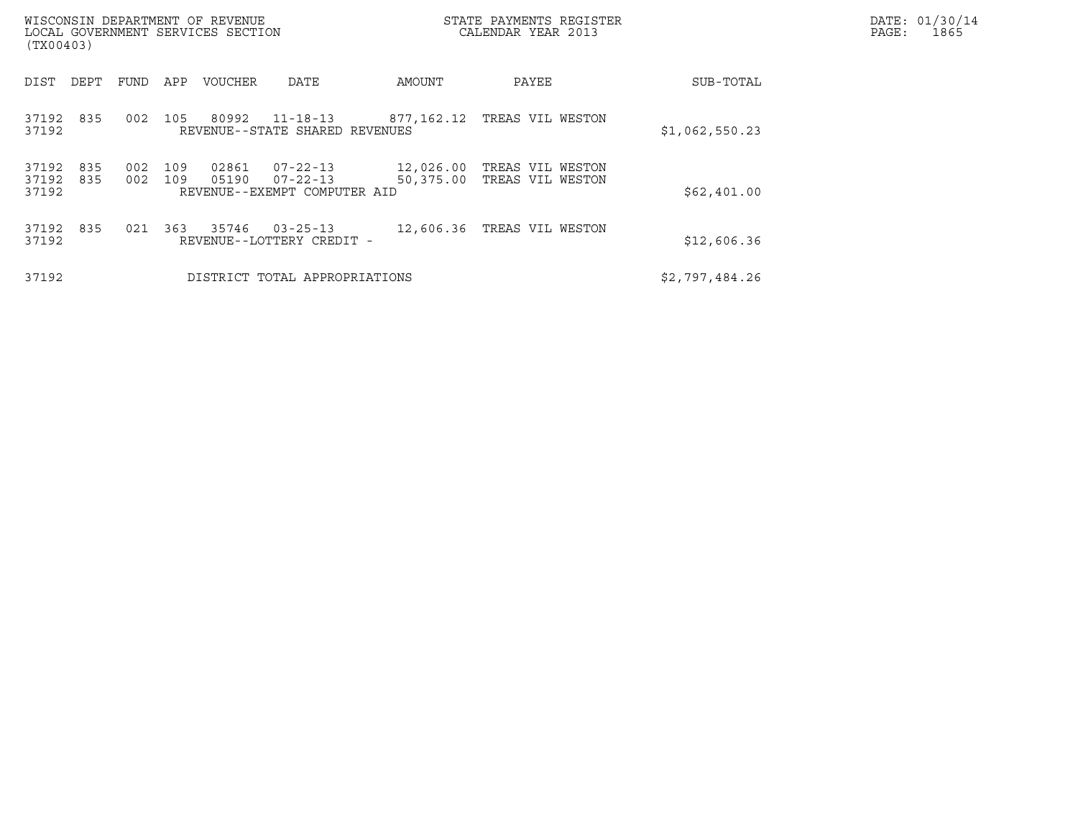| WISCONSIN DEPARTMENT OF REVENUE<br>LOCAL GOVERNMENT SERVICES SECTION<br>(TX00403) |            |            |                |                                                                  |                        | STATE PAYMENTS REGISTER<br>CALENDAR YEAR 2013 |                | DATE: 01/30/14<br>1865<br>PAGE: |
|-----------------------------------------------------------------------------------|------------|------------|----------------|------------------------------------------------------------------|------------------------|-----------------------------------------------|----------------|---------------------------------|
| DEPT<br>DIST                                                                      | FUND       | APP        | <b>VOUCHER</b> | DATE                                                             | AMOUNT                 | PAYEE                                         | SUB-TOTAL      |                                 |
| 835<br>37192<br>37192                                                             | 002        | 105        | 80992          | $11 - 18 - 13$<br>REVENUE--STATE SHARED REVENUES                 | 877,162.12             | TREAS VIL WESTON                              | \$1,062,550.23 |                                 |
| 37192<br>835<br>37192<br>835<br>37192                                             | 002<br>002 | 109<br>109 | 02861<br>05190 | $07 - 22 - 13$<br>$07 - 22 - 13$<br>REVENUE--EXEMPT COMPUTER AID | 12,026.00<br>50,375.00 | TREAS VIL WESTON<br>TREAS VIL WESTON          | \$62,401.00    |                                 |
| 835<br>37192<br>37192                                                             | 021        | 363        | 35746          | $03 - 25 - 13$<br>REVENUE--LOTTERY CREDIT -                      | 12,606.36              | TREAS VIL WESTON                              | \$12,606.36    |                                 |
| 37192                                                                             |            |            |                | DISTRICT TOTAL APPROPRIATIONS                                    |                        |                                               | \$2,797,484.26 |                                 |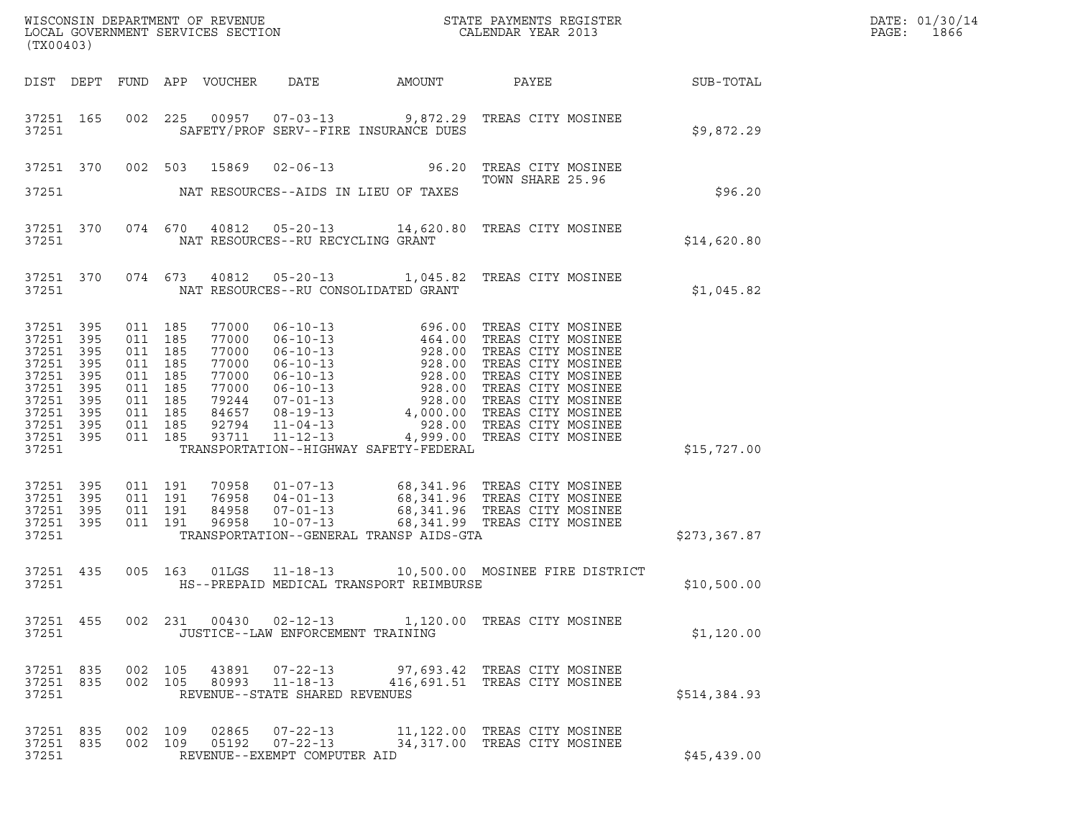| DATE: | 01/30/14 |
|-------|----------|
| PAGE: | 1866     |

| WISCONSIN DEPARTMENT OF REVENUE<br>LOCAL GOVERNMENT SERVICES SECTION<br>CALENDAR YEAR 2013          |                                                             |                                                                                                            |                    |                                                                                        |                                                            |                                                                                                                                                                                                                                                                                                           |                                                              |              | DATE: 01/30/14<br>PAGE:<br>1866 |
|-----------------------------------------------------------------------------------------------------|-------------------------------------------------------------|------------------------------------------------------------------------------------------------------------|--------------------|----------------------------------------------------------------------------------------|------------------------------------------------------------|-----------------------------------------------------------------------------------------------------------------------------------------------------------------------------------------------------------------------------------------------------------------------------------------------------------|--------------------------------------------------------------|--------------|---------------------------------|
| (TX00403)                                                                                           |                                                             |                                                                                                            |                    |                                                                                        |                                                            |                                                                                                                                                                                                                                                                                                           |                                                              |              |                                 |
| DIST DEPT                                                                                           |                                                             |                                                                                                            |                    | FUND APP VOUCHER                                                                       | DATE                                                       | AMOUNT                                                                                                                                                                                                                                                                                                    |                                                              |              |                                 |
| 37251 165<br>37251                                                                                  |                                                             |                                                                                                            |                    |                                                                                        |                                                            | 002 225 00957 07-03-13 9,872.29 TREAS CITY MOSINEE<br>SAFETY/PROF SERV--FIRE INSURANCE DUES                                                                                                                                                                                                               |                                                              | \$9,872.29   |                                 |
| 37251 370                                                                                           |                                                             | 002 503                                                                                                    |                    | 15869                                                                                  |                                                            | 02-06-13 96.20 TREAS CITY MOSINEE                                                                                                                                                                                                                                                                         | TOWN SHARE 25.96                                             |              |                                 |
| 37251                                                                                               |                                                             |                                                                                                            |                    |                                                                                        |                                                            | NAT RESOURCES--AIDS IN LIEU OF TAXES                                                                                                                                                                                                                                                                      |                                                              | \$96.20      |                                 |
| 37251 370<br>37251                                                                                  |                                                             |                                                                                                            |                    |                                                                                        | NAT RESOURCES--RU RECYCLING GRANT                          | 074 670 40812 05-20-13 14,620.80 TREAS CITY MOSINEE                                                                                                                                                                                                                                                       |                                                              | \$14,620.80  |                                 |
| 37251 370<br>37251                                                                                  |                                                             |                                                                                                            |                    |                                                                                        |                                                            | 074 673 40812 05-20-13 1,045.82 TREAS CITY MOSINEE<br>NAT RESOURCES--RU CONSOLIDATED GRANT                                                                                                                                                                                                                |                                                              | \$1,045.82   |                                 |
| 37251<br>37251<br>37251<br>37251<br>37251<br>37251<br>37251<br>37251<br>37251<br>37251 395<br>37251 | 395<br>395<br>395<br>395<br>395<br>395<br>395<br>395<br>395 | 011 185<br>011 185<br>011 185<br>011 185<br>011 185<br>011 185<br>011 185<br>011 185<br>011 185<br>011 185 |                    | 77000<br>77000<br>77000<br>77000<br>77000<br>77000<br>79244<br>84657<br>92794<br>93711 |                                                            | 06-10-13<br>06-10-13<br>06-10-13<br>06-10-13<br>06-10-13<br>06-10-13<br>06-10-13<br>06-10-13<br>06-10-13<br>06-10-13<br>06-10-13<br>06-10-13<br>06-10-13<br>228.00 TREAS CITY MOSINEE<br>06-10-13<br>228.00 TREAS CITY MOSINEE<br>07-01-13<br>228.00 TREAS CITY<br>TRANSPORTATION--HIGHWAY SAFETY-FEDERAL |                                                              | \$15,727.00  |                                 |
| 37251 395<br>37251<br>37251<br>37251<br>37251                                                       | 395<br>395<br>395                                           | 011 191<br>011 191<br>011 191<br>011 191                                                                   |                    | 70958<br>76958<br>84958<br>96958                                                       |                                                            | 01-07-13 68,341.96 TREAS CITY MOSINEE<br>04-01-13 68,341.96 TREAS CITY MOSINEE<br>07-01-13 68,341.96 TREAS CITY MOSINEE<br>--07-13 68,341.99 TREAS CITY MOSINEE<br>TRANSPORTATION--GENERAL TRANSP AIDS-GTA                                                                                                |                                                              | \$273,367.87 |                                 |
| 37251 435<br>37251                                                                                  |                                                             |                                                                                                            |                    |                                                                                        |                                                            | 005 163 01LGS 11-18-13 10,500.00 MOSINEE FIRE DISTRICT<br>HS--PREPAID MEDICAL TRANSPORT REIMBURSE                                                                                                                                                                                                         |                                                              | \$10,500.00  |                                 |
| 37251 455<br>37251                                                                                  |                                                             |                                                                                                            |                    |                                                                                        | JUSTICE--LAW ENFORCEMENT TRAINING                          | 002 231 00430 02-12-13 1,120.00 TREAS CITY MOSINEE                                                                                                                                                                                                                                                        |                                                              | \$1,120.00   |                                 |
| 37251 835<br>37251 835<br>37251                                                                     |                                                             |                                                                                                            | 002 105<br>002 105 | 43891<br>80993                                                                         | REVENUE--STATE SHARED REVENUES                             | 07-22-13 97,693.42 TREAS CITY MOSINEE<br>11-18-13 416,691.51 TREAS CITY MOSINEE                                                                                                                                                                                                                           |                                                              | \$514,384.93 |                                 |
| 37251 835<br>37251 835<br>37251                                                                     |                                                             | 002 109                                                                                                    | 002 109            | 02865<br>05192                                                                         | $07 - 22 - 13$<br>07-22-13<br>REVENUE--EXEMPT COMPUTER AID |                                                                                                                                                                                                                                                                                                           | 11,122.00 TREAS CITY MOSINEE<br>34,317.00 TREAS CITY MOSINEE | \$45,439.00  |                                 |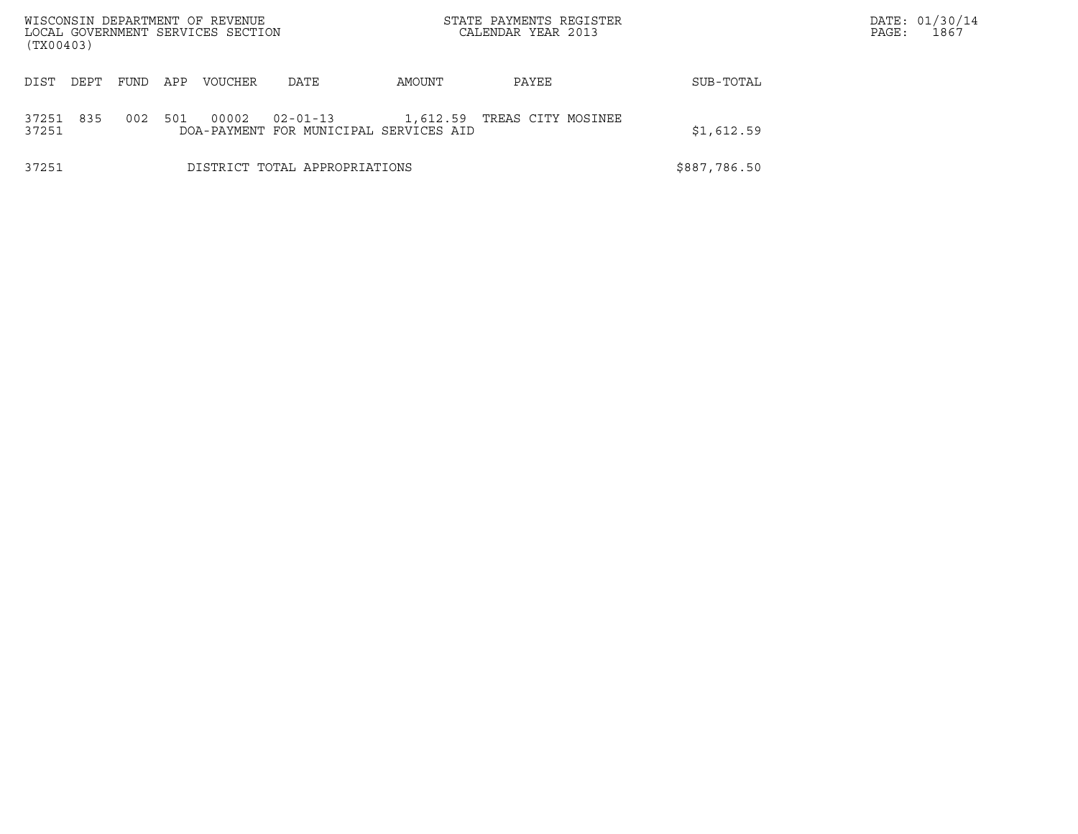| WISCONSIN DEPARTMENT OF REVENUE<br>LOCAL GOVERNMENT SERVICES SECTION<br>(TX00403) |      |     |                |                                                          |          | STATE PAYMENTS REGISTER<br>CALENDAR YEAR 2013 |              | DATE: 01/30/14<br>1867<br>PAGE: |
|-----------------------------------------------------------------------------------|------|-----|----------------|----------------------------------------------------------|----------|-----------------------------------------------|--------------|---------------------------------|
| DIST<br>DEPT                                                                      | FUND | APP | <b>VOUCHER</b> | DATE                                                     | AMOUNT   | PAYEE                                         | SUB-TOTAL    |                                 |
| 835<br>37251<br>37251                                                             | 002  | 501 | 00002          | $02 - 01 - 13$<br>DOA-PAYMENT FOR MUNICIPAL SERVICES AID | 1,612.59 | TREAS CITY MOSINEE                            | \$1,612.59   |                                 |
| 37251                                                                             |      |     |                | DISTRICT TOTAL APPROPRIATIONS                            |          |                                               | \$887,786.50 |                                 |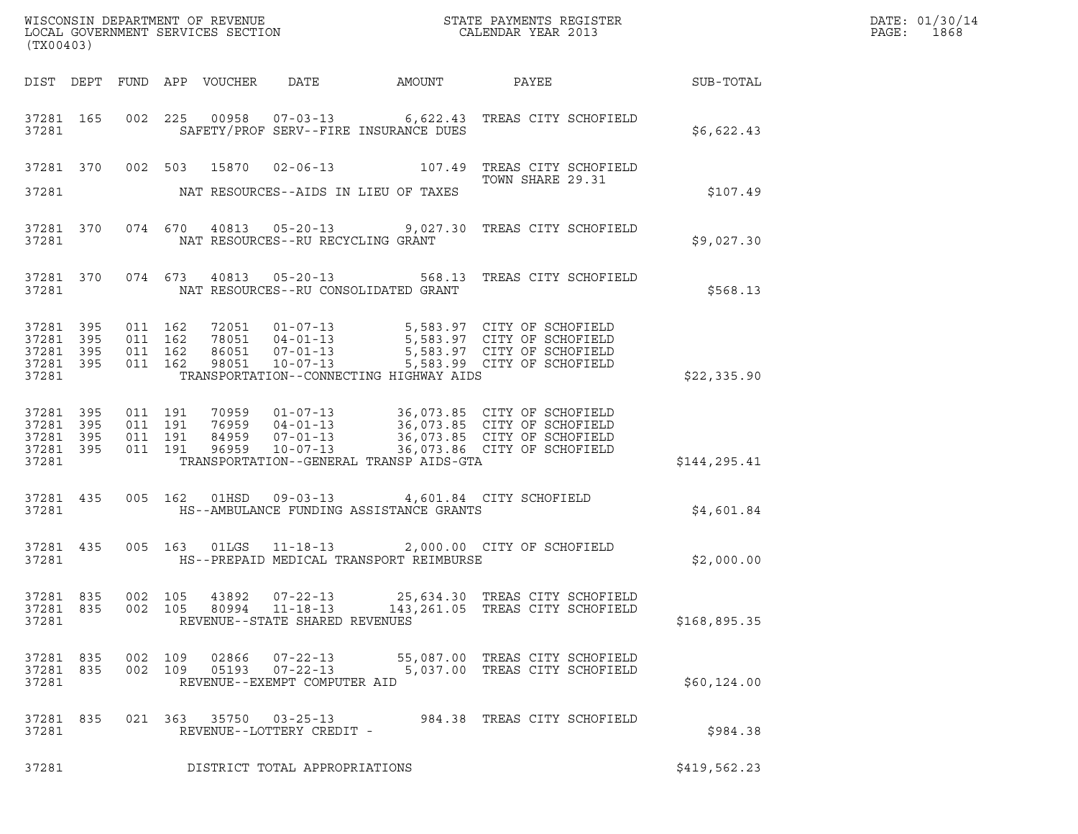| (TX00403)                                             |            |                    |                                          |                |                                                              |                                         | ${\tt WISCONSIM\ DEPARTMENT\ OF\ REVENUE}\qquad \qquad {\tt STATE\ PAYMENTS\ REGISTER} \\ {\tt LOCAL\ GOVERNMENT\ SERVICES\ SECTION}\qquad \qquad {\tt CALENDAR\ YEAR\ 2013}$                |                  | DATE: 01/30/14<br>$\mathtt{PAGE}$ :<br>1868 |
|-------------------------------------------------------|------------|--------------------|------------------------------------------|----------------|--------------------------------------------------------------|-----------------------------------------|----------------------------------------------------------------------------------------------------------------------------------------------------------------------------------------------|------------------|---------------------------------------------|
|                                                       |            |                    | DIST DEPT FUND APP VOUCHER               |                | DATE                                                         | AMOUNT PAYEE                            |                                                                                                                                                                                              | <b>SUB-TOTAL</b> |                                             |
| 37281 165<br>37281                                    |            |                    |                                          |                |                                                              | SAFETY/PROF SERV--FIRE INSURANCE DUES   | 002 225 00958 07-03-13 6,622.43 TREAS CITY SCHOFIELD                                                                                                                                         | \$6,622.43       |                                             |
|                                                       |            |                    |                                          |                |                                                              |                                         | 37281 370 002 503 15870 02-06-13 107.49 TREAS CITY SCHOFIELD<br>TOWN SHARE 29.31                                                                                                             |                  |                                             |
| 37281                                                 |            |                    |                                          |                |                                                              | NAT RESOURCES--AIDS IN LIEU OF TAXES    |                                                                                                                                                                                              | \$107.49         |                                             |
| 37281 370<br>37281                                    |            |                    |                                          |                | NAT RESOURCES--RU RECYCLING GRANT                            |                                         | 074 670 40813 05-20-13 9,027.30 TREAS CITY SCHOFIELD                                                                                                                                         | \$9,027.30       |                                             |
| 37281 370<br>37281                                    |            |                    |                                          |                |                                                              | NAT RESOURCES--RU CONSOLIDATED GRANT    | 074 673 40813 05-20-13 568.13 TREAS CITY SCHOFIELD                                                                                                                                           | \$568.13         |                                             |
| 37281 395<br>37281 395<br>37281<br>37281 395<br>37281 | - 395      | 011 162<br>011 162 | 011 162<br>011 162                       |                |                                                              | TRANSPORTATION--CONNECTING HIGHWAY AIDS | 72051  01-07-13  5,583.97  CITY OF SCHOFIELD<br>78051  04-01-13  5,583.97  CITY OF SCHOFIELD<br>86051  07-01-13  5,583.97  CITY OF SCHOFIELD<br>98051  10-07-13  5,583.99  CITY OF SCHOFIELD | \$22,335.90      |                                             |
| 37281 395<br>37281<br>37281<br>37281 395<br>37281     | 395<br>395 |                    | 011 191<br>011 191<br>011 191<br>011 191 | 96959          | $10 - 07 - 13$                                               | TRANSPORTATION--GENERAL TRANSP AIDS-GTA | 70959  01-07-13  36,073.85  CITY OF SCHOFIELD<br>76959  04-01-13  36,073.85  CITY OF SCHOFIELD<br>84959  07-01-13  36,073.85  CITY OF SCHOFIELD<br>36,073.86 CITY OF SCHOFIELD               | \$144,295.41     |                                             |
| 37281 435<br>37281                                    |            |                    | 005 162 01HSD                            |                |                                                              | HS--AMBULANCE FUNDING ASSISTANCE GRANTS | 09-03-13 4,601.84 CITY SCHOFIELD                                                                                                                                                             | \$4,601.84       |                                             |
| 37281 435<br>37281                                    |            |                    |                                          |                |                                                              | HS--PREPAID MEDICAL TRANSPORT REIMBURSE | 005 163 01LGS 11-18-13 2,000.00 CITY OF SCHOFIELD                                                                                                                                            | \$2,000.00       |                                             |
| 37281 835<br>37281 835<br>37281                       |            |                    | 002 105<br>002 105                       | 43892<br>80994 | 07-22-13<br>$11 - 18 - 13$<br>REVENUE--STATE SHARED REVENUES |                                         | 25,634.30 TREAS CITY SCHOFIELD<br>143,261.05 TREAS CITY SCHOFIELD                                                                                                                            | \$168,895.35     |                                             |
| 37281 835<br>37281<br>37281                           | 835        |                    | 002 109<br>002 109                       | 02866<br>05193 | 07-22-13<br>07-22-13<br>REVENUE--EXEMPT COMPUTER AID         |                                         | 55,087.00 TREAS CITY SCHOFIELD<br>5,037.00 TREAS CITY SCHOFIELD                                                                                                                              | \$60,124.00      |                                             |
| 37281 835<br>37281                                    |            |                    |                                          |                | 021 363 35750 03-25-13<br>REVENUE--LOTTERY CREDIT -          |                                         | 984.38 TREAS CITY SCHOFIELD                                                                                                                                                                  | \$984.38         |                                             |
| 37281                                                 |            |                    |                                          |                | DISTRICT TOTAL APPROPRIATIONS                                |                                         |                                                                                                                                                                                              | \$419,562.23     |                                             |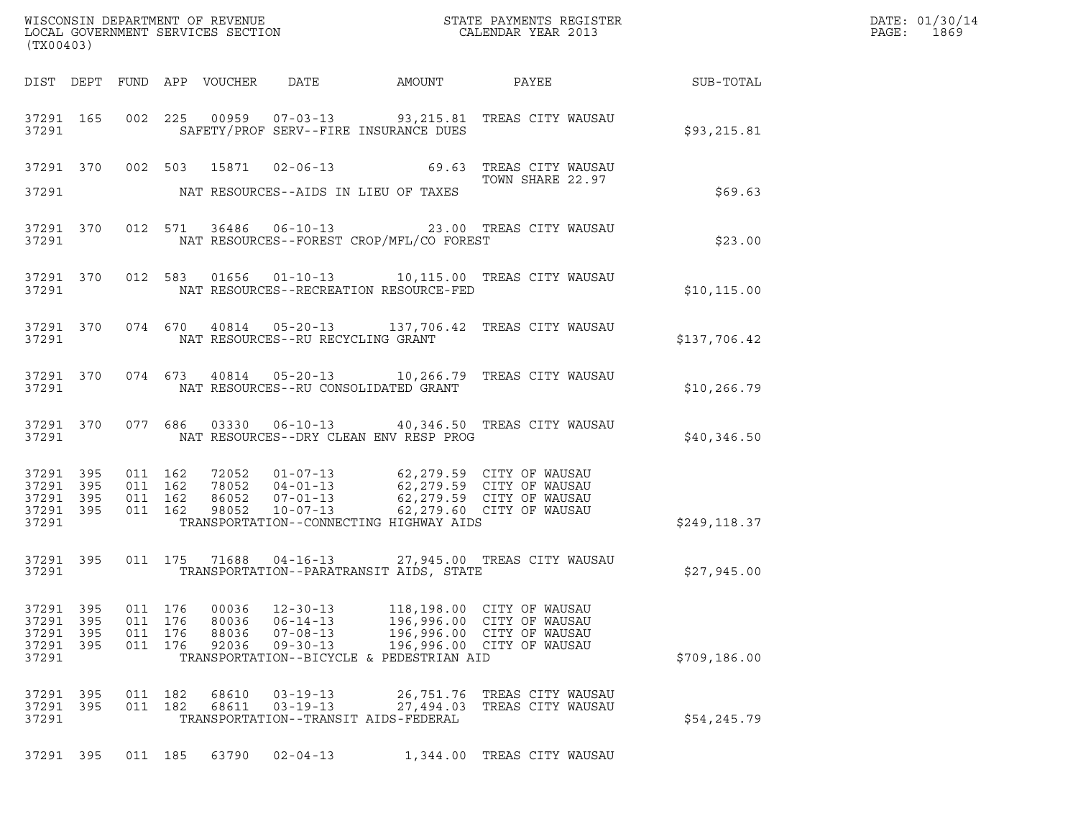| WISCONSIN DEPARTMENT OF REVENUE ${\small \begin{array}{ll} \text{MISCONS} \text{IN} \text{DEPATH} \\ \text{LOCAL} \text{ GOVERNMENT} \text{SEVICES} \text{SECTION} \\ \end{array} }$<br>(TX00403) |                     |                                  |            |                                  |                                                                      |                                                                                    |                                                                                                                                                                                                                                                                                                                  |                                                             | DATE: 01/30/14<br>PAGE: 1869 |
|---------------------------------------------------------------------------------------------------------------------------------------------------------------------------------------------------|---------------------|----------------------------------|------------|----------------------------------|----------------------------------------------------------------------|------------------------------------------------------------------------------------|------------------------------------------------------------------------------------------------------------------------------------------------------------------------------------------------------------------------------------------------------------------------------------------------------------------|-------------------------------------------------------------|------------------------------|
|                                                                                                                                                                                                   |                     |                                  |            |                                  |                                                                      |                                                                                    |                                                                                                                                                                                                                                                                                                                  | DIST DEPT FUND APP VOUCHER DATE AMOUNT PAYEE PATE SUB-TOTAL |                              |
| 37291                                                                                                                                                                                             |                     |                                  |            |                                  |                                                                      | SAFETY/PROF SERV--FIRE INSURANCE DUES                                              | 37291 165 002 225 00959 07-03-13 93,215.81 TREAS CITY WAUSAU                                                                                                                                                                                                                                                     | \$93,215.81                                                 |                              |
|                                                                                                                                                                                                   |                     |                                  |            |                                  |                                                                      |                                                                                    | 37291 370 002 503 15871 02-06-13 69.63 TREAS CITY WAUSAU<br>TOWN SHARE 22.97                                                                                                                                                                                                                                     |                                                             |                              |
|                                                                                                                                                                                                   |                     |                                  |            |                                  |                                                                      | 37291 NAT RESOURCES--AIDS IN LIEU OF TAXES                                         |                                                                                                                                                                                                                                                                                                                  | \$69.63                                                     |                              |
|                                                                                                                                                                                                   |                     |                                  |            |                                  |                                                                      |                                                                                    | 37291 370 012 571 36486 06-10-13 23.00 TREAS CITY WAUSAU                                                                                                                                                                                                                                                         | \$23.00                                                     |                              |
|                                                                                                                                                                                                   |                     |                                  |            |                                  |                                                                      |                                                                                    | 37291 370 012 583 01656 01-10-13 10,115.00 TREAS CITY WAUSAU                                                                                                                                                                                                                                                     | \$10, 115.00                                                |                              |
|                                                                                                                                                                                                   |                     |                                  |            |                                  |                                                                      | 37291 NAT RESOURCES--RU RECYCLING GRANT                                            | 37291 370 074 670 40814 05-20-13 137,706.42 TREAS CITY WAUSAU                                                                                                                                                                                                                                                    | \$137,706.42                                                |                              |
|                                                                                                                                                                                                   |                     |                                  |            |                                  |                                                                      |                                                                                    | 37291 370 074 673 40814 05-20-13 10,266.79 TREAS CITY WAUSAU                                                                                                                                                                                                                                                     | \$10, 266.79                                                |                              |
|                                                                                                                                                                                                   |                     |                                  |            |                                  |                                                                      | 37291 MAT RESOURCES--DRY CLEAN ENV RESP PROG                                       | 37291 370 077 686 03330 06-10-13 40,346.50 TREAS CITY WAUSAU                                                                                                                                                                                                                                                     | \$40,346.50                                                 |                              |
| 37291 395<br>37291 395<br>37291 395                                                                                                                                                               | 37291 395           |                                  |            |                                  |                                                                      |                                                                                    | $\begin{array}{cccccc} 011 & 162 & 72052 & 01-07-13 & 62,279.59 & \text{CITY OF WAUSAU} \\ 011 & 162 & 78052 & 04-01-13 & 62,279.59 & \text{CITY OF WAUSAU} \\ 011 & 162 & 86052 & 07-01-13 & 62,279.59 & \text{CITY OF WAUSAU} \\ 011 & 162 & 98052 & 10-07-13 & 62,279.60 & \text{CITY OF WAUSAU} \end{array}$ |                                                             |                              |
| 37291                                                                                                                                                                                             |                     |                                  |            |                                  |                                                                      | TRANSPORTATION--CONNECTING HIGHWAY AIDS                                            |                                                                                                                                                                                                                                                                                                                  | \$249,118.37                                                |                              |
| 37291                                                                                                                                                                                             | 37291 395           |                                  |            |                                  |                                                                      | TRANSPORTATION--PARATRANSIT AIDS, STATE                                            | 011 175 71688 04-16-13 27,945.00 TREAS CITY WAUSAU                                                                                                                                                                                                                                                               | \$27,945.00                                                 |                              |
| 37291 395<br>37291<br>37291<br>37291<br>37291                                                                                                                                                     | 395<br>395<br>- 395 | 011 176<br>011<br>011<br>011 176 | 176<br>176 | 00036<br>80036<br>88036<br>92036 | $12 - 30 - 13$<br>$06 - 14 - 13$<br>$07 - 08 - 13$<br>$09 - 30 - 13$ | 118,198.00<br>196,996.00<br>196,996.00<br>TRANSPORTATION--BICYCLE & PEDESTRIAN AID | CITY OF WAUSAU<br>CITY OF WAUSAU<br>CITY OF WAUSAU<br>196,996.00 CITY OF WAUSAU                                                                                                                                                                                                                                  | \$709,186.00                                                |                              |
| 37291<br>37291<br>37291                                                                                                                                                                           | 395<br>- 395        | 011 182<br>011 182               |            | 68610<br>68611                   | $03 - 19 - 13$<br>$03 - 19 - 13$                                     | 26,751.76<br>27,494.03<br>TRANSPORTATION--TRANSIT AIDS-FEDERAL                     | TREAS CITY WAUSAU<br>TREAS CITY WAUSAU                                                                                                                                                                                                                                                                           | \$54,245.79                                                 |                              |
| 37291 395                                                                                                                                                                                         |                     | 011 185                          |            | 63790                            | $02 - 04 - 13$                                                       |                                                                                    | 1,344.00 TREAS CITY WAUSAU                                                                                                                                                                                                                                                                                       |                                                             |                              |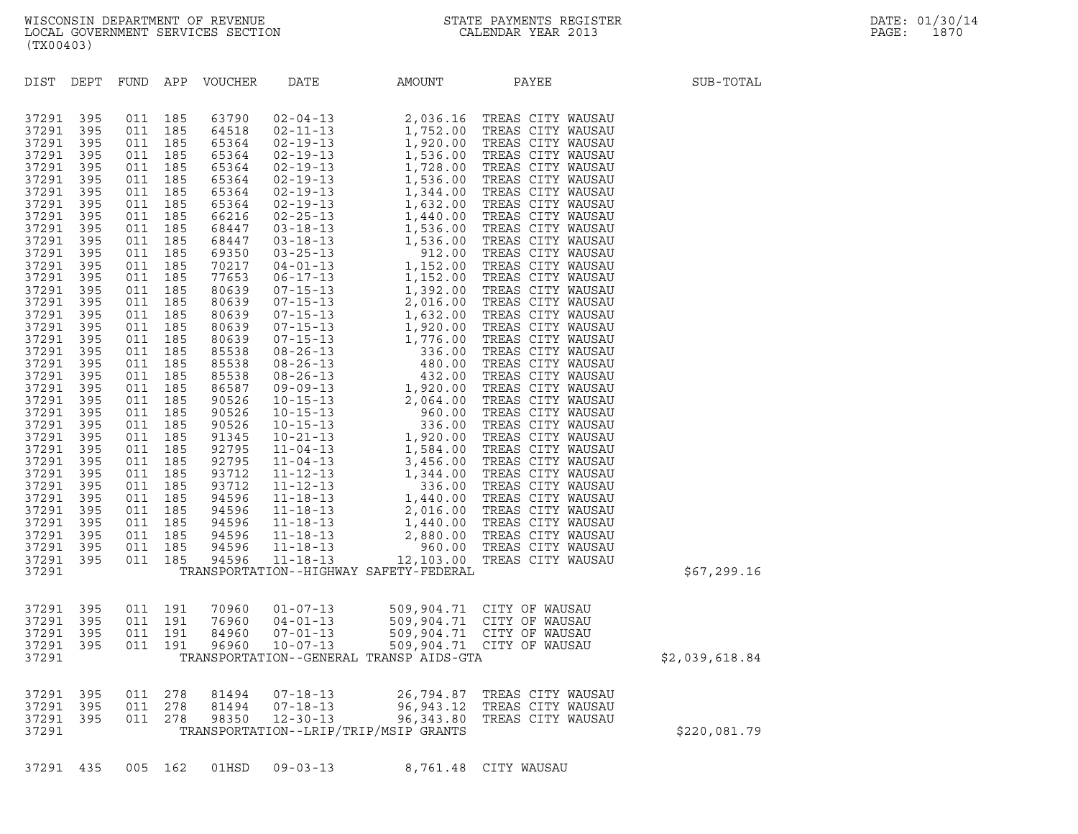| (TX00403)                                                                                                                                                                                                                                                                                                                                          |                                                                                                                                                                                                                                                                 |                                                                                                                                                                                                                                                                 |                                                                                                                                                                                                                                                                 |                                                                                                                                                                                                                                                                                                                                           |                                                                      |                                                                                                                                                                                                                                                                                                                                      |                                                                                                                                                                                                                                                                                                                                                                                                                                                                                                                                                                                                                                                                                                                                                                                                                          |                |
|----------------------------------------------------------------------------------------------------------------------------------------------------------------------------------------------------------------------------------------------------------------------------------------------------------------------------------------------------|-----------------------------------------------------------------------------------------------------------------------------------------------------------------------------------------------------------------------------------------------------------------|-----------------------------------------------------------------------------------------------------------------------------------------------------------------------------------------------------------------------------------------------------------------|-----------------------------------------------------------------------------------------------------------------------------------------------------------------------------------------------------------------------------------------------------------------|-------------------------------------------------------------------------------------------------------------------------------------------------------------------------------------------------------------------------------------------------------------------------------------------------------------------------------------------|----------------------------------------------------------------------|--------------------------------------------------------------------------------------------------------------------------------------------------------------------------------------------------------------------------------------------------------------------------------------------------------------------------------------|--------------------------------------------------------------------------------------------------------------------------------------------------------------------------------------------------------------------------------------------------------------------------------------------------------------------------------------------------------------------------------------------------------------------------------------------------------------------------------------------------------------------------------------------------------------------------------------------------------------------------------------------------------------------------------------------------------------------------------------------------------------------------------------------------------------------------|----------------|
| DIST DEPT                                                                                                                                                                                                                                                                                                                                          |                                                                                                                                                                                                                                                                 | FUND APP                                                                                                                                                                                                                                                        |                                                                                                                                                                                                                                                                 | VOUCHER                                                                                                                                                                                                                                                                                                                                   | DATE                                                                 | AMOUNT                                                                                                                                                                                                                                                                                                                               | PAYEE                                                                                                                                                                                                                                                                                                                                                                                                                                                                                                                                                                                                                                                                                                                                                                                                                    | SUB-TOTAL      |
| 37291<br>37291<br>37291<br>37291<br>37291<br>37291<br>37291<br>37291<br>37291<br>37291<br>37291<br>37291<br>37291<br>37291<br>37291<br>37291<br>37291<br>37291<br>37291<br>37291<br>37291<br>37291<br>37291<br>37291<br>37291<br>37291<br>37291<br>37291<br>37291<br>37291<br>37291<br>37291<br>37291<br>37291<br>37291<br>37291<br>37291<br>37291 | 395<br>395<br>395<br>395<br>395<br>395<br>395<br>395<br>395<br>395<br>395<br>395<br>395<br>395<br>395<br>395<br>395<br>395<br>395<br>395<br>395<br>395<br>395<br>395<br>395<br>395<br>395<br>395<br>395<br>395<br>395<br>395<br>395<br>395<br>395<br>395<br>395 | 011<br>011<br>011<br>011<br>011<br>011<br>011<br>011<br>011<br>011<br>011<br>011<br>011<br>011<br>011<br>011<br>011<br>011<br>011<br>011<br>011<br>011<br>011<br>011<br>011<br>011<br>011<br>011<br>011<br>011<br>011<br>011<br>011<br>011<br>011<br>011<br>011 | 185<br>185<br>185<br>185<br>185<br>185<br>185<br>185<br>185<br>185<br>185<br>185<br>185<br>185<br>185<br>185<br>185<br>185<br>185<br>185<br>185<br>185<br>185<br>185<br>185<br>185<br>185<br>185<br>185<br>185<br>185<br>185<br>185<br>185<br>185<br>185<br>185 | 63790<br>64518<br>65364<br>65364<br>65364<br>65364<br>65364<br>65364<br>66216<br>68447<br>68447<br>69350<br>70217<br>77653<br>80639<br>80639<br>80639<br>80639<br>80639<br>85538<br>85538<br>85538<br>86587<br>90526<br>90526<br>90526<br>91345<br>92795<br>92795<br>93712<br>93712<br>94596<br>94596<br>94596<br>94596<br>94596<br>94596 |                                                                      | $\begin{tabular}{@{}c@{}}02-04-13 & 2,036.16 TR \\ 02-19-13 & 1,752.00 TR \\ 02-19-13 & 1,920.00 TR \\ 02-19-13 & 1,536.00 TR \\ 02-19-13 & 1,728.00 TR \\ 02-19-13 & 1,536.00 TR \\ 02-19-13 & 1,344.00 TF \\ 02-19-13 & 1,344.00 TF \\ 02-19-13 & 1,344.00 TF \\ 02-25-13 & 1,632.00 TF$<br>TRANSPORTATION--HIGHWAY SAFETY-FEDERAL | 2,036.16 TREAS CITY WAUSAU<br>TREAS CITY WAUSAU<br>TREAS CITY WAUSAU<br>TREAS CITY WAUSAU<br>TREAS CITY WAUSAU<br>TREAS CITY WAUSAU<br>TREAS CITY WAUSAU<br>TREAS CITY WAUSAU<br>TREAS CITY WAUSAU<br>TREAS CITY WAUSAU<br>TREAS CITY WAUSAU<br>TREAS CITY WAUSAU<br>TREAS CITY WAUSAU<br>TREAS CITY WAUSAU<br>TREAS CITY WAUSAU<br>TREAS CITY WAUSAU<br>TREAS CITY WAUSAU<br>TREAS CITY WAUSAU<br>TREAS CITY WAUSAU<br>TREAS CITY WAUSAU<br>TREAS CITY WAUSAU<br>TREAS CITY WAUSAU<br>TREAS CITY WAUSAU<br>TREAS CITY WAUSAU<br>TREAS CITY WAUSAU<br>TREAS CITY WAUSAU<br>TREAS CITY WAUSAU<br>TREAS CITY WAUSAU<br>TREAS CITY WAUSAU<br>TREAS CITY WAUSAU<br>TREAS CITY WAUSAU<br>TREAS CITY WAUSAU<br>TREAS CITY WAUSAU<br>TREAS CITY WAUSAU<br>TREAS CITY WAUSAU<br>TREAS CITY WAUSAU<br>12,103.00 TREAS CITY WAUSAU | \$67,299.16    |
| 37291<br>37291<br>37291<br>37291<br>37291                                                                                                                                                                                                                                                                                                          | 395<br>395<br>395<br>395                                                                                                                                                                                                                                        | 011<br>011<br>011<br>011                                                                                                                                                                                                                                        | 191<br>191<br>191<br>191                                                                                                                                                                                                                                        | 70960<br>76960<br>84960<br>96960                                                                                                                                                                                                                                                                                                          | $01 - 07 - 13$<br>$04 - 01 - 13$<br>$07 - 01 - 13$<br>$10 - 07 - 13$ | TRANSPORTATION--GENERAL TRANSP AIDS-GTA                                                                                                                                                                                                                                                                                              | 509,904.71 CITY OF WAUSAU<br>509,904.71 CITY OF WAUSAU<br>509, 904.71 CITY OF WAUSAU<br>509, 904.71 CITY OF WAUSAU                                                                                                                                                                                                                                                                                                                                                                                                                                                                                                                                                                                                                                                                                                       | \$2,039,618.84 |
| 37291<br>37291<br>37291<br>37291                                                                                                                                                                                                                                                                                                                   | 395<br>395<br>395                                                                                                                                                                                                                                               | 011<br>011<br>011                                                                                                                                                                                                                                               | 278<br>278<br>278                                                                                                                                                                                                                                               | 81494<br>81494<br>98350                                                                                                                                                                                                                                                                                                                   | $07 - 18 - 13$<br>$07 - 18 - 13$<br>$12 - 30 - 13$                   | 96,343.80<br>TRANSPORTATION--LRIP/TRIP/MSIP GRANTS                                                                                                                                                                                                                                                                                   | 26,794.87 TREAS CITY WAUSAU<br>96, 943.12 TREAS CITY WAUSAU<br>TREAS CITY WAUSAU                                                                                                                                                                                                                                                                                                                                                                                                                                                                                                                                                                                                                                                                                                                                         | \$220,081.79   |

37291 435 005 162 01HSD 09-03-13 8,761.48 CITY WAUSAU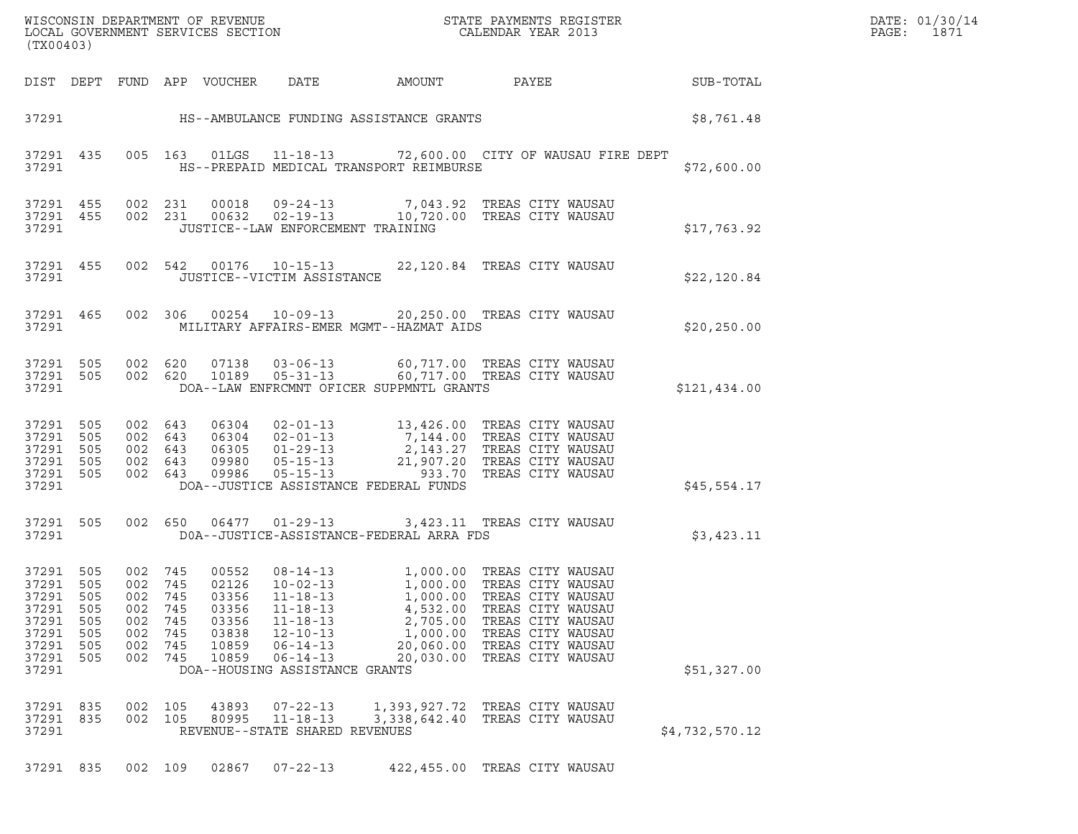| DATE: | 01/30/14 |
|-------|----------|
| PAGE: | 1871     |

| ${\tt WISCONSIM\ DEPARTMENT\ OF\ REVENUE}\hbox{\tt STATE\ PAYMENTS\ REGISTER\ LOCAL\ GOVERNMENT\ SERVICES\ SECTION\thinspace\ {\tt SCTION}\hbox{\tt CALENDAR\ YEAR\ 2013}}$<br>(TX00403) |                                        |                                                              |                                        |                                                             |                                                                                                                                                              |                                                                        |                                                                                                                                                                                                                                        |                 | DATE: 01/30/14<br>PAGE:<br>1871 |
|------------------------------------------------------------------------------------------------------------------------------------------------------------------------------------------|----------------------------------------|--------------------------------------------------------------|----------------------------------------|-------------------------------------------------------------|--------------------------------------------------------------------------------------------------------------------------------------------------------------|------------------------------------------------------------------------|----------------------------------------------------------------------------------------------------------------------------------------------------------------------------------------------------------------------------------------|-----------------|---------------------------------|
|                                                                                                                                                                                          |                                        |                                                              |                                        | DIST DEPT FUND APP VOUCHER DATE                             |                                                                                                                                                              | AMOUNT                                                                 |                                                                                                                                                                                                                                        | PAYEE SUB-TOTAL |                                 |
|                                                                                                                                                                                          |                                        |                                                              |                                        |                                                             | 37291 HS--AMBULANCE FUNDING ASSISTANCE GRANTS                                                                                                                | \$8,761.48                                                             |                                                                                                                                                                                                                                        |                 |                                 |
| 37291                                                                                                                                                                                    |                                        |                                                              |                                        |                                                             |                                                                                                                                                              | HS--PREPAID MEDICAL TRANSPORT REIMBURSE                                | 37291 435 005 163 01LGS 11-18-13 72,600.00 CITY OF WAUSAU FIRE DEPT                                                                                                                                                                    | \$72,600.00     |                                 |
| 37291                                                                                                                                                                                    |                                        |                                                              |                                        |                                                             | JUSTICE--LAW ENFORCEMENT TRAINING                                                                                                                            |                                                                        | 37291 455 002 231 00018 09-24-13 7,043.92 TREAS CITY WAUSAU<br>37291 455 002 231 00632 02-19-13 10,720.00 TREAS CITY WAUSAU                                                                                                            | \$17,763.92     |                                 |
| 37291                                                                                                                                                                                    |                                        |                                                              |                                        |                                                             | JUSTICE--VICTIM ASSISTANCE                                                                                                                                   |                                                                        | 37291 455 002 542 00176 10-15-13 22,120.84 TREAS CITY WAUSAU                                                                                                                                                                           | \$22,120.84     |                                 |
| 37291                                                                                                                                                                                    |                                        |                                                              |                                        |                                                             |                                                                                                                                                              | MILITARY AFFAIRS-EMER MGMT--HAZMAT AIDS                                | 37291 465 002 306 00254 10-09-13 20,250.00 TREAS CITY WAUSAU                                                                                                                                                                           | \$20, 250.00    |                                 |
| 37291                                                                                                                                                                                    |                                        |                                                              |                                        |                                                             |                                                                                                                                                              | DOA--LAW ENFRCMNT OFICER SUPPMNTL GRANTS                               | 37291 505 002 620 07138 03-06-13 60,717.00 TREAS CITY WAUSAU<br>37291 505 002 620 10189 05-31-13 60,717.00 TREAS CITY WAUSAU                                                                                                           | \$121,434.00    |                                 |
| 37291 505<br>37291 505<br>37291<br>37291 505<br>37291 505<br>37291                                                                                                                       | 505                                    |                                                              |                                        |                                                             |                                                                                                                                                              | DOA--JUSTICE ASSISTANCE FEDERAL FUNDS                                  | 002 643 06304 02-01-13 13,426.00 TREAS CITY WAUSAU<br>002 643 06304 02-01-13 7,144.00 TREAS CITY WAUSAU<br>002 643 06305 01-29-13 2,143.27 TREAS CITY WAUSAU<br>002 643 09980 05-15-13 21,907.20 TREAS CITY WAUSAU<br>002 643 09986 05 | \$45,554.17     |                                 |
| 37291 505<br>37291                                                                                                                                                                       |                                        |                                                              |                                        |                                                             |                                                                                                                                                              | DOA--JUSTICE-ASSISTANCE-FEDERAL ARRA FDS                               | 002 650 06477 01-29-13 3,423.11 TREAS CITY WAUSAU                                                                                                                                                                                      | \$3,423.11      |                                 |
| 37291 505<br>37291 505<br>37291<br>37291<br>37291<br>37291<br>37291<br>37291<br>37291                                                                                                    | 505<br>505<br>505<br>505<br>505<br>505 | 002 745<br>002 745<br>002<br>002<br>002<br>002<br>002<br>002 | 745<br>745<br>745<br>745<br>745<br>745 | 02126<br>03356<br>03356<br>03356<br>03838<br>10859<br>10859 | $10 - 02 - 13$<br>$11 - 18 - 13$<br>$11 - 18 - 13$<br>$11 - 18 - 13$<br>$12 - 10 - 13$<br>$06 - 14 - 13$<br>$06 - 14 - 13$<br>DOA--HOUSING ASSISTANCE GRANTS | 1,000.00<br>4,532.00<br>2,705.00<br>1,000.00<br>20,060.00<br>20,030.00 | 00552 08-14-13 1,000.00 TREAS CITY WAUSAU<br>1,000.00 TREAS CITY WAUSAU<br>TREAS CITY WAUSAU<br>TREAS CITY WAUSAU<br>TREAS CITY WAUSAU<br>TREAS CITY WAUSAU<br>TREAS CITY WAUSAU<br>TREAS CITY WAUSAU                                  | \$51,327.00     |                                 |
| 37291 835<br>37291 835<br>37291                                                                                                                                                          |                                        | 002 105<br>002 105                                           |                                        | 43893<br>80995                                              | $07 - 22 - 13$<br>$11 - 18 - 13$<br>REVENUE--STATE SHARED REVENUES                                                                                           | 3,338,642.40                                                           | 1,393,927.72 TREAS CITY WAUSAU<br>TREAS CITY WAUSAU                                                                                                                                                                                    | \$4,732,570.12  |                                 |
| 37291 835                                                                                                                                                                                |                                        | 002 109                                                      |                                        | 02867                                                       | $07 - 22 - 13$                                                                                                                                               |                                                                        | 422,455.00 TREAS CITY WAUSAU                                                                                                                                                                                                           |                 |                                 |